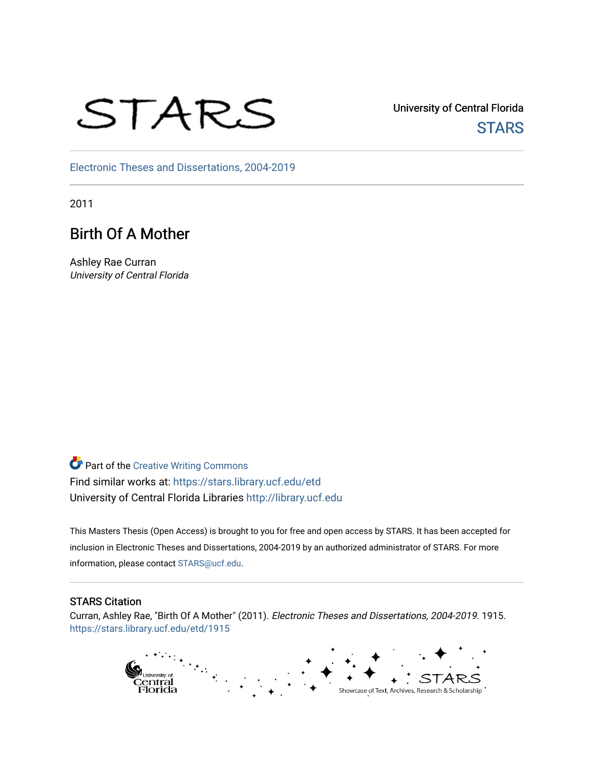# STARS

University of Central Florida **STARS** 

[Electronic Theses and Dissertations, 2004-2019](https://stars.library.ucf.edu/etd) 

2011

# Birth Of A Mother

Ashley Rae Curran University of Central Florida

**Part of the Creative Writing Commons** Find similar works at: <https://stars.library.ucf.edu/etd> University of Central Florida Libraries [http://library.ucf.edu](http://library.ucf.edu/) 

This Masters Thesis (Open Access) is brought to you for free and open access by STARS. It has been accepted for inclusion in Electronic Theses and Dissertations, 2004-2019 by an authorized administrator of STARS. For more information, please contact [STARS@ucf.edu.](mailto:STARS@ucf.edu)

#### STARS Citation

Curran, Ashley Rae, "Birth Of A Mother" (2011). Electronic Theses and Dissertations, 2004-2019. 1915. [https://stars.library.ucf.edu/etd/1915](https://stars.library.ucf.edu/etd/1915?utm_source=stars.library.ucf.edu%2Fetd%2F1915&utm_medium=PDF&utm_campaign=PDFCoverPages) 

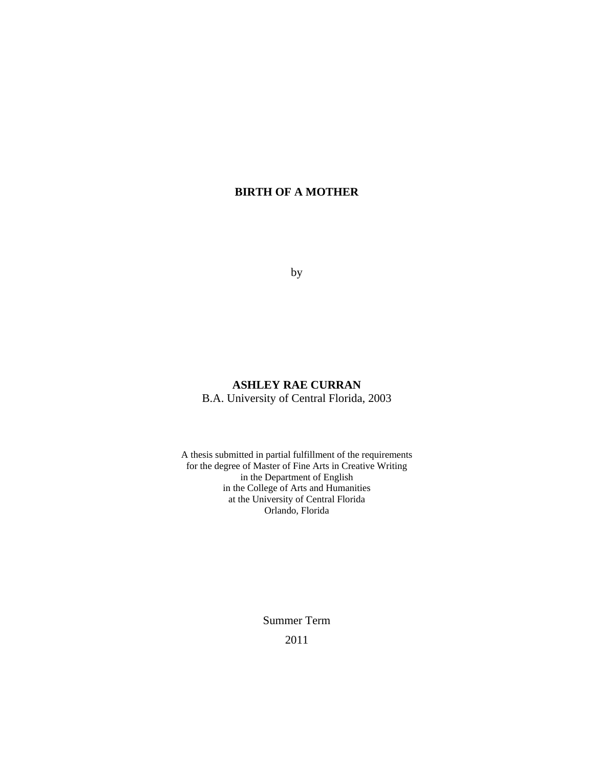# **BIRTH OF A MOTHER**

by

## **ASHLEY RAE CURRAN**  B.A. University of Central Florida, 2003

A thesis submitted in partial fulfillment of the requirements for the degree of Master of Fine Arts in Creative Writing in the Department of English in the College of Arts and Humanities at the University of Central Florida Orlando, Florida

> Summer Term 2011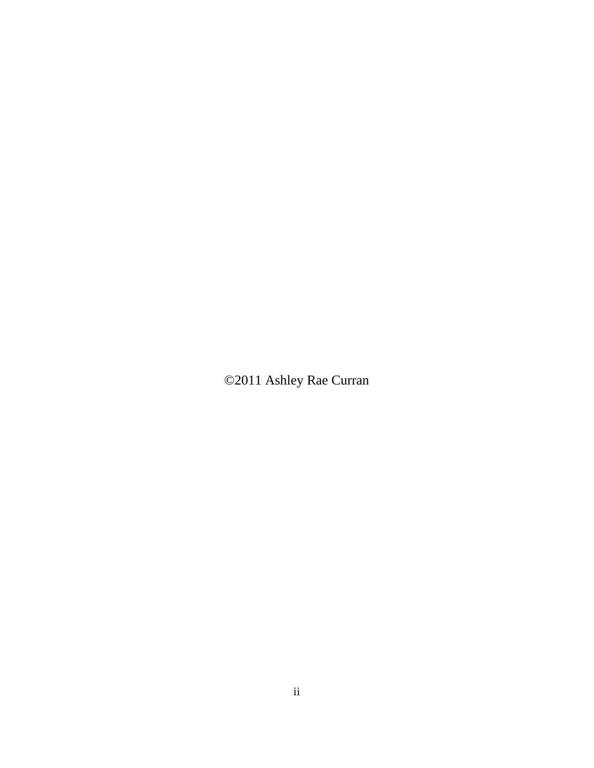©2011 Ashley Rae Curran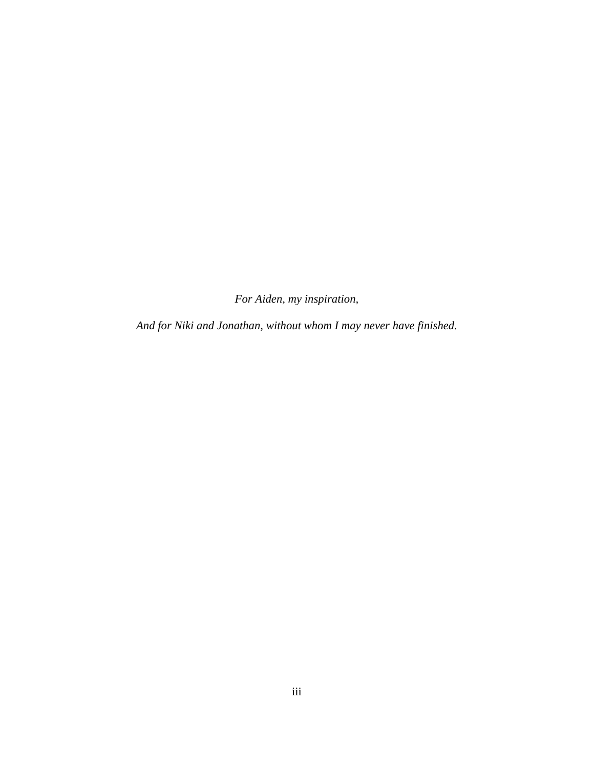*For Aiden, my inspiration,* 

*And for Niki and Jonathan, without whom I may never have finished.*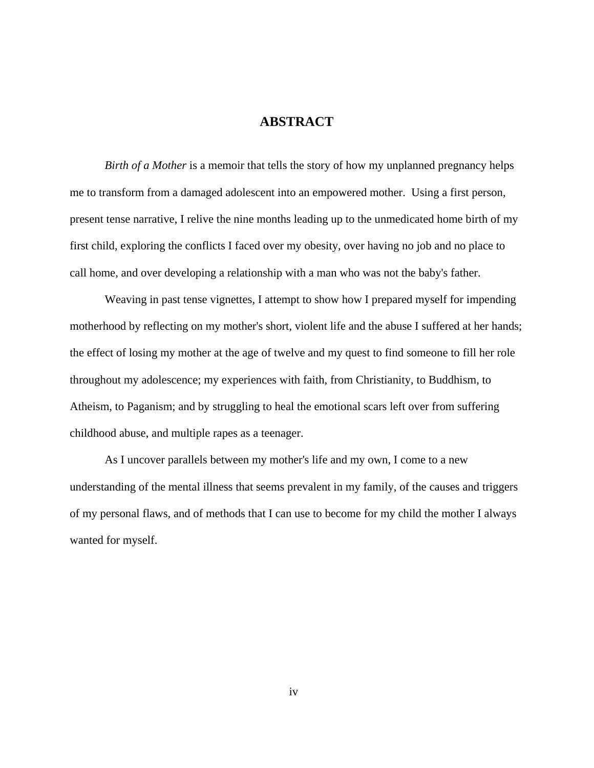#### **ABSTRACT**

*Birth of a Mother* is a memoir that tells the story of how my unplanned pregnancy helps me to transform from a damaged adolescent into an empowered mother. Using a first person, present tense narrative, I relive the nine months leading up to the unmedicated home birth of my first child, exploring the conflicts I faced over my obesity, over having no job and no place to call home, and over developing a relationship with a man who was not the baby's father.

 Weaving in past tense vignettes, I attempt to show how I prepared myself for impending motherhood by reflecting on my mother's short, violent life and the abuse I suffered at her hands; the effect of losing my mother at the age of twelve and my quest to find someone to fill her role throughout my adolescence; my experiences with faith, from Christianity, to Buddhism, to Atheism, to Paganism; and by struggling to heal the emotional scars left over from suffering childhood abuse, and multiple rapes as a teenager.

 As I uncover parallels between my mother's life and my own, I come to a new understanding of the mental illness that seems prevalent in my family, of the causes and triggers of my personal flaws, and of methods that I can use to become for my child the mother I always wanted for myself.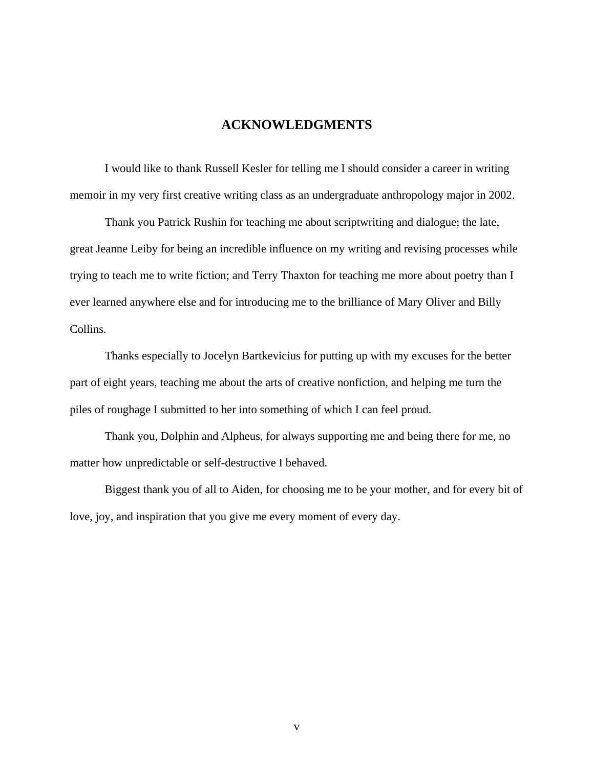## **ACKNOWLEDGMENTS**

I would like to thank Russell Kesler for telling me I should consider a career in writing memoir in my very first creative writing class as an undergraduate anthropology major in 2002.

Thank you Patrick Rushin for teaching me about scriptwriting and dialogue; the late, great Jeanne Leiby for being an incredible influence on my writing and revising processes while trying to teach me to write fiction; and Terry Thaxton for teaching me more about poetry than I ever learned anywhere else and for introducing me to the brilliance of Mary Oliver and Billy Collins.

Thanks especially to Jocelyn Bartkevicius for putting up with my excuses for the better part of eight years, teaching me about the arts of creative nonfiction, and helping me turn the piles of roughage I submitted to her into something of which I can feel proud.

Thank you, Dolphin and Alpheus, for always supporting me and being there for me, no matter how unpredictable or self-destructive I behaved.

Biggest thank you of all to Aiden, for choosing me to be your mother, and for every bit of love, joy, and inspiration that you give me every moment of every day.

v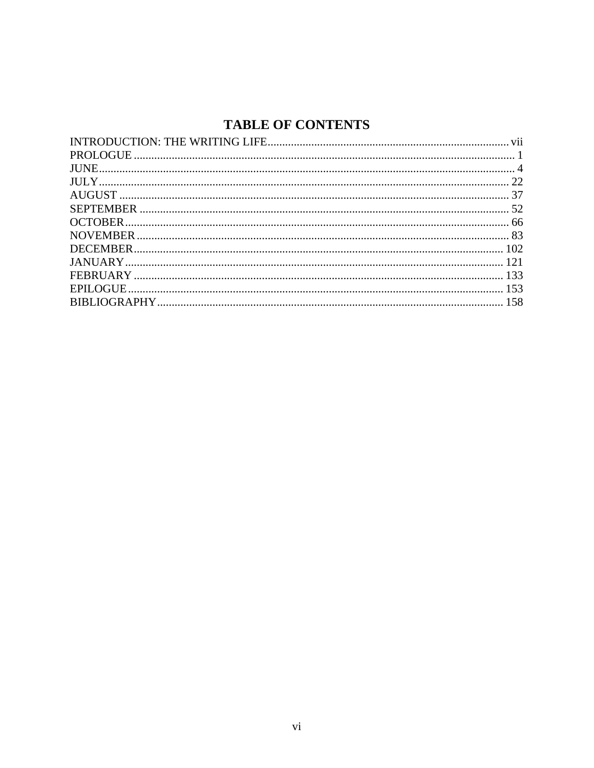# **TABLE OF CONTENTS**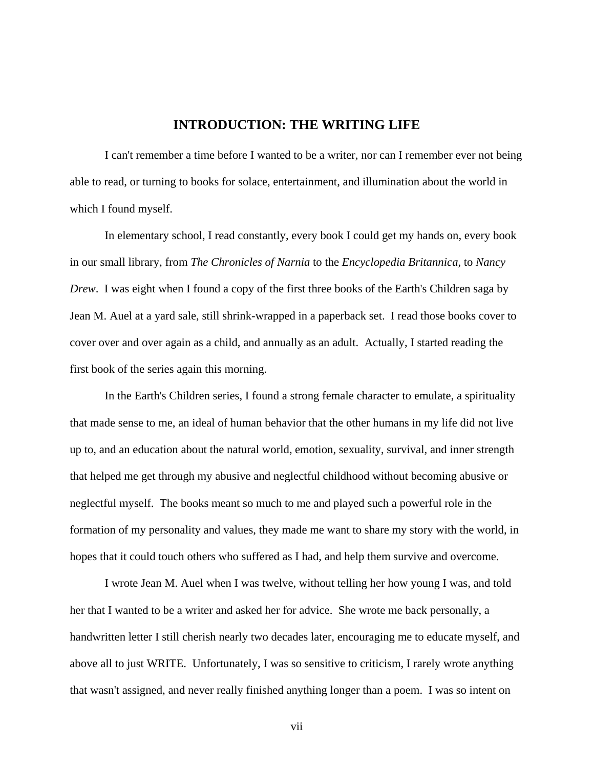### **INTRODUCTION: THE WRITING LIFE**

<span id="page-7-0"></span> I can't remember a time before I wanted to be a writer, nor can I remember ever not being able to read, or turning to books for solace, entertainment, and illumination about the world in which I found myself.

 In elementary school, I read constantly, every book I could get my hands on, every book in our small library, from *The Chronicles of Narnia* to the *Encyclopedia Britannica*, to *Nancy Drew*. I was eight when I found a copy of the first three books of the Earth's Children saga by Jean M. Auel at a yard sale, still shrink-wrapped in a paperback set. I read those books cover to cover over and over again as a child, and annually as an adult. Actually, I started reading the first book of the series again this morning.

 In the Earth's Children series, I found a strong female character to emulate, a spirituality that made sense to me, an ideal of human behavior that the other humans in my life did not live up to, and an education about the natural world, emotion, sexuality, survival, and inner strength that helped me get through my abusive and neglectful childhood without becoming abusive or neglectful myself. The books meant so much to me and played such a powerful role in the formation of my personality and values, they made me want to share my story with the world, in hopes that it could touch others who suffered as I had, and help them survive and overcome.

 I wrote Jean M. Auel when I was twelve, without telling her how young I was, and told her that I wanted to be a writer and asked her for advice. She wrote me back personally, a handwritten letter I still cherish nearly two decades later, encouraging me to educate myself, and above all to just WRITE. Unfortunately, I was so sensitive to criticism, I rarely wrote anything that wasn't assigned, and never really finished anything longer than a poem. I was so intent on

vii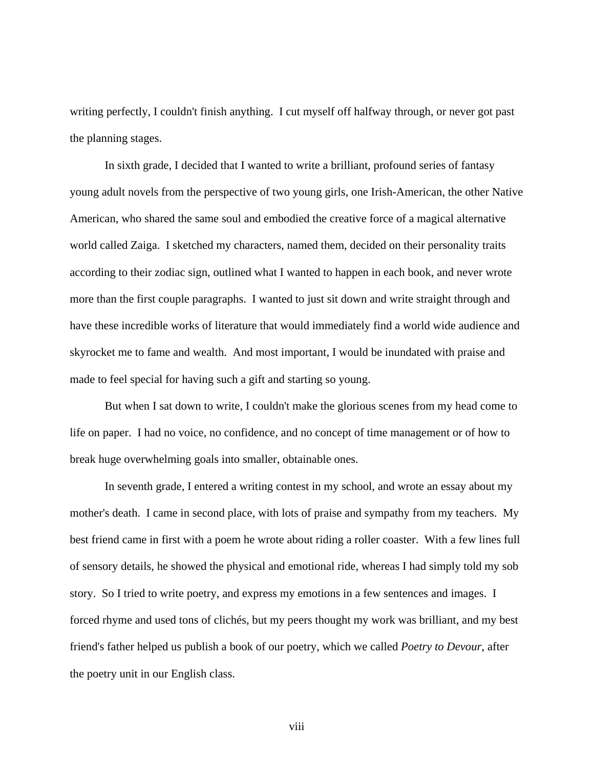writing perfectly, I couldn't finish anything. I cut myself off halfway through, or never got past the planning stages.

 In sixth grade, I decided that I wanted to write a brilliant, profound series of fantasy young adult novels from the perspective of two young girls, one Irish-American, the other Native American, who shared the same soul and embodied the creative force of a magical alternative world called Zaiga. I sketched my characters, named them, decided on their personality traits according to their zodiac sign, outlined what I wanted to happen in each book, and never wrote more than the first couple paragraphs. I wanted to just sit down and write straight through and have these incredible works of literature that would immediately find a world wide audience and skyrocket me to fame and wealth. And most important, I would be inundated with praise and made to feel special for having such a gift and starting so young.

 But when I sat down to write, I couldn't make the glorious scenes from my head come to life on paper. I had no voice, no confidence, and no concept of time management or of how to break huge overwhelming goals into smaller, obtainable ones.

 In seventh grade, I entered a writing contest in my school, and wrote an essay about my mother's death. I came in second place, with lots of praise and sympathy from my teachers. My best friend came in first with a poem he wrote about riding a roller coaster. With a few lines full of sensory details, he showed the physical and emotional ride, whereas I had simply told my sob story. So I tried to write poetry, and express my emotions in a few sentences and images. I forced rhyme and used tons of clichés, but my peers thought my work was brilliant, and my best friend's father helped us publish a book of our poetry, which we called *Poetry to Devour*, after the poetry unit in our English class.

viii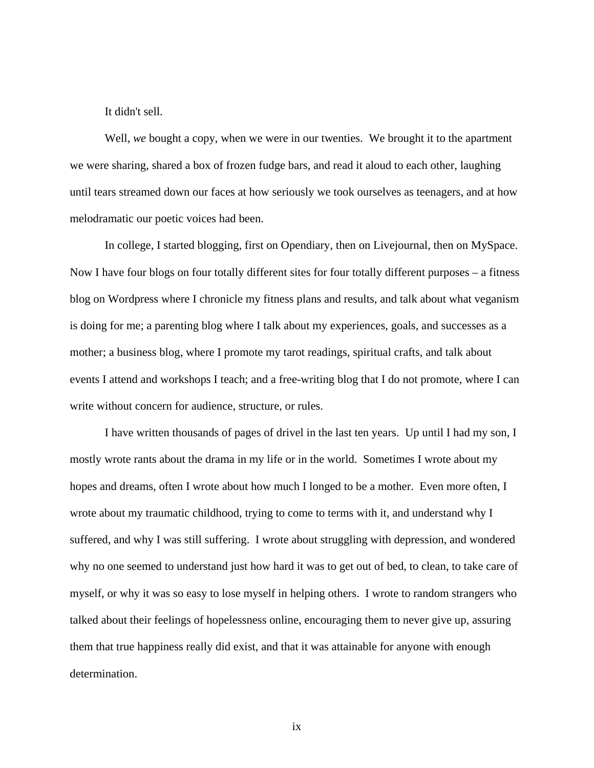It didn't sell.

 Well, *we* bought a copy, when we were in our twenties. We brought it to the apartment we were sharing, shared a box of frozen fudge bars, and read it aloud to each other, laughing until tears streamed down our faces at how seriously we took ourselves as teenagers, and at how melodramatic our poetic voices had been.

 In college, I started blogging, first on Opendiary, then on Livejournal, then on MySpace. Now I have four blogs on four totally different sites for four totally different purposes – a fitness blog on Wordpress where I chronicle my fitness plans and results, and talk about what veganism is doing for me; a parenting blog where I talk about my experiences, goals, and successes as a mother; a business blog, where I promote my tarot readings, spiritual crafts, and talk about events I attend and workshops I teach; and a free-writing blog that I do not promote, where I can write without concern for audience, structure, or rules.

 I have written thousands of pages of drivel in the last ten years. Up until I had my son, I mostly wrote rants about the drama in my life or in the world. Sometimes I wrote about my hopes and dreams, often I wrote about how much I longed to be a mother. Even more often, I wrote about my traumatic childhood, trying to come to terms with it, and understand why I suffered, and why I was still suffering. I wrote about struggling with depression, and wondered why no one seemed to understand just how hard it was to get out of bed, to clean, to take care of myself, or why it was so easy to lose myself in helping others. I wrote to random strangers who talked about their feelings of hopelessness online, encouraging them to never give up, assuring them that true happiness really did exist, and that it was attainable for anyone with enough determination.

ix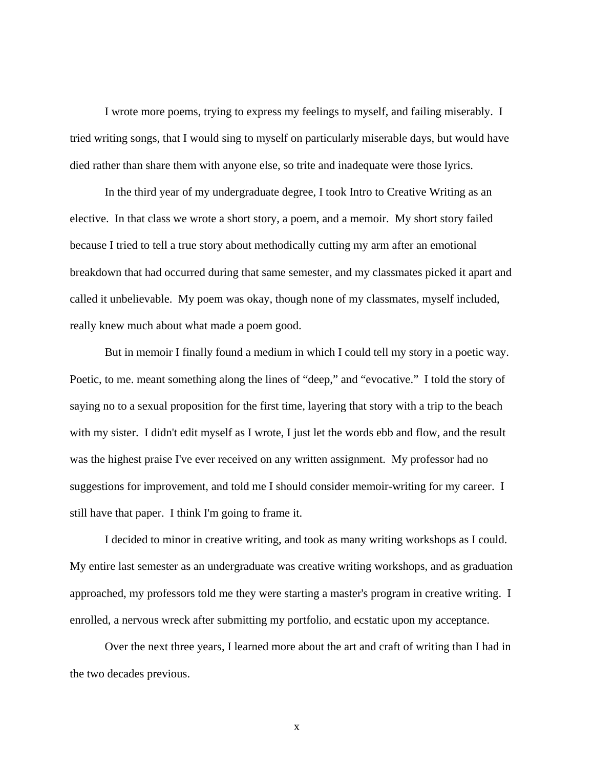I wrote more poems, trying to express my feelings to myself, and failing miserably. I tried writing songs, that I would sing to myself on particularly miserable days, but would have died rather than share them with anyone else, so trite and inadequate were those lyrics.

 In the third year of my undergraduate degree, I took Intro to Creative Writing as an elective. In that class we wrote a short story, a poem, and a memoir. My short story failed because I tried to tell a true story about methodically cutting my arm after an emotional breakdown that had occurred during that same semester, and my classmates picked it apart and called it unbelievable. My poem was okay, though none of my classmates, myself included, really knew much about what made a poem good.

 But in memoir I finally found a medium in which I could tell my story in a poetic way. Poetic, to me. meant something along the lines of "deep," and "evocative." I told the story of saying no to a sexual proposition for the first time, layering that story with a trip to the beach with my sister. I didn't edit myself as I wrote, I just let the words ebb and flow, and the result was the highest praise I've ever received on any written assignment. My professor had no suggestions for improvement, and told me I should consider memoir-writing for my career. I still have that paper. I think I'm going to frame it.

 I decided to minor in creative writing, and took as many writing workshops as I could. My entire last semester as an undergraduate was creative writing workshops, and as graduation approached, my professors told me they were starting a master's program in creative writing. I enrolled, a nervous wreck after submitting my portfolio, and ecstatic upon my acceptance.

 Over the next three years, I learned more about the art and craft of writing than I had in the two decades previous.

x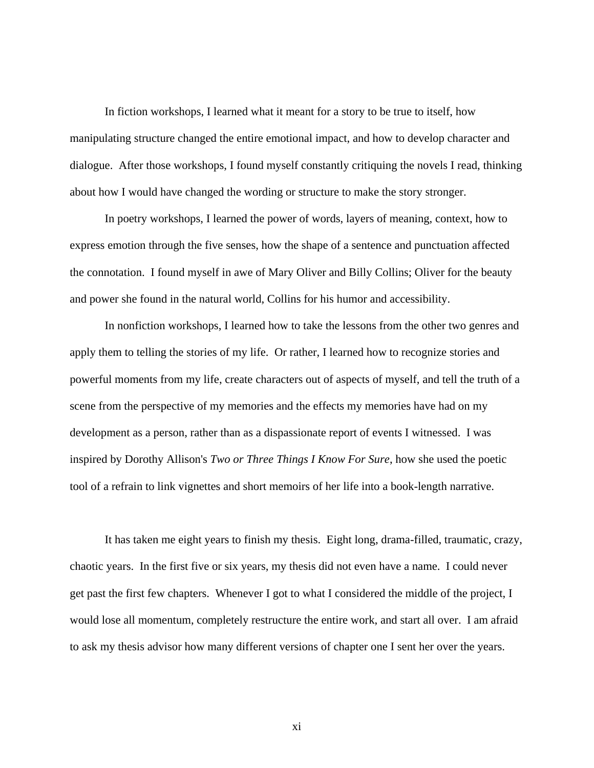In fiction workshops, I learned what it meant for a story to be true to itself, how manipulating structure changed the entire emotional impact, and how to develop character and dialogue. After those workshops, I found myself constantly critiquing the novels I read, thinking about how I would have changed the wording or structure to make the story stronger.

 In poetry workshops, I learned the power of words, layers of meaning, context, how to express emotion through the five senses, how the shape of a sentence and punctuation affected the connotation. I found myself in awe of Mary Oliver and Billy Collins; Oliver for the beauty and power she found in the natural world, Collins for his humor and accessibility.

 In nonfiction workshops, I learned how to take the lessons from the other two genres and apply them to telling the stories of my life. Or rather, I learned how to recognize stories and powerful moments from my life, create characters out of aspects of myself, and tell the truth of a scene from the perspective of my memories and the effects my memories have had on my development as a person, rather than as a dispassionate report of events I witnessed. I was inspired by Dorothy Allison's *Two or Three Things I Know For Sure*, how she used the poetic tool of a refrain to link vignettes and short memoirs of her life into a book-length narrative.

 It has taken me eight years to finish my thesis. Eight long, drama-filled, traumatic, crazy, chaotic years. In the first five or six years, my thesis did not even have a name. I could never get past the first few chapters. Whenever I got to what I considered the middle of the project, I would lose all momentum, completely restructure the entire work, and start all over. I am afraid to ask my thesis advisor how many different versions of chapter one I sent her over the years.

xi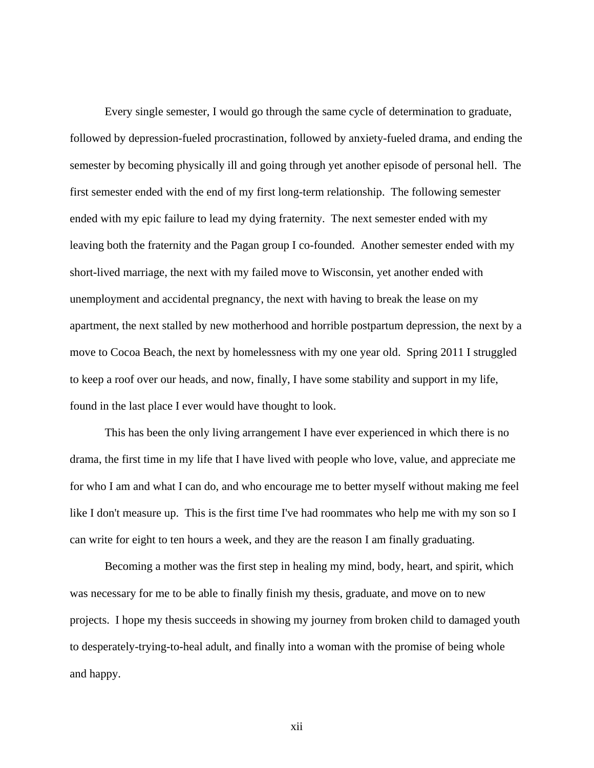Every single semester, I would go through the same cycle of determination to graduate, followed by depression-fueled procrastination, followed by anxiety-fueled drama, and ending the semester by becoming physically ill and going through yet another episode of personal hell. The first semester ended with the end of my first long-term relationship. The following semester ended with my epic failure to lead my dying fraternity. The next semester ended with my leaving both the fraternity and the Pagan group I co-founded. Another semester ended with my short-lived marriage, the next with my failed move to Wisconsin, yet another ended with unemployment and accidental pregnancy, the next with having to break the lease on my apartment, the next stalled by new motherhood and horrible postpartum depression, the next by a move to Cocoa Beach, the next by homelessness with my one year old. Spring 2011 I struggled to keep a roof over our heads, and now, finally, I have some stability and support in my life, found in the last place I ever would have thought to look.

 This has been the only living arrangement I have ever experienced in which there is no drama, the first time in my life that I have lived with people who love, value, and appreciate me for who I am and what I can do, and who encourage me to better myself without making me feel like I don't measure up. This is the first time I've had roommates who help me with my son so I can write for eight to ten hours a week, and they are the reason I am finally graduating.

 Becoming a mother was the first step in healing my mind, body, heart, and spirit, which was necessary for me to be able to finally finish my thesis, graduate, and move on to new projects. I hope my thesis succeeds in showing my journey from broken child to damaged youth to desperately-trying-to-heal adult, and finally into a woman with the promise of being whole and happy.

xii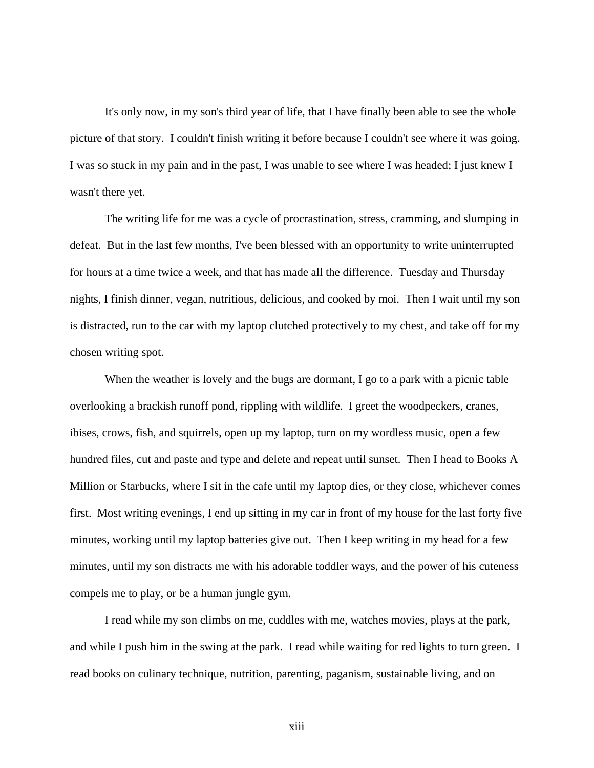It's only now, in my son's third year of life, that I have finally been able to see the whole picture of that story. I couldn't finish writing it before because I couldn't see where it was going. I was so stuck in my pain and in the past, I was unable to see where I was headed; I just knew I wasn't there yet.

 The writing life for me was a cycle of procrastination, stress, cramming, and slumping in defeat. But in the last few months, I've been blessed with an opportunity to write uninterrupted for hours at a time twice a week, and that has made all the difference. Tuesday and Thursday nights, I finish dinner, vegan, nutritious, delicious, and cooked by moi. Then I wait until my son is distracted, run to the car with my laptop clutched protectively to my chest, and take off for my chosen writing spot.

When the weather is lovely and the bugs are dormant, I go to a park with a picnic table overlooking a brackish runoff pond, rippling with wildlife. I greet the woodpeckers, cranes, ibises, crows, fish, and squirrels, open up my laptop, turn on my wordless music, open a few hundred files, cut and paste and type and delete and repeat until sunset. Then I head to Books A Million or Starbucks, where I sit in the cafe until my laptop dies, or they close, whichever comes first. Most writing evenings, I end up sitting in my car in front of my house for the last forty five minutes, working until my laptop batteries give out. Then I keep writing in my head for a few minutes, until my son distracts me with his adorable toddler ways, and the power of his cuteness compels me to play, or be a human jungle gym.

 I read while my son climbs on me, cuddles with me, watches movies, plays at the park, and while I push him in the swing at the park. I read while waiting for red lights to turn green. I read books on culinary technique, nutrition, parenting, paganism, sustainable living, and on

xiii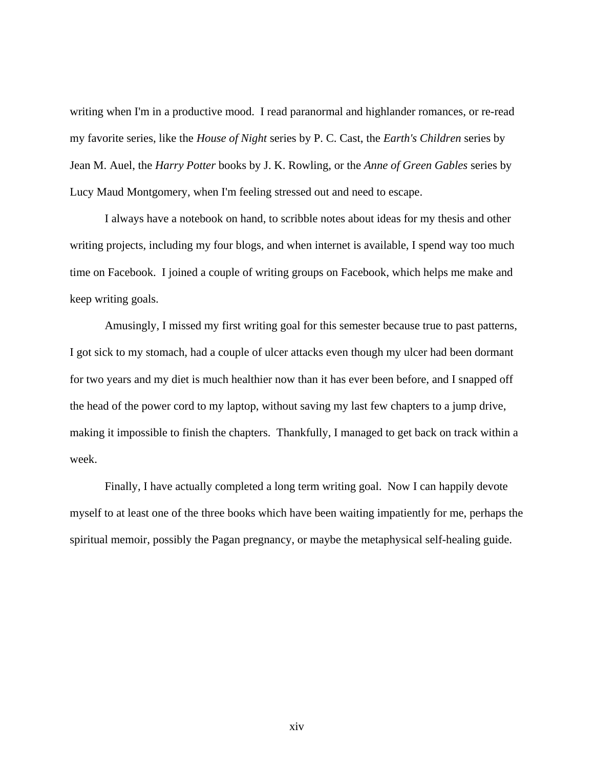writing when I'm in a productive mood. I read paranormal and highlander romances, or re-read my favorite series, like the *House of Night* series by P. C. Cast, the *Earth's Children* series by Jean M. Auel, the *Harry Potter* books by J. K. Rowling, or the *Anne of Green Gables* series by Lucy Maud Montgomery, when I'm feeling stressed out and need to escape.

 I always have a notebook on hand, to scribble notes about ideas for my thesis and other writing projects, including my four blogs, and when internet is available, I spend way too much time on Facebook. I joined a couple of writing groups on Facebook, which helps me make and keep writing goals.

 Amusingly, I missed my first writing goal for this semester because true to past patterns, I got sick to my stomach, had a couple of ulcer attacks even though my ulcer had been dormant for two years and my diet is much healthier now than it has ever been before, and I snapped off the head of the power cord to my laptop, without saving my last few chapters to a jump drive, making it impossible to finish the chapters. Thankfully, I managed to get back on track within a week.

 Finally, I have actually completed a long term writing goal. Now I can happily devote myself to at least one of the three books which have been waiting impatiently for me, perhaps the spiritual memoir, possibly the Pagan pregnancy, or maybe the metaphysical self-healing guide.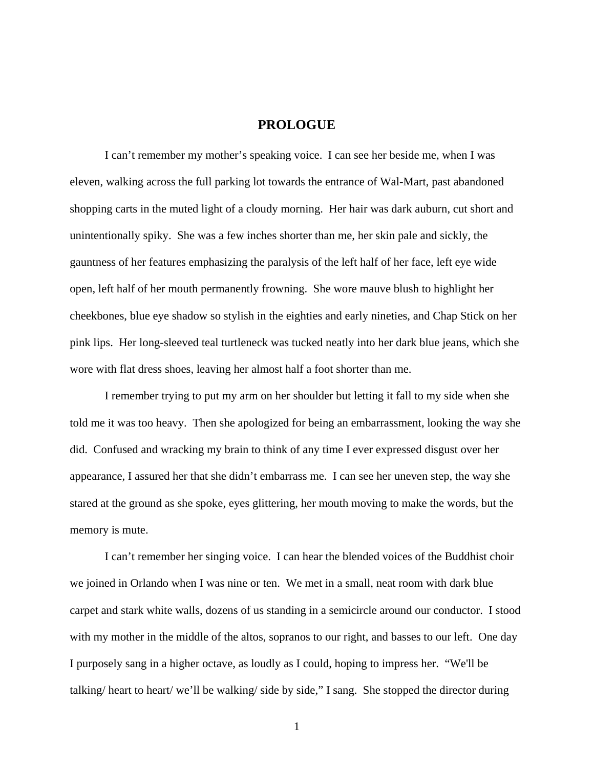#### **PROLOGUE**

<span id="page-15-0"></span>I can't remember my mother's speaking voice. I can see her beside me, when I was eleven, walking across the full parking lot towards the entrance of Wal-Mart, past abandoned shopping carts in the muted light of a cloudy morning. Her hair was dark auburn, cut short and unintentionally spiky. She was a few inches shorter than me, her skin pale and sickly, the gauntness of her features emphasizing the paralysis of the left half of her face, left eye wide open, left half of her mouth permanently frowning. She wore mauve blush to highlight her cheekbones, blue eye shadow so stylish in the eighties and early nineties, and Chap Stick on her pink lips. Her long-sleeved teal turtleneck was tucked neatly into her dark blue jeans, which she wore with flat dress shoes, leaving her almost half a foot shorter than me.

I remember trying to put my arm on her shoulder but letting it fall to my side when she told me it was too heavy. Then she apologized for being an embarrassment, looking the way she did. Confused and wracking my brain to think of any time I ever expressed disgust over her appearance, I assured her that she didn't embarrass me. I can see her uneven step, the way she stared at the ground as she spoke, eyes glittering, her mouth moving to make the words, but the memory is mute.

 I can't remember her singing voice. I can hear the blended voices of the Buddhist choir we joined in Orlando when I was nine or ten. We met in a small, neat room with dark blue carpet and stark white walls, dozens of us standing in a semicircle around our conductor. I stood with my mother in the middle of the altos, sopranos to our right, and basses to our left. One day I purposely sang in a higher octave, as loudly as I could, hoping to impress her. "We'll be talking/ heart to heart/ we'll be walking/ side by side," I sang. She stopped the director during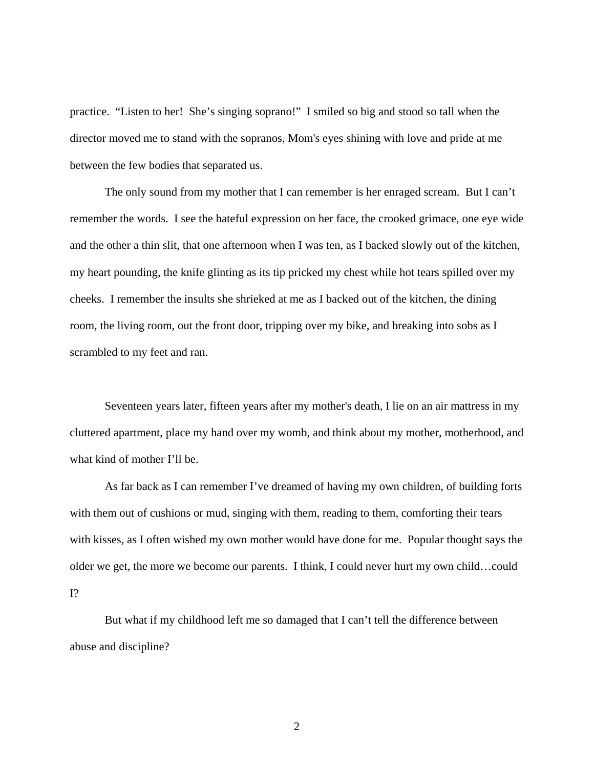practice. "Listen to her! She's singing soprano!" I smiled so big and stood so tall when the director moved me to stand with the sopranos, Mom's eyes shining with love and pride at me between the few bodies that separated us.

 The only sound from my mother that I can remember is her enraged scream. But I can't remember the words. I see the hateful expression on her face, the crooked grimace, one eye wide and the other a thin slit, that one afternoon when I was ten, as I backed slowly out of the kitchen, my heart pounding, the knife glinting as its tip pricked my chest while hot tears spilled over my cheeks. I remember the insults she shrieked at me as I backed out of the kitchen, the dining room, the living room, out the front door, tripping over my bike, and breaking into sobs as I scrambled to my feet and ran.

 Seventeen years later, fifteen years after my mother's death, I lie on an air mattress in my cluttered apartment, place my hand over my womb, and think about my mother, motherhood, and what kind of mother I'll be.

 As far back as I can remember I've dreamed of having my own children, of building forts with them out of cushions or mud, singing with them, reading to them, comforting their tears with kisses, as I often wished my own mother would have done for me. Popular thought says the older we get, the more we become our parents. I think, I could never hurt my own child…could I?

 But what if my childhood left me so damaged that I can't tell the difference between abuse and discipline?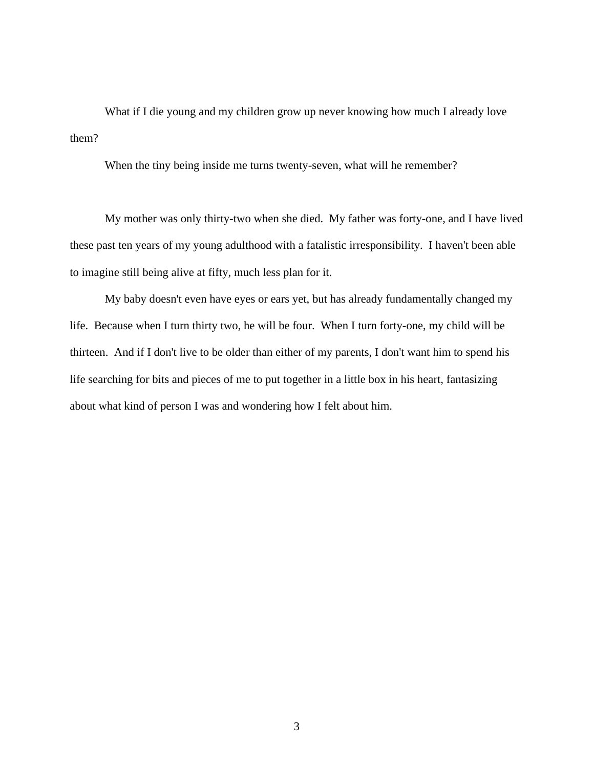What if I die young and my children grow up never knowing how much I already love them?

When the tiny being inside me turns twenty-seven, what will he remember?

My mother was only thirty-two when she died. My father was forty-one, and I have lived these past ten years of my young adulthood with a fatalistic irresponsibility. I haven't been able to imagine still being alive at fifty, much less plan for it.

My baby doesn't even have eyes or ears yet, but has already fundamentally changed my life. Because when I turn thirty two, he will be four. When I turn forty-one, my child will be thirteen. And if I don't live to be older than either of my parents, I don't want him to spend his life searching for bits and pieces of me to put together in a little box in his heart, fantasizing about what kind of person I was and wondering how I felt about him.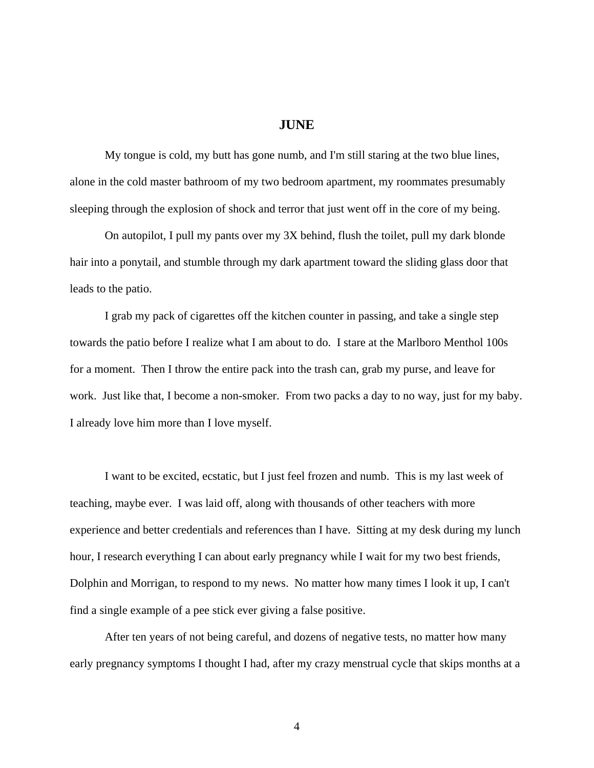#### **JUNE**

<span id="page-18-0"></span> My tongue is cold, my butt has gone numb, and I'm still staring at the two blue lines, alone in the cold master bathroom of my two bedroom apartment, my roommates presumably sleeping through the explosion of shock and terror that just went off in the core of my being.

 On autopilot, I pull my pants over my 3X behind, flush the toilet, pull my dark blonde hair into a ponytail, and stumble through my dark apartment toward the sliding glass door that leads to the patio.

 I grab my pack of cigarettes off the kitchen counter in passing, and take a single step towards the patio before I realize what I am about to do. I stare at the Marlboro Menthol 100s for a moment. Then I throw the entire pack into the trash can, grab my purse, and leave for work. Just like that, I become a non-smoker. From two packs a day to no way, just for my baby. I already love him more than I love myself.

 I want to be excited, ecstatic, but I just feel frozen and numb. This is my last week of teaching, maybe ever. I was laid off, along with thousands of other teachers with more experience and better credentials and references than I have. Sitting at my desk during my lunch hour, I research everything I can about early pregnancy while I wait for my two best friends, Dolphin and Morrigan, to respond to my news. No matter how many times I look it up, I can't find a single example of a pee stick ever giving a false positive.

 After ten years of not being careful, and dozens of negative tests, no matter how many early pregnancy symptoms I thought I had, after my crazy menstrual cycle that skips months at a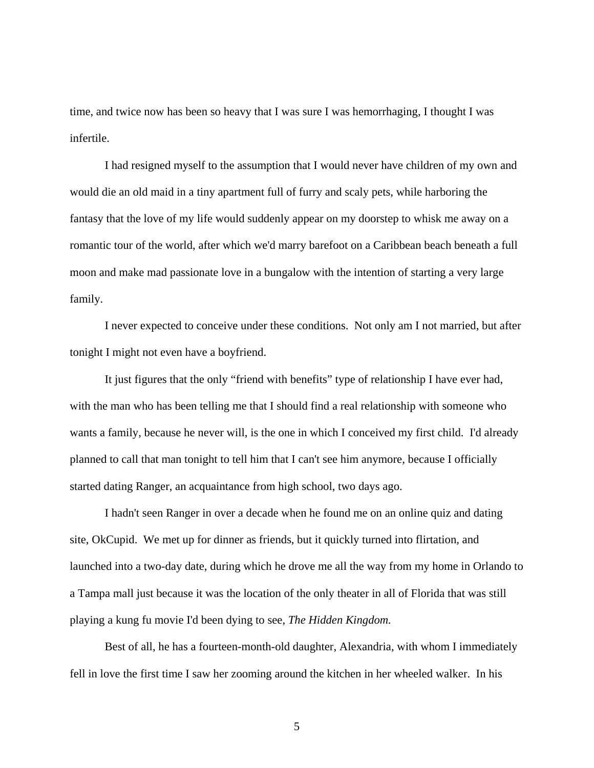time, and twice now has been so heavy that I was sure I was hemorrhaging, I thought I was infertile.

 I had resigned myself to the assumption that I would never have children of my own and would die an old maid in a tiny apartment full of furry and scaly pets, while harboring the fantasy that the love of my life would suddenly appear on my doorstep to whisk me away on a romantic tour of the world, after which we'd marry barefoot on a Caribbean beach beneath a full moon and make mad passionate love in a bungalow with the intention of starting a very large family.

 I never expected to conceive under these conditions. Not only am I not married, but after tonight I might not even have a boyfriend.

 It just figures that the only "friend with benefits" type of relationship I have ever had, with the man who has been telling me that I should find a real relationship with someone who wants a family, because he never will, is the one in which I conceived my first child. I'd already planned to call that man tonight to tell him that I can't see him anymore, because I officially started dating Ranger, an acquaintance from high school, two days ago.

 I hadn't seen Ranger in over a decade when he found me on an online quiz and dating site, OkCupid. We met up for dinner as friends, but it quickly turned into flirtation, and launched into a two-day date, during which he drove me all the way from my home in Orlando to a Tampa mall just because it was the location of the only theater in all of Florida that was still playing a kung fu movie I'd been dying to see, *The Hidden Kingdom.* 

 Best of all, he has a fourteen-month-old daughter, Alexandria, with whom I immediately fell in love the first time I saw her zooming around the kitchen in her wheeled walker. In his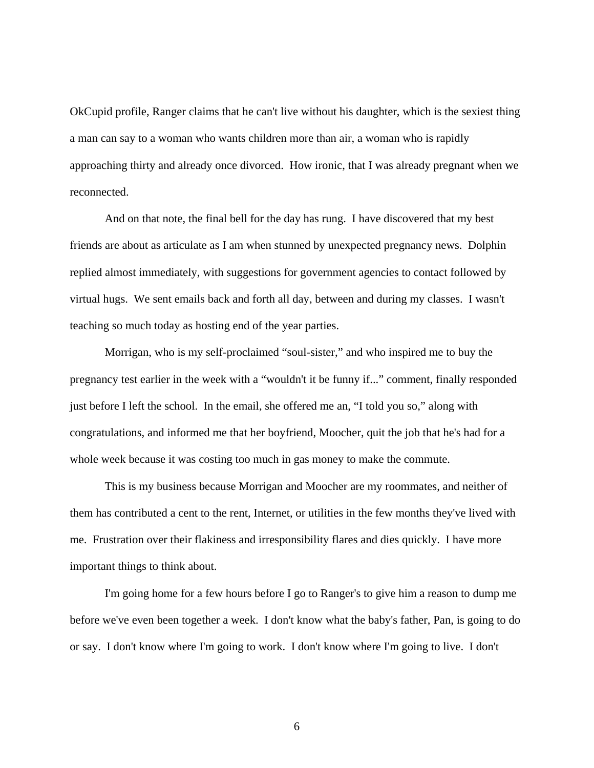OkCupid profile, Ranger claims that he can't live without his daughter, which is the sexiest thing a man can say to a woman who wants children more than air, a woman who is rapidly approaching thirty and already once divorced. How ironic, that I was already pregnant when we reconnected.

And on that note, the final bell for the day has rung. I have discovered that my best friends are about as articulate as I am when stunned by unexpected pregnancy news. Dolphin replied almost immediately, with suggestions for government agencies to contact followed by virtual hugs. We sent emails back and forth all day, between and during my classes. I wasn't teaching so much today as hosting end of the year parties.

Morrigan, who is my self-proclaimed "soul-sister," and who inspired me to buy the pregnancy test earlier in the week with a "wouldn't it be funny if..." comment, finally responded just before I left the school. In the email, she offered me an, "I told you so," along with congratulations, and informed me that her boyfriend, Moocher, quit the job that he's had for a whole week because it was costing too much in gas money to make the commute.

This is my business because Morrigan and Moocher are my roommates, and neither of them has contributed a cent to the rent, Internet, or utilities in the few months they've lived with me. Frustration over their flakiness and irresponsibility flares and dies quickly. I have more important things to think about.

 I'm going home for a few hours before I go to Ranger's to give him a reason to dump me before we've even been together a week. I don't know what the baby's father, Pan, is going to do or say. I don't know where I'm going to work. I don't know where I'm going to live. I don't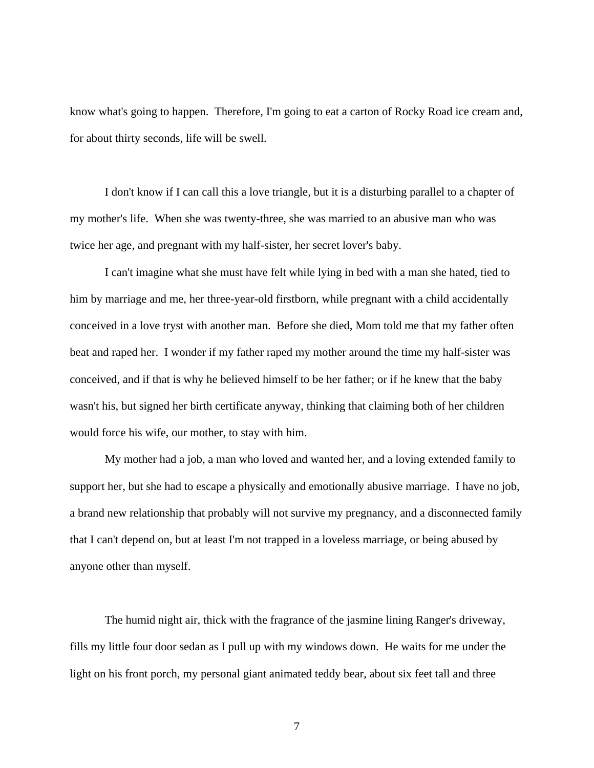know what's going to happen. Therefore, I'm going to eat a carton of Rocky Road ice cream and, for about thirty seconds, life will be swell.

 I don't know if I can call this a love triangle, but it is a disturbing parallel to a chapter of my mother's life. When she was twenty-three, she was married to an abusive man who was twice her age, and pregnant with my half-sister, her secret lover's baby.

 I can't imagine what she must have felt while lying in bed with a man she hated, tied to him by marriage and me, her three-year-old firstborn, while pregnant with a child accidentally conceived in a love tryst with another man. Before she died, Mom told me that my father often beat and raped her. I wonder if my father raped my mother around the time my half-sister was conceived, and if that is why he believed himself to be her father; or if he knew that the baby wasn't his, but signed her birth certificate anyway, thinking that claiming both of her children would force his wife, our mother, to stay with him.

 My mother had a job, a man who loved and wanted her, and a loving extended family to support her, but she had to escape a physically and emotionally abusive marriage. I have no job, a brand new relationship that probably will not survive my pregnancy, and a disconnected family that I can't depend on, but at least I'm not trapped in a loveless marriage, or being abused by anyone other than myself.

 The humid night air, thick with the fragrance of the jasmine lining Ranger's driveway, fills my little four door sedan as I pull up with my windows down. He waits for me under the light on his front porch, my personal giant animated teddy bear, about six feet tall and three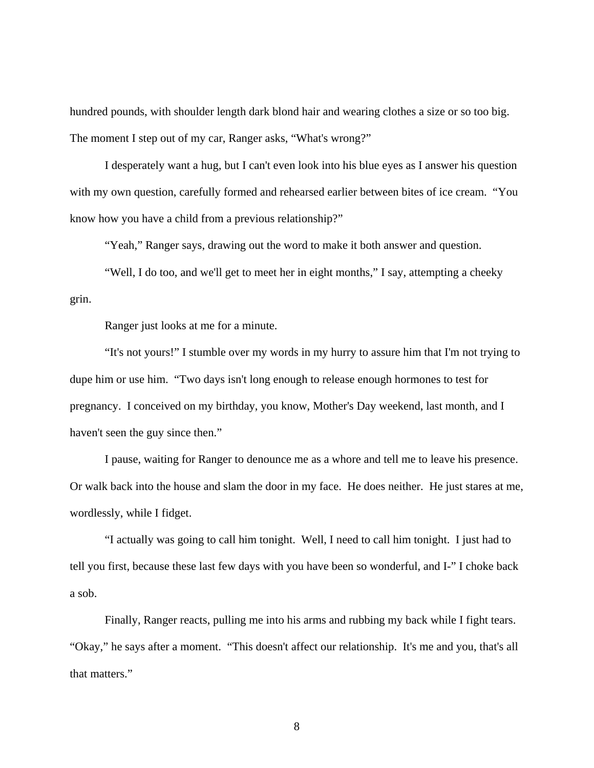hundred pounds, with shoulder length dark blond hair and wearing clothes a size or so too big. The moment I step out of my car, Ranger asks, "What's wrong?"

 I desperately want a hug, but I can't even look into his blue eyes as I answer his question with my own question, carefully formed and rehearsed earlier between bites of ice cream. "You know how you have a child from a previous relationship?"

"Yeah," Ranger says, drawing out the word to make it both answer and question.

 "Well, I do too, and we'll get to meet her in eight months," I say, attempting a cheeky grin.

Ranger just looks at me for a minute.

 "It's not yours!" I stumble over my words in my hurry to assure him that I'm not trying to dupe him or use him. "Two days isn't long enough to release enough hormones to test for pregnancy. I conceived on my birthday, you know, Mother's Day weekend, last month, and I haven't seen the guy since then."

 I pause, waiting for Ranger to denounce me as a whore and tell me to leave his presence. Or walk back into the house and slam the door in my face. He does neither. He just stares at me, wordlessly, while I fidget.

 "I actually was going to call him tonight. Well, I need to call him tonight. I just had to tell you first, because these last few days with you have been so wonderful, and I-" I choke back a sob.

 Finally, Ranger reacts, pulling me into his arms and rubbing my back while I fight tears. "Okay," he says after a moment. "This doesn't affect our relationship. It's me and you, that's all that matters."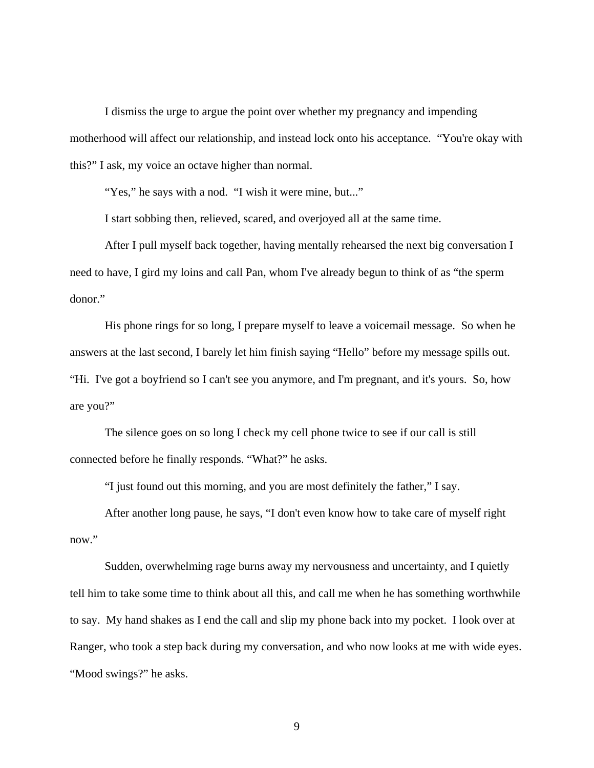I dismiss the urge to argue the point over whether my pregnancy and impending motherhood will affect our relationship, and instead lock onto his acceptance. "You're okay with this?" I ask, my voice an octave higher than normal.

"Yes," he says with a nod. "I wish it were mine, but..."

I start sobbing then, relieved, scared, and overjoyed all at the same time.

 After I pull myself back together, having mentally rehearsed the next big conversation I need to have, I gird my loins and call Pan, whom I've already begun to think of as "the sperm donor."

 His phone rings for so long, I prepare myself to leave a voicemail message. So when he answers at the last second, I barely let him finish saying "Hello" before my message spills out. "Hi. I've got a boyfriend so I can't see you anymore, and I'm pregnant, and it's yours. So, how are you?"

 The silence goes on so long I check my cell phone twice to see if our call is still connected before he finally responds. "What?" he asks.

"I just found out this morning, and you are most definitely the father," I say.

 After another long pause, he says, "I don't even know how to take care of myself right now."

 Sudden, overwhelming rage burns away my nervousness and uncertainty, and I quietly tell him to take some time to think about all this, and call me when he has something worthwhile to say. My hand shakes as I end the call and slip my phone back into my pocket. I look over at Ranger, who took a step back during my conversation, and who now looks at me with wide eyes. "Mood swings?" he asks.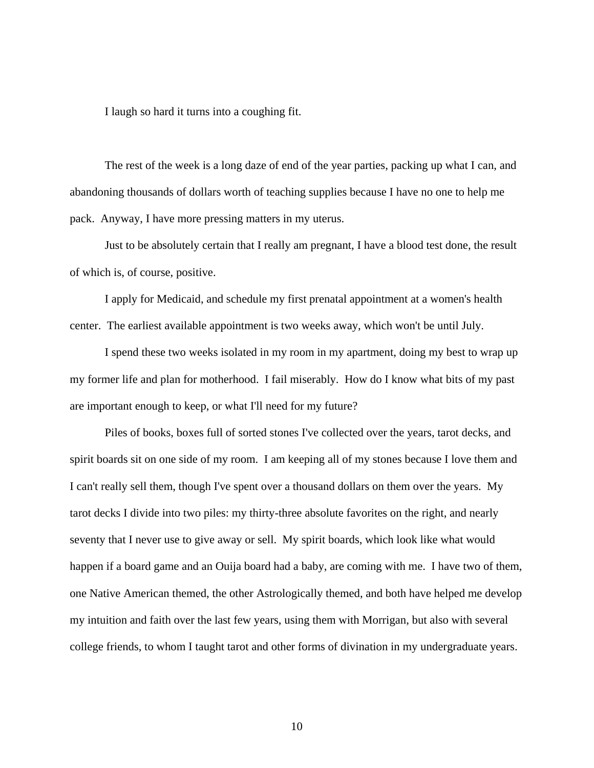I laugh so hard it turns into a coughing fit.

 The rest of the week is a long daze of end of the year parties, packing up what I can, and abandoning thousands of dollars worth of teaching supplies because I have no one to help me pack. Anyway, I have more pressing matters in my uterus.

 Just to be absolutely certain that I really am pregnant, I have a blood test done, the result of which is, of course, positive.

 I apply for Medicaid, and schedule my first prenatal appointment at a women's health center. The earliest available appointment is two weeks away, which won't be until July.

 I spend these two weeks isolated in my room in my apartment, doing my best to wrap up my former life and plan for motherhood. I fail miserably. How do I know what bits of my past are important enough to keep, or what I'll need for my future?

 Piles of books, boxes full of sorted stones I've collected over the years, tarot decks, and spirit boards sit on one side of my room. I am keeping all of my stones because I love them and I can't really sell them, though I've spent over a thousand dollars on them over the years. My tarot decks I divide into two piles: my thirty-three absolute favorites on the right, and nearly seventy that I never use to give away or sell. My spirit boards, which look like what would happen if a board game and an Ouija board had a baby, are coming with me. I have two of them, one Native American themed, the other Astrologically themed, and both have helped me develop my intuition and faith over the last few years, using them with Morrigan, but also with several college friends, to whom I taught tarot and other forms of divination in my undergraduate years.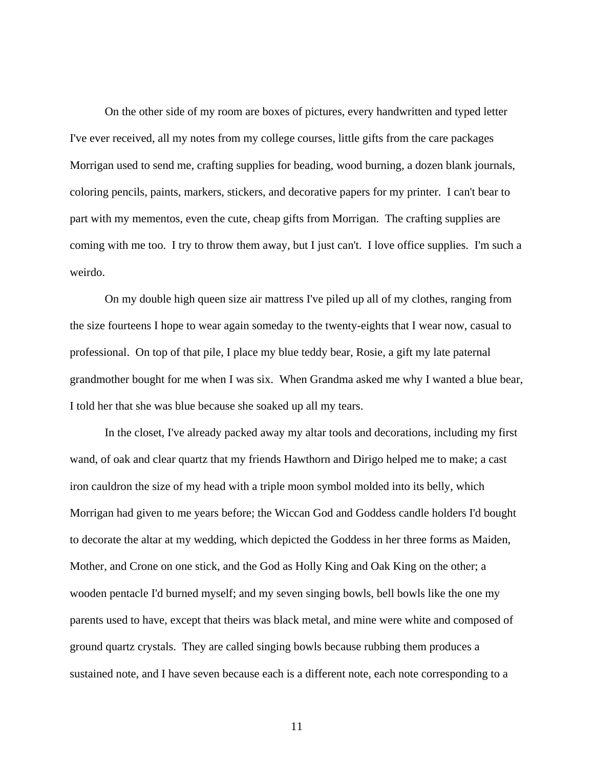On the other side of my room are boxes of pictures, every handwritten and typed letter I've ever received, all my notes from my college courses, little gifts from the care packages Morrigan used to send me, crafting supplies for beading, wood burning, a dozen blank journals, coloring pencils, paints, markers, stickers, and decorative papers for my printer. I can't bear to part with my mementos, even the cute, cheap gifts from Morrigan. The crafting supplies are coming with me too. I try to throw them away, but I just can't. I love office supplies. I'm such a weirdo.

 On my double high queen size air mattress I've piled up all of my clothes, ranging from the size fourteens I hope to wear again someday to the twenty-eights that I wear now, casual to professional. On top of that pile, I place my blue teddy bear, Rosie, a gift my late paternal grandmother bought for me when I was six. When Grandma asked me why I wanted a blue bear, I told her that she was blue because she soaked up all my tears.

 In the closet, I've already packed away my altar tools and decorations, including my first wand, of oak and clear quartz that my friends Hawthorn and Dirigo helped me to make; a cast iron cauldron the size of my head with a triple moon symbol molded into its belly, which Morrigan had given to me years before; the Wiccan God and Goddess candle holders I'd bought to decorate the altar at my wedding, which depicted the Goddess in her three forms as Maiden, Mother, and Crone on one stick, and the God as Holly King and Oak King on the other; a wooden pentacle I'd burned myself; and my seven singing bowls, bell bowls like the one my parents used to have, except that theirs was black metal, and mine were white and composed of ground quartz crystals. They are called singing bowls because rubbing them produces a sustained note, and I have seven because each is a different note, each note corresponding to a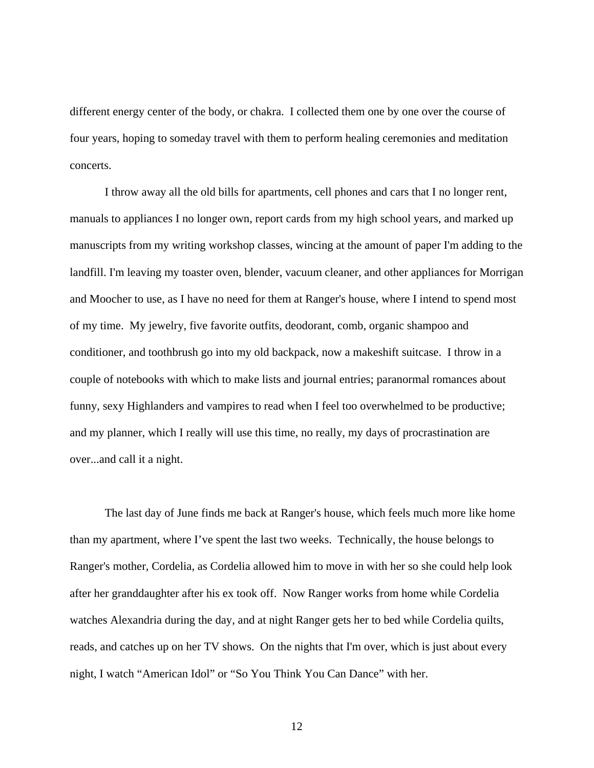different energy center of the body, or chakra. I collected them one by one over the course of four years, hoping to someday travel with them to perform healing ceremonies and meditation concerts.

 I throw away all the old bills for apartments, cell phones and cars that I no longer rent, manuals to appliances I no longer own, report cards from my high school years, and marked up manuscripts from my writing workshop classes, wincing at the amount of paper I'm adding to the landfill. I'm leaving my toaster oven, blender, vacuum cleaner, and other appliances for Morrigan and Moocher to use, as I have no need for them at Ranger's house, where I intend to spend most of my time. My jewelry, five favorite outfits, deodorant, comb, organic shampoo and conditioner, and toothbrush go into my old backpack, now a makeshift suitcase. I throw in a couple of notebooks with which to make lists and journal entries; paranormal romances about funny, sexy Highlanders and vampires to read when I feel too overwhelmed to be productive; and my planner, which I really will use this time, no really, my days of procrastination are over...and call it a night.

 The last day of June finds me back at Ranger's house, which feels much more like home than my apartment, where I've spent the last two weeks. Technically, the house belongs to Ranger's mother, Cordelia, as Cordelia allowed him to move in with her so she could help look after her granddaughter after his ex took off. Now Ranger works from home while Cordelia watches Alexandria during the day, and at night Ranger gets her to bed while Cordelia quilts, reads, and catches up on her TV shows. On the nights that I'm over, which is just about every night, I watch "American Idol" or "So You Think You Can Dance" with her.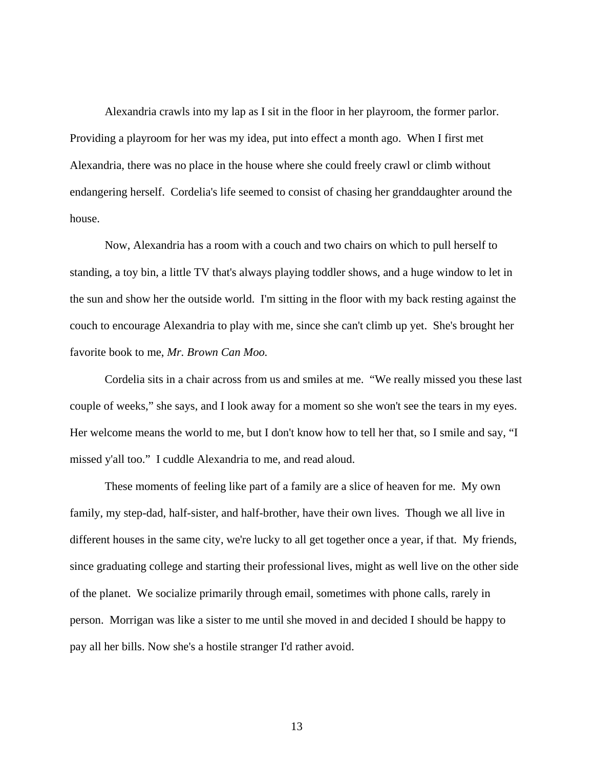Alexandria crawls into my lap as I sit in the floor in her playroom, the former parlor. Providing a playroom for her was my idea, put into effect a month ago. When I first met Alexandria, there was no place in the house where she could freely crawl or climb without endangering herself. Cordelia's life seemed to consist of chasing her granddaughter around the house.

 Now, Alexandria has a room with a couch and two chairs on which to pull herself to standing, a toy bin, a little TV that's always playing toddler shows, and a huge window to let in the sun and show her the outside world. I'm sitting in the floor with my back resting against the couch to encourage Alexandria to play with me, since she can't climb up yet. She's brought her favorite book to me, *Mr. Brown Can Moo.* 

 Cordelia sits in a chair across from us and smiles at me. "We really missed you these last couple of weeks," she says, and I look away for a moment so she won't see the tears in my eyes. Her welcome means the world to me, but I don't know how to tell her that, so I smile and say, "I missed y'all too." I cuddle Alexandria to me, and read aloud.

 These moments of feeling like part of a family are a slice of heaven for me. My own family, my step-dad, half-sister, and half-brother, have their own lives. Though we all live in different houses in the same city, we're lucky to all get together once a year, if that. My friends, since graduating college and starting their professional lives, might as well live on the other side of the planet. We socialize primarily through email, sometimes with phone calls, rarely in person. Morrigan was like a sister to me until she moved in and decided I should be happy to pay all her bills. Now she's a hostile stranger I'd rather avoid.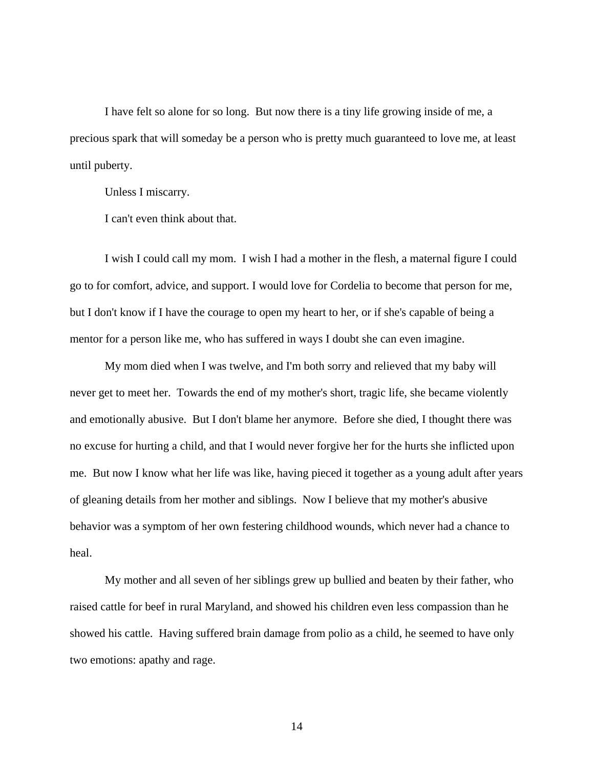I have felt so alone for so long. But now there is a tiny life growing inside of me, a precious spark that will someday be a person who is pretty much guaranteed to love me, at least until puberty.

Unless I miscarry.

I can't even think about that.

 I wish I could call my mom. I wish I had a mother in the flesh, a maternal figure I could go to for comfort, advice, and support. I would love for Cordelia to become that person for me, but I don't know if I have the courage to open my heart to her, or if she's capable of being a mentor for a person like me, who has suffered in ways I doubt she can even imagine.

 My mom died when I was twelve, and I'm both sorry and relieved that my baby will never get to meet her. Towards the end of my mother's short, tragic life, she became violently and emotionally abusive. But I don't blame her anymore. Before she died, I thought there was no excuse for hurting a child, and that I would never forgive her for the hurts she inflicted upon me. But now I know what her life was like, having pieced it together as a young adult after years of gleaning details from her mother and siblings. Now I believe that my mother's abusive behavior was a symptom of her own festering childhood wounds, which never had a chance to heal.

 My mother and all seven of her siblings grew up bullied and beaten by their father, who raised cattle for beef in rural Maryland, and showed his children even less compassion than he showed his cattle. Having suffered brain damage from polio as a child, he seemed to have only two emotions: apathy and rage.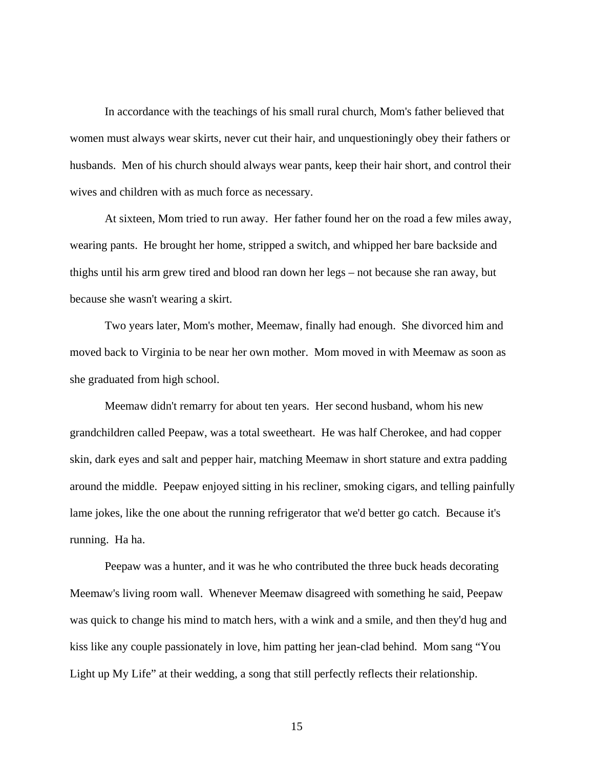In accordance with the teachings of his small rural church, Mom's father believed that women must always wear skirts, never cut their hair, and unquestioningly obey their fathers or husbands. Men of his church should always wear pants, keep their hair short, and control their wives and children with as much force as necessary.

 At sixteen, Mom tried to run away. Her father found her on the road a few miles away, wearing pants. He brought her home, stripped a switch, and whipped her bare backside and thighs until his arm grew tired and blood ran down her legs – not because she ran away, but because she wasn't wearing a skirt.

 Two years later, Mom's mother, Meemaw, finally had enough. She divorced him and moved back to Virginia to be near her own mother. Mom moved in with Meemaw as soon as she graduated from high school.

Meemaw didn't remarry for about ten years. Her second husband, whom his new grandchildren called Peepaw, was a total sweetheart. He was half Cherokee, and had copper skin, dark eyes and salt and pepper hair, matching Meemaw in short stature and extra padding around the middle. Peepaw enjoyed sitting in his recliner, smoking cigars, and telling painfully lame jokes, like the one about the running refrigerator that we'd better go catch. Because it's running. Ha ha.

Peepaw was a hunter, and it was he who contributed the three buck heads decorating Meemaw's living room wall. Whenever Meemaw disagreed with something he said, Peepaw was quick to change his mind to match hers, with a wink and a smile, and then they'd hug and kiss like any couple passionately in love, him patting her jean-clad behind. Mom sang "You Light up My Life" at their wedding, a song that still perfectly reflects their relationship.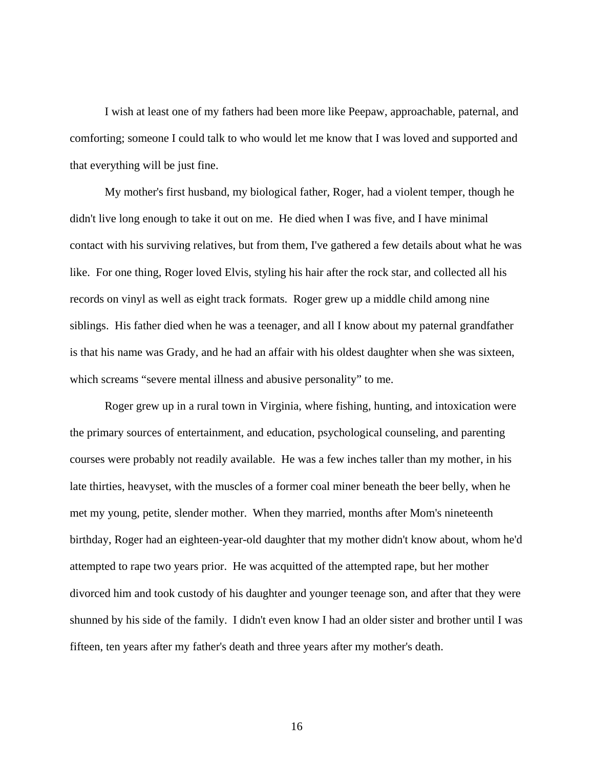I wish at least one of my fathers had been more like Peepaw, approachable, paternal, and comforting; someone I could talk to who would let me know that I was loved and supported and that everything will be just fine.

My mother's first husband, my biological father, Roger, had a violent temper, though he didn't live long enough to take it out on me. He died when I was five, and I have minimal contact with his surviving relatives, but from them, I've gathered a few details about what he was like. For one thing, Roger loved Elvis, styling his hair after the rock star, and collected all his records on vinyl as well as eight track formats. Roger grew up a middle child among nine siblings. His father died when he was a teenager, and all I know about my paternal grandfather is that his name was Grady, and he had an affair with his oldest daughter when she was sixteen, which screams "severe mental illness and abusive personality" to me.

Roger grew up in a rural town in Virginia, where fishing, hunting, and intoxication were the primary sources of entertainment, and education, psychological counseling, and parenting courses were probably not readily available. He was a few inches taller than my mother, in his late thirties, heavyset, with the muscles of a former coal miner beneath the beer belly, when he met my young, petite, slender mother. When they married, months after Mom's nineteenth birthday, Roger had an eighteen-year-old daughter that my mother didn't know about, whom he'd attempted to rape two years prior. He was acquitted of the attempted rape, but her mother divorced him and took custody of his daughter and younger teenage son, and after that they were shunned by his side of the family. I didn't even know I had an older sister and brother until I was fifteen, ten years after my father's death and three years after my mother's death.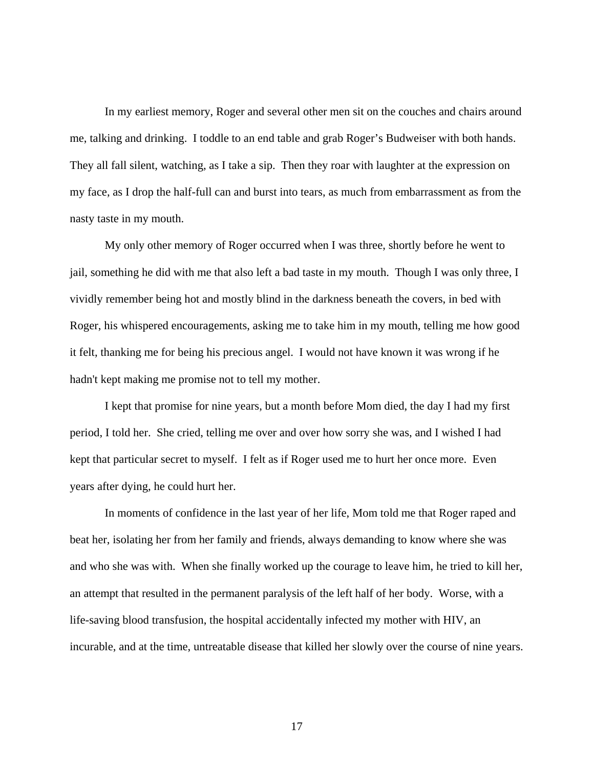In my earliest memory, Roger and several other men sit on the couches and chairs around me, talking and drinking. I toddle to an end table and grab Roger's Budweiser with both hands. They all fall silent, watching, as I take a sip. Then they roar with laughter at the expression on my face, as I drop the half-full can and burst into tears, as much from embarrassment as from the nasty taste in my mouth.

My only other memory of Roger occurred when I was three, shortly before he went to jail, something he did with me that also left a bad taste in my mouth. Though I was only three, I vividly remember being hot and mostly blind in the darkness beneath the covers, in bed with Roger, his whispered encouragements, asking me to take him in my mouth, telling me how good it felt, thanking me for being his precious angel. I would not have known it was wrong if he hadn't kept making me promise not to tell my mother.

I kept that promise for nine years, but a month before Mom died, the day I had my first period, I told her. She cried, telling me over and over how sorry she was, and I wished I had kept that particular secret to myself. I felt as if Roger used me to hurt her once more. Even years after dying, he could hurt her.

In moments of confidence in the last year of her life, Mom told me that Roger raped and beat her, isolating her from her family and friends, always demanding to know where she was and who she was with. When she finally worked up the courage to leave him, he tried to kill her, an attempt that resulted in the permanent paralysis of the left half of her body. Worse, with a life-saving blood transfusion, the hospital accidentally infected my mother with HIV, an incurable, and at the time, untreatable disease that killed her slowly over the course of nine years.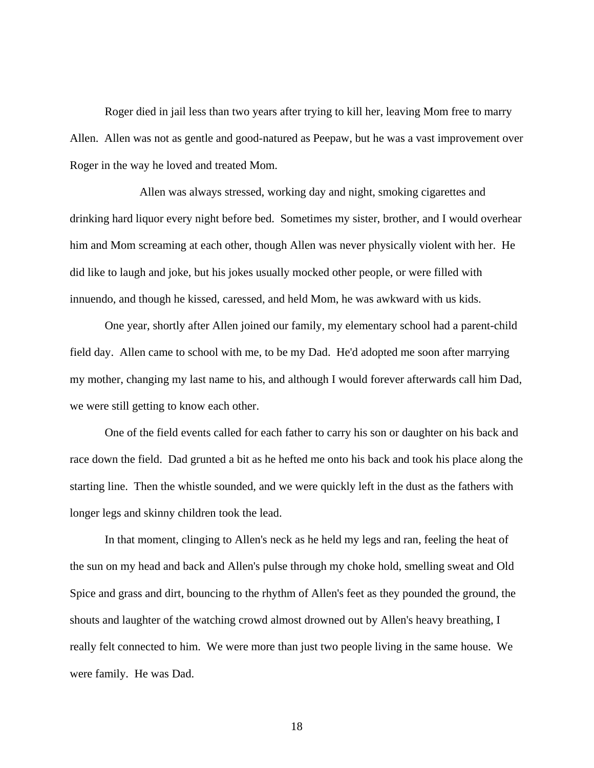Roger died in jail less than two years after trying to kill her, leaving Mom free to marry Allen. Allen was not as gentle and good-natured as Peepaw, but he was a vast improvement over Roger in the way he loved and treated Mom.

 Allen was always stressed, working day and night, smoking cigarettes and drinking hard liquor every night before bed. Sometimes my sister, brother, and I would overhear him and Mom screaming at each other, though Allen was never physically violent with her. He did like to laugh and joke, but his jokes usually mocked other people, or were filled with innuendo, and though he kissed, caressed, and held Mom, he was awkward with us kids.

 One year, shortly after Allen joined our family, my elementary school had a parent-child field day. Allen came to school with me, to be my Dad. He'd adopted me soon after marrying my mother, changing my last name to his, and although I would forever afterwards call him Dad, we were still getting to know each other.

 One of the field events called for each father to carry his son or daughter on his back and race down the field. Dad grunted a bit as he hefted me onto his back and took his place along the starting line. Then the whistle sounded, and we were quickly left in the dust as the fathers with longer legs and skinny children took the lead.

 In that moment, clinging to Allen's neck as he held my legs and ran, feeling the heat of the sun on my head and back and Allen's pulse through my choke hold, smelling sweat and Old Spice and grass and dirt, bouncing to the rhythm of Allen's feet as they pounded the ground, the shouts and laughter of the watching crowd almost drowned out by Allen's heavy breathing, I really felt connected to him. We were more than just two people living in the same house. We were family. He was Dad.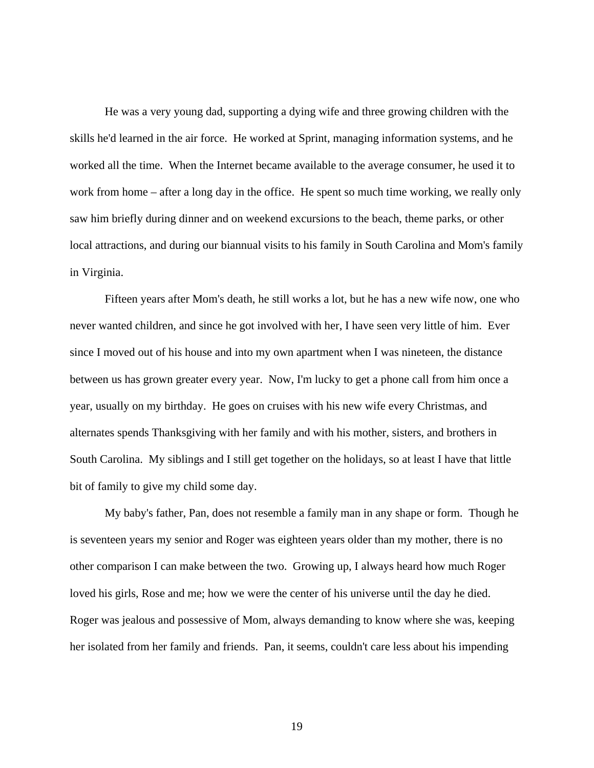He was a very young dad, supporting a dying wife and three growing children with the skills he'd learned in the air force. He worked at Sprint, managing information systems, and he worked all the time. When the Internet became available to the average consumer, he used it to work from home – after a long day in the office. He spent so much time working, we really only saw him briefly during dinner and on weekend excursions to the beach, theme parks, or other local attractions, and during our biannual visits to his family in South Carolina and Mom's family in Virginia.

Fifteen years after Mom's death, he still works a lot, but he has a new wife now, one who never wanted children, and since he got involved with her, I have seen very little of him. Ever since I moved out of his house and into my own apartment when I was nineteen, the distance between us has grown greater every year. Now, I'm lucky to get a phone call from him once a year, usually on my birthday. He goes on cruises with his new wife every Christmas, and alternates spends Thanksgiving with her family and with his mother, sisters, and brothers in South Carolina. My siblings and I still get together on the holidays, so at least I have that little bit of family to give my child some day.

My baby's father, Pan, does not resemble a family man in any shape or form. Though he is seventeen years my senior and Roger was eighteen years older than my mother, there is no other comparison I can make between the two. Growing up, I always heard how much Roger loved his girls, Rose and me; how we were the center of his universe until the day he died. Roger was jealous and possessive of Mom, always demanding to know where she was, keeping her isolated from her family and friends. Pan, it seems, couldn't care less about his impending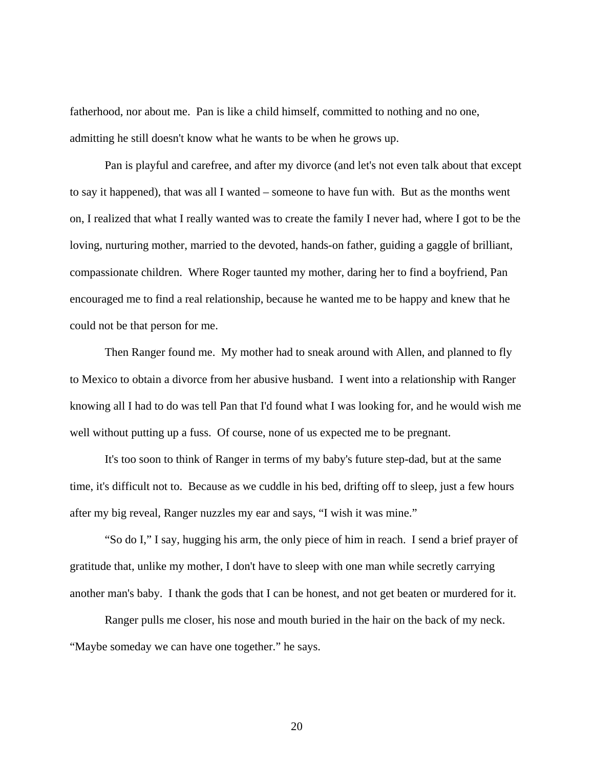fatherhood, nor about me. Pan is like a child himself, committed to nothing and no one, admitting he still doesn't know what he wants to be when he grows up.

Pan is playful and carefree, and after my divorce (and let's not even talk about that except to say it happened), that was all I wanted – someone to have fun with. But as the months went on, I realized that what I really wanted was to create the family I never had, where I got to be the loving, nurturing mother, married to the devoted, hands-on father, guiding a gaggle of brilliant, compassionate children. Where Roger taunted my mother, daring her to find a boyfriend, Pan encouraged me to find a real relationship, because he wanted me to be happy and knew that he could not be that person for me.

Then Ranger found me. My mother had to sneak around with Allen, and planned to fly to Mexico to obtain a divorce from her abusive husband. I went into a relationship with Ranger knowing all I had to do was tell Pan that I'd found what I was looking for, and he would wish me well without putting up a fuss. Of course, none of us expected me to be pregnant.

It's too soon to think of Ranger in terms of my baby's future step-dad, but at the same time, it's difficult not to. Because as we cuddle in his bed, drifting off to sleep, just a few hours after my big reveal, Ranger nuzzles my ear and says, "I wish it was mine."

 "So do I," I say, hugging his arm, the only piece of him in reach. I send a brief prayer of gratitude that, unlike my mother, I don't have to sleep with one man while secretly carrying another man's baby. I thank the gods that I can be honest, and not get beaten or murdered for it.

 Ranger pulls me closer, his nose and mouth buried in the hair on the back of my neck. "Maybe someday we can have one together." he says.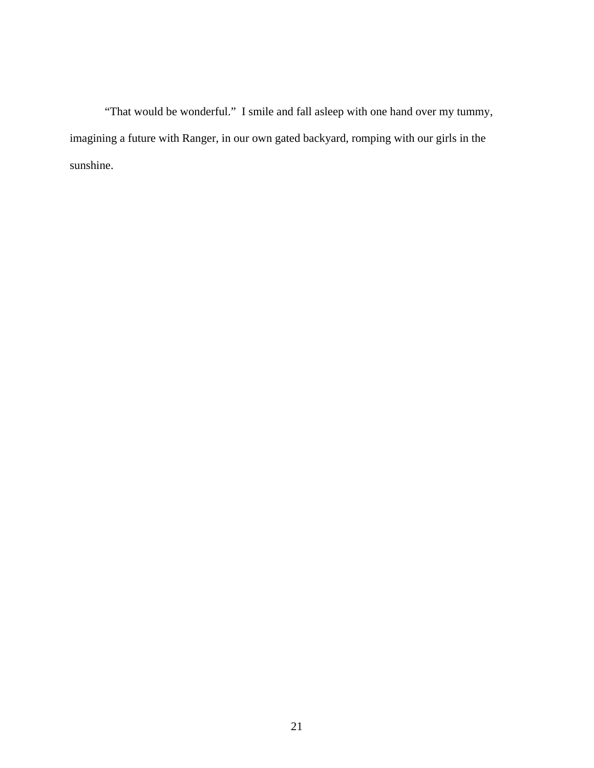"That would be wonderful." I smile and fall asleep with one hand over my tummy, imagining a future with Ranger, in our own gated backyard, romping with our girls in the sunshine.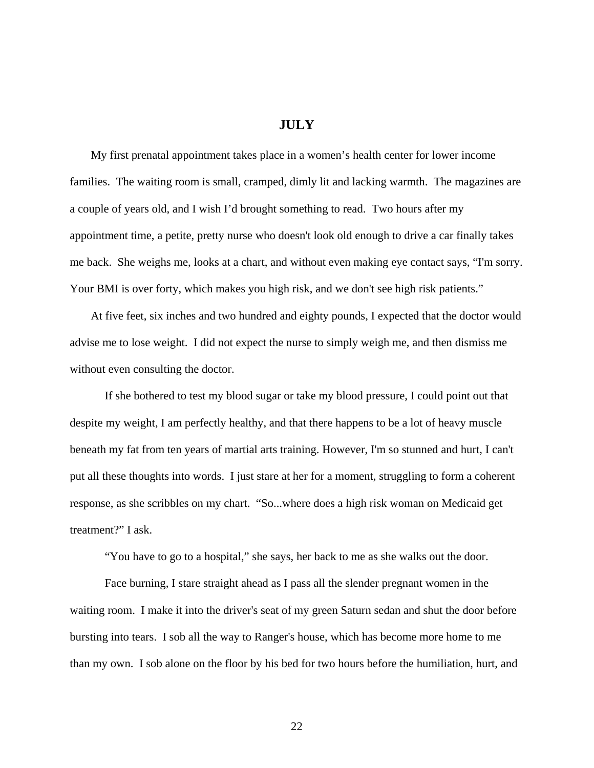## **JULY**

My first prenatal appointment takes place in a women's health center for lower income families. The waiting room is small, cramped, dimly lit and lacking warmth. The magazines are a couple of years old, and I wish I'd brought something to read. Two hours after my appointment time, a petite, pretty nurse who doesn't look old enough to drive a car finally takes me back. She weighs me, looks at a chart, and without even making eye contact says, "I'm sorry. Your BMI is over forty, which makes you high risk, and we don't see high risk patients."

At five feet, six inches and two hundred and eighty pounds, I expected that the doctor would advise me to lose weight. I did not expect the nurse to simply weigh me, and then dismiss me without even consulting the doctor.

 If she bothered to test my blood sugar or take my blood pressure, I could point out that despite my weight, I am perfectly healthy, and that there happens to be a lot of heavy muscle beneath my fat from ten years of martial arts training. However, I'm so stunned and hurt, I can't put all these thoughts into words. I just stare at her for a moment, struggling to form a coherent response, as she scribbles on my chart. "So...where does a high risk woman on Medicaid get treatment?" I ask.

"You have to go to a hospital," she says, her back to me as she walks out the door.

 Face burning, I stare straight ahead as I pass all the slender pregnant women in the waiting room. I make it into the driver's seat of my green Saturn sedan and shut the door before bursting into tears. I sob all the way to Ranger's house, which has become more home to me than my own. I sob alone on the floor by his bed for two hours before the humiliation, hurt, and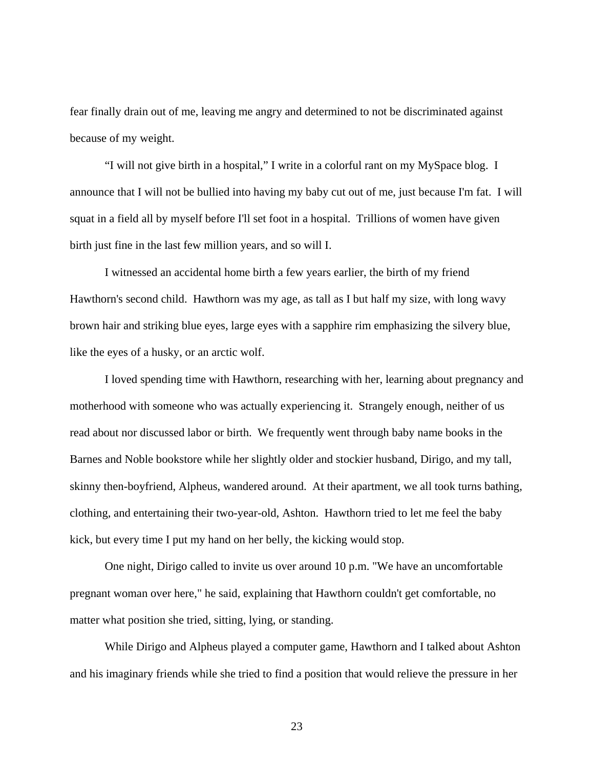fear finally drain out of me, leaving me angry and determined to not be discriminated against because of my weight.

 "I will not give birth in a hospital," I write in a colorful rant on my MySpace blog. I announce that I will not be bullied into having my baby cut out of me, just because I'm fat. I will squat in a field all by myself before I'll set foot in a hospital. Trillions of women have given birth just fine in the last few million years, and so will I.

 I witnessed an accidental home birth a few years earlier, the birth of my friend Hawthorn's second child. Hawthorn was my age, as tall as I but half my size, with long wavy brown hair and striking blue eyes, large eyes with a sapphire rim emphasizing the silvery blue, like the eyes of a husky, or an arctic wolf.

 I loved spending time with Hawthorn, researching with her, learning about pregnancy and motherhood with someone who was actually experiencing it. Strangely enough, neither of us read about nor discussed labor or birth. We frequently went through baby name books in the Barnes and Noble bookstore while her slightly older and stockier husband, Dirigo, and my tall, skinny then-boyfriend, Alpheus, wandered around. At their apartment, we all took turns bathing, clothing, and entertaining their two-year-old, Ashton. Hawthorn tried to let me feel the baby kick, but every time I put my hand on her belly, the kicking would stop.

One night, Dirigo called to invite us over around 10 p.m. "We have an uncomfortable pregnant woman over here," he said, explaining that Hawthorn couldn't get comfortable, no matter what position she tried, sitting, lying, or standing.

While Dirigo and Alpheus played a computer game, Hawthorn and I talked about Ashton and his imaginary friends while she tried to find a position that would relieve the pressure in her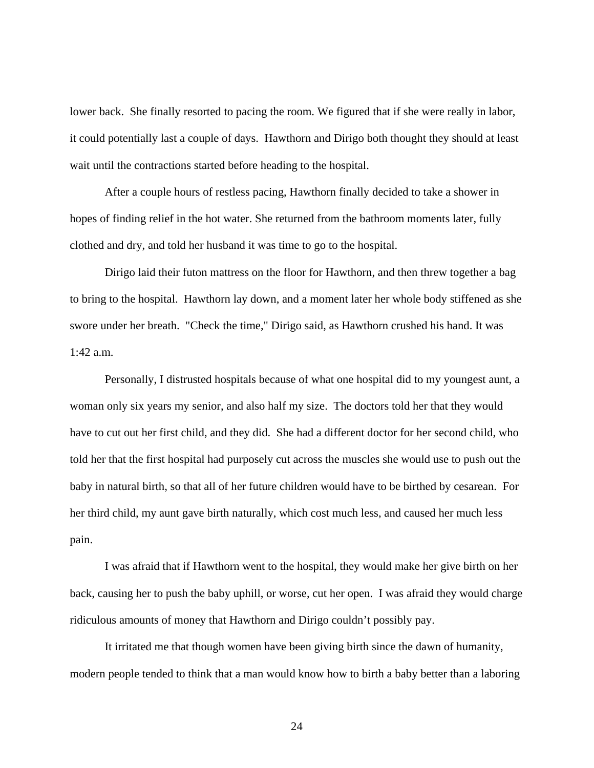lower back. She finally resorted to pacing the room. We figured that if she were really in labor, it could potentially last a couple of days. Hawthorn and Dirigo both thought they should at least wait until the contractions started before heading to the hospital.

 After a couple hours of restless pacing, Hawthorn finally decided to take a shower in hopes of finding relief in the hot water. She returned from the bathroom moments later, fully clothed and dry, and told her husband it was time to go to the hospital.

 Dirigo laid their futon mattress on the floor for Hawthorn, and then threw together a bag to bring to the hospital. Hawthorn lay down, and a moment later her whole body stiffened as she swore under her breath. "Check the time," Dirigo said, as Hawthorn crushed his hand. It was 1:42 a.m.

 Personally, I distrusted hospitals because of what one hospital did to my youngest aunt, a woman only six years my senior, and also half my size. The doctors told her that they would have to cut out her first child, and they did. She had a different doctor for her second child, who told her that the first hospital had purposely cut across the muscles she would use to push out the baby in natural birth, so that all of her future children would have to be birthed by cesarean. For her third child, my aunt gave birth naturally, which cost much less, and caused her much less pain.

 I was afraid that if Hawthorn went to the hospital, they would make her give birth on her back, causing her to push the baby uphill, or worse, cut her open. I was afraid they would charge ridiculous amounts of money that Hawthorn and Dirigo couldn't possibly pay.

 It irritated me that though women have been giving birth since the dawn of humanity, modern people tended to think that a man would know how to birth a baby better than a laboring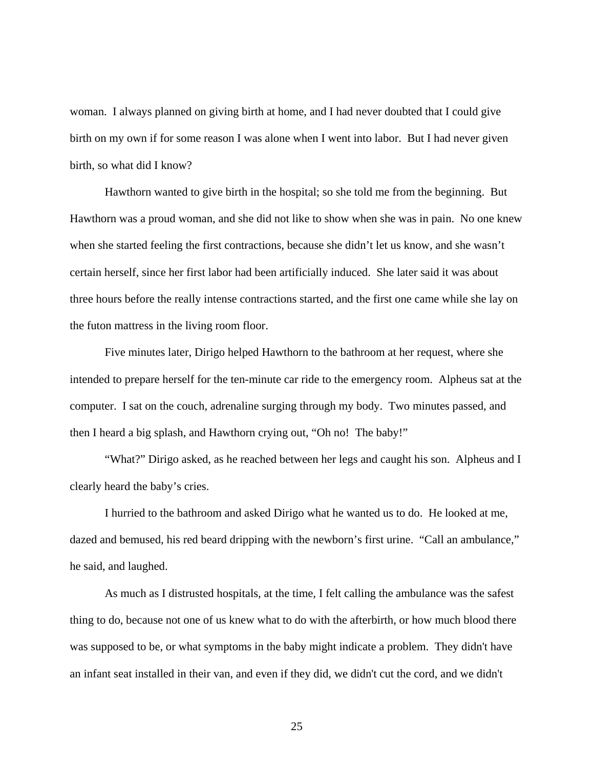woman. I always planned on giving birth at home, and I had never doubted that I could give birth on my own if for some reason I was alone when I went into labor. But I had never given birth, so what did I know?

 Hawthorn wanted to give birth in the hospital; so she told me from the beginning. But Hawthorn was a proud woman, and she did not like to show when she was in pain. No one knew when she started feeling the first contractions, because she didn't let us know, and she wasn't certain herself, since her first labor had been artificially induced. She later said it was about three hours before the really intense contractions started, and the first one came while she lay on the futon mattress in the living room floor.

 Five minutes later, Dirigo helped Hawthorn to the bathroom at her request, where she intended to prepare herself for the ten-minute car ride to the emergency room. Alpheus sat at the computer. I sat on the couch, adrenaline surging through my body. Two minutes passed, and then I heard a big splash, and Hawthorn crying out, "Oh no! The baby!"

"What?" Dirigo asked, as he reached between her legs and caught his son. Alpheus and I clearly heard the baby's cries.

 I hurried to the bathroom and asked Dirigo what he wanted us to do. He looked at me, dazed and bemused, his red beard dripping with the newborn's first urine. "Call an ambulance," he said, and laughed.

 As much as I distrusted hospitals, at the time, I felt calling the ambulance was the safest thing to do, because not one of us knew what to do with the afterbirth, or how much blood there was supposed to be, or what symptoms in the baby might indicate a problem. They didn't have an infant seat installed in their van, and even if they did, we didn't cut the cord, and we didn't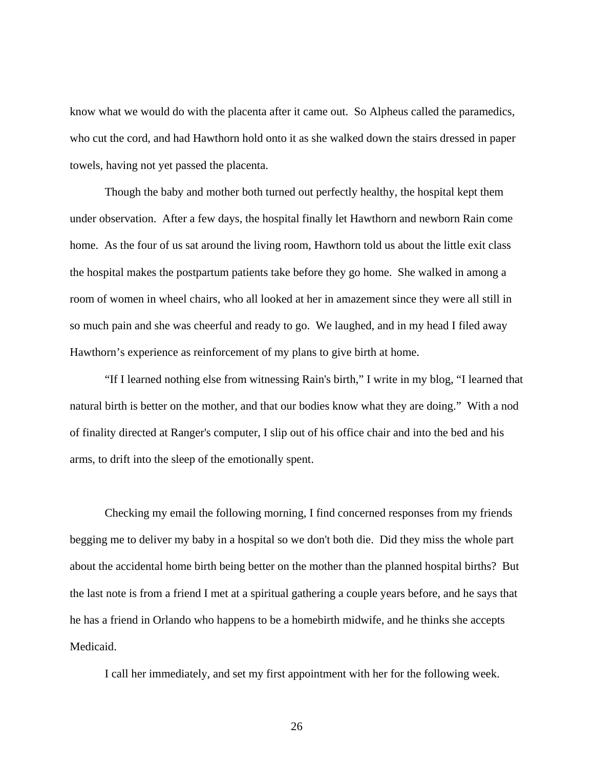know what we would do with the placenta after it came out. So Alpheus called the paramedics, who cut the cord, and had Hawthorn hold onto it as she walked down the stairs dressed in paper towels, having not yet passed the placenta.

 Though the baby and mother both turned out perfectly healthy, the hospital kept them under observation. After a few days, the hospital finally let Hawthorn and newborn Rain come home. As the four of us sat around the living room, Hawthorn told us about the little exit class the hospital makes the postpartum patients take before they go home. She walked in among a room of women in wheel chairs, who all looked at her in amazement since they were all still in so much pain and she was cheerful and ready to go. We laughed, and in my head I filed away Hawthorn's experience as reinforcement of my plans to give birth at home.

 "If I learned nothing else from witnessing Rain's birth," I write in my blog, "I learned that natural birth is better on the mother, and that our bodies know what they are doing." With a nod of finality directed at Ranger's computer, I slip out of his office chair and into the bed and his arms, to drift into the sleep of the emotionally spent.

 Checking my email the following morning, I find concerned responses from my friends begging me to deliver my baby in a hospital so we don't both die. Did they miss the whole part about the accidental home birth being better on the mother than the planned hospital births? But the last note is from a friend I met at a spiritual gathering a couple years before, and he says that he has a friend in Orlando who happens to be a homebirth midwife, and he thinks she accepts Medicaid.

I call her immediately, and set my first appointment with her for the following week.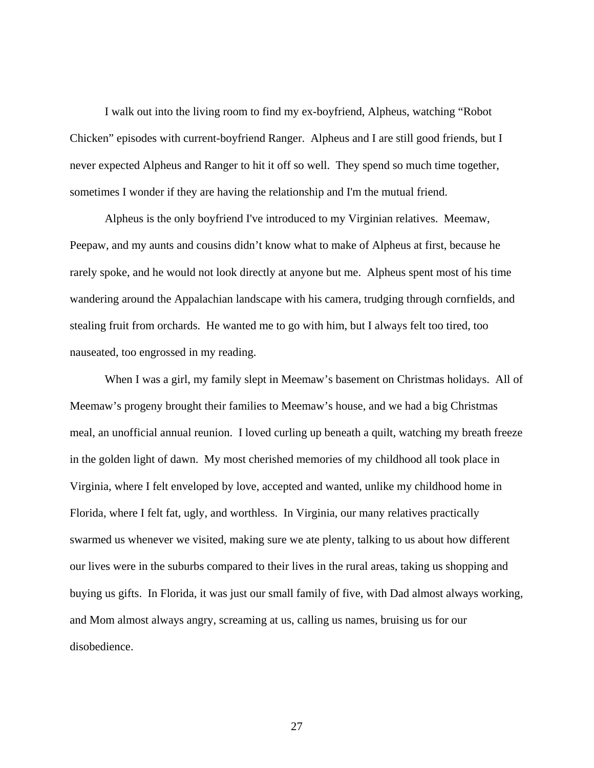I walk out into the living room to find my ex-boyfriend, Alpheus, watching "Robot Chicken" episodes with current-boyfriend Ranger. Alpheus and I are still good friends, but I never expected Alpheus and Ranger to hit it off so well. They spend so much time together, sometimes I wonder if they are having the relationship and I'm the mutual friend.

 Alpheus is the only boyfriend I've introduced to my Virginian relatives. Meemaw, Peepaw, and my aunts and cousins didn't know what to make of Alpheus at first, because he rarely spoke, and he would not look directly at anyone but me. Alpheus spent most of his time wandering around the Appalachian landscape with his camera, trudging through cornfields, and stealing fruit from orchards. He wanted me to go with him, but I always felt too tired, too nauseated, too engrossed in my reading.

 When I was a girl, my family slept in Meemaw's basement on Christmas holidays. All of Meemaw's progeny brought their families to Meemaw's house, and we had a big Christmas meal, an unofficial annual reunion. I loved curling up beneath a quilt, watching my breath freeze in the golden light of dawn. My most cherished memories of my childhood all took place in Virginia, where I felt enveloped by love, accepted and wanted, unlike my childhood home in Florida, where I felt fat, ugly, and worthless. In Virginia, our many relatives practically swarmed us whenever we visited, making sure we ate plenty, talking to us about how different our lives were in the suburbs compared to their lives in the rural areas, taking us shopping and buying us gifts. In Florida, it was just our small family of five, with Dad almost always working, and Mom almost always angry, screaming at us, calling us names, bruising us for our disobedience.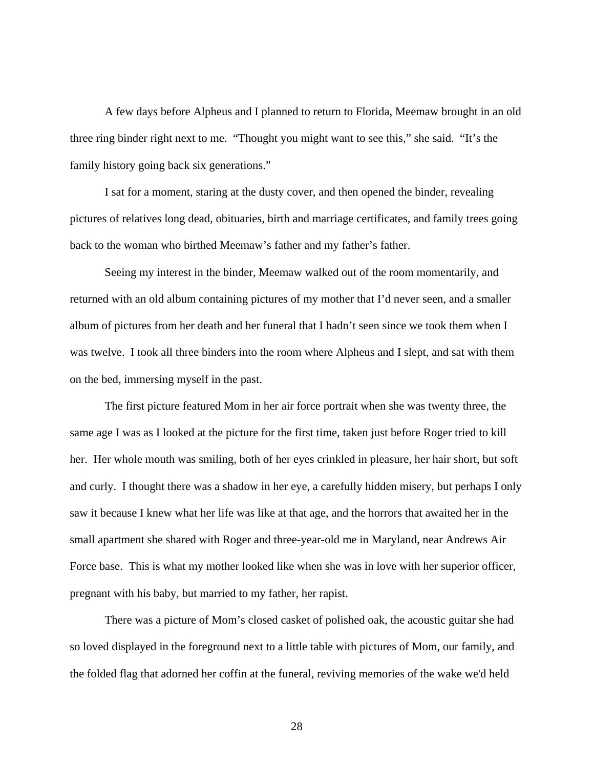A few days before Alpheus and I planned to return to Florida, Meemaw brought in an old three ring binder right next to me. "Thought you might want to see this," she said. "It's the family history going back six generations."

 I sat for a moment, staring at the dusty cover, and then opened the binder, revealing pictures of relatives long dead, obituaries, birth and marriage certificates, and family trees going back to the woman who birthed Meemaw's father and my father's father.

 Seeing my interest in the binder, Meemaw walked out of the room momentarily, and returned with an old album containing pictures of my mother that I'd never seen, and a smaller album of pictures from her death and her funeral that I hadn't seen since we took them when I was twelve. I took all three binders into the room where Alpheus and I slept, and sat with them on the bed, immersing myself in the past.

 The first picture featured Mom in her air force portrait when she was twenty three, the same age I was as I looked at the picture for the first time, taken just before Roger tried to kill her. Her whole mouth was smiling, both of her eyes crinkled in pleasure, her hair short, but soft and curly. I thought there was a shadow in her eye, a carefully hidden misery, but perhaps I only saw it because I knew what her life was like at that age, and the horrors that awaited her in the small apartment she shared with Roger and three-year-old me in Maryland, near Andrews Air Force base. This is what my mother looked like when she was in love with her superior officer, pregnant with his baby, but married to my father, her rapist.

 There was a picture of Mom's closed casket of polished oak, the acoustic guitar she had so loved displayed in the foreground next to a little table with pictures of Mom, our family, and the folded flag that adorned her coffin at the funeral, reviving memories of the wake we'd held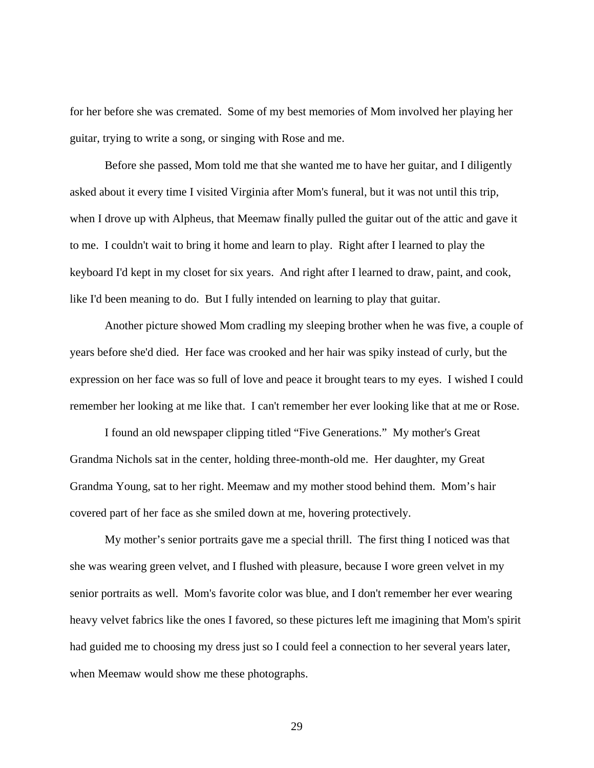for her before she was cremated. Some of my best memories of Mom involved her playing her guitar, trying to write a song, or singing with Rose and me.

 Before she passed, Mom told me that she wanted me to have her guitar, and I diligently asked about it every time I visited Virginia after Mom's funeral, but it was not until this trip, when I drove up with Alpheus, that Meemaw finally pulled the guitar out of the attic and gave it to me. I couldn't wait to bring it home and learn to play. Right after I learned to play the keyboard I'd kept in my closet for six years. And right after I learned to draw, paint, and cook, like I'd been meaning to do. But I fully intended on learning to play that guitar.

 Another picture showed Mom cradling my sleeping brother when he was five, a couple of years before she'd died. Her face was crooked and her hair was spiky instead of curly, but the expression on her face was so full of love and peace it brought tears to my eyes. I wished I could remember her looking at me like that. I can't remember her ever looking like that at me or Rose.

 I found an old newspaper clipping titled "Five Generations." My mother's Great Grandma Nichols sat in the center, holding three-month-old me. Her daughter, my Great Grandma Young, sat to her right. Meemaw and my mother stood behind them. Mom's hair covered part of her face as she smiled down at me, hovering protectively.

 My mother's senior portraits gave me a special thrill. The first thing I noticed was that she was wearing green velvet, and I flushed with pleasure, because I wore green velvet in my senior portraits as well. Mom's favorite color was blue, and I don't remember her ever wearing heavy velvet fabrics like the ones I favored, so these pictures left me imagining that Mom's spirit had guided me to choosing my dress just so I could feel a connection to her several years later, when Meemaw would show me these photographs.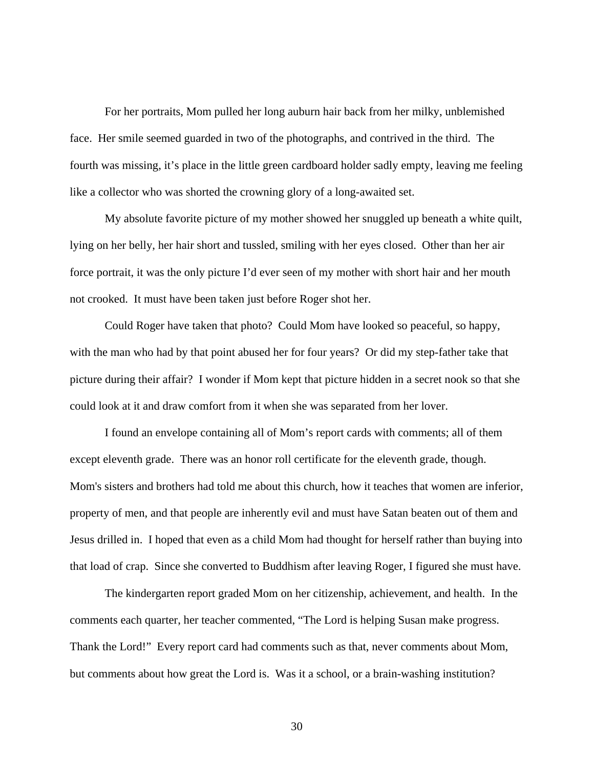For her portraits, Mom pulled her long auburn hair back from her milky, unblemished face. Her smile seemed guarded in two of the photographs, and contrived in the third. The fourth was missing, it's place in the little green cardboard holder sadly empty, leaving me feeling like a collector who was shorted the crowning glory of a long-awaited set.

 My absolute favorite picture of my mother showed her snuggled up beneath a white quilt, lying on her belly, her hair short and tussled, smiling with her eyes closed. Other than her air force portrait, it was the only picture I'd ever seen of my mother with short hair and her mouth not crooked. It must have been taken just before Roger shot her.

 Could Roger have taken that photo? Could Mom have looked so peaceful, so happy, with the man who had by that point abused her for four years? Or did my step-father take that picture during their affair? I wonder if Mom kept that picture hidden in a secret nook so that she could look at it and draw comfort from it when she was separated from her lover.

 I found an envelope containing all of Mom's report cards with comments; all of them except eleventh grade. There was an honor roll certificate for the eleventh grade, though. Mom's sisters and brothers had told me about this church, how it teaches that women are inferior, property of men, and that people are inherently evil and must have Satan beaten out of them and Jesus drilled in. I hoped that even as a child Mom had thought for herself rather than buying into that load of crap. Since she converted to Buddhism after leaving Roger, I figured she must have.

 The kindergarten report graded Mom on her citizenship, achievement, and health. In the comments each quarter, her teacher commented, "The Lord is helping Susan make progress. Thank the Lord!" Every report card had comments such as that, never comments about Mom, but comments about how great the Lord is. Was it a school, or a brain-washing institution?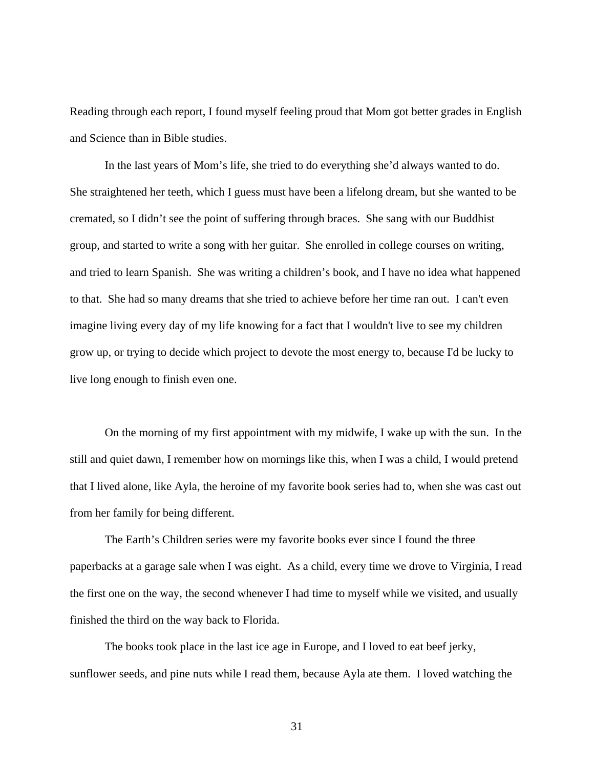Reading through each report, I found myself feeling proud that Mom got better grades in English and Science than in Bible studies.

 In the last years of Mom's life, she tried to do everything she'd always wanted to do. She straightened her teeth, which I guess must have been a lifelong dream, but she wanted to be cremated, so I didn't see the point of suffering through braces. She sang with our Buddhist group, and started to write a song with her guitar. She enrolled in college courses on writing, and tried to learn Spanish. She was writing a children's book, and I have no idea what happened to that. She had so many dreams that she tried to achieve before her time ran out. I can't even imagine living every day of my life knowing for a fact that I wouldn't live to see my children grow up, or trying to decide which project to devote the most energy to, because I'd be lucky to live long enough to finish even one.

 On the morning of my first appointment with my midwife, I wake up with the sun. In the still and quiet dawn, I remember how on mornings like this, when I was a child, I would pretend that I lived alone, like Ayla, the heroine of my favorite book series had to, when she was cast out from her family for being different.

The Earth's Children series were my favorite books ever since I found the three paperbacks at a garage sale when I was eight. As a child, every time we drove to Virginia, I read the first one on the way, the second whenever I had time to myself while we visited, and usually finished the third on the way back to Florida.

The books took place in the last ice age in Europe, and I loved to eat beef jerky, sunflower seeds, and pine nuts while I read them, because Ayla ate them. I loved watching the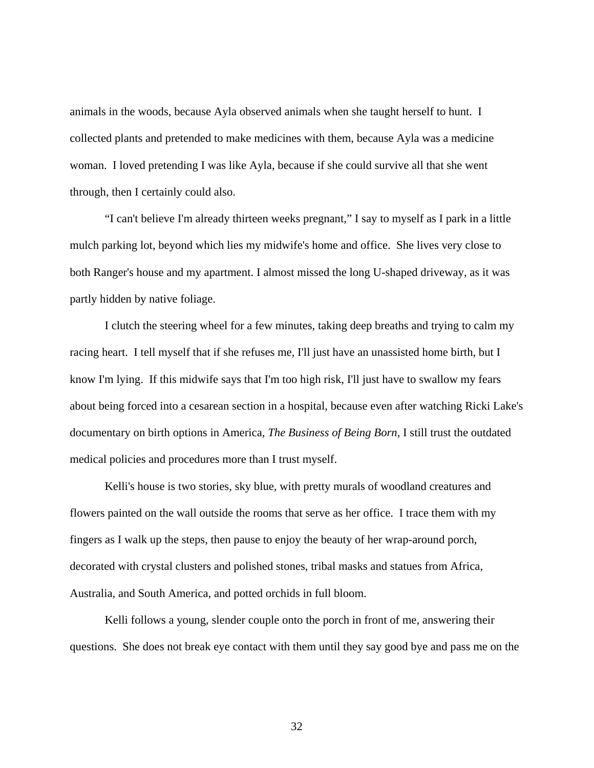animals in the woods, because Ayla observed animals when she taught herself to hunt. I collected plants and pretended to make medicines with them, because Ayla was a medicine woman. I loved pretending I was like Ayla, because if she could survive all that she went through, then I certainly could also.

"I can't believe I'm already thirteen weeks pregnant," I say to myself as I park in a little mulch parking lot, beyond which lies my midwife's home and office. She lives very close to both Ranger's house and my apartment. I almost missed the long U-shaped driveway, as it was partly hidden by native foliage.

I clutch the steering wheel for a few minutes, taking deep breaths and trying to calm my racing heart. I tell myself that if she refuses me, I'll just have an unassisted home birth, but I know I'm lying. If this midwife says that I'm too high risk, I'll just have to swallow my fears about being forced into a cesarean section in a hospital, because even after watching Ricki Lake's documentary on birth options in America, *The Business of Being Born*, I still trust the outdated medical policies and procedures more than I trust myself.

Kelli's house is two stories, sky blue, with pretty murals of woodland creatures and flowers painted on the wall outside the rooms that serve as her office. I trace them with my fingers as I walk up the steps, then pause to enjoy the beauty of her wrap-around porch, decorated with crystal clusters and polished stones, tribal masks and statues from Africa, Australia, and South America, and potted orchids in full bloom.

Kelli follows a young, slender couple onto the porch in front of me, answering their questions. She does not break eye contact with them until they say good bye and pass me on the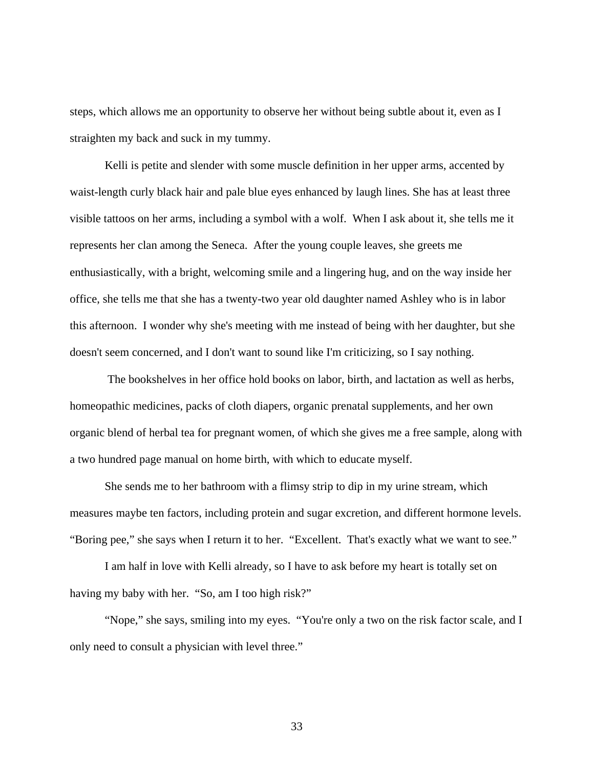steps, which allows me an opportunity to observe her without being subtle about it, even as I straighten my back and suck in my tummy.

Kelli is petite and slender with some muscle definition in her upper arms, accented by waist-length curly black hair and pale blue eyes enhanced by laugh lines. She has at least three visible tattoos on her arms, including a symbol with a wolf. When I ask about it, she tells me it represents her clan among the Seneca. After the young couple leaves, she greets me enthusiastically, with a bright, welcoming smile and a lingering hug, and on the way inside her office, she tells me that she has a twenty-two year old daughter named Ashley who is in labor this afternoon. I wonder why she's meeting with me instead of being with her daughter, but she doesn't seem concerned, and I don't want to sound like I'm criticizing, so I say nothing.

 The bookshelves in her office hold books on labor, birth, and lactation as well as herbs, homeopathic medicines, packs of cloth diapers, organic prenatal supplements, and her own organic blend of herbal tea for pregnant women, of which she gives me a free sample, along with a two hundred page manual on home birth, with which to educate myself.

She sends me to her bathroom with a flimsy strip to dip in my urine stream, which measures maybe ten factors, including protein and sugar excretion, and different hormone levels. "Boring pee," she says when I return it to her. "Excellent. That's exactly what we want to see."

I am half in love with Kelli already, so I have to ask before my heart is totally set on having my baby with her. "So, am I too high risk?"

"Nope," she says, smiling into my eyes. "You're only a two on the risk factor scale, and I only need to consult a physician with level three."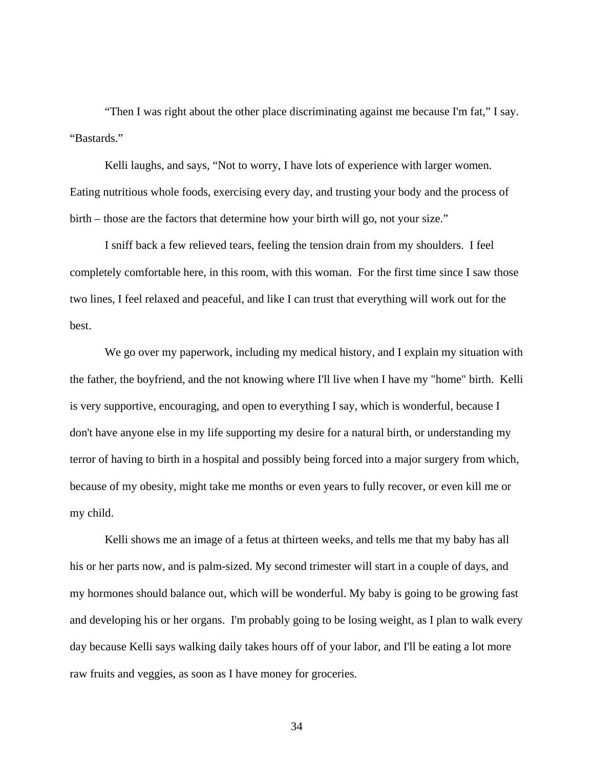"Then I was right about the other place discriminating against me because I'm fat," I say. "Bastards."

Kelli laughs, and says, "Not to worry, I have lots of experience with larger women. Eating nutritious whole foods, exercising every day, and trusting your body and the process of birth – those are the factors that determine how your birth will go, not your size."

I sniff back a few relieved tears, feeling the tension drain from my shoulders. I feel completely comfortable here, in this room, with this woman. For the first time since I saw those two lines, I feel relaxed and peaceful, and like I can trust that everything will work out for the best.

We go over my paperwork, including my medical history, and I explain my situation with the father, the boyfriend, and the not knowing where I'll live when I have my "home" birth. Kelli is very supportive, encouraging, and open to everything I say, which is wonderful, because I don't have anyone else in my life supporting my desire for a natural birth, or understanding my terror of having to birth in a hospital and possibly being forced into a major surgery from which, because of my obesity, might take me months or even years to fully recover, or even kill me or my child.

Kelli shows me an image of a fetus at thirteen weeks, and tells me that my baby has all his or her parts now, and is palm-sized. My second trimester will start in a couple of days, and my hormones should balance out, which will be wonderful. My baby is going to be growing fast and developing his or her organs. I'm probably going to be losing weight, as I plan to walk every day because Kelli says walking daily takes hours off of your labor, and I'll be eating a lot more raw fruits and veggies, as soon as I have money for groceries.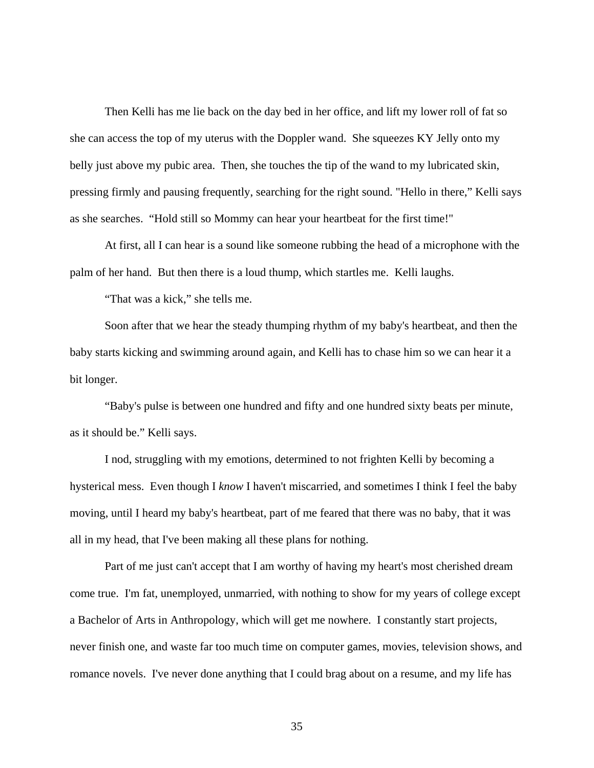Then Kelli has me lie back on the day bed in her office, and lift my lower roll of fat so she can access the top of my uterus with the Doppler wand. She squeezes KY Jelly onto my belly just above my pubic area. Then, she touches the tip of the wand to my lubricated skin, pressing firmly and pausing frequently, searching for the right sound. "Hello in there," Kelli says as she searches. "Hold still so Mommy can hear your heartbeat for the first time!"

At first, all I can hear is a sound like someone rubbing the head of a microphone with the palm of her hand. But then there is a loud thump, which startles me. Kelli laughs.

"That was a kick," she tells me.

Soon after that we hear the steady thumping rhythm of my baby's heartbeat, and then the baby starts kicking and swimming around again, and Kelli has to chase him so we can hear it a bit longer.

"Baby's pulse is between one hundred and fifty and one hundred sixty beats per minute, as it should be." Kelli says.

I nod, struggling with my emotions, determined to not frighten Kelli by becoming a hysterical mess. Even though I *know* I haven't miscarried, and sometimes I think I feel the baby moving, until I heard my baby's heartbeat, part of me feared that there was no baby, that it was all in my head, that I've been making all these plans for nothing.

Part of me just can't accept that I am worthy of having my heart's most cherished dream come true. I'm fat, unemployed, unmarried, with nothing to show for my years of college except a Bachelor of Arts in Anthropology, which will get me nowhere. I constantly start projects, never finish one, and waste far too much time on computer games, movies, television shows, and romance novels. I've never done anything that I could brag about on a resume, and my life has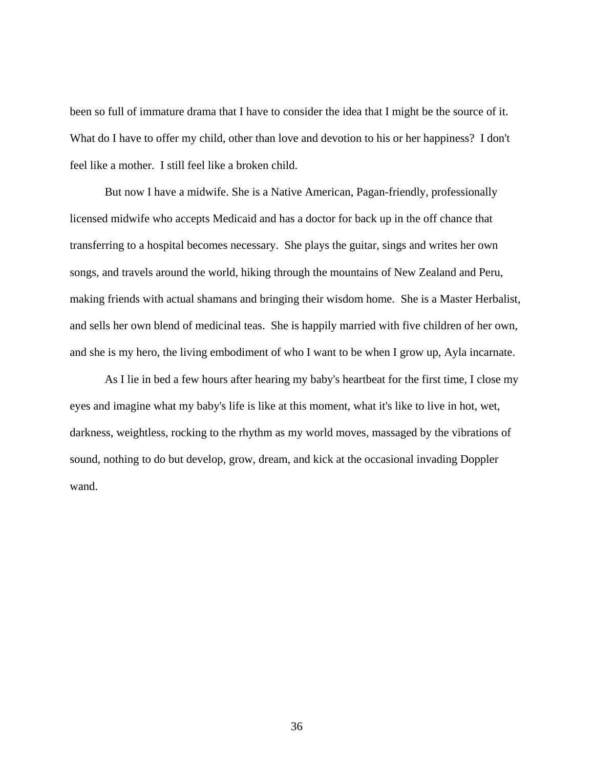been so full of immature drama that I have to consider the idea that I might be the source of it. What do I have to offer my child, other than love and devotion to his or her happiness? I don't feel like a mother. I still feel like a broken child.

But now I have a midwife. She is a Native American, Pagan-friendly, professionally licensed midwife who accepts Medicaid and has a doctor for back up in the off chance that transferring to a hospital becomes necessary. She plays the guitar, sings and writes her own songs, and travels around the world, hiking through the mountains of New Zealand and Peru, making friends with actual shamans and bringing their wisdom home. She is a Master Herbalist, and sells her own blend of medicinal teas. She is happily married with five children of her own, and she is my hero, the living embodiment of who I want to be when I grow up, Ayla incarnate.

As I lie in bed a few hours after hearing my baby's heartbeat for the first time, I close my eyes and imagine what my baby's life is like at this moment, what it's like to live in hot, wet, darkness, weightless, rocking to the rhythm as my world moves, massaged by the vibrations of sound, nothing to do but develop, grow, dream, and kick at the occasional invading Doppler wand.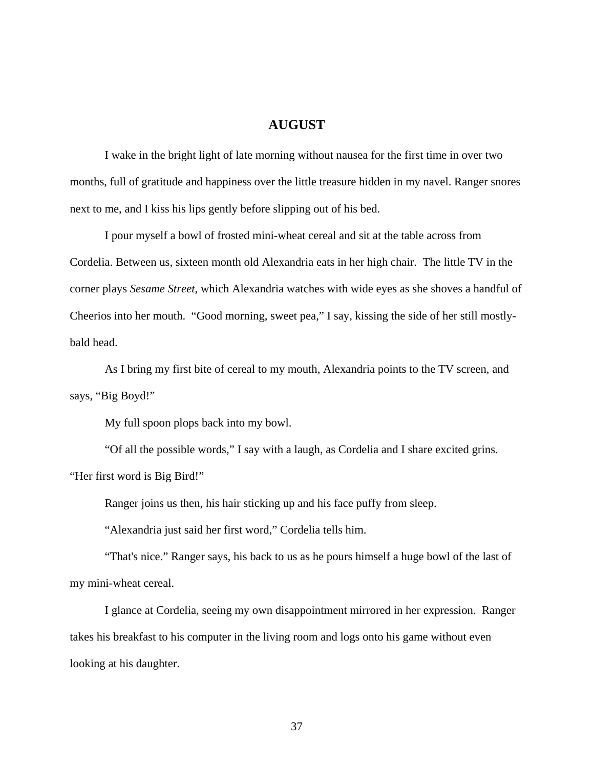## **AUGUST**

 I wake in the bright light of late morning without nausea for the first time in over two months, full of gratitude and happiness over the little treasure hidden in my navel. Ranger snores next to me, and I kiss his lips gently before slipping out of his bed.

 I pour myself a bowl of frosted mini-wheat cereal and sit at the table across from Cordelia. Between us, sixteen month old Alexandria eats in her high chair. The little TV in the corner plays *Sesame Street*, which Alexandria watches with wide eyes as she shoves a handful of Cheerios into her mouth. "Good morning, sweet pea," I say, kissing the side of her still mostlybald head.

 As I bring my first bite of cereal to my mouth, Alexandria points to the TV screen, and says, "Big Boyd!"

My full spoon plops back into my bowl.

 "Of all the possible words," I say with a laugh, as Cordelia and I share excited grins. "Her first word is Big Bird!"

Ranger joins us then, his hair sticking up and his face puffy from sleep.

"Alexandria just said her first word," Cordelia tells him.

 "That's nice." Ranger says, his back to us as he pours himself a huge bowl of the last of my mini-wheat cereal.

 I glance at Cordelia, seeing my own disappointment mirrored in her expression. Ranger takes his breakfast to his computer in the living room and logs onto his game without even looking at his daughter.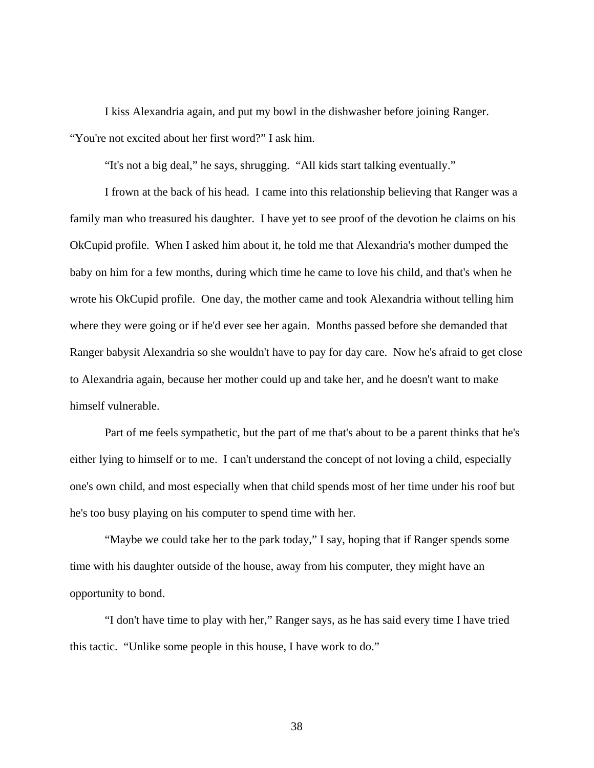I kiss Alexandria again, and put my bowl in the dishwasher before joining Ranger. "You're not excited about her first word?" I ask him.

"It's not a big deal," he says, shrugging. "All kids start talking eventually."

 I frown at the back of his head. I came into this relationship believing that Ranger was a family man who treasured his daughter. I have yet to see proof of the devotion he claims on his OkCupid profile. When I asked him about it, he told me that Alexandria's mother dumped the baby on him for a few months, during which time he came to love his child, and that's when he wrote his OkCupid profile. One day, the mother came and took Alexandria without telling him where they were going or if he'd ever see her again. Months passed before she demanded that Ranger babysit Alexandria so she wouldn't have to pay for day care. Now he's afraid to get close to Alexandria again, because her mother could up and take her, and he doesn't want to make himself vulnerable.

 Part of me feels sympathetic, but the part of me that's about to be a parent thinks that he's either lying to himself or to me. I can't understand the concept of not loving a child, especially one's own child, and most especially when that child spends most of her time under his roof but he's too busy playing on his computer to spend time with her.

 "Maybe we could take her to the park today," I say, hoping that if Ranger spends some time with his daughter outside of the house, away from his computer, they might have an opportunity to bond.

 "I don't have time to play with her," Ranger says, as he has said every time I have tried this tactic. "Unlike some people in this house, I have work to do."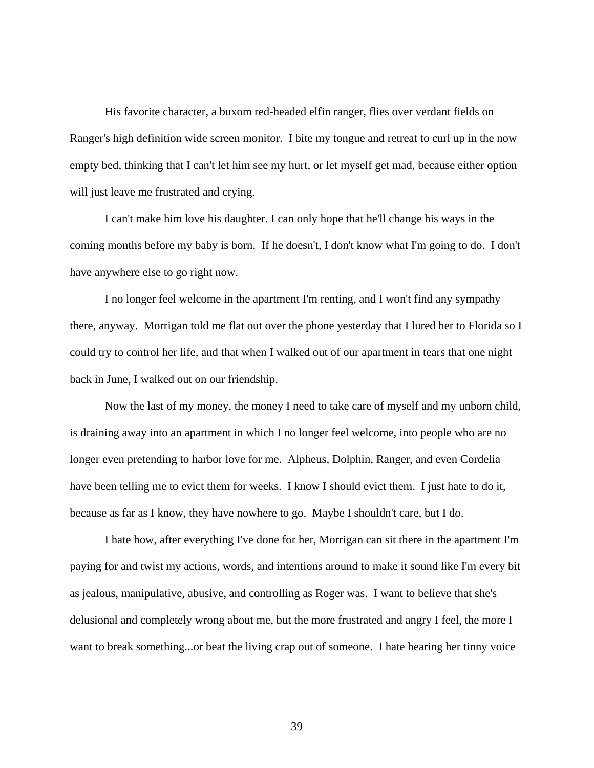His favorite character, a buxom red-headed elfin ranger, flies over verdant fields on Ranger's high definition wide screen monitor. I bite my tongue and retreat to curl up in the now empty bed, thinking that I can't let him see my hurt, or let myself get mad, because either option will just leave me frustrated and crying.

 I can't make him love his daughter. I can only hope that he'll change his ways in the coming months before my baby is born. If he doesn't, I don't know what I'm going to do. I don't have anywhere else to go right now.

 I no longer feel welcome in the apartment I'm renting, and I won't find any sympathy there, anyway. Morrigan told me flat out over the phone yesterday that I lured her to Florida so I could try to control her life, and that when I walked out of our apartment in tears that one night back in June, I walked out on our friendship.

Now the last of my money, the money I need to take care of myself and my unborn child, is draining away into an apartment in which I no longer feel welcome, into people who are no longer even pretending to harbor love for me. Alpheus, Dolphin, Ranger, and even Cordelia have been telling me to evict them for weeks. I know I should evict them. I just hate to do it, because as far as I know, they have nowhere to go. Maybe I shouldn't care, but I do.

 I hate how, after everything I've done for her, Morrigan can sit there in the apartment I'm paying for and twist my actions, words, and intentions around to make it sound like I'm every bit as jealous, manipulative, abusive, and controlling as Roger was. I want to believe that she's delusional and completely wrong about me, but the more frustrated and angry I feel, the more I want to break something...or beat the living crap out of someone. I hate hearing her tinny voice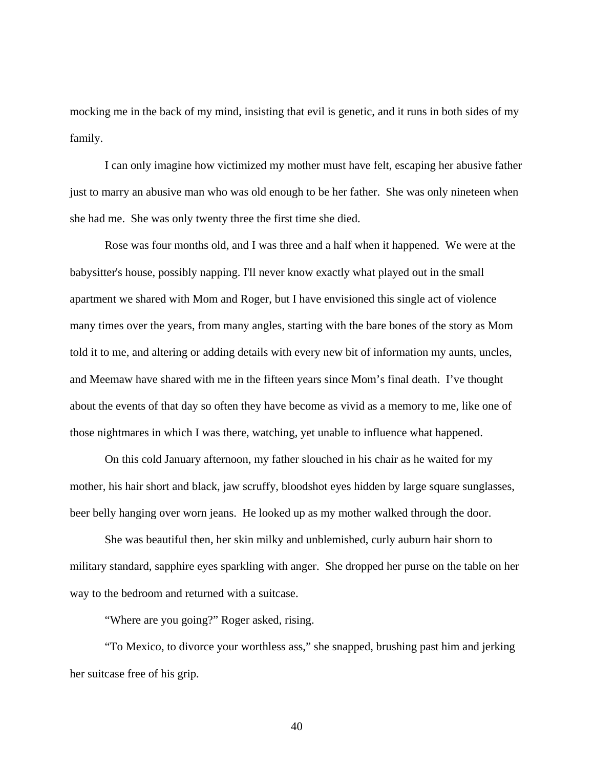mocking me in the back of my mind, insisting that evil is genetic, and it runs in both sides of my family.

I can only imagine how victimized my mother must have felt, escaping her abusive father just to marry an abusive man who was old enough to be her father. She was only nineteen when she had me. She was only twenty three the first time she died.

Rose was four months old, and I was three and a half when it happened. We were at the babysitter's house, possibly napping. I'll never know exactly what played out in the small apartment we shared with Mom and Roger, but I have envisioned this single act of violence many times over the years, from many angles, starting with the bare bones of the story as Mom told it to me, and altering or adding details with every new bit of information my aunts, uncles, and Meemaw have shared with me in the fifteen years since Mom's final death. I've thought about the events of that day so often they have become as vivid as a memory to me, like one of those nightmares in which I was there, watching, yet unable to influence what happened.

On this cold January afternoon, my father slouched in his chair as he waited for my mother, his hair short and black, jaw scruffy, bloodshot eyes hidden by large square sunglasses, beer belly hanging over worn jeans. He looked up as my mother walked through the door.

She was beautiful then, her skin milky and unblemished, curly auburn hair shorn to military standard, sapphire eyes sparkling with anger. She dropped her purse on the table on her way to the bedroom and returned with a suitcase.

"Where are you going?" Roger asked, rising.

"To Mexico, to divorce your worthless ass," she snapped, brushing past him and jerking her suitcase free of his grip.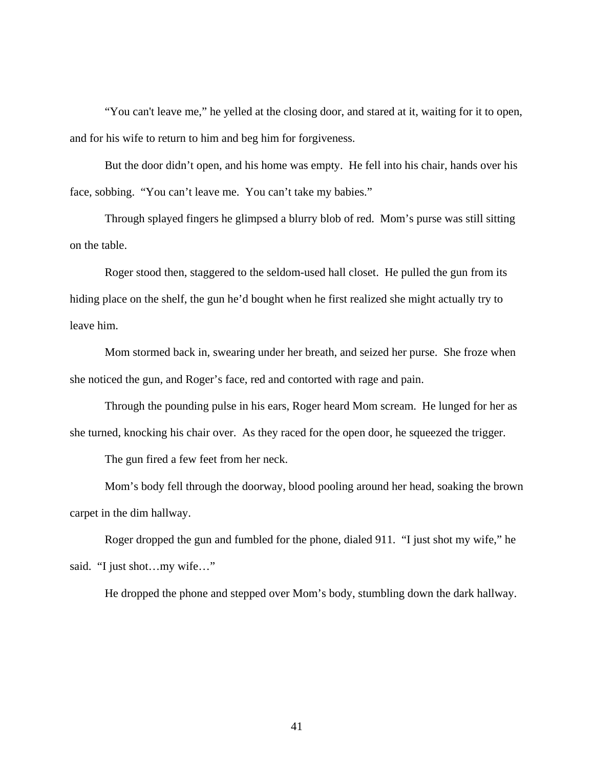"You can't leave me," he yelled at the closing door, and stared at it, waiting for it to open, and for his wife to return to him and beg him for forgiveness.

But the door didn't open, and his home was empty. He fell into his chair, hands over his face, sobbing. "You can't leave me. You can't take my babies."

Through splayed fingers he glimpsed a blurry blob of red. Mom's purse was still sitting on the table.

Roger stood then, staggered to the seldom-used hall closet. He pulled the gun from its hiding place on the shelf, the gun he'd bought when he first realized she might actually try to leave him.

 Mom stormed back in, swearing under her breath, and seized her purse. She froze when she noticed the gun, and Roger's face, red and contorted with rage and pain.

Through the pounding pulse in his ears, Roger heard Mom scream. He lunged for her as she turned, knocking his chair over. As they raced for the open door, he squeezed the trigger.

The gun fired a few feet from her neck.

Mom's body fell through the doorway, blood pooling around her head, soaking the brown carpet in the dim hallway.

 Roger dropped the gun and fumbled for the phone, dialed 911. "I just shot my wife," he said. "I just shot...my wife..."

He dropped the phone and stepped over Mom's body, stumbling down the dark hallway.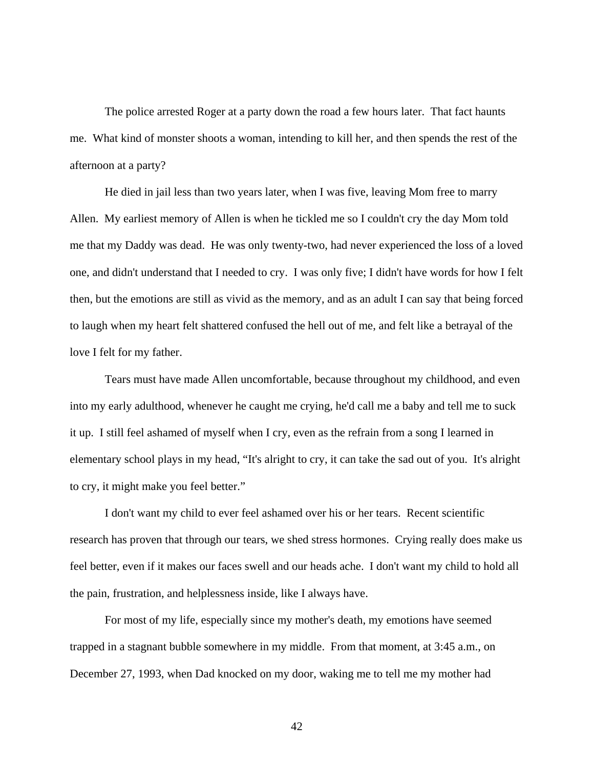The police arrested Roger at a party down the road a few hours later. That fact haunts me. What kind of monster shoots a woman, intending to kill her, and then spends the rest of the afternoon at a party?

He died in jail less than two years later, when I was five, leaving Mom free to marry Allen. My earliest memory of Allen is when he tickled me so I couldn't cry the day Mom told me that my Daddy was dead. He was only twenty-two, had never experienced the loss of a loved one, and didn't understand that I needed to cry. I was only five; I didn't have words for how I felt then, but the emotions are still as vivid as the memory, and as an adult I can say that being forced to laugh when my heart felt shattered confused the hell out of me, and felt like a betrayal of the love I felt for my father.

Tears must have made Allen uncomfortable, because throughout my childhood, and even into my early adulthood, whenever he caught me crying, he'd call me a baby and tell me to suck it up. I still feel ashamed of myself when I cry, even as the refrain from a song I learned in elementary school plays in my head, "It's alright to cry, it can take the sad out of you. It's alright to cry, it might make you feel better."

I don't want my child to ever feel ashamed over his or her tears. Recent scientific research has proven that through our tears, we shed stress hormones. Crying really does make us feel better, even if it makes our faces swell and our heads ache. I don't want my child to hold all the pain, frustration, and helplessness inside, like I always have.

 For most of my life, especially since my mother's death, my emotions have seemed trapped in a stagnant bubble somewhere in my middle. From that moment, at 3:45 a.m., on December 27, 1993, when Dad knocked on my door, waking me to tell me my mother had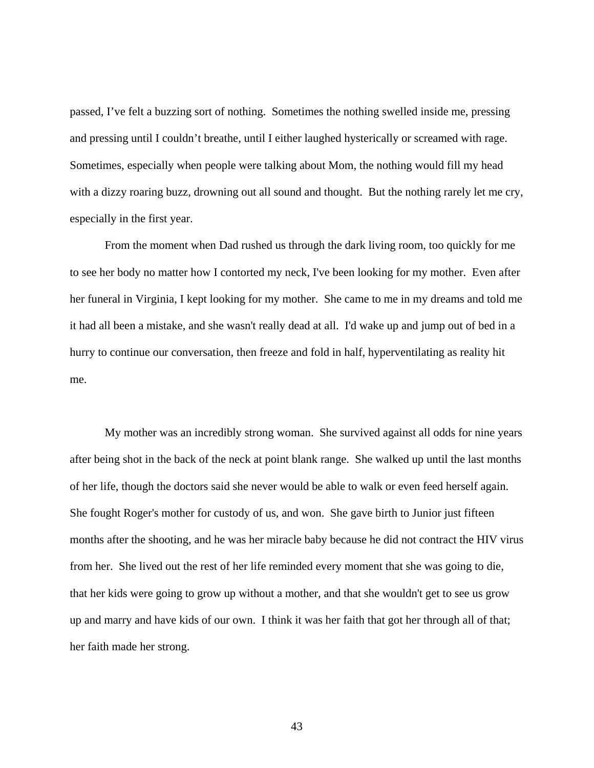passed, I've felt a buzzing sort of nothing. Sometimes the nothing swelled inside me, pressing and pressing until I couldn't breathe, until I either laughed hysterically or screamed with rage. Sometimes, especially when people were talking about Mom, the nothing would fill my head with a dizzy roaring buzz, drowning out all sound and thought. But the nothing rarely let me cry, especially in the first year.

From the moment when Dad rushed us through the dark living room, too quickly for me to see her body no matter how I contorted my neck, I've been looking for my mother. Even after her funeral in Virginia, I kept looking for my mother. She came to me in my dreams and told me it had all been a mistake, and she wasn't really dead at all. I'd wake up and jump out of bed in a hurry to continue our conversation, then freeze and fold in half, hyperventilating as reality hit me.

 My mother was an incredibly strong woman. She survived against all odds for nine years after being shot in the back of the neck at point blank range. She walked up until the last months of her life, though the doctors said she never would be able to walk or even feed herself again. She fought Roger's mother for custody of us, and won. She gave birth to Junior just fifteen months after the shooting, and he was her miracle baby because he did not contract the HIV virus from her. She lived out the rest of her life reminded every moment that she was going to die, that her kids were going to grow up without a mother, and that she wouldn't get to see us grow up and marry and have kids of our own. I think it was her faith that got her through all of that; her faith made her strong.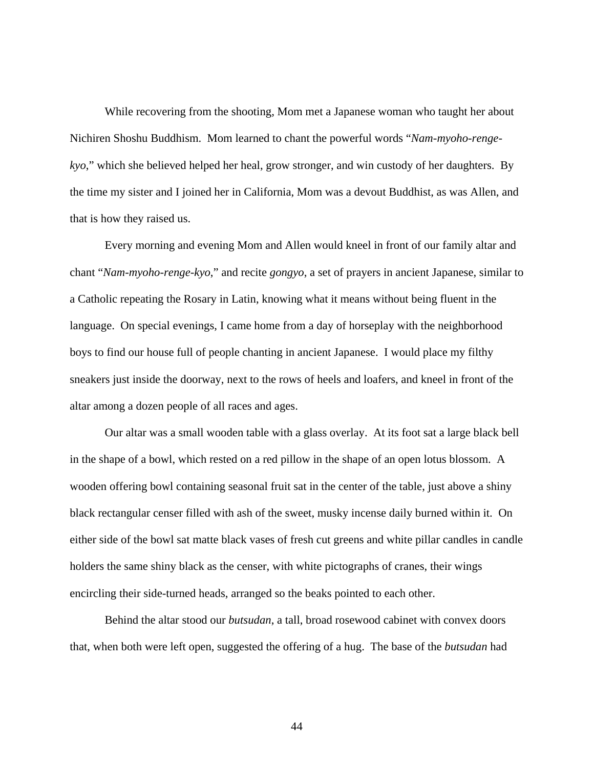While recovering from the shooting, Mom met a Japanese woman who taught her about Nichiren Shoshu Buddhism. Mom learned to chant the powerful words "*Nam-myoho-rengekyo*," which she believed helped her heal, grow stronger, and win custody of her daughters. By the time my sister and I joined her in California, Mom was a devout Buddhist, as was Allen, and that is how they raised us.

Every morning and evening Mom and Allen would kneel in front of our family altar and chant "*Nam-myoho-renge-kyo*," and recite *gongyo*, a set of prayers in ancient Japanese, similar to a Catholic repeating the Rosary in Latin, knowing what it means without being fluent in the language. On special evenings, I came home from a day of horseplay with the neighborhood boys to find our house full of people chanting in ancient Japanese. I would place my filthy sneakers just inside the doorway, next to the rows of heels and loafers, and kneel in front of the altar among a dozen people of all races and ages.

Our altar was a small wooden table with a glass overlay. At its foot sat a large black bell in the shape of a bowl, which rested on a red pillow in the shape of an open lotus blossom. A wooden offering bowl containing seasonal fruit sat in the center of the table, just above a shiny black rectangular censer filled with ash of the sweet, musky incense daily burned within it. On either side of the bowl sat matte black vases of fresh cut greens and white pillar candles in candle holders the same shiny black as the censer, with white pictographs of cranes, their wings encircling their side-turned heads, arranged so the beaks pointed to each other.

Behind the altar stood our *butsudan*, a tall, broad rosewood cabinet with convex doors that, when both were left open, suggested the offering of a hug. The base of the *butsudan* had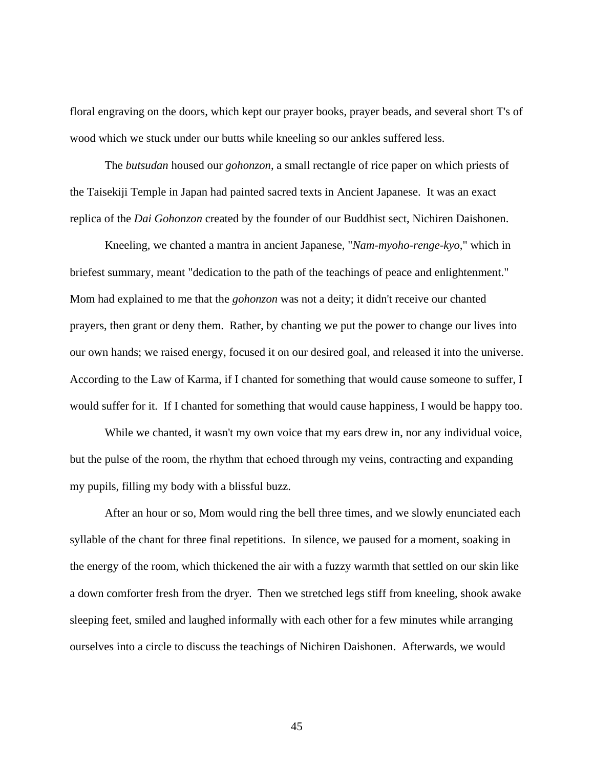floral engraving on the doors, which kept our prayer books, prayer beads, and several short T's of wood which we stuck under our butts while kneeling so our ankles suffered less.

The *butsudan* housed our *gohonzon*, a small rectangle of rice paper on which priests of the Taisekiji Temple in Japan had painted sacred texts in Ancient Japanese. It was an exact replica of the *Dai Gohonzon* created by the founder of our Buddhist sect, Nichiren Daishonen.

 Kneeling, we chanted a mantra in ancient Japanese, "*Nam-myoho-renge-kyo*," which in briefest summary, meant "dedication to the path of the teachings of peace and enlightenment." Mom had explained to me that the *gohonzon* was not a deity; it didn't receive our chanted prayers, then grant or deny them. Rather, by chanting we put the power to change our lives into our own hands; we raised energy, focused it on our desired goal, and released it into the universe. According to the Law of Karma, if I chanted for something that would cause someone to suffer, I would suffer for it. If I chanted for something that would cause happiness, I would be happy too.

While we chanted, it wasn't my own voice that my ears drew in, nor any individual voice, but the pulse of the room, the rhythm that echoed through my veins, contracting and expanding my pupils, filling my body with a blissful buzz.

 After an hour or so, Mom would ring the bell three times, and we slowly enunciated each syllable of the chant for three final repetitions. In silence, we paused for a moment, soaking in the energy of the room, which thickened the air with a fuzzy warmth that settled on our skin like a down comforter fresh from the dryer. Then we stretched legs stiff from kneeling, shook awake sleeping feet, smiled and laughed informally with each other for a few minutes while arranging ourselves into a circle to discuss the teachings of Nichiren Daishonen. Afterwards, we would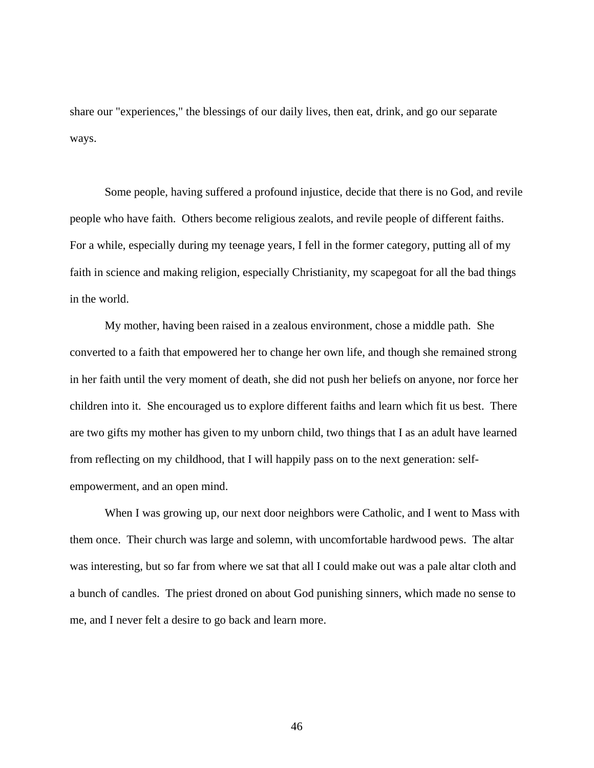share our "experiences," the blessings of our daily lives, then eat, drink, and go our separate ways.

Some people, having suffered a profound injustice, decide that there is no God, and revile people who have faith. Others become religious zealots, and revile people of different faiths. For a while, especially during my teenage years, I fell in the former category, putting all of my faith in science and making religion, especially Christianity, my scapegoat for all the bad things in the world.

 My mother, having been raised in a zealous environment, chose a middle path. She converted to a faith that empowered her to change her own life, and though she remained strong in her faith until the very moment of death, she did not push her beliefs on anyone, nor force her children into it. She encouraged us to explore different faiths and learn which fit us best. There are two gifts my mother has given to my unborn child, two things that I as an adult have learned from reflecting on my childhood, that I will happily pass on to the next generation: selfempowerment, and an open mind.

When I was growing up, our next door neighbors were Catholic, and I went to Mass with them once. Their church was large and solemn, with uncomfortable hardwood pews. The altar was interesting, but so far from where we sat that all I could make out was a pale altar cloth and a bunch of candles. The priest droned on about God punishing sinners, which made no sense to me, and I never felt a desire to go back and learn more.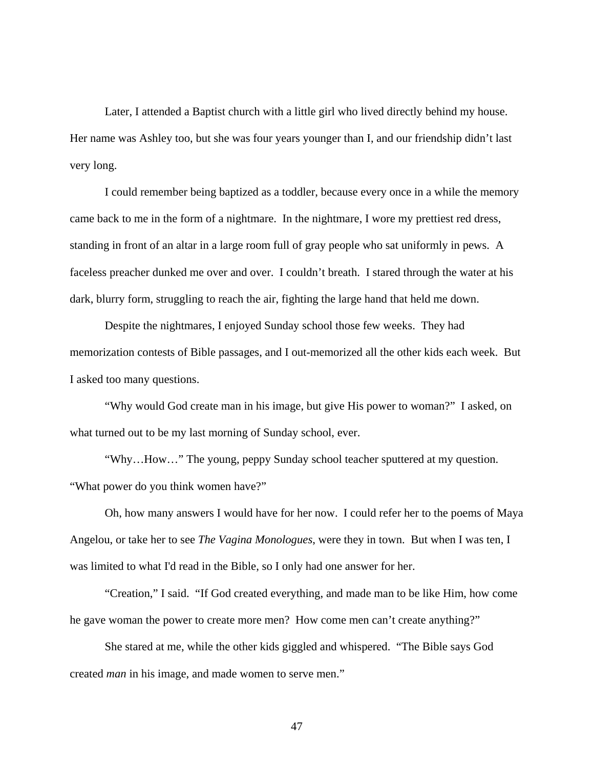Later, I attended a Baptist church with a little girl who lived directly behind my house. Her name was Ashley too, but she was four years younger than I, and our friendship didn't last very long.

I could remember being baptized as a toddler, because every once in a while the memory came back to me in the form of a nightmare. In the nightmare, I wore my prettiest red dress, standing in front of an altar in a large room full of gray people who sat uniformly in pews. A faceless preacher dunked me over and over. I couldn't breath. I stared through the water at his dark, blurry form, struggling to reach the air, fighting the large hand that held me down.

Despite the nightmares, I enjoyed Sunday school those few weeks. They had memorization contests of Bible passages, and I out-memorized all the other kids each week. But I asked too many questions.

"Why would God create man in his image, but give His power to woman?" I asked, on what turned out to be my last morning of Sunday school, ever.

"Why…How…" The young, peppy Sunday school teacher sputtered at my question. "What power do you think women have?"

Oh, how many answers I would have for her now. I could refer her to the poems of Maya Angelou, or take her to see *The Vagina Monologues*, were they in town. But when I was ten, I was limited to what I'd read in the Bible, so I only had one answer for her.

"Creation," I said. "If God created everything, and made man to be like Him, how come he gave woman the power to create more men? How come men can't create anything?"

She stared at me, while the other kids giggled and whispered. "The Bible says God created *man* in his image, and made women to serve men."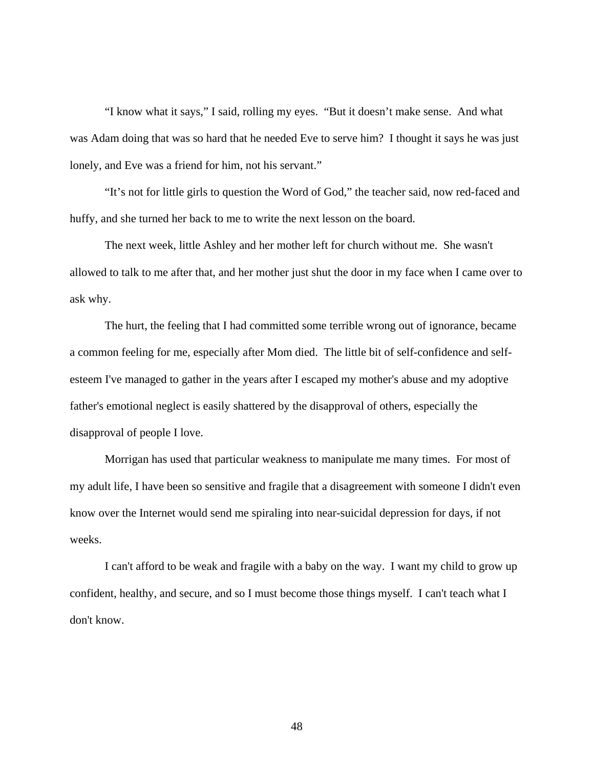"I know what it says," I said, rolling my eyes. "But it doesn't make sense. And what was Adam doing that was so hard that he needed Eve to serve him? I thought it says he was just lonely, and Eve was a friend for him, not his servant."

"It's not for little girls to question the Word of God," the teacher said, now red-faced and huffy, and she turned her back to me to write the next lesson on the board.

The next week, little Ashley and her mother left for church without me. She wasn't allowed to talk to me after that, and her mother just shut the door in my face when I came over to ask why.

The hurt, the feeling that I had committed some terrible wrong out of ignorance, became a common feeling for me, especially after Mom died. The little bit of self-confidence and selfesteem I've managed to gather in the years after I escaped my mother's abuse and my adoptive father's emotional neglect is easily shattered by the disapproval of others, especially the disapproval of people I love.

Morrigan has used that particular weakness to manipulate me many times. For most of my adult life, I have been so sensitive and fragile that a disagreement with someone I didn't even know over the Internet would send me spiraling into near-suicidal depression for days, if not weeks.

I can't afford to be weak and fragile with a baby on the way. I want my child to grow up confident, healthy, and secure, and so I must become those things myself. I can't teach what I don't know.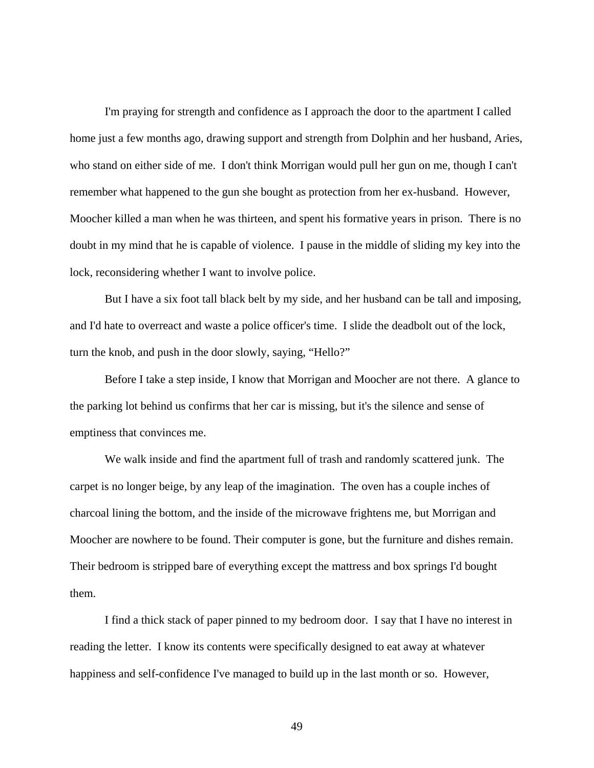I'm praying for strength and confidence as I approach the door to the apartment I called home just a few months ago, drawing support and strength from Dolphin and her husband, Aries, who stand on either side of me. I don't think Morrigan would pull her gun on me, though I can't remember what happened to the gun she bought as protection from her ex-husband. However, Moocher killed a man when he was thirteen, and spent his formative years in prison. There is no doubt in my mind that he is capable of violence. I pause in the middle of sliding my key into the lock, reconsidering whether I want to involve police.

 But I have a six foot tall black belt by my side, and her husband can be tall and imposing, and I'd hate to overreact and waste a police officer's time. I slide the deadbolt out of the lock, turn the knob, and push in the door slowly, saying, "Hello?"

 Before I take a step inside, I know that Morrigan and Moocher are not there. A glance to the parking lot behind us confirms that her car is missing, but it's the silence and sense of emptiness that convinces me.

 We walk inside and find the apartment full of trash and randomly scattered junk. The carpet is no longer beige, by any leap of the imagination. The oven has a couple inches of charcoal lining the bottom, and the inside of the microwave frightens me, but Morrigan and Moocher are nowhere to be found. Their computer is gone, but the furniture and dishes remain. Their bedroom is stripped bare of everything except the mattress and box springs I'd bought them.

 I find a thick stack of paper pinned to my bedroom door. I say that I have no interest in reading the letter. I know its contents were specifically designed to eat away at whatever happiness and self-confidence I've managed to build up in the last month or so. However,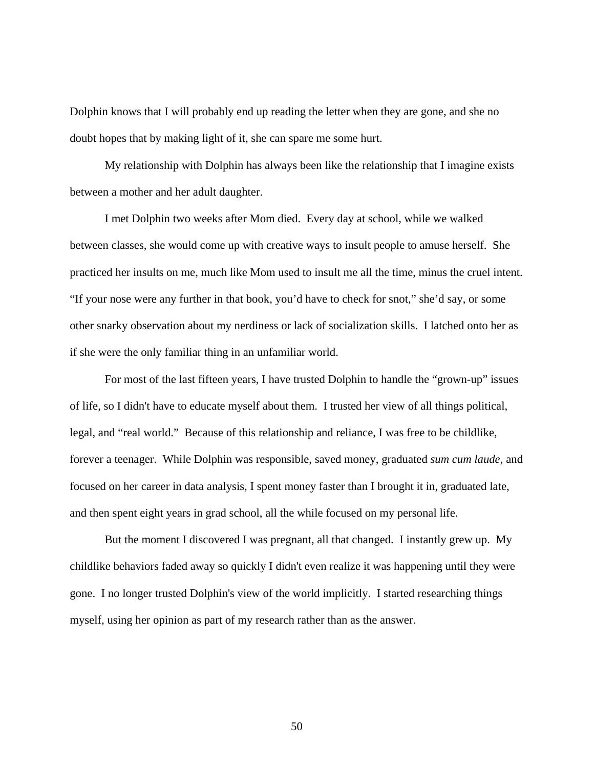Dolphin knows that I will probably end up reading the letter when they are gone, and she no doubt hopes that by making light of it, she can spare me some hurt.

 My relationship with Dolphin has always been like the relationship that I imagine exists between a mother and her adult daughter.

 I met Dolphin two weeks after Mom died. Every day at school, while we walked between classes, she would come up with creative ways to insult people to amuse herself. She practiced her insults on me, much like Mom used to insult me all the time, minus the cruel intent. "If your nose were any further in that book, you'd have to check for snot," she'd say, or some other snarky observation about my nerdiness or lack of socialization skills. I latched onto her as if she were the only familiar thing in an unfamiliar world.

 For most of the last fifteen years, I have trusted Dolphin to handle the "grown-up" issues of life, so I didn't have to educate myself about them. I trusted her view of all things political, legal, and "real world." Because of this relationship and reliance, I was free to be childlike, forever a teenager. While Dolphin was responsible, saved money, graduated *sum cum laude*, and focused on her career in data analysis, I spent money faster than I brought it in, graduated late, and then spent eight years in grad school, all the while focused on my personal life.

 But the moment I discovered I was pregnant, all that changed. I instantly grew up. My childlike behaviors faded away so quickly I didn't even realize it was happening until they were gone. I no longer trusted Dolphin's view of the world implicitly. I started researching things myself, using her opinion as part of my research rather than as the answer.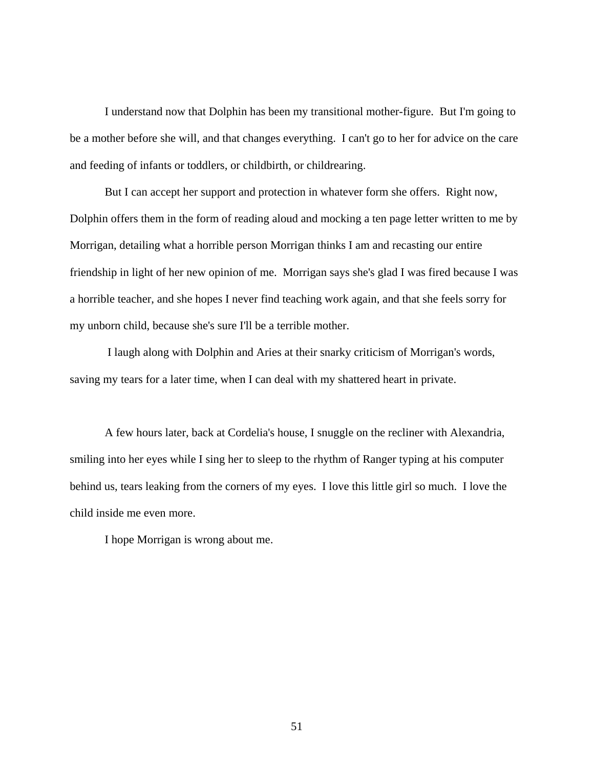I understand now that Dolphin has been my transitional mother-figure. But I'm going to be a mother before she will, and that changes everything. I can't go to her for advice on the care and feeding of infants or toddlers, or childbirth, or childrearing.

But I can accept her support and protection in whatever form she offers. Right now, Dolphin offers them in the form of reading aloud and mocking a ten page letter written to me by Morrigan, detailing what a horrible person Morrigan thinks I am and recasting our entire friendship in light of her new opinion of me. Morrigan says she's glad I was fired because I was a horrible teacher, and she hopes I never find teaching work again, and that she feels sorry for my unborn child, because she's sure I'll be a terrible mother.

 I laugh along with Dolphin and Aries at their snarky criticism of Morrigan's words, saving my tears for a later time, when I can deal with my shattered heart in private.

 A few hours later, back at Cordelia's house, I snuggle on the recliner with Alexandria, smiling into her eyes while I sing her to sleep to the rhythm of Ranger typing at his computer behind us, tears leaking from the corners of my eyes. I love this little girl so much. I love the child inside me even more.

I hope Morrigan is wrong about me.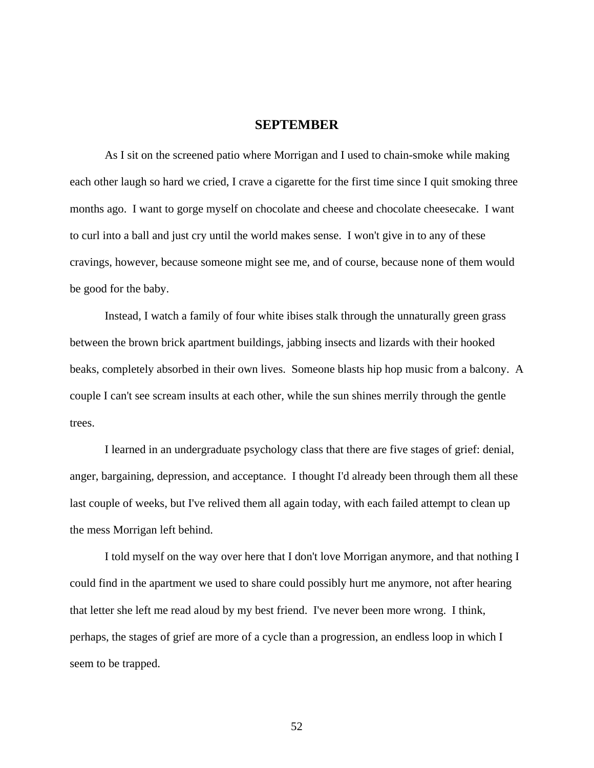## **SEPTEMBER**

 As I sit on the screened patio where Morrigan and I used to chain-smoke while making each other laugh so hard we cried, I crave a cigarette for the first time since I quit smoking three months ago. I want to gorge myself on chocolate and cheese and chocolate cheesecake. I want to curl into a ball and just cry until the world makes sense. I won't give in to any of these cravings, however, because someone might see me, and of course, because none of them would be good for the baby.

 Instead, I watch a family of four white ibises stalk through the unnaturally green grass between the brown brick apartment buildings, jabbing insects and lizards with their hooked beaks, completely absorbed in their own lives. Someone blasts hip hop music from a balcony. A couple I can't see scream insults at each other, while the sun shines merrily through the gentle trees.

 I learned in an undergraduate psychology class that there are five stages of grief: denial, anger, bargaining, depression, and acceptance. I thought I'd already been through them all these last couple of weeks, but I've relived them all again today, with each failed attempt to clean up the mess Morrigan left behind.

 I told myself on the way over here that I don't love Morrigan anymore, and that nothing I could find in the apartment we used to share could possibly hurt me anymore, not after hearing that letter she left me read aloud by my best friend. I've never been more wrong. I think, perhaps, the stages of grief are more of a cycle than a progression, an endless loop in which I seem to be trapped.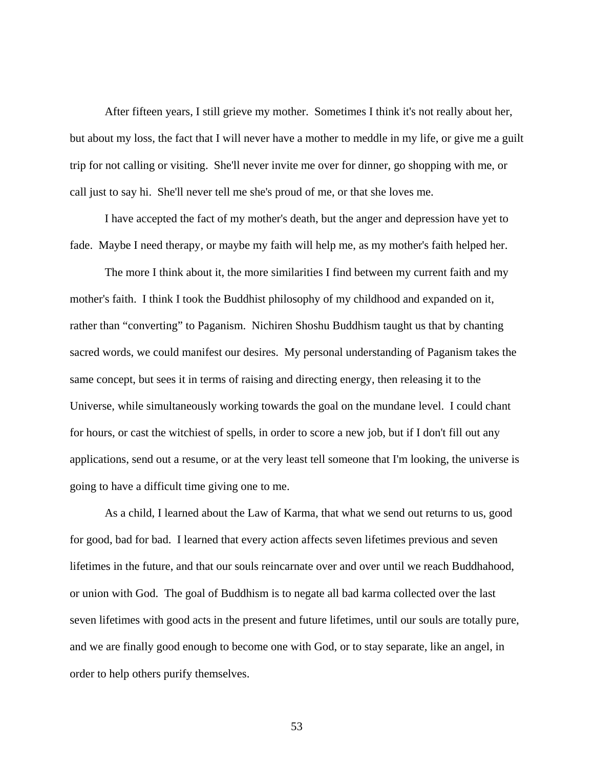After fifteen years, I still grieve my mother. Sometimes I think it's not really about her, but about my loss, the fact that I will never have a mother to meddle in my life, or give me a guilt trip for not calling or visiting. She'll never invite me over for dinner, go shopping with me, or call just to say hi. She'll never tell me she's proud of me, or that she loves me.

 I have accepted the fact of my mother's death, but the anger and depression have yet to fade. Maybe I need therapy, or maybe my faith will help me, as my mother's faith helped her.

 The more I think about it, the more similarities I find between my current faith and my mother's faith. I think I took the Buddhist philosophy of my childhood and expanded on it, rather than "converting" to Paganism. Nichiren Shoshu Buddhism taught us that by chanting sacred words, we could manifest our desires. My personal understanding of Paganism takes the same concept, but sees it in terms of raising and directing energy, then releasing it to the Universe, while simultaneously working towards the goal on the mundane level. I could chant for hours, or cast the witchiest of spells, in order to score a new job, but if I don't fill out any applications, send out a resume, or at the very least tell someone that I'm looking, the universe is going to have a difficult time giving one to me.

 As a child, I learned about the Law of Karma, that what we send out returns to us, good for good, bad for bad. I learned that every action affects seven lifetimes previous and seven lifetimes in the future, and that our souls reincarnate over and over until we reach Buddhahood, or union with God. The goal of Buddhism is to negate all bad karma collected over the last seven lifetimes with good acts in the present and future lifetimes, until our souls are totally pure, and we are finally good enough to become one with God, or to stay separate, like an angel, in order to help others purify themselves.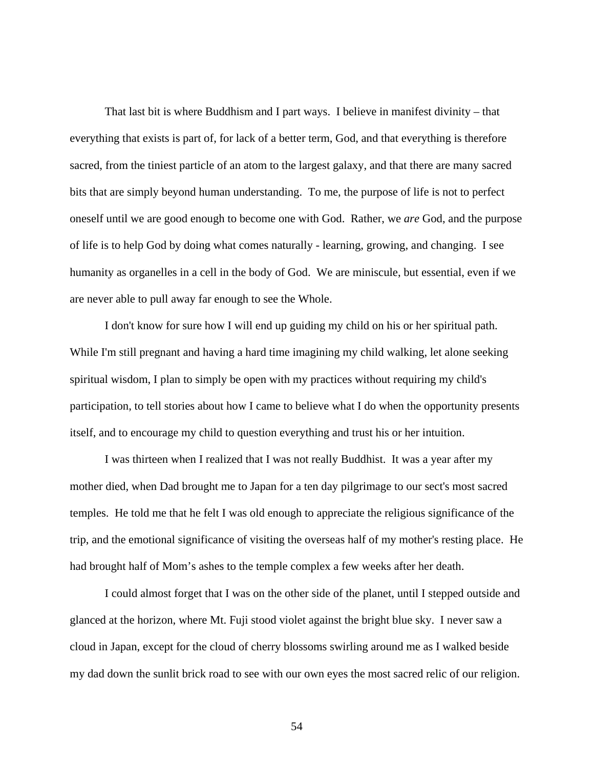That last bit is where Buddhism and I part ways. I believe in manifest divinity – that everything that exists is part of, for lack of a better term, God, and that everything is therefore sacred, from the tiniest particle of an atom to the largest galaxy, and that there are many sacred bits that are simply beyond human understanding. To me, the purpose of life is not to perfect oneself until we are good enough to become one with God. Rather, we *are* God, and the purpose of life is to help God by doing what comes naturally - learning, growing, and changing. I see humanity as organelles in a cell in the body of God. We are miniscule, but essential, even if we are never able to pull away far enough to see the Whole.

 I don't know for sure how I will end up guiding my child on his or her spiritual path. While I'm still pregnant and having a hard time imagining my child walking, let alone seeking spiritual wisdom, I plan to simply be open with my practices without requiring my child's participation, to tell stories about how I came to believe what I do when the opportunity presents itself, and to encourage my child to question everything and trust his or her intuition.

 I was thirteen when I realized that I was not really Buddhist. It was a year after my mother died, when Dad brought me to Japan for a ten day pilgrimage to our sect's most sacred temples. He told me that he felt I was old enough to appreciate the religious significance of the trip, and the emotional significance of visiting the overseas half of my mother's resting place. He had brought half of Mom's ashes to the temple complex a few weeks after her death.

 I could almost forget that I was on the other side of the planet, until I stepped outside and glanced at the horizon, where Mt. Fuji stood violet against the bright blue sky. I never saw a cloud in Japan, except for the cloud of cherry blossoms swirling around me as I walked beside my dad down the sunlit brick road to see with our own eyes the most sacred relic of our religion.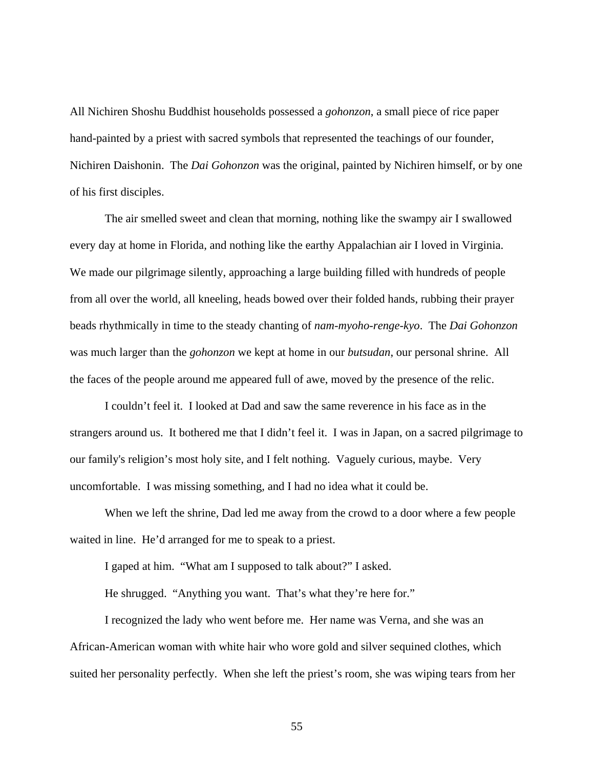All Nichiren Shoshu Buddhist households possessed a *gohonzon*, a small piece of rice paper hand-painted by a priest with sacred symbols that represented the teachings of our founder, Nichiren Daishonin. The *Dai Gohonzon* was the original, painted by Nichiren himself, or by one of his first disciples.

The air smelled sweet and clean that morning, nothing like the swampy air I swallowed every day at home in Florida, and nothing like the earthy Appalachian air I loved in Virginia. We made our pilgrimage silently, approaching a large building filled with hundreds of people from all over the world, all kneeling, heads bowed over their folded hands, rubbing their prayer beads rhythmically in time to the steady chanting of *nam-myoho-renge-kyo*. The *Dai Gohonzon* was much larger than the *gohonzon* we kept at home in our *butsudan*, our personal shrine. All the faces of the people around me appeared full of awe, moved by the presence of the relic.

I couldn't feel it. I looked at Dad and saw the same reverence in his face as in the strangers around us. It bothered me that I didn't feel it. I was in Japan, on a sacred pilgrimage to our family's religion's most holy site, and I felt nothing. Vaguely curious, maybe. Very uncomfortable. I was missing something, and I had no idea what it could be.

When we left the shrine, Dad led me away from the crowd to a door where a few people waited in line. He'd arranged for me to speak to a priest.

I gaped at him. "What am I supposed to talk about?" I asked.

He shrugged. "Anything you want. That's what they're here for."

I recognized the lady who went before me. Her name was Verna, and she was an African-American woman with white hair who wore gold and silver sequined clothes, which suited her personality perfectly. When she left the priest's room, she was wiping tears from her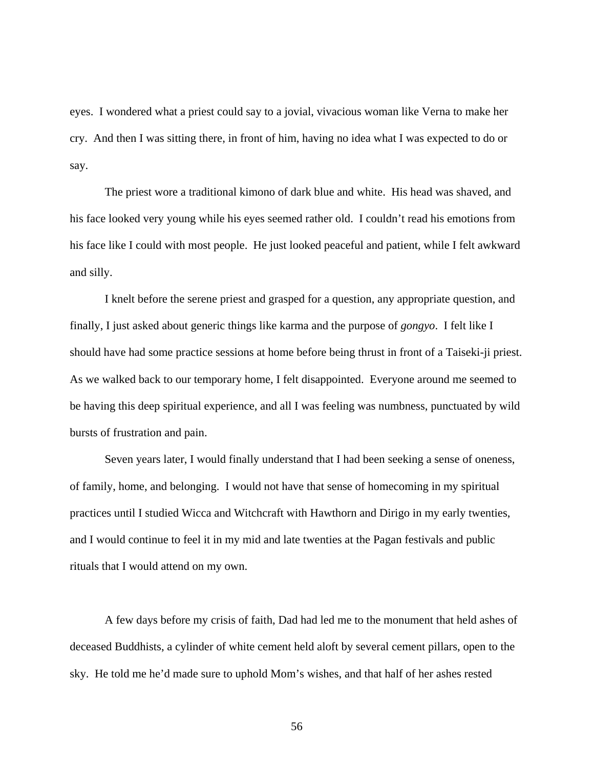eyes. I wondered what a priest could say to a jovial, vivacious woman like Verna to make her cry. And then I was sitting there, in front of him, having no idea what I was expected to do or say.

The priest wore a traditional kimono of dark blue and white. His head was shaved, and his face looked very young while his eyes seemed rather old. I couldn't read his emotions from his face like I could with most people. He just looked peaceful and patient, while I felt awkward and silly.

I knelt before the serene priest and grasped for a question, any appropriate question, and finally, I just asked about generic things like karma and the purpose of *gongyo*. I felt like I should have had some practice sessions at home before being thrust in front of a Taiseki-ji priest. As we walked back to our temporary home, I felt disappointed. Everyone around me seemed to be having this deep spiritual experience, and all I was feeling was numbness, punctuated by wild bursts of frustration and pain.

Seven years later, I would finally understand that I had been seeking a sense of oneness, of family, home, and belonging. I would not have that sense of homecoming in my spiritual practices until I studied Wicca and Witchcraft with Hawthorn and Dirigo in my early twenties, and I would continue to feel it in my mid and late twenties at the Pagan festivals and public rituals that I would attend on my own.

A few days before my crisis of faith, Dad had led me to the monument that held ashes of deceased Buddhists, a cylinder of white cement held aloft by several cement pillars, open to the sky. He told me he'd made sure to uphold Mom's wishes, and that half of her ashes rested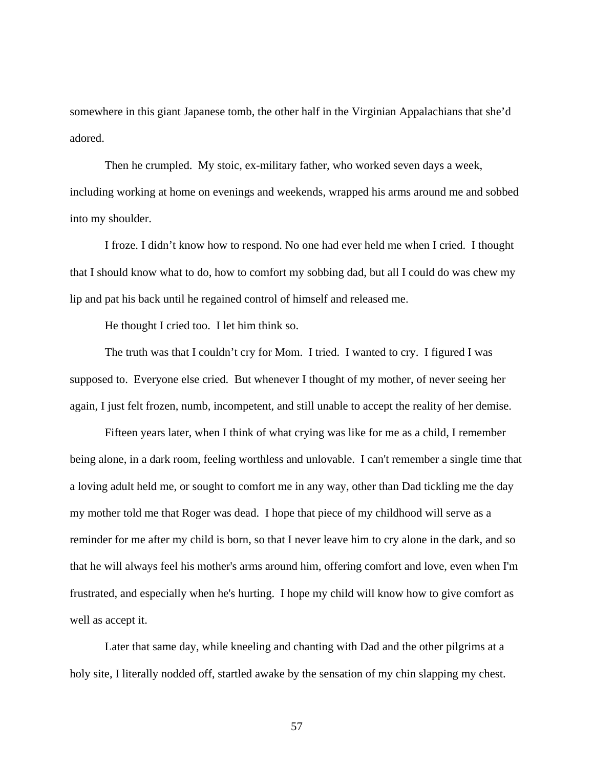somewhere in this giant Japanese tomb, the other half in the Virginian Appalachians that she'd adored.

Then he crumpled. My stoic, ex-military father, who worked seven days a week, including working at home on evenings and weekends, wrapped his arms around me and sobbed into my shoulder.

I froze. I didn't know how to respond. No one had ever held me when I cried. I thought that I should know what to do, how to comfort my sobbing dad, but all I could do was chew my lip and pat his back until he regained control of himself and released me.

He thought I cried too. I let him think so.

 The truth was that I couldn't cry for Mom. I tried. I wanted to cry. I figured I was supposed to. Everyone else cried. But whenever I thought of my mother, of never seeing her again, I just felt frozen, numb, incompetent, and still unable to accept the reality of her demise.

 Fifteen years later, when I think of what crying was like for me as a child, I remember being alone, in a dark room, feeling worthless and unlovable. I can't remember a single time that a loving adult held me, or sought to comfort me in any way, other than Dad tickling me the day my mother told me that Roger was dead. I hope that piece of my childhood will serve as a reminder for me after my child is born, so that I never leave him to cry alone in the dark, and so that he will always feel his mother's arms around him, offering comfort and love, even when I'm frustrated, and especially when he's hurting. I hope my child will know how to give comfort as well as accept it.

 Later that same day, while kneeling and chanting with Dad and the other pilgrims at a holy site, I literally nodded off, startled awake by the sensation of my chin slapping my chest.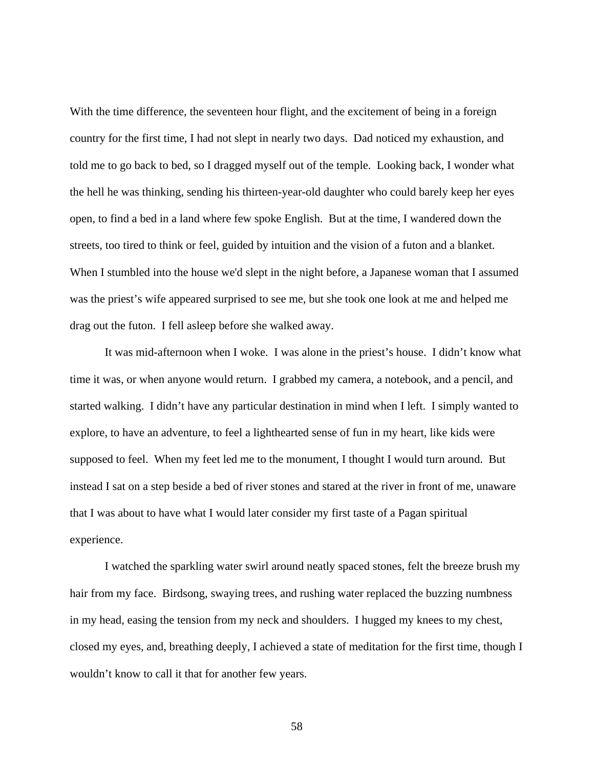With the time difference, the seventeen hour flight, and the excitement of being in a foreign country for the first time, I had not slept in nearly two days. Dad noticed my exhaustion, and told me to go back to bed, so I dragged myself out of the temple. Looking back, I wonder what the hell he was thinking, sending his thirteen-year-old daughter who could barely keep her eyes open, to find a bed in a land where few spoke English. But at the time, I wandered down the streets, too tired to think or feel, guided by intuition and the vision of a futon and a blanket. When I stumbled into the house we'd slept in the night before, a Japanese woman that I assumed was the priest's wife appeared surprised to see me, but she took one look at me and helped me drag out the futon. I fell asleep before she walked away.

 It was mid-afternoon when I woke. I was alone in the priest's house. I didn't know what time it was, or when anyone would return. I grabbed my camera, a notebook, and a pencil, and started walking. I didn't have any particular destination in mind when I left. I simply wanted to explore, to have an adventure, to feel a lighthearted sense of fun in my heart, like kids were supposed to feel. When my feet led me to the monument, I thought I would turn around. But instead I sat on a step beside a bed of river stones and stared at the river in front of me, unaware that I was about to have what I would later consider my first taste of a Pagan spiritual experience.

 I watched the sparkling water swirl around neatly spaced stones, felt the breeze brush my hair from my face. Birdsong, swaying trees, and rushing water replaced the buzzing numbness in my head, easing the tension from my neck and shoulders. I hugged my knees to my chest, closed my eyes, and, breathing deeply, I achieved a state of meditation for the first time, though I wouldn't know to call it that for another few years.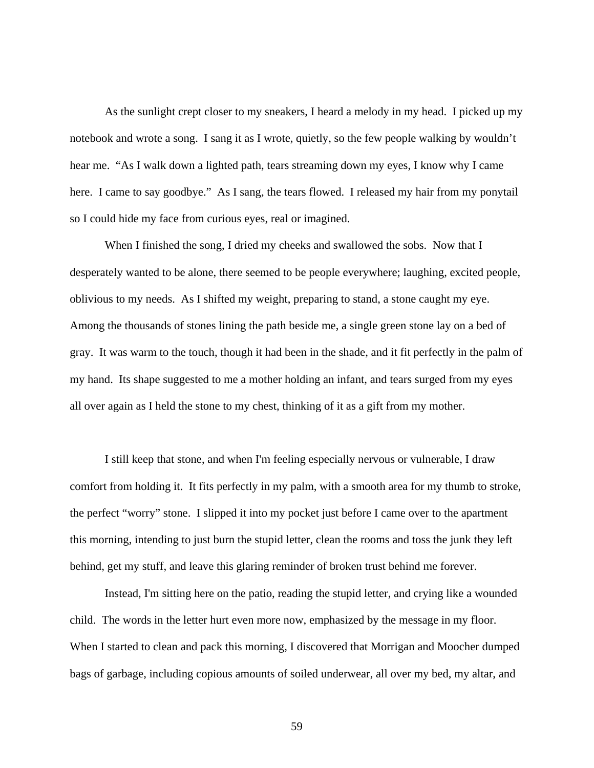As the sunlight crept closer to my sneakers, I heard a melody in my head. I picked up my notebook and wrote a song. I sang it as I wrote, quietly, so the few people walking by wouldn't hear me. "As I walk down a lighted path, tears streaming down my eyes, I know why I came here. I came to say goodbye." As I sang, the tears flowed. I released my hair from my ponytail so I could hide my face from curious eyes, real or imagined.

When I finished the song, I dried my cheeks and swallowed the sobs. Now that I desperately wanted to be alone, there seemed to be people everywhere; laughing, excited people, oblivious to my needs. As I shifted my weight, preparing to stand, a stone caught my eye. Among the thousands of stones lining the path beside me, a single green stone lay on a bed of gray. It was warm to the touch, though it had been in the shade, and it fit perfectly in the palm of my hand. Its shape suggested to me a mother holding an infant, and tears surged from my eyes all over again as I held the stone to my chest, thinking of it as a gift from my mother.

I still keep that stone, and when I'm feeling especially nervous or vulnerable, I draw comfort from holding it. It fits perfectly in my palm, with a smooth area for my thumb to stroke, the perfect "worry" stone. I slipped it into my pocket just before I came over to the apartment this morning, intending to just burn the stupid letter, clean the rooms and toss the junk they left behind, get my stuff, and leave this glaring reminder of broken trust behind me forever.

Instead, I'm sitting here on the patio, reading the stupid letter, and crying like a wounded child. The words in the letter hurt even more now, emphasized by the message in my floor. When I started to clean and pack this morning, I discovered that Morrigan and Moocher dumped bags of garbage, including copious amounts of soiled underwear, all over my bed, my altar, and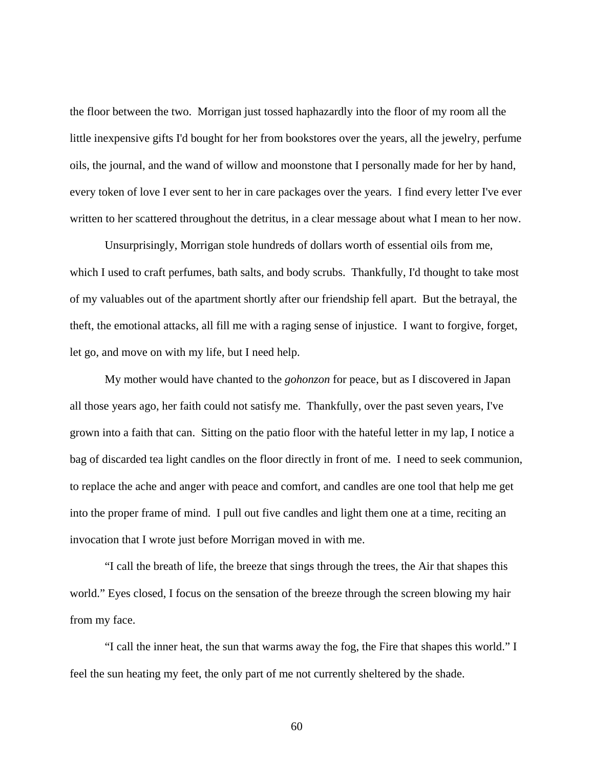the floor between the two. Morrigan just tossed haphazardly into the floor of my room all the little inexpensive gifts I'd bought for her from bookstores over the years, all the jewelry, perfume oils, the journal, and the wand of willow and moonstone that I personally made for her by hand, every token of love I ever sent to her in care packages over the years. I find every letter I've ever written to her scattered throughout the detritus, in a clear message about what I mean to her now.

Unsurprisingly, Morrigan stole hundreds of dollars worth of essential oils from me, which I used to craft perfumes, bath salts, and body scrubs. Thankfully, I'd thought to take most of my valuables out of the apartment shortly after our friendship fell apart. But the betrayal, the theft, the emotional attacks, all fill me with a raging sense of injustice. I want to forgive, forget, let go, and move on with my life, but I need help.

My mother would have chanted to the *gohonzon* for peace, but as I discovered in Japan all those years ago, her faith could not satisfy me. Thankfully, over the past seven years, I've grown into a faith that can. Sitting on the patio floor with the hateful letter in my lap, I notice a bag of discarded tea light candles on the floor directly in front of me. I need to seek communion, to replace the ache and anger with peace and comfort, and candles are one tool that help me get into the proper frame of mind. I pull out five candles and light them one at a time, reciting an invocation that I wrote just before Morrigan moved in with me.

 "I call the breath of life, the breeze that sings through the trees, the Air that shapes this world." Eyes closed, I focus on the sensation of the breeze through the screen blowing my hair from my face.

 "I call the inner heat, the sun that warms away the fog, the Fire that shapes this world." I feel the sun heating my feet, the only part of me not currently sheltered by the shade.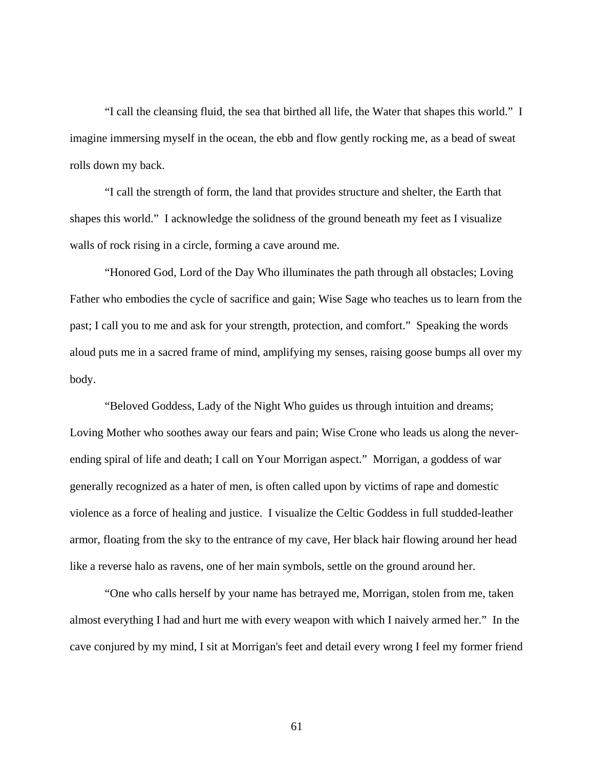"I call the cleansing fluid, the sea that birthed all life, the Water that shapes this world." I imagine immersing myself in the ocean, the ebb and flow gently rocking me, as a bead of sweat rolls down my back.

 "I call the strength of form, the land that provides structure and shelter, the Earth that shapes this world." I acknowledge the solidness of the ground beneath my feet as I visualize walls of rock rising in a circle, forming a cave around me.

 "Honored God, Lord of the Day Who illuminates the path through all obstacles; Loving Father who embodies the cycle of sacrifice and gain; Wise Sage who teaches us to learn from the past; I call you to me and ask for your strength, protection, and comfort." Speaking the words aloud puts me in a sacred frame of mind, amplifying my senses, raising goose bumps all over my body.

 "Beloved Goddess, Lady of the Night Who guides us through intuition and dreams; Loving Mother who soothes away our fears and pain; Wise Crone who leads us along the neverending spiral of life and death; I call on Your Morrigan aspect." Morrigan, a goddess of war generally recognized as a hater of men, is often called upon by victims of rape and domestic violence as a force of healing and justice. I visualize the Celtic Goddess in full studded-leather armor, floating from the sky to the entrance of my cave, Her black hair flowing around her head like a reverse halo as ravens, one of her main symbols, settle on the ground around her.

 "One who calls herself by your name has betrayed me, Morrigan, stolen from me, taken almost everything I had and hurt me with every weapon with which I naively armed her." In the cave conjured by my mind, I sit at Morrigan's feet and detail every wrong I feel my former friend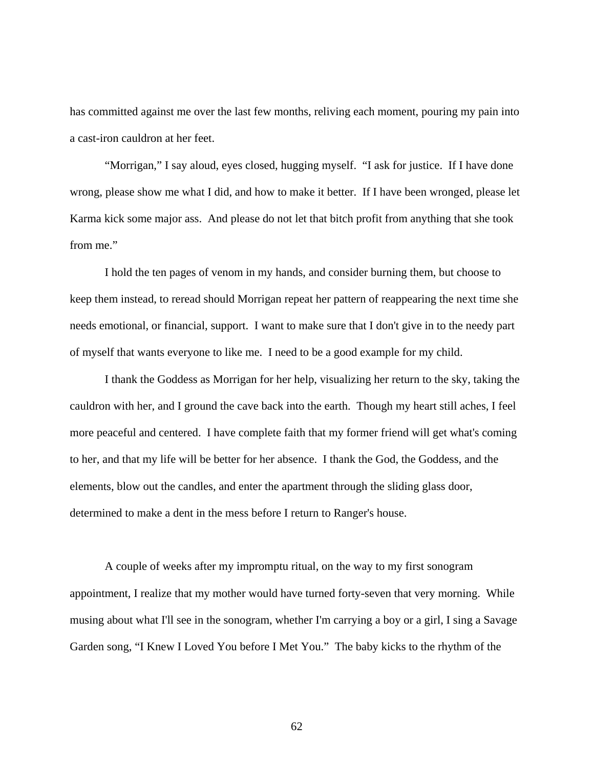has committed against me over the last few months, reliving each moment, pouring my pain into a cast-iron cauldron at her feet.

 "Morrigan," I say aloud, eyes closed, hugging myself. "I ask for justice. If I have done wrong, please show me what I did, and how to make it better. If I have been wronged, please let Karma kick some major ass. And please do not let that bitch profit from anything that she took from me."

 I hold the ten pages of venom in my hands, and consider burning them, but choose to keep them instead, to reread should Morrigan repeat her pattern of reappearing the next time she needs emotional, or financial, support. I want to make sure that I don't give in to the needy part of myself that wants everyone to like me. I need to be a good example for my child.

 I thank the Goddess as Morrigan for her help, visualizing her return to the sky, taking the cauldron with her, and I ground the cave back into the earth. Though my heart still aches, I feel more peaceful and centered. I have complete faith that my former friend will get what's coming to her, and that my life will be better for her absence. I thank the God, the Goddess, and the elements, blow out the candles, and enter the apartment through the sliding glass door, determined to make a dent in the mess before I return to Ranger's house.

A couple of weeks after my impromptu ritual, on the way to my first sonogram appointment, I realize that my mother would have turned forty-seven that very morning. While musing about what I'll see in the sonogram, whether I'm carrying a boy or a girl, I sing a Savage Garden song, "I Knew I Loved You before I Met You." The baby kicks to the rhythm of the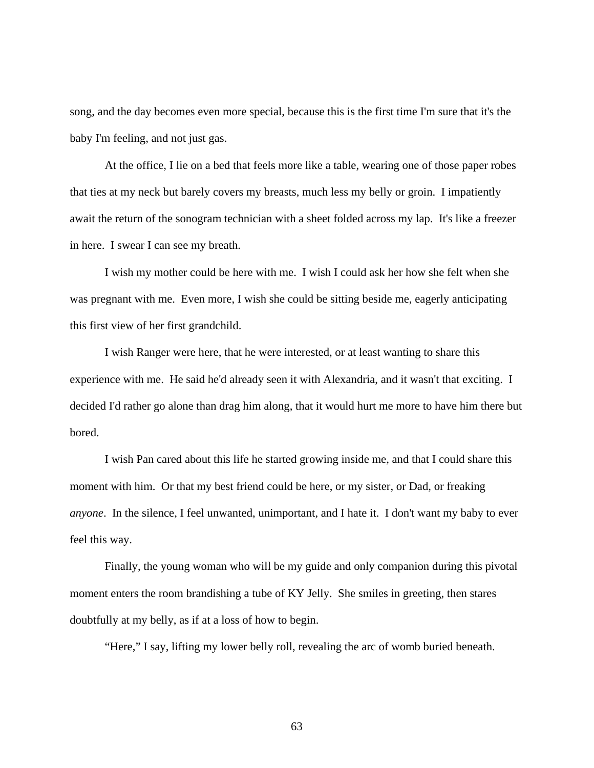song, and the day becomes even more special, because this is the first time I'm sure that it's the baby I'm feeling, and not just gas.

At the office, I lie on a bed that feels more like a table, wearing one of those paper robes that ties at my neck but barely covers my breasts, much less my belly or groin. I impatiently await the return of the sonogram technician with a sheet folded across my lap. It's like a freezer in here. I swear I can see my breath.

I wish my mother could be here with me. I wish I could ask her how she felt when she was pregnant with me. Even more, I wish she could be sitting beside me, eagerly anticipating this first view of her first grandchild.

I wish Ranger were here, that he were interested, or at least wanting to share this experience with me. He said he'd already seen it with Alexandria, and it wasn't that exciting. I decided I'd rather go alone than drag him along, that it would hurt me more to have him there but bored.

I wish Pan cared about this life he started growing inside me, and that I could share this moment with him. Or that my best friend could be here, or my sister, or Dad, or freaking *anyone*. In the silence, I feel unwanted, unimportant, and I hate it. I don't want my baby to ever feel this way.

Finally, the young woman who will be my guide and only companion during this pivotal moment enters the room brandishing a tube of KY Jelly. She smiles in greeting, then stares doubtfully at my belly, as if at a loss of how to begin.

"Here," I say, lifting my lower belly roll, revealing the arc of womb buried beneath.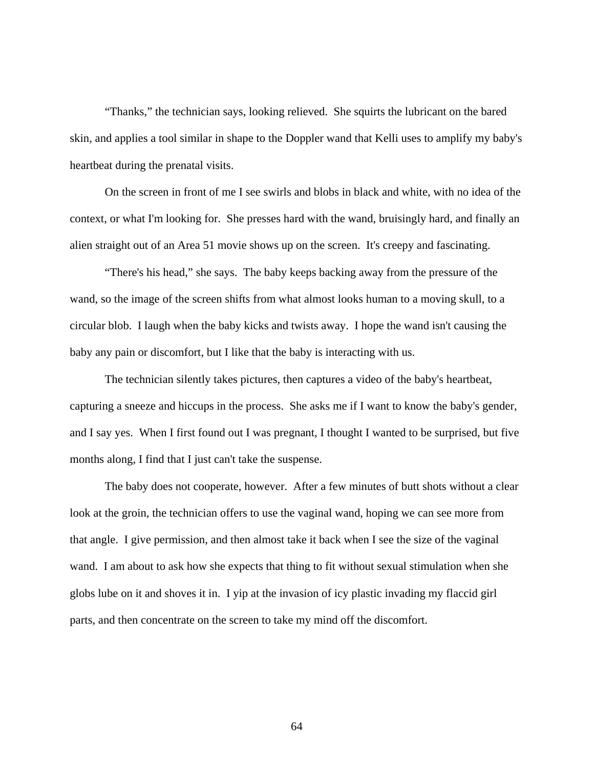"Thanks," the technician says, looking relieved. She squirts the lubricant on the bared skin, and applies a tool similar in shape to the Doppler wand that Kelli uses to amplify my baby's heartbeat during the prenatal visits.

On the screen in front of me I see swirls and blobs in black and white, with no idea of the context, or what I'm looking for. She presses hard with the wand, bruisingly hard, and finally an alien straight out of an Area 51 movie shows up on the screen. It's creepy and fascinating.

"There's his head," she says. The baby keeps backing away from the pressure of the wand, so the image of the screen shifts from what almost looks human to a moving skull, to a circular blob. I laugh when the baby kicks and twists away. I hope the wand isn't causing the baby any pain or discomfort, but I like that the baby is interacting with us.

The technician silently takes pictures, then captures a video of the baby's heartbeat, capturing a sneeze and hiccups in the process. She asks me if I want to know the baby's gender, and I say yes. When I first found out I was pregnant, I thought I wanted to be surprised, but five months along, I find that I just can't take the suspense.

The baby does not cooperate, however. After a few minutes of butt shots without a clear look at the groin, the technician offers to use the vaginal wand, hoping we can see more from that angle. I give permission, and then almost take it back when I see the size of the vaginal wand. I am about to ask how she expects that thing to fit without sexual stimulation when she globs lube on it and shoves it in. I yip at the invasion of icy plastic invading my flaccid girl parts, and then concentrate on the screen to take my mind off the discomfort.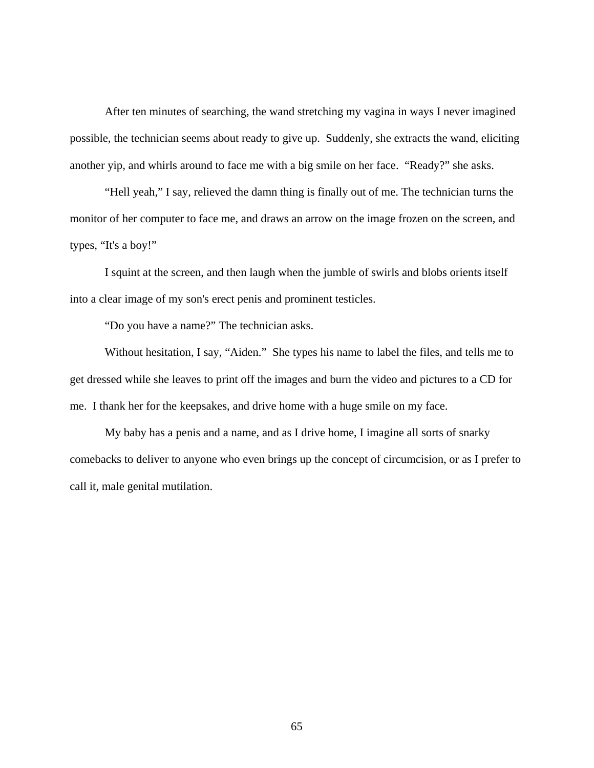After ten minutes of searching, the wand stretching my vagina in ways I never imagined possible, the technician seems about ready to give up. Suddenly, she extracts the wand, eliciting another yip, and whirls around to face me with a big smile on her face. "Ready?" she asks.

"Hell yeah," I say, relieved the damn thing is finally out of me. The technician turns the monitor of her computer to face me, and draws an arrow on the image frozen on the screen, and types, "It's a boy!"

I squint at the screen, and then laugh when the jumble of swirls and blobs orients itself into a clear image of my son's erect penis and prominent testicles.

"Do you have a name?" The technician asks.

Without hesitation, I say, "Aiden." She types his name to label the files, and tells me to get dressed while she leaves to print off the images and burn the video and pictures to a CD for me. I thank her for the keepsakes, and drive home with a huge smile on my face.

My baby has a penis and a name, and as I drive home, I imagine all sorts of snarky comebacks to deliver to anyone who even brings up the concept of circumcision, or as I prefer to call it, male genital mutilation.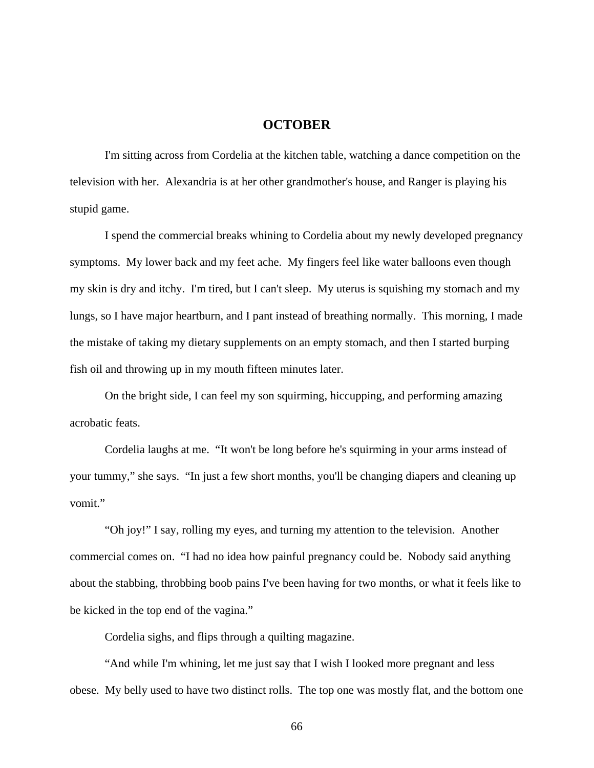## **OCTOBER**

I'm sitting across from Cordelia at the kitchen table, watching a dance competition on the television with her. Alexandria is at her other grandmother's house, and Ranger is playing his stupid game.

I spend the commercial breaks whining to Cordelia about my newly developed pregnancy symptoms. My lower back and my feet ache. My fingers feel like water balloons even though my skin is dry and itchy. I'm tired, but I can't sleep. My uterus is squishing my stomach and my lungs, so I have major heartburn, and I pant instead of breathing normally. This morning, I made the mistake of taking my dietary supplements on an empty stomach, and then I started burping fish oil and throwing up in my mouth fifteen minutes later.

On the bright side, I can feel my son squirming, hiccupping, and performing amazing acrobatic feats.

Cordelia laughs at me. "It won't be long before he's squirming in your arms instead of your tummy," she says. "In just a few short months, you'll be changing diapers and cleaning up vomit."

"Oh joy!" I say, rolling my eyes, and turning my attention to the television. Another commercial comes on. "I had no idea how painful pregnancy could be. Nobody said anything about the stabbing, throbbing boob pains I've been having for two months, or what it feels like to be kicked in the top end of the vagina."

Cordelia sighs, and flips through a quilting magazine.

"And while I'm whining, let me just say that I wish I looked more pregnant and less obese. My belly used to have two distinct rolls. The top one was mostly flat, and the bottom one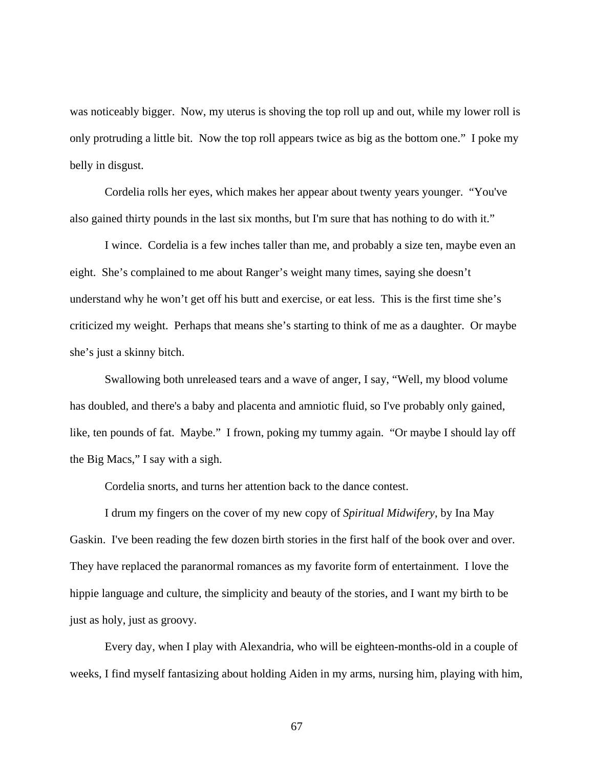was noticeably bigger. Now, my uterus is shoving the top roll up and out, while my lower roll is only protruding a little bit. Now the top roll appears twice as big as the bottom one." I poke my belly in disgust.

Cordelia rolls her eyes, which makes her appear about twenty years younger. "You've also gained thirty pounds in the last six months, but I'm sure that has nothing to do with it."

I wince. Cordelia is a few inches taller than me, and probably a size ten, maybe even an eight. She's complained to me about Ranger's weight many times, saying she doesn't understand why he won't get off his butt and exercise, or eat less. This is the first time she's criticized my weight. Perhaps that means she's starting to think of me as a daughter. Or maybe she's just a skinny bitch.

Swallowing both unreleased tears and a wave of anger, I say, "Well, my blood volume has doubled, and there's a baby and placenta and amniotic fluid, so I've probably only gained, like, ten pounds of fat. Maybe." I frown, poking my tummy again. "Or maybe I should lay off the Big Macs," I say with a sigh.

Cordelia snorts, and turns her attention back to the dance contest.

I drum my fingers on the cover of my new copy of *Spiritual Midwifery*, by Ina May Gaskin. I've been reading the few dozen birth stories in the first half of the book over and over. They have replaced the paranormal romances as my favorite form of entertainment. I love the hippie language and culture, the simplicity and beauty of the stories, and I want my birth to be just as holy, just as groovy.

Every day, when I play with Alexandria, who will be eighteen-months-old in a couple of weeks, I find myself fantasizing about holding Aiden in my arms, nursing him, playing with him,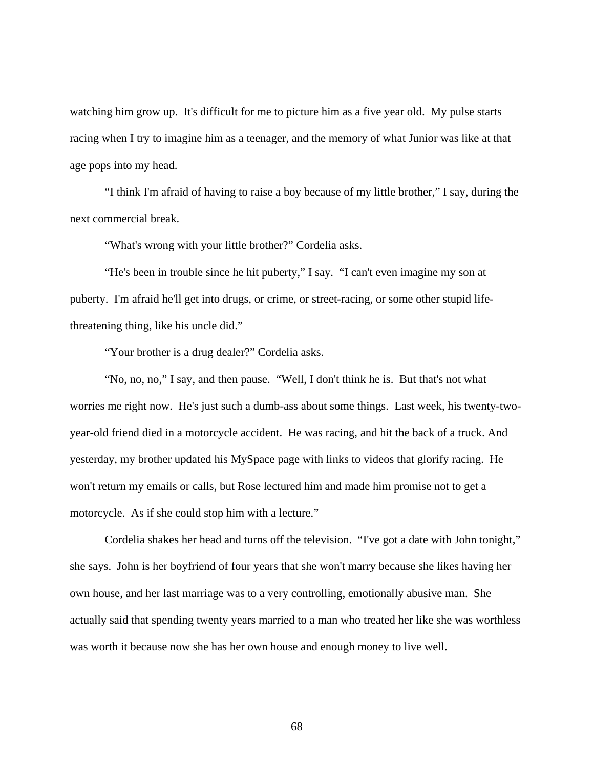watching him grow up. It's difficult for me to picture him as a five year old. My pulse starts racing when I try to imagine him as a teenager, and the memory of what Junior was like at that age pops into my head.

"I think I'm afraid of having to raise a boy because of my little brother," I say, during the next commercial break.

"What's wrong with your little brother?" Cordelia asks.

"He's been in trouble since he hit puberty," I say. "I can't even imagine my son at puberty. I'm afraid he'll get into drugs, or crime, or street-racing, or some other stupid lifethreatening thing, like his uncle did."

"Your brother is a drug dealer?" Cordelia asks.

"No, no, no," I say, and then pause. "Well, I don't think he is. But that's not what worries me right now. He's just such a dumb-ass about some things. Last week, his twenty-twoyear-old friend died in a motorcycle accident. He was racing, and hit the back of a truck. And yesterday, my brother updated his MySpace page with links to videos that glorify racing. He won't return my emails or calls, but Rose lectured him and made him promise not to get a motorcycle. As if she could stop him with a lecture."

Cordelia shakes her head and turns off the television. "I've got a date with John tonight," she says. John is her boyfriend of four years that she won't marry because she likes having her own house, and her last marriage was to a very controlling, emotionally abusive man. She actually said that spending twenty years married to a man who treated her like she was worthless was worth it because now she has her own house and enough money to live well.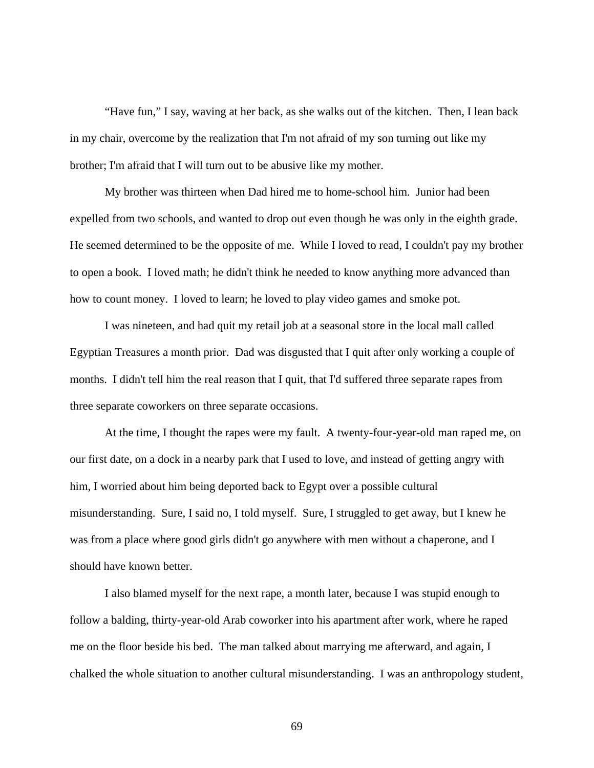"Have fun," I say, waving at her back, as she walks out of the kitchen. Then, I lean back in my chair, overcome by the realization that I'm not afraid of my son turning out like my brother; I'm afraid that I will turn out to be abusive like my mother.

My brother was thirteen when Dad hired me to home-school him. Junior had been expelled from two schools, and wanted to drop out even though he was only in the eighth grade. He seemed determined to be the opposite of me. While I loved to read, I couldn't pay my brother to open a book. I loved math; he didn't think he needed to know anything more advanced than how to count money. I loved to learn; he loved to play video games and smoke pot.

I was nineteen, and had quit my retail job at a seasonal store in the local mall called Egyptian Treasures a month prior. Dad was disgusted that I quit after only working a couple of months. I didn't tell him the real reason that I quit, that I'd suffered three separate rapes from three separate coworkers on three separate occasions.

At the time, I thought the rapes were my fault. A twenty-four-year-old man raped me, on our first date, on a dock in a nearby park that I used to love, and instead of getting angry with him, I worried about him being deported back to Egypt over a possible cultural misunderstanding. Sure, I said no, I told myself. Sure, I struggled to get away, but I knew he was from a place where good girls didn't go anywhere with men without a chaperone, and I should have known better.

I also blamed myself for the next rape, a month later, because I was stupid enough to follow a balding, thirty-year-old Arab coworker into his apartment after work, where he raped me on the floor beside his bed. The man talked about marrying me afterward, and again, I chalked the whole situation to another cultural misunderstanding. I was an anthropology student,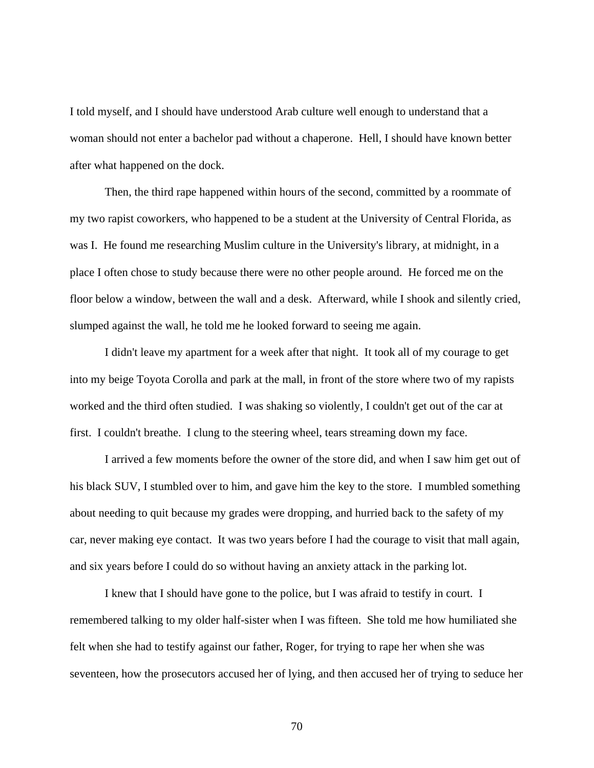I told myself, and I should have understood Arab culture well enough to understand that a woman should not enter a bachelor pad without a chaperone. Hell, I should have known better after what happened on the dock.

Then, the third rape happened within hours of the second, committed by a roommate of my two rapist coworkers, who happened to be a student at the University of Central Florida, as was I. He found me researching Muslim culture in the University's library, at midnight, in a place I often chose to study because there were no other people around. He forced me on the floor below a window, between the wall and a desk. Afterward, while I shook and silently cried, slumped against the wall, he told me he looked forward to seeing me again.

I didn't leave my apartment for a week after that night. It took all of my courage to get into my beige Toyota Corolla and park at the mall, in front of the store where two of my rapists worked and the third often studied. I was shaking so violently, I couldn't get out of the car at first. I couldn't breathe. I clung to the steering wheel, tears streaming down my face.

I arrived a few moments before the owner of the store did, and when I saw him get out of his black SUV, I stumbled over to him, and gave him the key to the store. I mumbled something about needing to quit because my grades were dropping, and hurried back to the safety of my car, never making eye contact. It was two years before I had the courage to visit that mall again, and six years before I could do so without having an anxiety attack in the parking lot.

I knew that I should have gone to the police, but I was afraid to testify in court. I remembered talking to my older half-sister when I was fifteen. She told me how humiliated she felt when she had to testify against our father, Roger, for trying to rape her when she was seventeen, how the prosecutors accused her of lying, and then accused her of trying to seduce her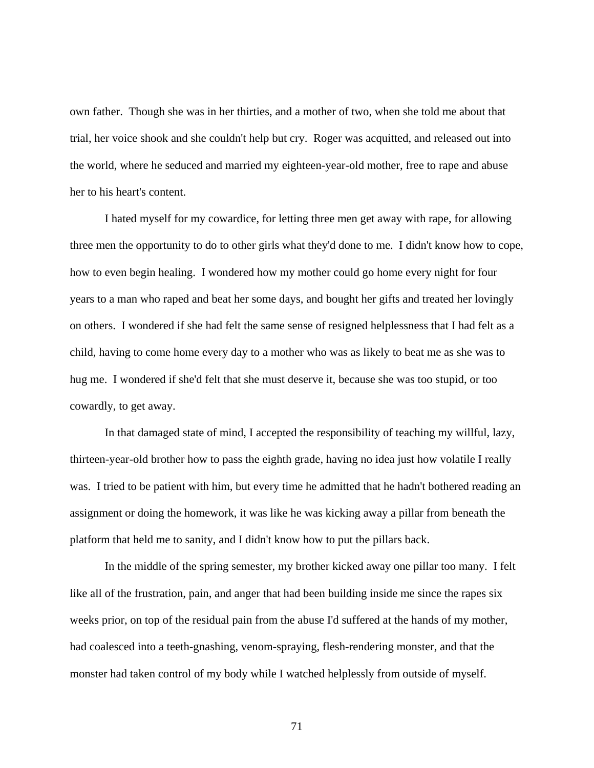own father. Though she was in her thirties, and a mother of two, when she told me about that trial, her voice shook and she couldn't help but cry. Roger was acquitted, and released out into the world, where he seduced and married my eighteen-year-old mother, free to rape and abuse her to his heart's content.

I hated myself for my cowardice, for letting three men get away with rape, for allowing three men the opportunity to do to other girls what they'd done to me. I didn't know how to cope, how to even begin healing. I wondered how my mother could go home every night for four years to a man who raped and beat her some days, and bought her gifts and treated her lovingly on others. I wondered if she had felt the same sense of resigned helplessness that I had felt as a child, having to come home every day to a mother who was as likely to beat me as she was to hug me. I wondered if she'd felt that she must deserve it, because she was too stupid, or too cowardly, to get away.

In that damaged state of mind, I accepted the responsibility of teaching my willful, lazy, thirteen-year-old brother how to pass the eighth grade, having no idea just how volatile I really was. I tried to be patient with him, but every time he admitted that he hadn't bothered reading an assignment or doing the homework, it was like he was kicking away a pillar from beneath the platform that held me to sanity, and I didn't know how to put the pillars back.

In the middle of the spring semester, my brother kicked away one pillar too many. I felt like all of the frustration, pain, and anger that had been building inside me since the rapes six weeks prior, on top of the residual pain from the abuse I'd suffered at the hands of my mother, had coalesced into a teeth-gnashing, venom-spraying, flesh-rendering monster, and that the monster had taken control of my body while I watched helplessly from outside of myself.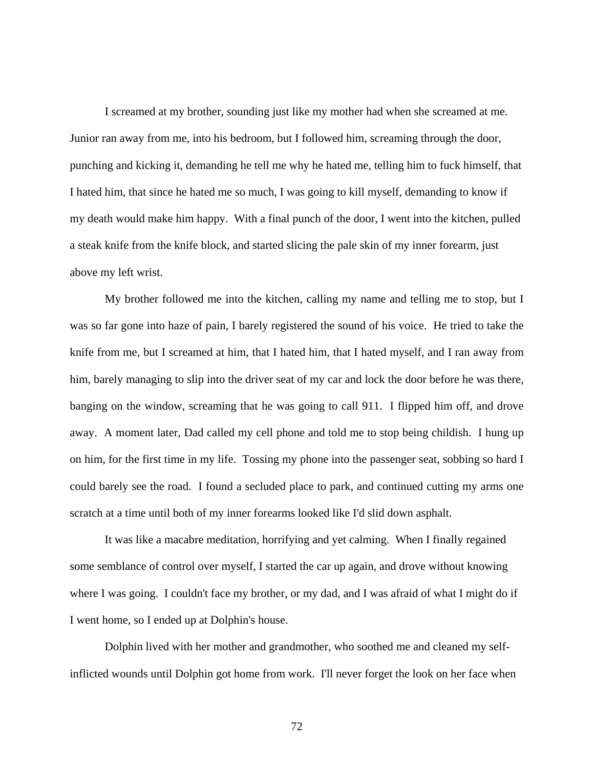I screamed at my brother, sounding just like my mother had when she screamed at me. Junior ran away from me, into his bedroom, but I followed him, screaming through the door, punching and kicking it, demanding he tell me why he hated me, telling him to fuck himself, that I hated him, that since he hated me so much, I was going to kill myself, demanding to know if my death would make him happy. With a final punch of the door, I went into the kitchen, pulled a steak knife from the knife block, and started slicing the pale skin of my inner forearm, just above my left wrist.

My brother followed me into the kitchen, calling my name and telling me to stop, but I was so far gone into haze of pain, I barely registered the sound of his voice. He tried to take the knife from me, but I screamed at him, that I hated him, that I hated myself, and I ran away from him, barely managing to slip into the driver seat of my car and lock the door before he was there, banging on the window, screaming that he was going to call 911. I flipped him off, and drove away. A moment later, Dad called my cell phone and told me to stop being childish. I hung up on him, for the first time in my life. Tossing my phone into the passenger seat, sobbing so hard I could barely see the road. I found a secluded place to park, and continued cutting my arms one scratch at a time until both of my inner forearms looked like I'd slid down asphalt.

It was like a macabre meditation, horrifying and yet calming. When I finally regained some semblance of control over myself, I started the car up again, and drove without knowing where I was going. I couldn't face my brother, or my dad, and I was afraid of what I might do if I went home, so I ended up at Dolphin's house.

Dolphin lived with her mother and grandmother, who soothed me and cleaned my selfinflicted wounds until Dolphin got home from work. I'll never forget the look on her face when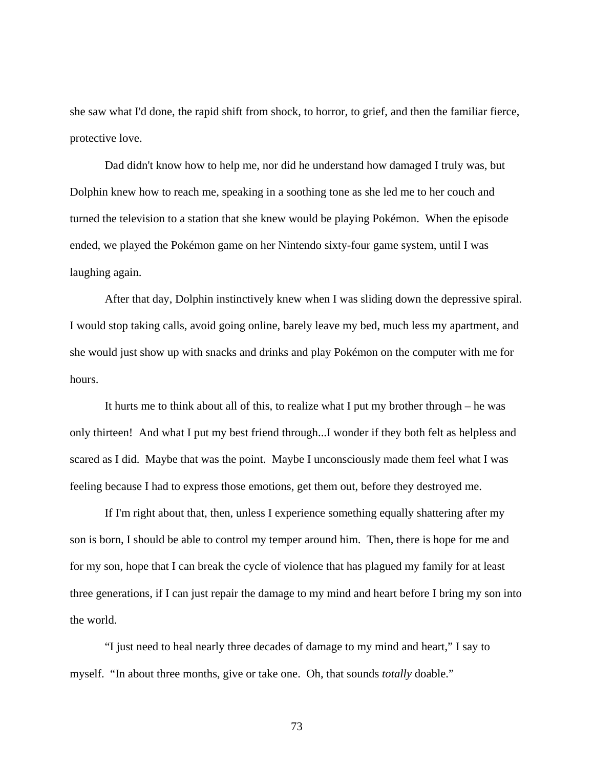she saw what I'd done, the rapid shift from shock, to horror, to grief, and then the familiar fierce, protective love.

Dad didn't know how to help me, nor did he understand how damaged I truly was, but Dolphin knew how to reach me, speaking in a soothing tone as she led me to her couch and turned the television to a station that she knew would be playing Pokémon. When the episode ended, we played the Pokémon game on her Nintendo sixty-four game system, until I was laughing again.

After that day, Dolphin instinctively knew when I was sliding down the depressive spiral. I would stop taking calls, avoid going online, barely leave my bed, much less my apartment, and she would just show up with snacks and drinks and play Pokémon on the computer with me for hours.

It hurts me to think about all of this, to realize what I put my brother through – he was only thirteen! And what I put my best friend through...I wonder if they both felt as helpless and scared as I did. Maybe that was the point. Maybe I unconsciously made them feel what I was feeling because I had to express those emotions, get them out, before they destroyed me.

If I'm right about that, then, unless I experience something equally shattering after my son is born, I should be able to control my temper around him. Then, there is hope for me and for my son, hope that I can break the cycle of violence that has plagued my family for at least three generations, if I can just repair the damage to my mind and heart before I bring my son into the world.

 "I just need to heal nearly three decades of damage to my mind and heart," I say to myself. "In about three months, give or take one. Oh, that sounds *totally* doable."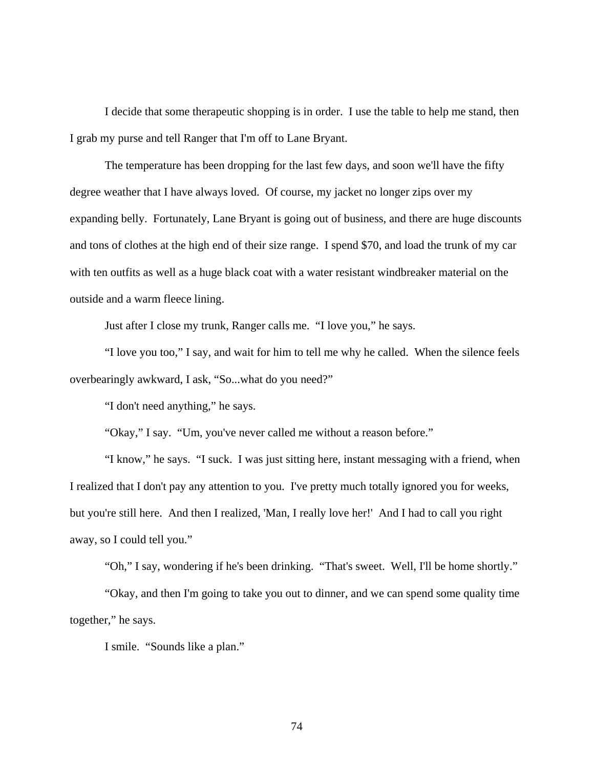I decide that some therapeutic shopping is in order. I use the table to help me stand, then I grab my purse and tell Ranger that I'm off to Lane Bryant.

 The temperature has been dropping for the last few days, and soon we'll have the fifty degree weather that I have always loved. Of course, my jacket no longer zips over my expanding belly. Fortunately, Lane Bryant is going out of business, and there are huge discounts and tons of clothes at the high end of their size range. I spend \$70, and load the trunk of my car with ten outfits as well as a huge black coat with a water resistant windbreaker material on the outside and a warm fleece lining.

Just after I close my trunk, Ranger calls me. "I love you," he says.

 "I love you too," I say, and wait for him to tell me why he called. When the silence feels overbearingly awkward, I ask, "So...what do you need?"

"I don't need anything," he says.

"Okay," I say. "Um, you've never called me without a reason before."

 "I know," he says. "I suck. I was just sitting here, instant messaging with a friend, when I realized that I don't pay any attention to you. I've pretty much totally ignored you for weeks, but you're still here. And then I realized, 'Man, I really love her!' And I had to call you right away, so I could tell you."

"Oh," I say, wondering if he's been drinking. "That's sweet. Well, I'll be home shortly."

 "Okay, and then I'm going to take you out to dinner, and we can spend some quality time together," he says.

I smile. "Sounds like a plan."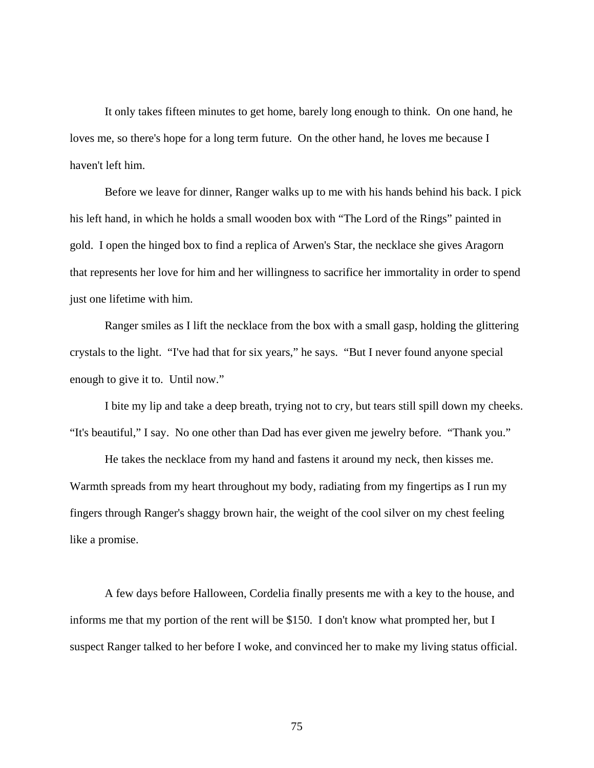It only takes fifteen minutes to get home, barely long enough to think. On one hand, he loves me, so there's hope for a long term future. On the other hand, he loves me because I haven't left him.

Before we leave for dinner, Ranger walks up to me with his hands behind his back. I pick his left hand, in which he holds a small wooden box with "The Lord of the Rings" painted in gold. I open the hinged box to find a replica of Arwen's Star, the necklace she gives Aragorn that represents her love for him and her willingness to sacrifice her immortality in order to spend just one lifetime with him.

Ranger smiles as I lift the necklace from the box with a small gasp, holding the glittering crystals to the light. "I've had that for six years," he says. "But I never found anyone special enough to give it to. Until now."

I bite my lip and take a deep breath, trying not to cry, but tears still spill down my cheeks. "It's beautiful," I say. No one other than Dad has ever given me jewelry before. "Thank you."

He takes the necklace from my hand and fastens it around my neck, then kisses me. Warmth spreads from my heart throughout my body, radiating from my fingertips as I run my fingers through Ranger's shaggy brown hair, the weight of the cool silver on my chest feeling like a promise.

A few days before Halloween, Cordelia finally presents me with a key to the house, and informs me that my portion of the rent will be \$150. I don't know what prompted her, but I suspect Ranger talked to her before I woke, and convinced her to make my living status official.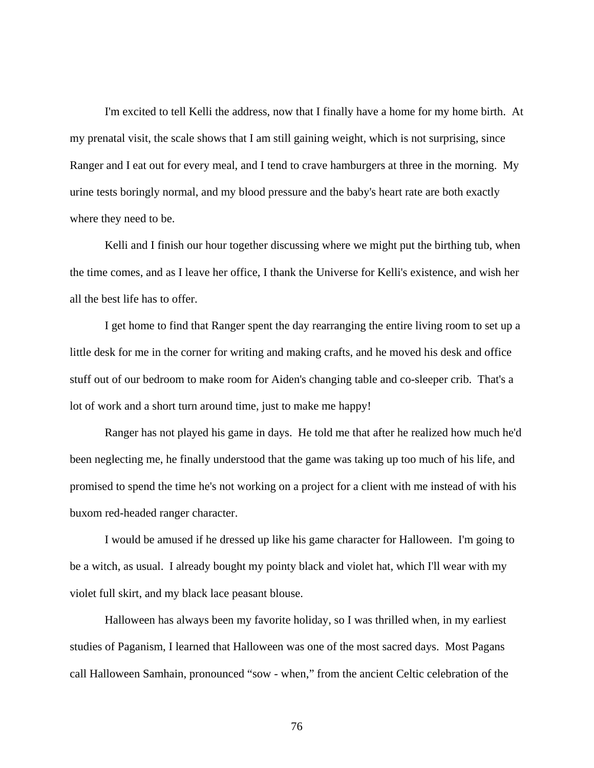I'm excited to tell Kelli the address, now that I finally have a home for my home birth. At my prenatal visit, the scale shows that I am still gaining weight, which is not surprising, since Ranger and I eat out for every meal, and I tend to crave hamburgers at three in the morning. My urine tests boringly normal, and my blood pressure and the baby's heart rate are both exactly where they need to be.

Kelli and I finish our hour together discussing where we might put the birthing tub, when the time comes, and as I leave her office, I thank the Universe for Kelli's existence, and wish her all the best life has to offer.

I get home to find that Ranger spent the day rearranging the entire living room to set up a little desk for me in the corner for writing and making crafts, and he moved his desk and office stuff out of our bedroom to make room for Aiden's changing table and co-sleeper crib. That's a lot of work and a short turn around time, just to make me happy!

Ranger has not played his game in days. He told me that after he realized how much he'd been neglecting me, he finally understood that the game was taking up too much of his life, and promised to spend the time he's not working on a project for a client with me instead of with his buxom red-headed ranger character.

I would be amused if he dressed up like his game character for Halloween. I'm going to be a witch, as usual. I already bought my pointy black and violet hat, which I'll wear with my violet full skirt, and my black lace peasant blouse.

Halloween has always been my favorite holiday, so I was thrilled when, in my earliest studies of Paganism, I learned that Halloween was one of the most sacred days. Most Pagans call Halloween Samhain, pronounced "sow - when," from the ancient Celtic celebration of the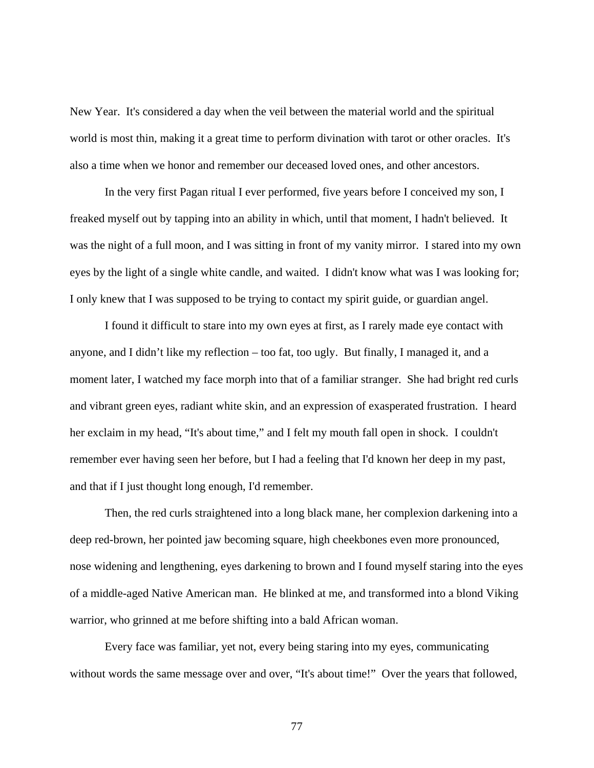New Year. It's considered a day when the veil between the material world and the spiritual world is most thin, making it a great time to perform divination with tarot or other oracles. It's also a time when we honor and remember our deceased loved ones, and other ancestors.

In the very first Pagan ritual I ever performed, five years before I conceived my son, I freaked myself out by tapping into an ability in which, until that moment, I hadn't believed. It was the night of a full moon, and I was sitting in front of my vanity mirror. I stared into my own eyes by the light of a single white candle, and waited. I didn't know what was I was looking for; I only knew that I was supposed to be trying to contact my spirit guide, or guardian angel.

I found it difficult to stare into my own eyes at first, as I rarely made eye contact with anyone, and I didn't like my reflection – too fat, too ugly. But finally, I managed it, and a moment later, I watched my face morph into that of a familiar stranger. She had bright red curls and vibrant green eyes, radiant white skin, and an expression of exasperated frustration. I heard her exclaim in my head, "It's about time," and I felt my mouth fall open in shock. I couldn't remember ever having seen her before, but I had a feeling that I'd known her deep in my past, and that if I just thought long enough, I'd remember.

Then, the red curls straightened into a long black mane, her complexion darkening into a deep red-brown, her pointed jaw becoming square, high cheekbones even more pronounced, nose widening and lengthening, eyes darkening to brown and I found myself staring into the eyes of a middle-aged Native American man. He blinked at me, and transformed into a blond Viking warrior, who grinned at me before shifting into a bald African woman.

Every face was familiar, yet not, every being staring into my eyes, communicating without words the same message over and over, "It's about time!" Over the years that followed,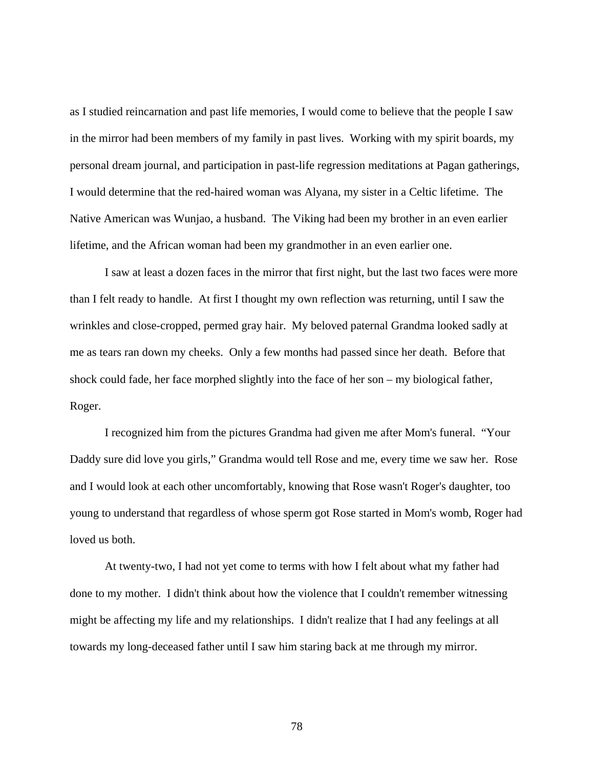as I studied reincarnation and past life memories, I would come to believe that the people I saw in the mirror had been members of my family in past lives. Working with my spirit boards, my personal dream journal, and participation in past-life regression meditations at Pagan gatherings, I would determine that the red-haired woman was Alyana, my sister in a Celtic lifetime. The Native American was Wunjao, a husband. The Viking had been my brother in an even earlier lifetime, and the African woman had been my grandmother in an even earlier one.

I saw at least a dozen faces in the mirror that first night, but the last two faces were more than I felt ready to handle. At first I thought my own reflection was returning, until I saw the wrinkles and close-cropped, permed gray hair. My beloved paternal Grandma looked sadly at me as tears ran down my cheeks. Only a few months had passed since her death. Before that shock could fade, her face morphed slightly into the face of her son – my biological father, Roger.

I recognized him from the pictures Grandma had given me after Mom's funeral. "Your Daddy sure did love you girls," Grandma would tell Rose and me, every time we saw her. Rose and I would look at each other uncomfortably, knowing that Rose wasn't Roger's daughter, too young to understand that regardless of whose sperm got Rose started in Mom's womb, Roger had loved us both.

At twenty-two, I had not yet come to terms with how I felt about what my father had done to my mother. I didn't think about how the violence that I couldn't remember witnessing might be affecting my life and my relationships. I didn't realize that I had any feelings at all towards my long-deceased father until I saw him staring back at me through my mirror.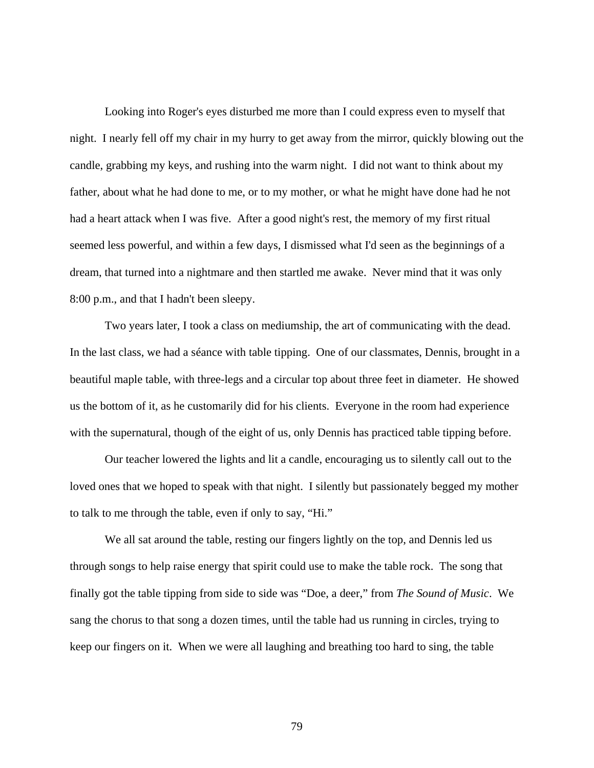Looking into Roger's eyes disturbed me more than I could express even to myself that night. I nearly fell off my chair in my hurry to get away from the mirror, quickly blowing out the candle, grabbing my keys, and rushing into the warm night. I did not want to think about my father, about what he had done to me, or to my mother, or what he might have done had he not had a heart attack when I was five. After a good night's rest, the memory of my first ritual seemed less powerful, and within a few days, I dismissed what I'd seen as the beginnings of a dream, that turned into a nightmare and then startled me awake. Never mind that it was only 8:00 p.m., and that I hadn't been sleepy.

Two years later, I took a class on mediumship, the art of communicating with the dead. In the last class, we had a séance with table tipping. One of our classmates, Dennis, brought in a beautiful maple table, with three-legs and a circular top about three feet in diameter. He showed us the bottom of it, as he customarily did for his clients. Everyone in the room had experience with the supernatural, though of the eight of us, only Dennis has practiced table tipping before.

 Our teacher lowered the lights and lit a candle, encouraging us to silently call out to the loved ones that we hoped to speak with that night. I silently but passionately begged my mother to talk to me through the table, even if only to say, "Hi."

We all sat around the table, resting our fingers lightly on the top, and Dennis led us through songs to help raise energy that spirit could use to make the table rock. The song that finally got the table tipping from side to side was "Doe, a deer," from *The Sound of Music*. We sang the chorus to that song a dozen times, until the table had us running in circles, trying to keep our fingers on it. When we were all laughing and breathing too hard to sing, the table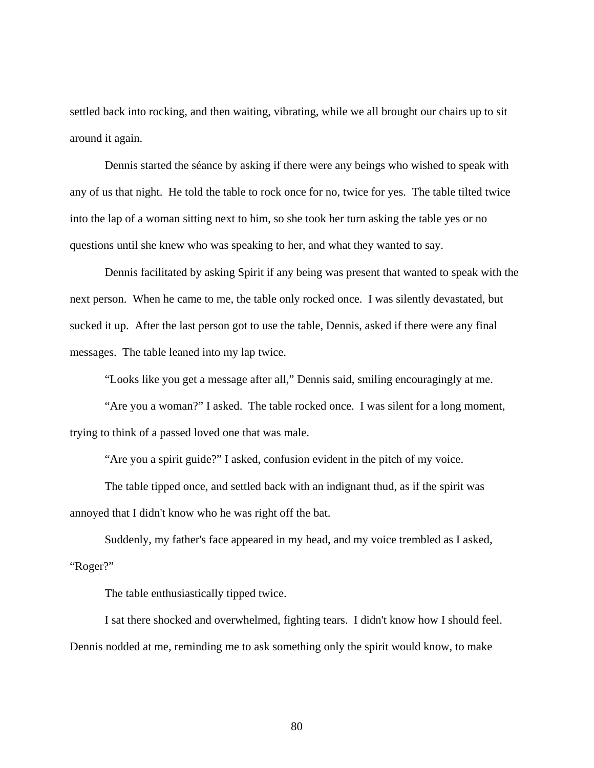settled back into rocking, and then waiting, vibrating, while we all brought our chairs up to sit around it again.

Dennis started the séance by asking if there were any beings who wished to speak with any of us that night. He told the table to rock once for no, twice for yes. The table tilted twice into the lap of a woman sitting next to him, so she took her turn asking the table yes or no questions until she knew who was speaking to her, and what they wanted to say.

 Dennis facilitated by asking Spirit if any being was present that wanted to speak with the next person. When he came to me, the table only rocked once. I was silently devastated, but sucked it up. After the last person got to use the table, Dennis, asked if there were any final messages. The table leaned into my lap twice.

"Looks like you get a message after all," Dennis said, smiling encouragingly at me.

 "Are you a woman?" I asked. The table rocked once. I was silent for a long moment, trying to think of a passed loved one that was male.

"Are you a spirit guide?" I asked, confusion evident in the pitch of my voice.

 The table tipped once, and settled back with an indignant thud, as if the spirit was annoyed that I didn't know who he was right off the bat.

 Suddenly, my father's face appeared in my head, and my voice trembled as I asked, "Roger?"

The table enthusiastically tipped twice.

 I sat there shocked and overwhelmed, fighting tears. I didn't know how I should feel. Dennis nodded at me, reminding me to ask something only the spirit would know, to make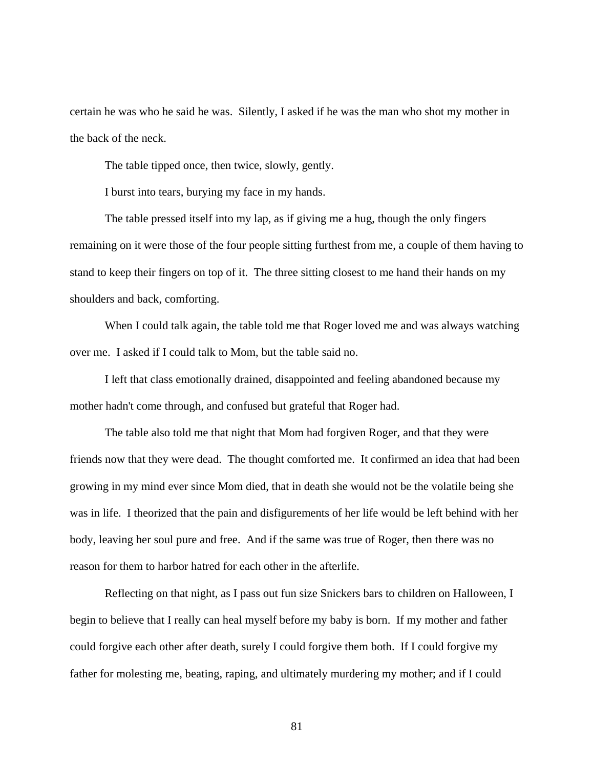certain he was who he said he was. Silently, I asked if he was the man who shot my mother in the back of the neck.

The table tipped once, then twice, slowly, gently.

I burst into tears, burying my face in my hands.

 The table pressed itself into my lap, as if giving me a hug, though the only fingers remaining on it were those of the four people sitting furthest from me, a couple of them having to stand to keep their fingers on top of it. The three sitting closest to me hand their hands on my shoulders and back, comforting.

When I could talk again, the table told me that Roger loved me and was always watching over me. I asked if I could talk to Mom, but the table said no.

 I left that class emotionally drained, disappointed and feeling abandoned because my mother hadn't come through, and confused but grateful that Roger had.

The table also told me that night that Mom had forgiven Roger, and that they were friends now that they were dead. The thought comforted me. It confirmed an idea that had been growing in my mind ever since Mom died, that in death she would not be the volatile being she was in life. I theorized that the pain and disfigurements of her life would be left behind with her body, leaving her soul pure and free. And if the same was true of Roger, then there was no reason for them to harbor hatred for each other in the afterlife.

Reflecting on that night, as I pass out fun size Snickers bars to children on Halloween, I begin to believe that I really can heal myself before my baby is born. If my mother and father could forgive each other after death, surely I could forgive them both. If I could forgive my father for molesting me, beating, raping, and ultimately murdering my mother; and if I could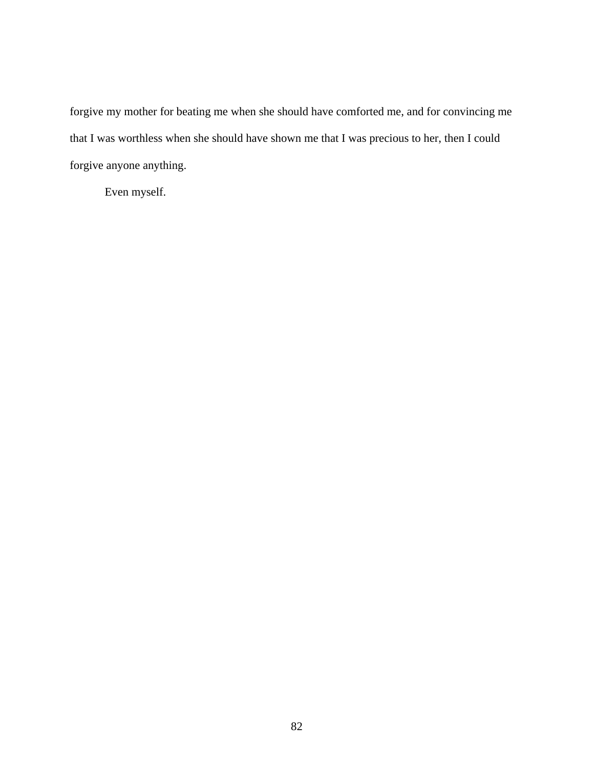forgive my mother for beating me when she should have comforted me, and for convincing me that I was worthless when she should have shown me that I was precious to her, then I could forgive anyone anything.

Even myself.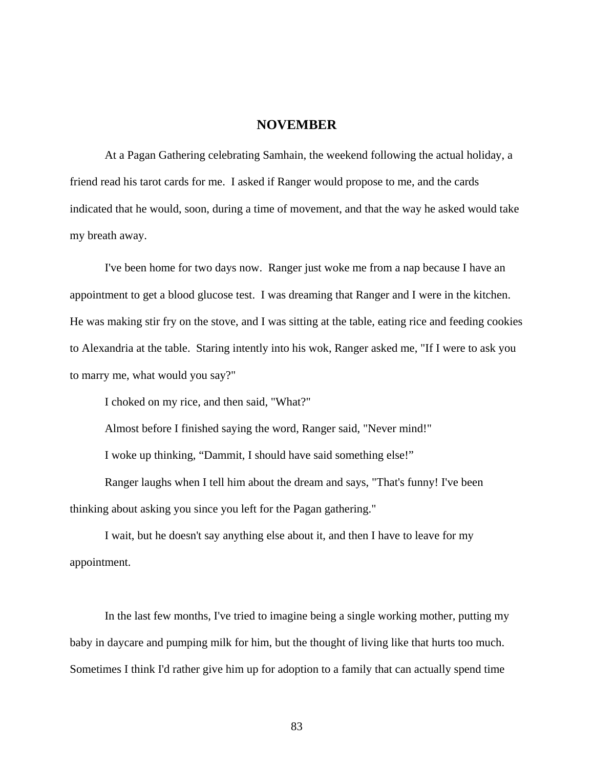## **NOVEMBER**

 At a Pagan Gathering celebrating Samhain, the weekend following the actual holiday, a friend read his tarot cards for me. I asked if Ranger would propose to me, and the cards indicated that he would, soon, during a time of movement, and that the way he asked would take my breath away.

 I've been home for two days now. Ranger just woke me from a nap because I have an appointment to get a blood glucose test. I was dreaming that Ranger and I were in the kitchen. He was making stir fry on the stove, and I was sitting at the table, eating rice and feeding cookies to Alexandria at the table. Staring intently into his wok, Ranger asked me, "If I were to ask you to marry me, what would you say?"

I choked on my rice, and then said, "What?"

Almost before I finished saying the word, Ranger said, "Never mind!"

I woke up thinking, "Dammit, I should have said something else!"

 Ranger laughs when I tell him about the dream and says, "That's funny! I've been thinking about asking you since you left for the Pagan gathering."

 I wait, but he doesn't say anything else about it, and then I have to leave for my appointment.

 In the last few months, I've tried to imagine being a single working mother, putting my baby in daycare and pumping milk for him, but the thought of living like that hurts too much. Sometimes I think I'd rather give him up for adoption to a family that can actually spend time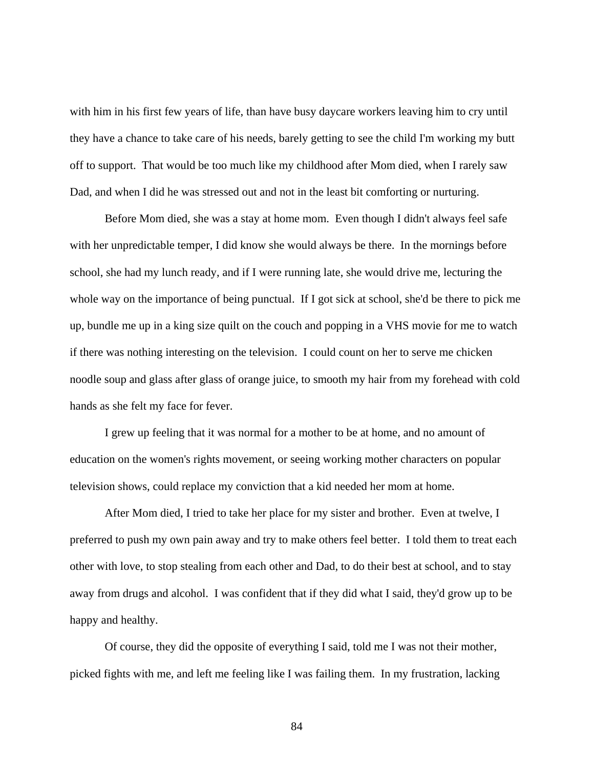with him in his first few years of life, than have busy daycare workers leaving him to cry until they have a chance to take care of his needs, barely getting to see the child I'm working my butt off to support. That would be too much like my childhood after Mom died, when I rarely saw Dad, and when I did he was stressed out and not in the least bit comforting or nurturing.

 Before Mom died, she was a stay at home mom. Even though I didn't always feel safe with her unpredictable temper, I did know she would always be there. In the mornings before school, she had my lunch ready, and if I were running late, she would drive me, lecturing the whole way on the importance of being punctual. If I got sick at school, she'd be there to pick me up, bundle me up in a king size quilt on the couch and popping in a VHS movie for me to watch if there was nothing interesting on the television. I could count on her to serve me chicken noodle soup and glass after glass of orange juice, to smooth my hair from my forehead with cold hands as she felt my face for fever.

 I grew up feeling that it was normal for a mother to be at home, and no amount of education on the women's rights movement, or seeing working mother characters on popular television shows, could replace my conviction that a kid needed her mom at home.

 After Mom died, I tried to take her place for my sister and brother. Even at twelve, I preferred to push my own pain away and try to make others feel better. I told them to treat each other with love, to stop stealing from each other and Dad, to do their best at school, and to stay away from drugs and alcohol. I was confident that if they did what I said, they'd grow up to be happy and healthy.

 Of course, they did the opposite of everything I said, told me I was not their mother, picked fights with me, and left me feeling like I was failing them. In my frustration, lacking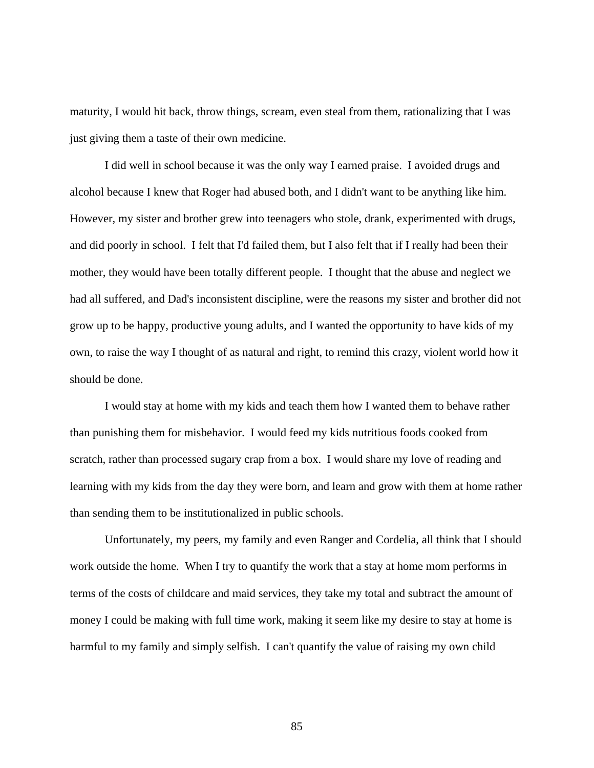maturity, I would hit back, throw things, scream, even steal from them, rationalizing that I was just giving them a taste of their own medicine.

 I did well in school because it was the only way I earned praise. I avoided drugs and alcohol because I knew that Roger had abused both, and I didn't want to be anything like him. However, my sister and brother grew into teenagers who stole, drank, experimented with drugs, and did poorly in school. I felt that I'd failed them, but I also felt that if I really had been their mother, they would have been totally different people. I thought that the abuse and neglect we had all suffered, and Dad's inconsistent discipline, were the reasons my sister and brother did not grow up to be happy, productive young adults, and I wanted the opportunity to have kids of my own, to raise the way I thought of as natural and right, to remind this crazy, violent world how it should be done.

 I would stay at home with my kids and teach them how I wanted them to behave rather than punishing them for misbehavior. I would feed my kids nutritious foods cooked from scratch, rather than processed sugary crap from a box. I would share my love of reading and learning with my kids from the day they were born, and learn and grow with them at home rather than sending them to be institutionalized in public schools.

 Unfortunately, my peers, my family and even Ranger and Cordelia, all think that I should work outside the home. When I try to quantify the work that a stay at home mom performs in terms of the costs of childcare and maid services, they take my total and subtract the amount of money I could be making with full time work, making it seem like my desire to stay at home is harmful to my family and simply selfish. I can't quantify the value of raising my own child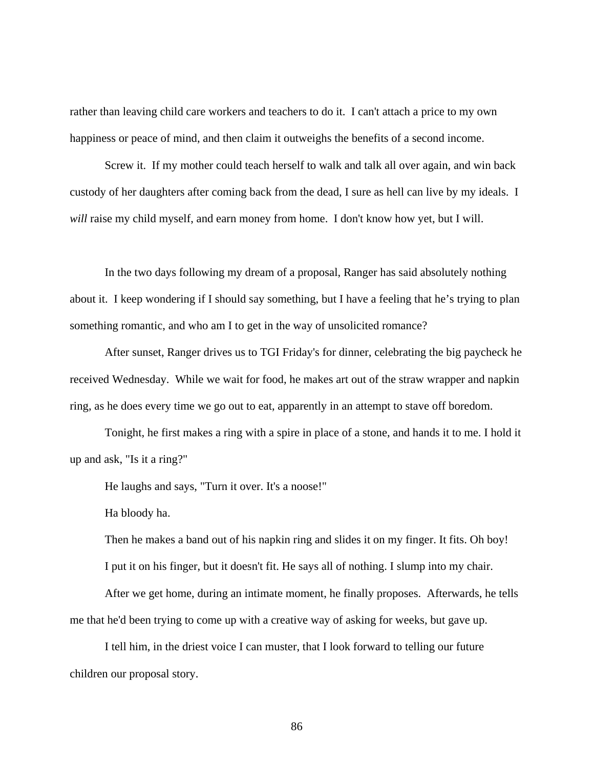rather than leaving child care workers and teachers to do it. I can't attach a price to my own happiness or peace of mind, and then claim it outweighs the benefits of a second income.

 Screw it. If my mother could teach herself to walk and talk all over again, and win back custody of her daughters after coming back from the dead, I sure as hell can live by my ideals. I *will* raise my child myself, and earn money from home. I don't know how yet, but I will.

 In the two days following my dream of a proposal, Ranger has said absolutely nothing about it. I keep wondering if I should say something, but I have a feeling that he's trying to plan something romantic, and who am I to get in the way of unsolicited romance?

 After sunset, Ranger drives us to TGI Friday's for dinner, celebrating the big paycheck he received Wednesday. While we wait for food, he makes art out of the straw wrapper and napkin ring, as he does every time we go out to eat, apparently in an attempt to stave off boredom.

 Tonight, he first makes a ring with a spire in place of a stone, and hands it to me. I hold it up and ask, "Is it a ring?"

He laughs and says, "Turn it over. It's a noose!"

Ha bloody ha.

 Then he makes a band out of his napkin ring and slides it on my finger. It fits. Oh boy! I put it on his finger, but it doesn't fit. He says all of nothing. I slump into my chair.

 After we get home, during an intimate moment, he finally proposes. Afterwards, he tells me that he'd been trying to come up with a creative way of asking for weeks, but gave up.

 I tell him, in the driest voice I can muster, that I look forward to telling our future children our proposal story.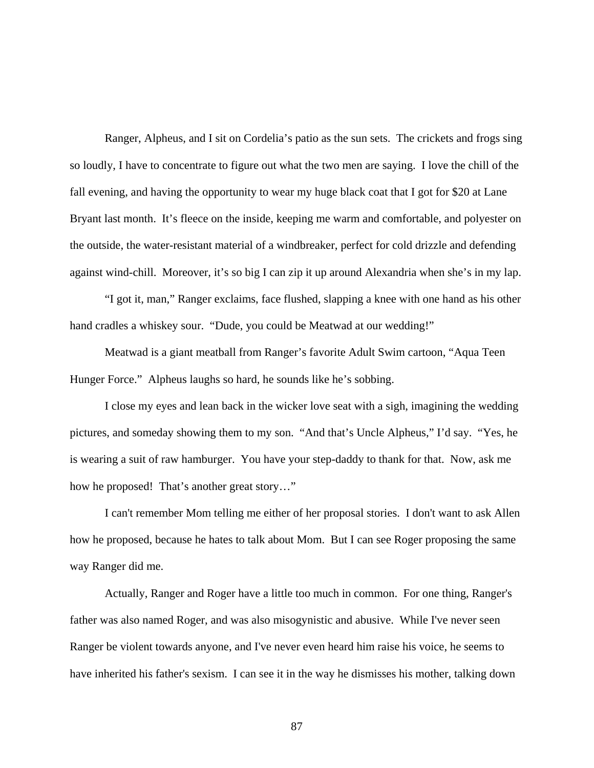Ranger, Alpheus, and I sit on Cordelia's patio as the sun sets. The crickets and frogs sing so loudly, I have to concentrate to figure out what the two men are saying. I love the chill of the fall evening, and having the opportunity to wear my huge black coat that I got for \$20 at Lane Bryant last month. It's fleece on the inside, keeping me warm and comfortable, and polyester on the outside, the water-resistant material of a windbreaker, perfect for cold drizzle and defending against wind-chill. Moreover, it's so big I can zip it up around Alexandria when she's in my lap.

 "I got it, man," Ranger exclaims, face flushed, slapping a knee with one hand as his other hand cradles a whiskey sour. "Dude, you could be Meatwad at our wedding!"

 Meatwad is a giant meatball from Ranger's favorite Adult Swim cartoon, "Aqua Teen Hunger Force." Alpheus laughs so hard, he sounds like he's sobbing.

I close my eyes and lean back in the wicker love seat with a sigh, imagining the wedding pictures, and someday showing them to my son. "And that's Uncle Alpheus," I'd say. "Yes, he is wearing a suit of raw hamburger. You have your step-daddy to thank for that. Now, ask me how he proposed! That's another great story…"

I can't remember Mom telling me either of her proposal stories. I don't want to ask Allen how he proposed, because he hates to talk about Mom. But I can see Roger proposing the same way Ranger did me.

 Actually, Ranger and Roger have a little too much in common. For one thing, Ranger's father was also named Roger, and was also misogynistic and abusive. While I've never seen Ranger be violent towards anyone, and I've never even heard him raise his voice, he seems to have inherited his father's sexism. I can see it in the way he dismisses his mother, talking down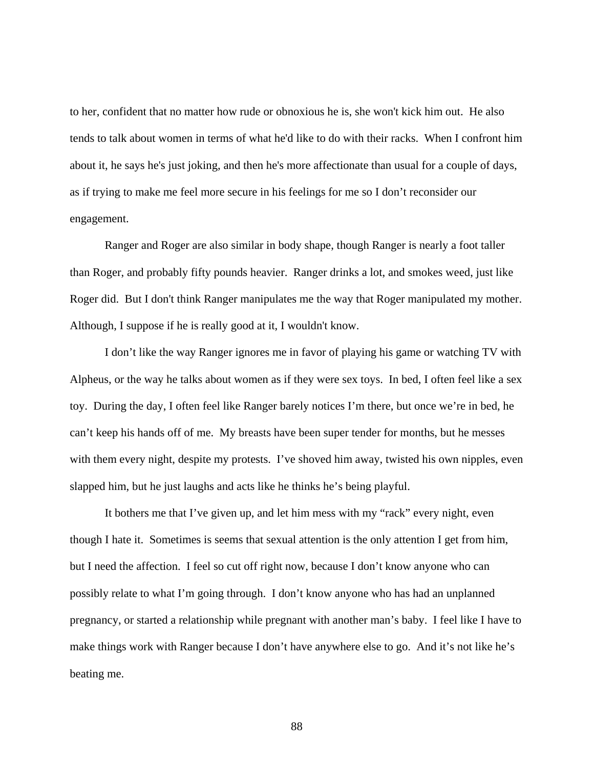to her, confident that no matter how rude or obnoxious he is, she won't kick him out. He also tends to talk about women in terms of what he'd like to do with their racks. When I confront him about it, he says he's just joking, and then he's more affectionate than usual for a couple of days, as if trying to make me feel more secure in his feelings for me so I don't reconsider our engagement.

 Ranger and Roger are also similar in body shape, though Ranger is nearly a foot taller than Roger, and probably fifty pounds heavier. Ranger drinks a lot, and smokes weed, just like Roger did. But I don't think Ranger manipulates me the way that Roger manipulated my mother. Although, I suppose if he is really good at it, I wouldn't know.

 I don't like the way Ranger ignores me in favor of playing his game or watching TV with Alpheus, or the way he talks about women as if they were sex toys. In bed, I often feel like a sex toy. During the day, I often feel like Ranger barely notices I'm there, but once we're in bed, he can't keep his hands off of me. My breasts have been super tender for months, but he messes with them every night, despite my protests. I've shoved him away, twisted his own nipples, even slapped him, but he just laughs and acts like he thinks he's being playful.

It bothers me that I've given up, and let him mess with my "rack" every night, even though I hate it. Sometimes is seems that sexual attention is the only attention I get from him, but I need the affection. I feel so cut off right now, because I don't know anyone who can possibly relate to what I'm going through. I don't know anyone who has had an unplanned pregnancy, or started a relationship while pregnant with another man's baby. I feel like I have to make things work with Ranger because I don't have anywhere else to go. And it's not like he's beating me.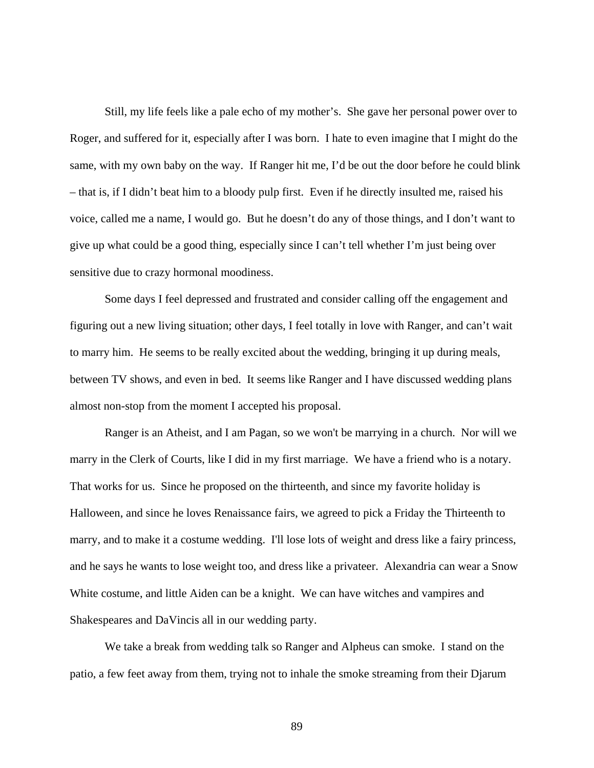Still, my life feels like a pale echo of my mother's. She gave her personal power over to Roger, and suffered for it, especially after I was born. I hate to even imagine that I might do the same, with my own baby on the way. If Ranger hit me, I'd be out the door before he could blink – that is, if I didn't beat him to a bloody pulp first. Even if he directly insulted me, raised his voice, called me a name, I would go. But he doesn't do any of those things, and I don't want to give up what could be a good thing, especially since I can't tell whether I'm just being over sensitive due to crazy hormonal moodiness.

 Some days I feel depressed and frustrated and consider calling off the engagement and figuring out a new living situation; other days, I feel totally in love with Ranger, and can't wait to marry him. He seems to be really excited about the wedding, bringing it up during meals, between TV shows, and even in bed. It seems like Ranger and I have discussed wedding plans almost non-stop from the moment I accepted his proposal.

 Ranger is an Atheist, and I am Pagan, so we won't be marrying in a church. Nor will we marry in the Clerk of Courts, like I did in my first marriage. We have a friend who is a notary. That works for us. Since he proposed on the thirteenth, and since my favorite holiday is Halloween, and since he loves Renaissance fairs, we agreed to pick a Friday the Thirteenth to marry, and to make it a costume wedding. I'll lose lots of weight and dress like a fairy princess, and he says he wants to lose weight too, and dress like a privateer. Alexandria can wear a Snow White costume, and little Aiden can be a knight. We can have witches and vampires and Shakespeares and DaVincis all in our wedding party.

 We take a break from wedding talk so Ranger and Alpheus can smoke. I stand on the patio, a few feet away from them, trying not to inhale the smoke streaming from their Djarum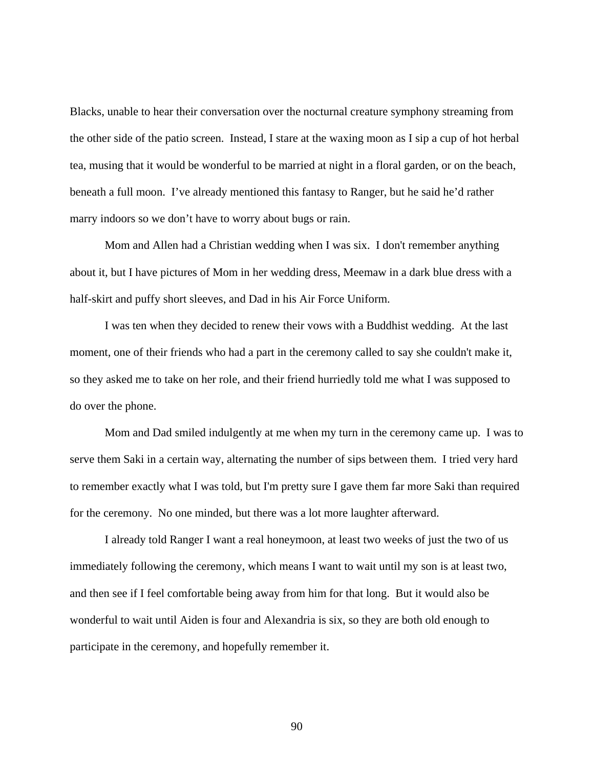Blacks, unable to hear their conversation over the nocturnal creature symphony streaming from the other side of the patio screen. Instead, I stare at the waxing moon as I sip a cup of hot herbal tea, musing that it would be wonderful to be married at night in a floral garden, or on the beach, beneath a full moon. I've already mentioned this fantasy to Ranger, but he said he'd rather marry indoors so we don't have to worry about bugs or rain.

 Mom and Allen had a Christian wedding when I was six. I don't remember anything about it, but I have pictures of Mom in her wedding dress, Meemaw in a dark blue dress with a half-skirt and puffy short sleeves, and Dad in his Air Force Uniform.

 I was ten when they decided to renew their vows with a Buddhist wedding. At the last moment, one of their friends who had a part in the ceremony called to say she couldn't make it, so they asked me to take on her role, and their friend hurriedly told me what I was supposed to do over the phone.

 Mom and Dad smiled indulgently at me when my turn in the ceremony came up. I was to serve them Saki in a certain way, alternating the number of sips between them. I tried very hard to remember exactly what I was told, but I'm pretty sure I gave them far more Saki than required for the ceremony. No one minded, but there was a lot more laughter afterward.

 I already told Ranger I want a real honeymoon, at least two weeks of just the two of us immediately following the ceremony, which means I want to wait until my son is at least two, and then see if I feel comfortable being away from him for that long. But it would also be wonderful to wait until Aiden is four and Alexandria is six, so they are both old enough to participate in the ceremony, and hopefully remember it.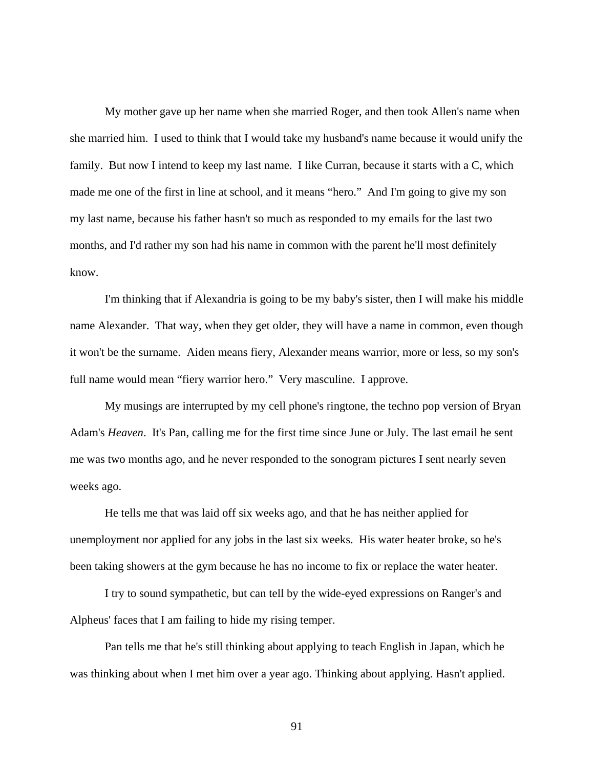My mother gave up her name when she married Roger, and then took Allen's name when she married him. I used to think that I would take my husband's name because it would unify the family. But now I intend to keep my last name. I like Curran, because it starts with a C, which made me one of the first in line at school, and it means "hero." And I'm going to give my son my last name, because his father hasn't so much as responded to my emails for the last two months, and I'd rather my son had his name in common with the parent he'll most definitely know.

 I'm thinking that if Alexandria is going to be my baby's sister, then I will make his middle name Alexander. That way, when they get older, they will have a name in common, even though it won't be the surname. Aiden means fiery, Alexander means warrior, more or less, so my son's full name would mean "fiery warrior hero." Very masculine. I approve.

 My musings are interrupted by my cell phone's ringtone, the techno pop version of Bryan Adam's *Heaven*. It's Pan, calling me for the first time since June or July. The last email he sent me was two months ago, and he never responded to the sonogram pictures I sent nearly seven weeks ago.

 He tells me that was laid off six weeks ago, and that he has neither applied for unemployment nor applied for any jobs in the last six weeks. His water heater broke, so he's been taking showers at the gym because he has no income to fix or replace the water heater.

 I try to sound sympathetic, but can tell by the wide-eyed expressions on Ranger's and Alpheus' faces that I am failing to hide my rising temper.

 Pan tells me that he's still thinking about applying to teach English in Japan, which he was thinking about when I met him over a year ago. Thinking about applying. Hasn't applied.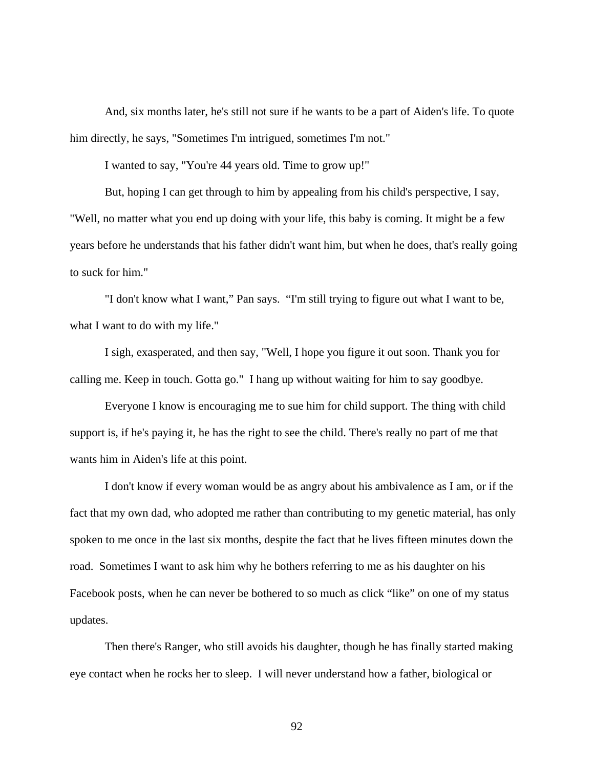And, six months later, he's still not sure if he wants to be a part of Aiden's life. To quote him directly, he says, "Sometimes I'm intrigued, sometimes I'm not."

I wanted to say, "You're 44 years old. Time to grow up!"

 But, hoping I can get through to him by appealing from his child's perspective, I say, "Well, no matter what you end up doing with your life, this baby is coming. It might be a few years before he understands that his father didn't want him, but when he does, that's really going to suck for him."

 "I don't know what I want," Pan says. "I'm still trying to figure out what I want to be, what I want to do with my life."

 I sigh, exasperated, and then say, "Well, I hope you figure it out soon. Thank you for calling me. Keep in touch. Gotta go." I hang up without waiting for him to say goodbye.

 Everyone I know is encouraging me to sue him for child support. The thing with child support is, if he's paying it, he has the right to see the child. There's really no part of me that wants him in Aiden's life at this point.

 I don't know if every woman would be as angry about his ambivalence as I am, or if the fact that my own dad, who adopted me rather than contributing to my genetic material, has only spoken to me once in the last six months, despite the fact that he lives fifteen minutes down the road. Sometimes I want to ask him why he bothers referring to me as his daughter on his Facebook posts, when he can never be bothered to so much as click "like" on one of my status updates.

 Then there's Ranger, who still avoids his daughter, though he has finally started making eye contact when he rocks her to sleep. I will never understand how a father, biological or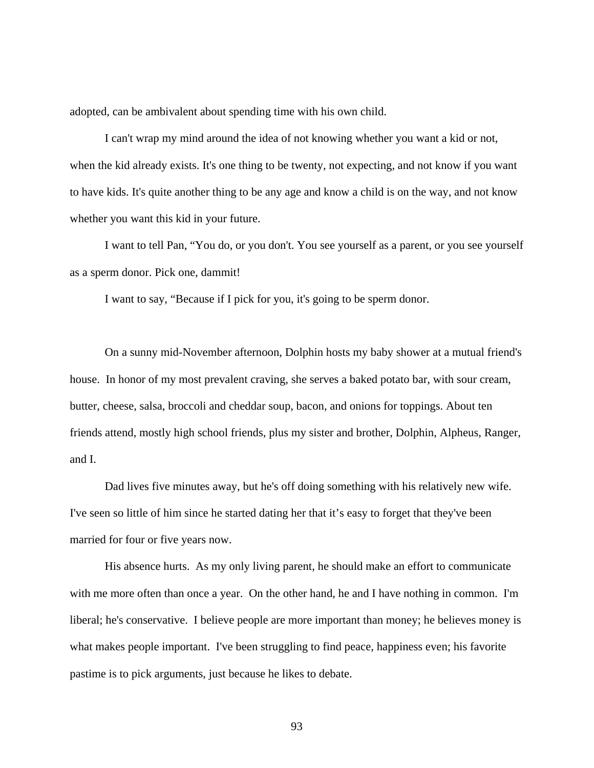adopted, can be ambivalent about spending time with his own child.

 I can't wrap my mind around the idea of not knowing whether you want a kid or not, when the kid already exists. It's one thing to be twenty, not expecting, and not know if you want to have kids. It's quite another thing to be any age and know a child is on the way, and not know whether you want this kid in your future.

 I want to tell Pan, "You do, or you don't. You see yourself as a parent, or you see yourself as a sperm donor. Pick one, dammit!

I want to say, "Because if I pick for you, it's going to be sperm donor.

 On a sunny mid-November afternoon, Dolphin hosts my baby shower at a mutual friend's house. In honor of my most prevalent craving, she serves a baked potato bar, with sour cream, butter, cheese, salsa, broccoli and cheddar soup, bacon, and onions for toppings. About ten friends attend, mostly high school friends, plus my sister and brother, Dolphin, Alpheus, Ranger, and I.

 Dad lives five minutes away, but he's off doing something with his relatively new wife. I've seen so little of him since he started dating her that it's easy to forget that they've been married for four or five years now.

 His absence hurts. As my only living parent, he should make an effort to communicate with me more often than once a year. On the other hand, he and I have nothing in common. I'm liberal; he's conservative. I believe people are more important than money; he believes money is what makes people important. I've been struggling to find peace, happiness even; his favorite pastime is to pick arguments, just because he likes to debate.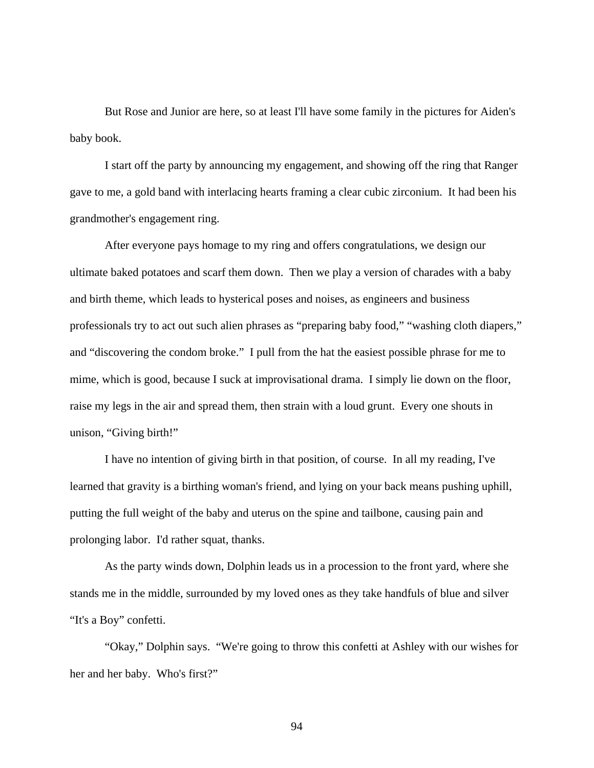But Rose and Junior are here, so at least I'll have some family in the pictures for Aiden's baby book.

 I start off the party by announcing my engagement, and showing off the ring that Ranger gave to me, a gold band with interlacing hearts framing a clear cubic zirconium. It had been his grandmother's engagement ring.

 After everyone pays homage to my ring and offers congratulations, we design our ultimate baked potatoes and scarf them down. Then we play a version of charades with a baby and birth theme, which leads to hysterical poses and noises, as engineers and business professionals try to act out such alien phrases as "preparing baby food," "washing cloth diapers," and "discovering the condom broke." I pull from the hat the easiest possible phrase for me to mime, which is good, because I suck at improvisational drama. I simply lie down on the floor, raise my legs in the air and spread them, then strain with a loud grunt. Every one shouts in unison, "Giving birth!"

 I have no intention of giving birth in that position, of course. In all my reading, I've learned that gravity is a birthing woman's friend, and lying on your back means pushing uphill, putting the full weight of the baby and uterus on the spine and tailbone, causing pain and prolonging labor. I'd rather squat, thanks.

 As the party winds down, Dolphin leads us in a procession to the front yard, where she stands me in the middle, surrounded by my loved ones as they take handfuls of blue and silver "It's a Boy" confetti.

 "Okay," Dolphin says. "We're going to throw this confetti at Ashley with our wishes for her and her baby. Who's first?"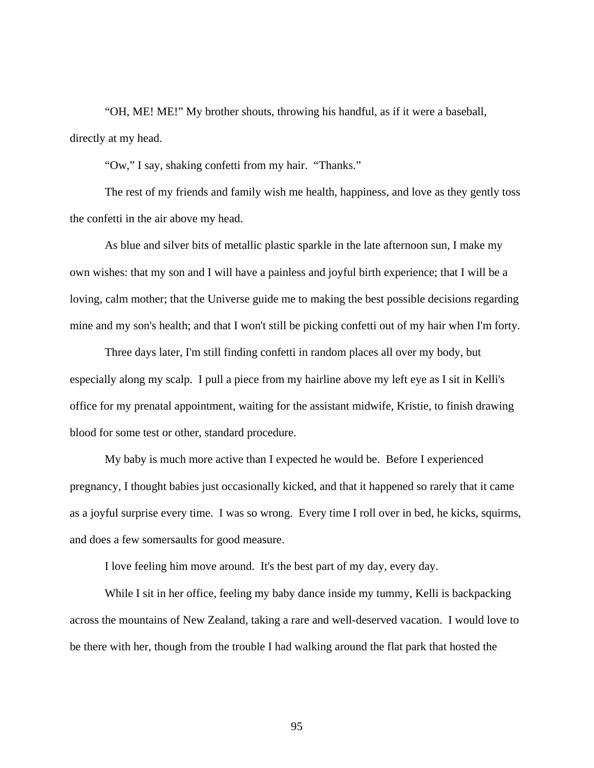"OH, ME! ME!" My brother shouts, throwing his handful, as if it were a baseball, directly at my head.

"Ow," I say, shaking confetti from my hair. "Thanks."

 The rest of my friends and family wish me health, happiness, and love as they gently toss the confetti in the air above my head.

 As blue and silver bits of metallic plastic sparkle in the late afternoon sun, I make my own wishes: that my son and I will have a painless and joyful birth experience; that I will be a loving, calm mother; that the Universe guide me to making the best possible decisions regarding mine and my son's health; and that I won't still be picking confetti out of my hair when I'm forty.

 Three days later, I'm still finding confetti in random places all over my body, but especially along my scalp. I pull a piece from my hairline above my left eye as I sit in Kelli's office for my prenatal appointment, waiting for the assistant midwife, Kristie, to finish drawing blood for some test or other, standard procedure.

 My baby is much more active than I expected he would be. Before I experienced pregnancy, I thought babies just occasionally kicked, and that it happened so rarely that it came as a joyful surprise every time. I was so wrong. Every time I roll over in bed, he kicks, squirms, and does a few somersaults for good measure.

I love feeling him move around. It's the best part of my day, every day.

 While I sit in her office, feeling my baby dance inside my tummy, Kelli is backpacking across the mountains of New Zealand, taking a rare and well-deserved vacation. I would love to be there with her, though from the trouble I had walking around the flat park that hosted the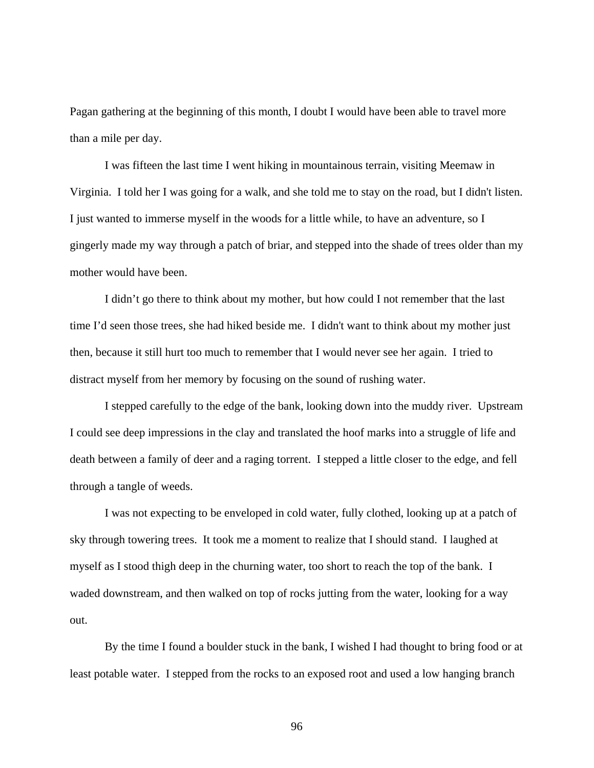Pagan gathering at the beginning of this month, I doubt I would have been able to travel more than a mile per day.

 I was fifteen the last time I went hiking in mountainous terrain, visiting Meemaw in Virginia. I told her I was going for a walk, and she told me to stay on the road, but I didn't listen. I just wanted to immerse myself in the woods for a little while, to have an adventure, so I gingerly made my way through a patch of briar, and stepped into the shade of trees older than my mother would have been.

 I didn't go there to think about my mother, but how could I not remember that the last time I'd seen those trees, she had hiked beside me. I didn't want to think about my mother just then, because it still hurt too much to remember that I would never see her again. I tried to distract myself from her memory by focusing on the sound of rushing water.

 I stepped carefully to the edge of the bank, looking down into the muddy river. Upstream I could see deep impressions in the clay and translated the hoof marks into a struggle of life and death between a family of deer and a raging torrent. I stepped a little closer to the edge, and fell through a tangle of weeds.

 I was not expecting to be enveloped in cold water, fully clothed, looking up at a patch of sky through towering trees. It took me a moment to realize that I should stand. I laughed at myself as I stood thigh deep in the churning water, too short to reach the top of the bank. I waded downstream, and then walked on top of rocks jutting from the water, looking for a way out.

 By the time I found a boulder stuck in the bank, I wished I had thought to bring food or at least potable water. I stepped from the rocks to an exposed root and used a low hanging branch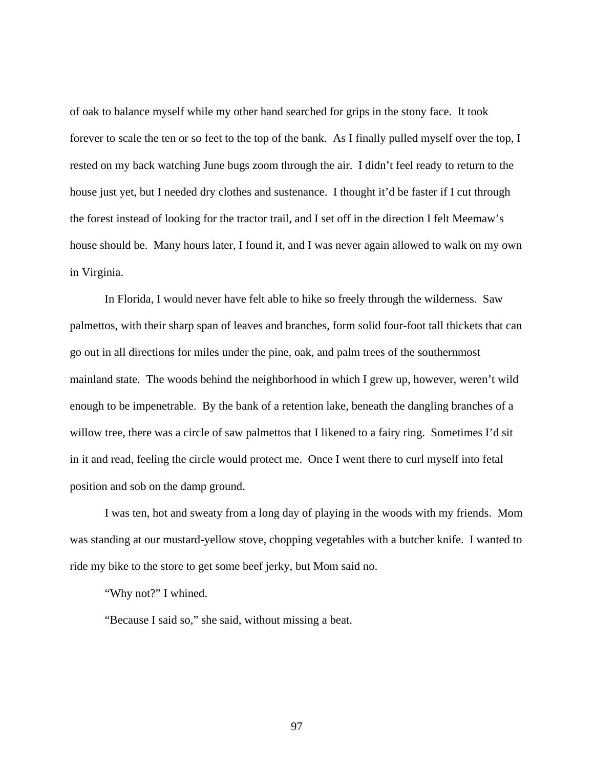of oak to balance myself while my other hand searched for grips in the stony face. It took forever to scale the ten or so feet to the top of the bank. As I finally pulled myself over the top, I rested on my back watching June bugs zoom through the air. I didn't feel ready to return to the house just yet, but I needed dry clothes and sustenance. I thought it'd be faster if I cut through the forest instead of looking for the tractor trail, and I set off in the direction I felt Meemaw's house should be. Many hours later, I found it, and I was never again allowed to walk on my own in Virginia.

 In Florida, I would never have felt able to hike so freely through the wilderness. Saw palmettos, with their sharp span of leaves and branches, form solid four-foot tall thickets that can go out in all directions for miles under the pine, oak, and palm trees of the southernmost mainland state. The woods behind the neighborhood in which I grew up, however, weren't wild enough to be impenetrable. By the bank of a retention lake, beneath the dangling branches of a willow tree, there was a circle of saw palmettos that I likened to a fairy ring. Sometimes I'd sit in it and read, feeling the circle would protect me. Once I went there to curl myself into fetal position and sob on the damp ground.

 I was ten, hot and sweaty from a long day of playing in the woods with my friends. Mom was standing at our mustard-yellow stove, chopping vegetables with a butcher knife. I wanted to ride my bike to the store to get some beef jerky, but Mom said no.

"Why not?" I whined.

"Because I said so," she said, without missing a beat.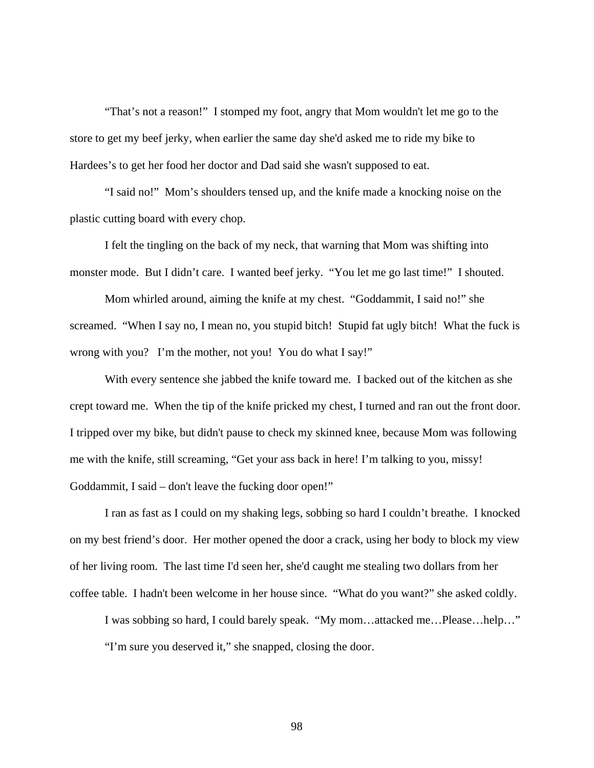"That's not a reason!" I stomped my foot, angry that Mom wouldn't let me go to the store to get my beef jerky, when earlier the same day she'd asked me to ride my bike to Hardees's to get her food her doctor and Dad said she wasn't supposed to eat.

"I said no!" Mom's shoulders tensed up, and the knife made a knocking noise on the plastic cutting board with every chop.

I felt the tingling on the back of my neck, that warning that Mom was shifting into monster mode. But I didn't care. I wanted beef jerky. "You let me go last time!" I shouted.

Mom whirled around, aiming the knife at my chest. "Goddammit, I said no!" she screamed. "When I say no, I mean no, you stupid bitch! Stupid fat ugly bitch! What the fuck is wrong with you? I'm the mother, not you! You do what I say!"

With every sentence she jabbed the knife toward me. I backed out of the kitchen as she crept toward me. When the tip of the knife pricked my chest, I turned and ran out the front door. I tripped over my bike, but didn't pause to check my skinned knee, because Mom was following me with the knife, still screaming, "Get your ass back in here! I'm talking to you, missy! Goddammit, I said – don't leave the fucking door open!"

I ran as fast as I could on my shaking legs, sobbing so hard I couldn't breathe. I knocked on my best friend's door. Her mother opened the door a crack, using her body to block my view of her living room. The last time I'd seen her, she'd caught me stealing two dollars from her coffee table. I hadn't been welcome in her house since. "What do you want?" she asked coldly.

I was sobbing so hard, I could barely speak. "My mom…attacked me…Please…help…" "I'm sure you deserved it," she snapped, closing the door.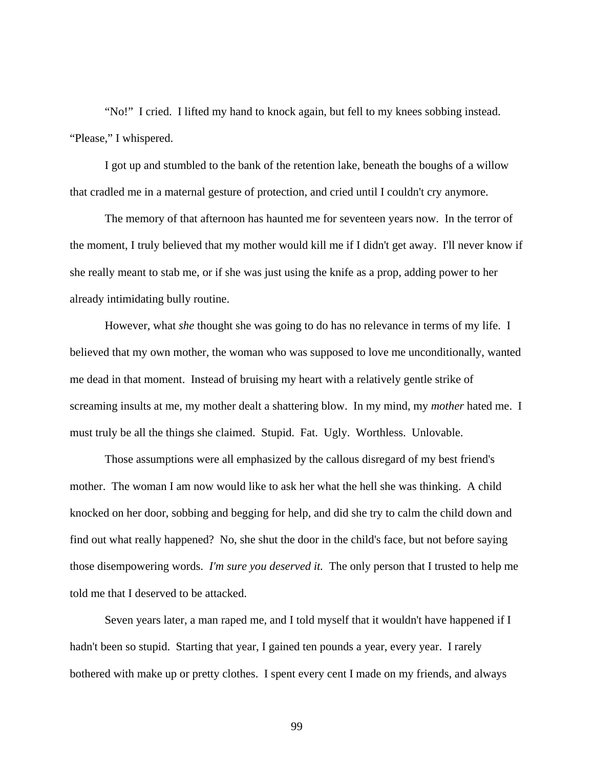"No!" I cried. I lifted my hand to knock again, but fell to my knees sobbing instead. "Please," I whispered.

 I got up and stumbled to the bank of the retention lake, beneath the boughs of a willow that cradled me in a maternal gesture of protection, and cried until I couldn't cry anymore.

 The memory of that afternoon has haunted me for seventeen years now. In the terror of the moment, I truly believed that my mother would kill me if I didn't get away. I'll never know if she really meant to stab me, or if she was just using the knife as a prop, adding power to her already intimidating bully routine.

However, what *she* thought she was going to do has no relevance in terms of my life. I believed that my own mother, the woman who was supposed to love me unconditionally, wanted me dead in that moment. Instead of bruising my heart with a relatively gentle strike of screaming insults at me, my mother dealt a shattering blow. In my mind, my *mother* hated me. I must truly be all the things she claimed. Stupid. Fat. Ugly. Worthless. Unlovable.

 Those assumptions were all emphasized by the callous disregard of my best friend's mother. The woman I am now would like to ask her what the hell she was thinking. A child knocked on her door, sobbing and begging for help, and did she try to calm the child down and find out what really happened? No, she shut the door in the child's face, but not before saying those disempowering words. *I'm sure you deserved it.* The only person that I trusted to help me told me that I deserved to be attacked.

 Seven years later, a man raped me, and I told myself that it wouldn't have happened if I hadn't been so stupid. Starting that year, I gained ten pounds a year, every year. I rarely bothered with make up or pretty clothes. I spent every cent I made on my friends, and always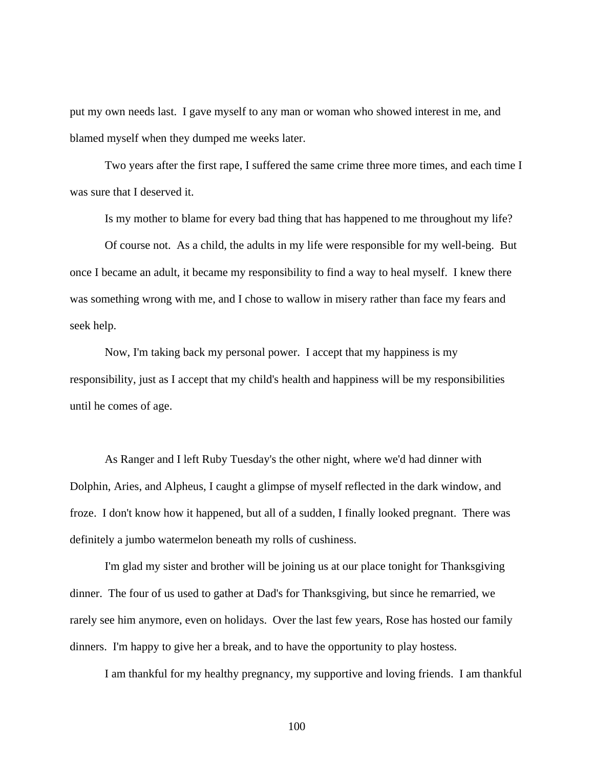put my own needs last. I gave myself to any man or woman who showed interest in me, and blamed myself when they dumped me weeks later.

 Two years after the first rape, I suffered the same crime three more times, and each time I was sure that I deserved it.

Is my mother to blame for every bad thing that has happened to me throughout my life?

 Of course not. As a child, the adults in my life were responsible for my well-being. But once I became an adult, it became my responsibility to find a way to heal myself. I knew there was something wrong with me, and I chose to wallow in misery rather than face my fears and seek help.

 Now, I'm taking back my personal power. I accept that my happiness is my responsibility, just as I accept that my child's health and happiness will be my responsibilities until he comes of age.

 As Ranger and I left Ruby Tuesday's the other night, where we'd had dinner with Dolphin, Aries, and Alpheus, I caught a glimpse of myself reflected in the dark window, and froze. I don't know how it happened, but all of a sudden, I finally looked pregnant. There was definitely a jumbo watermelon beneath my rolls of cushiness.

 I'm glad my sister and brother will be joining us at our place tonight for Thanksgiving dinner. The four of us used to gather at Dad's for Thanksgiving, but since he remarried, we rarely see him anymore, even on holidays. Over the last few years, Rose has hosted our family dinners. I'm happy to give her a break, and to have the opportunity to play hostess.

I am thankful for my healthy pregnancy, my supportive and loving friends. I am thankful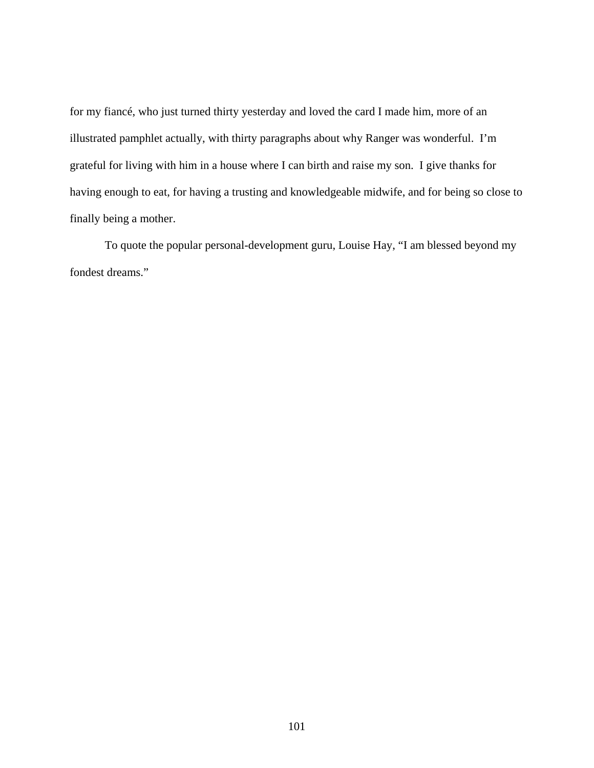for my fiancé, who just turned thirty yesterday and loved the card I made him, more of an illustrated pamphlet actually, with thirty paragraphs about why Ranger was wonderful. I'm grateful for living with him in a house where I can birth and raise my son. I give thanks for having enough to eat, for having a trusting and knowledgeable midwife, and for being so close to finally being a mother.

 To quote the popular personal-development guru, Louise Hay, "I am blessed beyond my fondest dreams."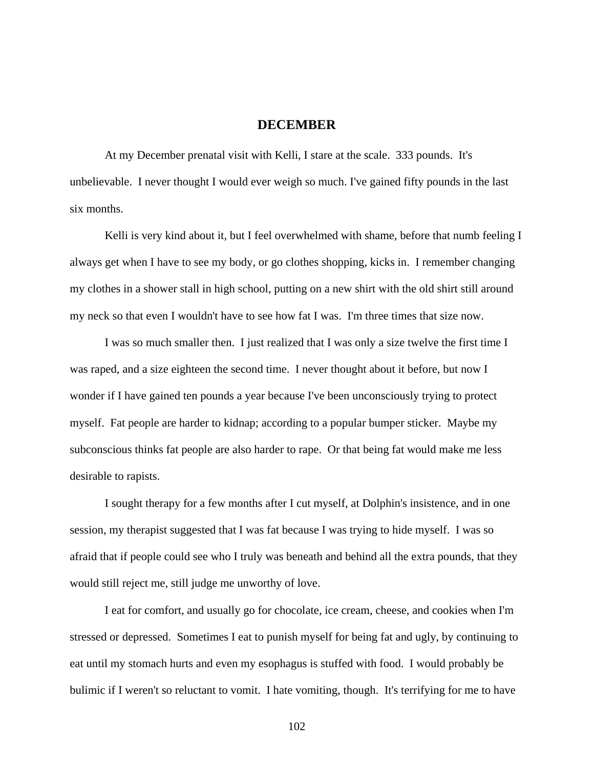## **DECEMBER**

 At my December prenatal visit with Kelli, I stare at the scale. 333 pounds. It's unbelievable. I never thought I would ever weigh so much. I've gained fifty pounds in the last six months.

Kelli is very kind about it, but I feel overwhelmed with shame, before that numb feeling I always get when I have to see my body, or go clothes shopping, kicks in. I remember changing my clothes in a shower stall in high school, putting on a new shirt with the old shirt still around my neck so that even I wouldn't have to see how fat I was. I'm three times that size now.

 I was so much smaller then. I just realized that I was only a size twelve the first time I was raped, and a size eighteen the second time. I never thought about it before, but now I wonder if I have gained ten pounds a year because I've been unconsciously trying to protect myself. Fat people are harder to kidnap; according to a popular bumper sticker. Maybe my subconscious thinks fat people are also harder to rape. Or that being fat would make me less desirable to rapists.

 I sought therapy for a few months after I cut myself, at Dolphin's insistence, and in one session, my therapist suggested that I was fat because I was trying to hide myself. I was so afraid that if people could see who I truly was beneath and behind all the extra pounds, that they would still reject me, still judge me unworthy of love.

 I eat for comfort, and usually go for chocolate, ice cream, cheese, and cookies when I'm stressed or depressed. Sometimes I eat to punish myself for being fat and ugly, by continuing to eat until my stomach hurts and even my esophagus is stuffed with food. I would probably be bulimic if I weren't so reluctant to vomit. I hate vomiting, though. It's terrifying for me to have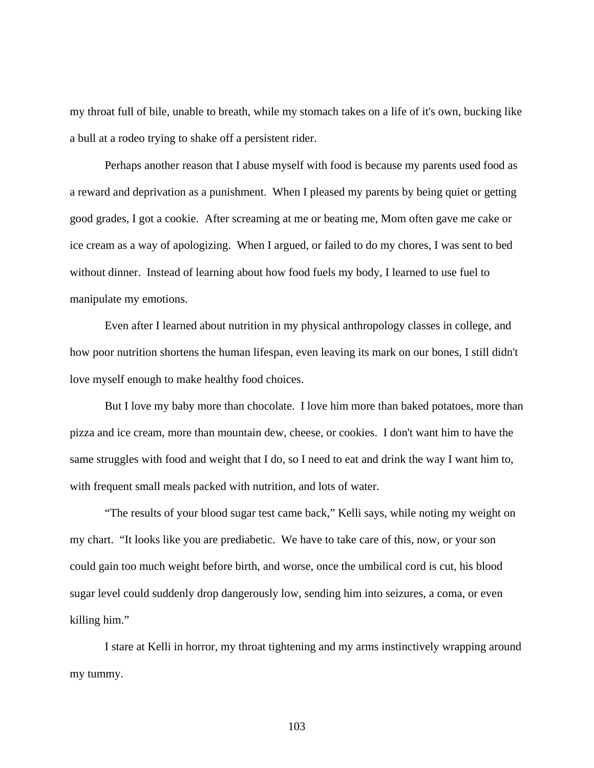my throat full of bile, unable to breath, while my stomach takes on a life of it's own, bucking like a bull at a rodeo trying to shake off a persistent rider.

 Perhaps another reason that I abuse myself with food is because my parents used food as a reward and deprivation as a punishment. When I pleased my parents by being quiet or getting good grades, I got a cookie. After screaming at me or beating me, Mom often gave me cake or ice cream as a way of apologizing. When I argued, or failed to do my chores, I was sent to bed without dinner. Instead of learning about how food fuels my body, I learned to use fuel to manipulate my emotions.

 Even after I learned about nutrition in my physical anthropology classes in college, and how poor nutrition shortens the human lifespan, even leaving its mark on our bones, I still didn't love myself enough to make healthy food choices.

 But I love my baby more than chocolate. I love him more than baked potatoes, more than pizza and ice cream, more than mountain dew, cheese, or cookies. I don't want him to have the same struggles with food and weight that I do, so I need to eat and drink the way I want him to, with frequent small meals packed with nutrition, and lots of water.

 "The results of your blood sugar test came back," Kelli says, while noting my weight on my chart. "It looks like you are prediabetic. We have to take care of this, now, or your son could gain too much weight before birth, and worse, once the umbilical cord is cut, his blood sugar level could suddenly drop dangerously low, sending him into seizures, a coma, or even killing him."

 I stare at Kelli in horror, my throat tightening and my arms instinctively wrapping around my tummy.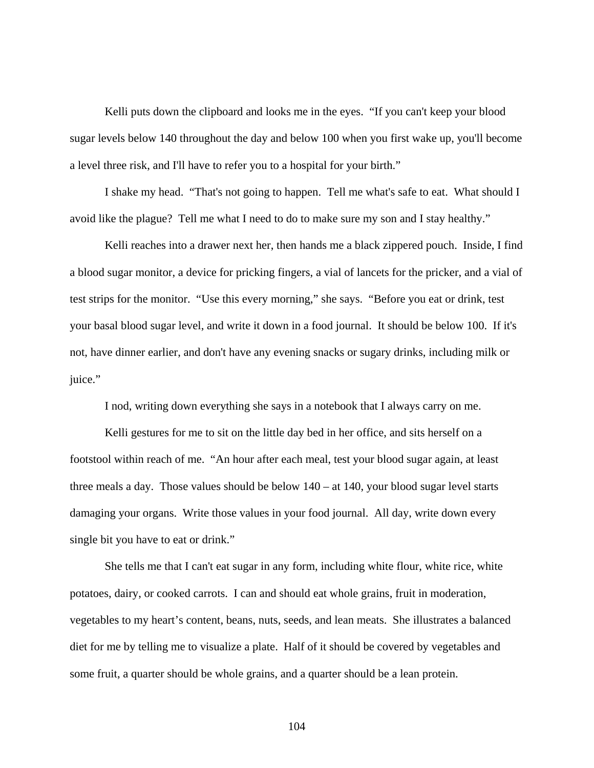Kelli puts down the clipboard and looks me in the eyes. "If you can't keep your blood sugar levels below 140 throughout the day and below 100 when you first wake up, you'll become a level three risk, and I'll have to refer you to a hospital for your birth."

 I shake my head. "That's not going to happen. Tell me what's safe to eat. What should I avoid like the plague? Tell me what I need to do to make sure my son and I stay healthy."

 Kelli reaches into a drawer next her, then hands me a black zippered pouch. Inside, I find a blood sugar monitor, a device for pricking fingers, a vial of lancets for the pricker, and a vial of test strips for the monitor. "Use this every morning," she says. "Before you eat or drink, test your basal blood sugar level, and write it down in a food journal. It should be below 100. If it's not, have dinner earlier, and don't have any evening snacks or sugary drinks, including milk or juice."

I nod, writing down everything she says in a notebook that I always carry on me.

 Kelli gestures for me to sit on the little day bed in her office, and sits herself on a footstool within reach of me. "An hour after each meal, test your blood sugar again, at least three meals a day. Those values should be below  $140 - at 140$ , your blood sugar level starts damaging your organs. Write those values in your food journal. All day, write down every single bit you have to eat or drink."

 She tells me that I can't eat sugar in any form, including white flour, white rice, white potatoes, dairy, or cooked carrots. I can and should eat whole grains, fruit in moderation, vegetables to my heart's content, beans, nuts, seeds, and lean meats. She illustrates a balanced diet for me by telling me to visualize a plate. Half of it should be covered by vegetables and some fruit, a quarter should be whole grains, and a quarter should be a lean protein.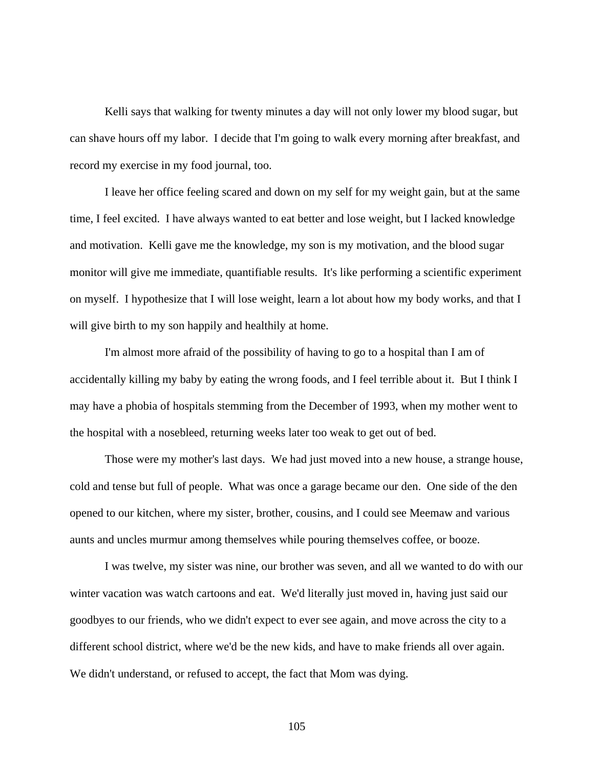Kelli says that walking for twenty minutes a day will not only lower my blood sugar, but can shave hours off my labor. I decide that I'm going to walk every morning after breakfast, and record my exercise in my food journal, too.

 I leave her office feeling scared and down on my self for my weight gain, but at the same time, I feel excited. I have always wanted to eat better and lose weight, but I lacked knowledge and motivation. Kelli gave me the knowledge, my son is my motivation, and the blood sugar monitor will give me immediate, quantifiable results. It's like performing a scientific experiment on myself. I hypothesize that I will lose weight, learn a lot about how my body works, and that I will give birth to my son happily and healthily at home.

 I'm almost more afraid of the possibility of having to go to a hospital than I am of accidentally killing my baby by eating the wrong foods, and I feel terrible about it. But I think I may have a phobia of hospitals stemming from the December of 1993, when my mother went to the hospital with a nosebleed, returning weeks later too weak to get out of bed.

 Those were my mother's last days. We had just moved into a new house, a strange house, cold and tense but full of people. What was once a garage became our den. One side of the den opened to our kitchen, where my sister, brother, cousins, and I could see Meemaw and various aunts and uncles murmur among themselves while pouring themselves coffee, or booze.

 I was twelve, my sister was nine, our brother was seven, and all we wanted to do with our winter vacation was watch cartoons and eat. We'd literally just moved in, having just said our goodbyes to our friends, who we didn't expect to ever see again, and move across the city to a different school district, where we'd be the new kids, and have to make friends all over again. We didn't understand, or refused to accept, the fact that Mom was dying.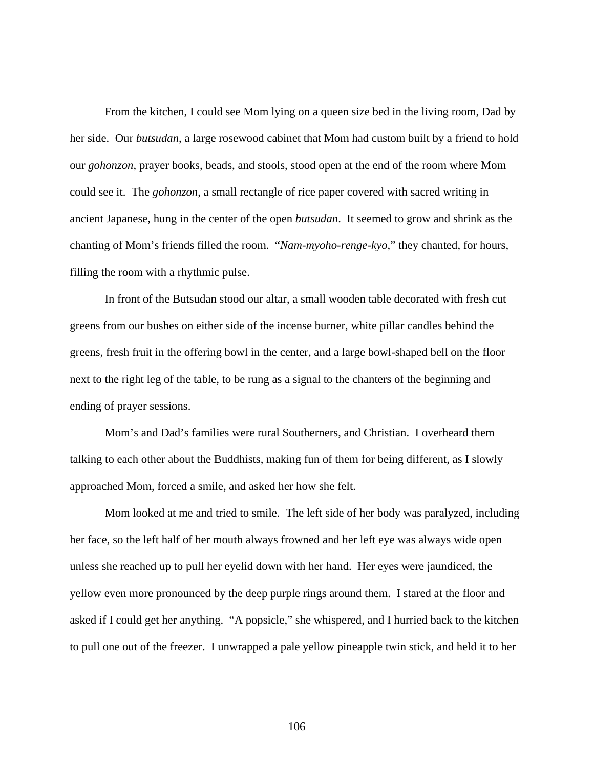From the kitchen, I could see Mom lying on a queen size bed in the living room, Dad by her side. Our *butsudan*, a large rosewood cabinet that Mom had custom built by a friend to hold our *gohonzon*, prayer books, beads, and stools, stood open at the end of the room where Mom could see it. The *gohonzon*, a small rectangle of rice paper covered with sacred writing in ancient Japanese, hung in the center of the open *butsudan*. It seemed to grow and shrink as the chanting of Mom's friends filled the room. "*Nam-myoho-renge-kyo*," they chanted, for hours, filling the room with a rhythmic pulse.

 In front of the Butsudan stood our altar, a small wooden table decorated with fresh cut greens from our bushes on either side of the incense burner, white pillar candles behind the greens, fresh fruit in the offering bowl in the center, and a large bowl-shaped bell on the floor next to the right leg of the table, to be rung as a signal to the chanters of the beginning and ending of prayer sessions.

 Mom's and Dad's families were rural Southerners, and Christian. I overheard them talking to each other about the Buddhists, making fun of them for being different, as I slowly approached Mom, forced a smile, and asked her how she felt.

 Mom looked at me and tried to smile. The left side of her body was paralyzed, including her face, so the left half of her mouth always frowned and her left eye was always wide open unless she reached up to pull her eyelid down with her hand. Her eyes were jaundiced, the yellow even more pronounced by the deep purple rings around them. I stared at the floor and asked if I could get her anything. "A popsicle," she whispered, and I hurried back to the kitchen to pull one out of the freezer. I unwrapped a pale yellow pineapple twin stick, and held it to her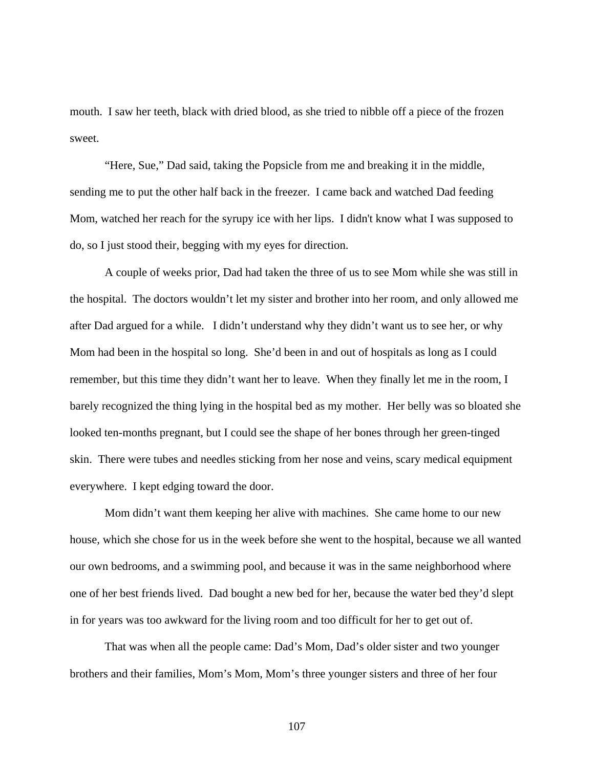mouth. I saw her teeth, black with dried blood, as she tried to nibble off a piece of the frozen sweet.

 "Here, Sue," Dad said, taking the Popsicle from me and breaking it in the middle, sending me to put the other half back in the freezer. I came back and watched Dad feeding Mom, watched her reach for the syrupy ice with her lips. I didn't know what I was supposed to do, so I just stood their, begging with my eyes for direction.

 A couple of weeks prior, Dad had taken the three of us to see Mom while she was still in the hospital. The doctors wouldn't let my sister and brother into her room, and only allowed me after Dad argued for a while. I didn't understand why they didn't want us to see her, or why Mom had been in the hospital so long. She'd been in and out of hospitals as long as I could remember, but this time they didn't want her to leave. When they finally let me in the room, I barely recognized the thing lying in the hospital bed as my mother. Her belly was so bloated she looked ten-months pregnant, but I could see the shape of her bones through her green-tinged skin. There were tubes and needles sticking from her nose and veins, scary medical equipment everywhere. I kept edging toward the door.

 Mom didn't want them keeping her alive with machines. She came home to our new house, which she chose for us in the week before she went to the hospital, because we all wanted our own bedrooms, and a swimming pool, and because it was in the same neighborhood where one of her best friends lived. Dad bought a new bed for her, because the water bed they'd slept in for years was too awkward for the living room and too difficult for her to get out of.

 That was when all the people came: Dad's Mom, Dad's older sister and two younger brothers and their families, Mom's Mom, Mom's three younger sisters and three of her four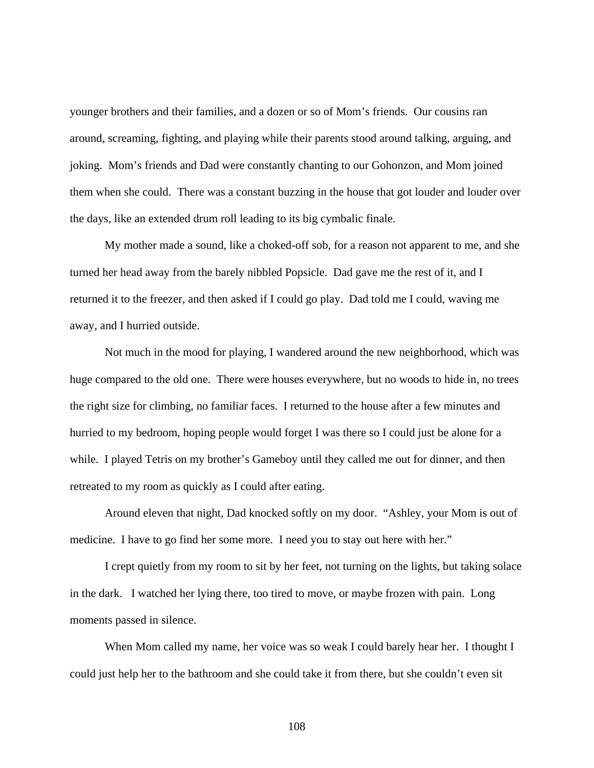younger brothers and their families, and a dozen or so of Mom's friends. Our cousins ran around, screaming, fighting, and playing while their parents stood around talking, arguing, and joking. Mom's friends and Dad were constantly chanting to our Gohonzon, and Mom joined them when she could. There was a constant buzzing in the house that got louder and louder over the days, like an extended drum roll leading to its big cymbalic finale.

 My mother made a sound, like a choked-off sob, for a reason not apparent to me, and she turned her head away from the barely nibbled Popsicle. Dad gave me the rest of it, and I returned it to the freezer, and then asked if I could go play. Dad told me I could, waving me away, and I hurried outside.

 Not much in the mood for playing, I wandered around the new neighborhood, which was huge compared to the old one. There were houses everywhere, but no woods to hide in, no trees the right size for climbing, no familiar faces. I returned to the house after a few minutes and hurried to my bedroom, hoping people would forget I was there so I could just be alone for a while. I played Tetris on my brother's Gameboy until they called me out for dinner, and then retreated to my room as quickly as I could after eating.

 Around eleven that night, Dad knocked softly on my door. "Ashley, your Mom is out of medicine. I have to go find her some more. I need you to stay out here with her."

 I crept quietly from my room to sit by her feet, not turning on the lights, but taking solace in the dark. I watched her lying there, too tired to move, or maybe frozen with pain. Long moments passed in silence.

 When Mom called my name, her voice was so weak I could barely hear her. I thought I could just help her to the bathroom and she could take it from there, but she couldn't even sit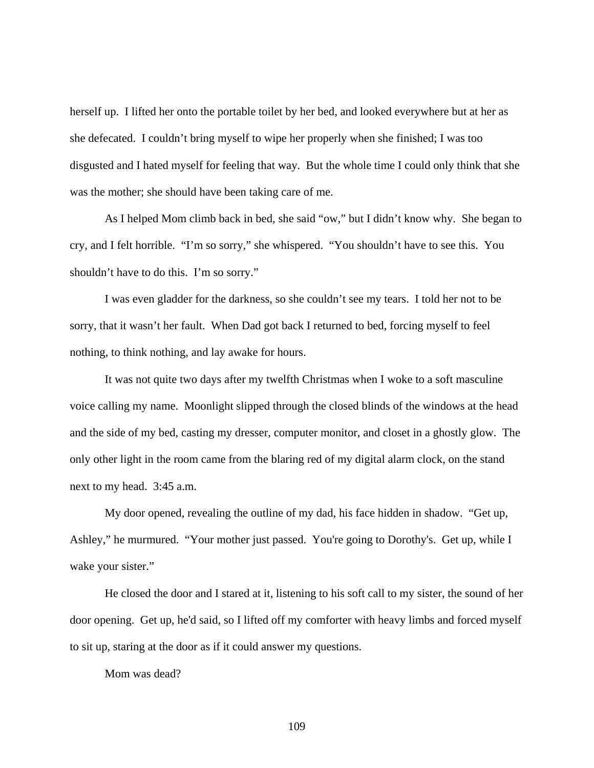herself up. I lifted her onto the portable toilet by her bed, and looked everywhere but at her as she defecated. I couldn't bring myself to wipe her properly when she finished; I was too disgusted and I hated myself for feeling that way. But the whole time I could only think that she was the mother; she should have been taking care of me.

 As I helped Mom climb back in bed, she said "ow," but I didn't know why. She began to cry, and I felt horrible. "I'm so sorry," she whispered. "You shouldn't have to see this. You shouldn't have to do this. I'm so sorry."

 I was even gladder for the darkness, so she couldn't see my tears. I told her not to be sorry, that it wasn't her fault. When Dad got back I returned to bed, forcing myself to feel nothing, to think nothing, and lay awake for hours.

 It was not quite two days after my twelfth Christmas when I woke to a soft masculine voice calling my name. Moonlight slipped through the closed blinds of the windows at the head and the side of my bed, casting my dresser, computer monitor, and closet in a ghostly glow. The only other light in the room came from the blaring red of my digital alarm clock, on the stand next to my head. 3:45 a.m.

 My door opened, revealing the outline of my dad, his face hidden in shadow. "Get up, Ashley," he murmured. "Your mother just passed. You're going to Dorothy's. Get up, while I wake your sister."

 He closed the door and I stared at it, listening to his soft call to my sister, the sound of her door opening. Get up, he'd said, so I lifted off my comforter with heavy limbs and forced myself to sit up, staring at the door as if it could answer my questions.

Mom was dead?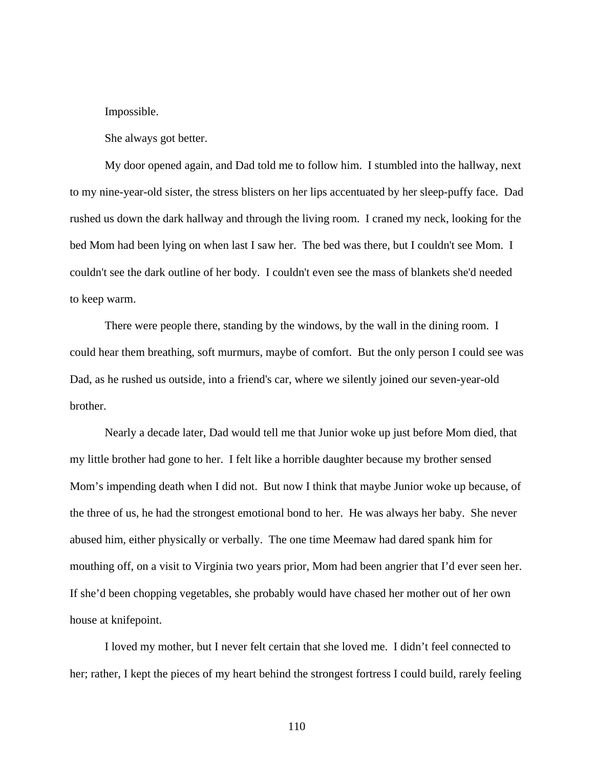Impossible.

She always got better.

 My door opened again, and Dad told me to follow him. I stumbled into the hallway, next to my nine-year-old sister, the stress blisters on her lips accentuated by her sleep-puffy face. Dad rushed us down the dark hallway and through the living room. I craned my neck, looking for the bed Mom had been lying on when last I saw her. The bed was there, but I couldn't see Mom. I couldn't see the dark outline of her body. I couldn't even see the mass of blankets she'd needed to keep warm.

 There were people there, standing by the windows, by the wall in the dining room. I could hear them breathing, soft murmurs, maybe of comfort. But the only person I could see was Dad, as he rushed us outside, into a friend's car, where we silently joined our seven-year-old brother.

Nearly a decade later, Dad would tell me that Junior woke up just before Mom died, that my little brother had gone to her. I felt like a horrible daughter because my brother sensed Mom's impending death when I did not. But now I think that maybe Junior woke up because, of the three of us, he had the strongest emotional bond to her. He was always her baby. She never abused him, either physically or verbally. The one time Meemaw had dared spank him for mouthing off, on a visit to Virginia two years prior, Mom had been angrier that I'd ever seen her. If she'd been chopping vegetables, she probably would have chased her mother out of her own house at knifepoint.

 I loved my mother, but I never felt certain that she loved me. I didn't feel connected to her; rather, I kept the pieces of my heart behind the strongest fortress I could build, rarely feeling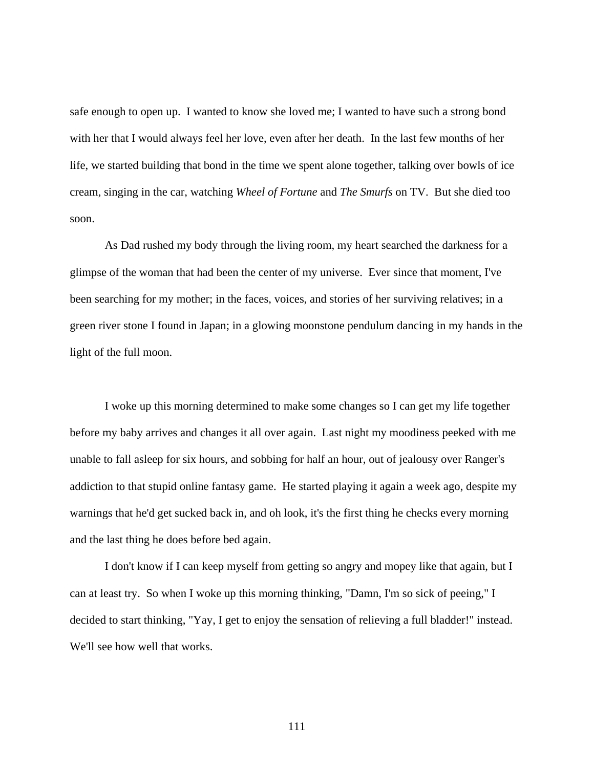safe enough to open up. I wanted to know she loved me; I wanted to have such a strong bond with her that I would always feel her love, even after her death. In the last few months of her life, we started building that bond in the time we spent alone together, talking over bowls of ice cream, singing in the car, watching *Wheel of Fortune* and *The Smurfs* on TV. But she died too soon.

As Dad rushed my body through the living room, my heart searched the darkness for a glimpse of the woman that had been the center of my universe. Ever since that moment, I've been searching for my mother; in the faces, voices, and stories of her surviving relatives; in a green river stone I found in Japan; in a glowing moonstone pendulum dancing in my hands in the light of the full moon.

 I woke up this morning determined to make some changes so I can get my life together before my baby arrives and changes it all over again. Last night my moodiness peeked with me unable to fall asleep for six hours, and sobbing for half an hour, out of jealousy over Ranger's addiction to that stupid online fantasy game. He started playing it again a week ago, despite my warnings that he'd get sucked back in, and oh look, it's the first thing he checks every morning and the last thing he does before bed again.

 I don't know if I can keep myself from getting so angry and mopey like that again, but I can at least try. So when I woke up this morning thinking, "Damn, I'm so sick of peeing," I decided to start thinking, "Yay, I get to enjoy the sensation of relieving a full bladder!" instead. We'll see how well that works.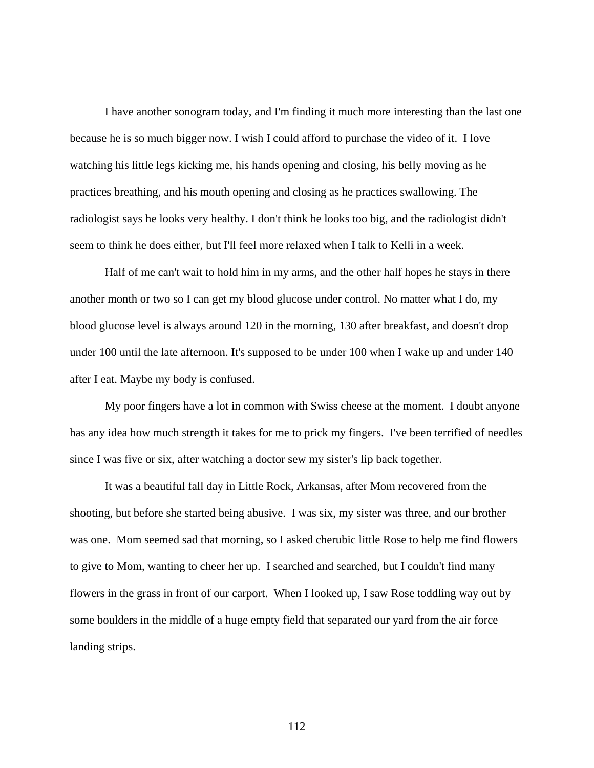I have another sonogram today, and I'm finding it much more interesting than the last one because he is so much bigger now. I wish I could afford to purchase the video of it. I love watching his little legs kicking me, his hands opening and closing, his belly moving as he practices breathing, and his mouth opening and closing as he practices swallowing. The radiologist says he looks very healthy. I don't think he looks too big, and the radiologist didn't seem to think he does either, but I'll feel more relaxed when I talk to Kelli in a week.

Half of me can't wait to hold him in my arms, and the other half hopes he stays in there another month or two so I can get my blood glucose under control. No matter what I do, my blood glucose level is always around 120 in the morning, 130 after breakfast, and doesn't drop under 100 until the late afternoon. It's supposed to be under 100 when I wake up and under 140 after I eat. Maybe my body is confused.

My poor fingers have a lot in common with Swiss cheese at the moment. I doubt anyone has any idea how much strength it takes for me to prick my fingers. I've been terrified of needles since I was five or six, after watching a doctor sew my sister's lip back together.

It was a beautiful fall day in Little Rock, Arkansas, after Mom recovered from the shooting, but before she started being abusive. I was six, my sister was three, and our brother was one. Mom seemed sad that morning, so I asked cherubic little Rose to help me find flowers to give to Mom, wanting to cheer her up. I searched and searched, but I couldn't find many flowers in the grass in front of our carport. When I looked up, I saw Rose toddling way out by some boulders in the middle of a huge empty field that separated our yard from the air force landing strips.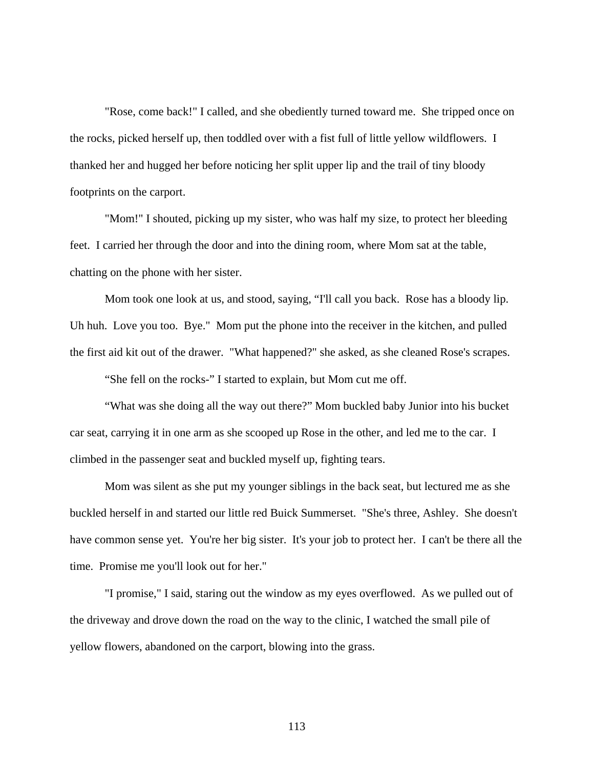"Rose, come back!" I called, and she obediently turned toward me. She tripped once on the rocks, picked herself up, then toddled over with a fist full of little yellow wildflowers. I thanked her and hugged her before noticing her split upper lip and the trail of tiny bloody footprints on the carport.

"Mom!" I shouted, picking up my sister, who was half my size, to protect her bleeding feet. I carried her through the door and into the dining room, where Mom sat at the table, chatting on the phone with her sister.

Mom took one look at us, and stood, saying, "I'll call you back. Rose has a bloody lip. Uh huh. Love you too. Bye." Mom put the phone into the receiver in the kitchen, and pulled the first aid kit out of the drawer. "What happened?" she asked, as she cleaned Rose's scrapes.

"She fell on the rocks-" I started to explain, but Mom cut me off.

"What was she doing all the way out there?" Mom buckled baby Junior into his bucket car seat, carrying it in one arm as she scooped up Rose in the other, and led me to the car. I climbed in the passenger seat and buckled myself up, fighting tears.

Mom was silent as she put my younger siblings in the back seat, but lectured me as she buckled herself in and started our little red Buick Summerset. "She's three, Ashley. She doesn't have common sense yet. You're her big sister. It's your job to protect her. I can't be there all the time. Promise me you'll look out for her."

"I promise," I said, staring out the window as my eyes overflowed. As we pulled out of the driveway and drove down the road on the way to the clinic, I watched the small pile of yellow flowers, abandoned on the carport, blowing into the grass.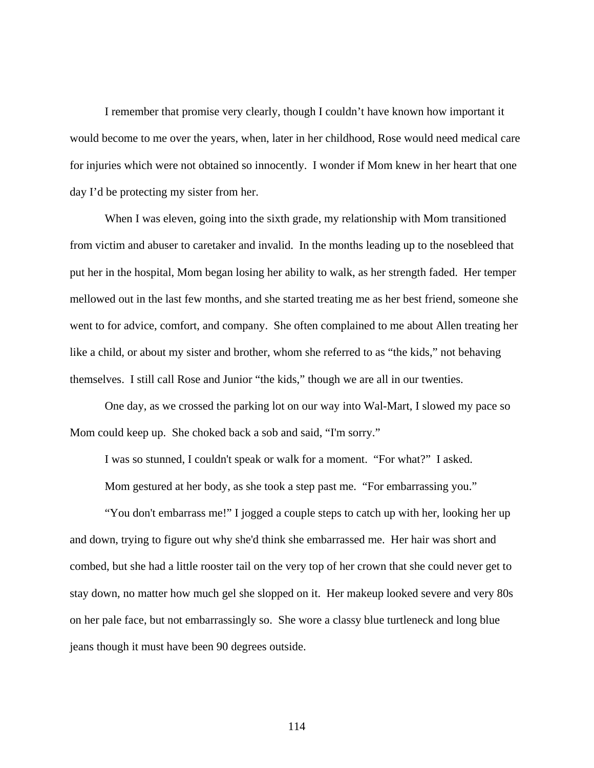I remember that promise very clearly, though I couldn't have known how important it would become to me over the years, when, later in her childhood, Rose would need medical care for injuries which were not obtained so innocently. I wonder if Mom knew in her heart that one day I'd be protecting my sister from her.

 When I was eleven, going into the sixth grade, my relationship with Mom transitioned from victim and abuser to caretaker and invalid. In the months leading up to the nosebleed that put her in the hospital, Mom began losing her ability to walk, as her strength faded. Her temper mellowed out in the last few months, and she started treating me as her best friend, someone she went to for advice, comfort, and company. She often complained to me about Allen treating her like a child, or about my sister and brother, whom she referred to as "the kids," not behaving themselves. I still call Rose and Junior "the kids," though we are all in our twenties.

 One day, as we crossed the parking lot on our way into Wal-Mart, I slowed my pace so Mom could keep up. She choked back a sob and said, "I'm sorry."

I was so stunned, I couldn't speak or walk for a moment. "For what?" I asked.

Mom gestured at her body, as she took a step past me. "For embarrassing you."

 "You don't embarrass me!" I jogged a couple steps to catch up with her, looking her up and down, trying to figure out why she'd think she embarrassed me. Her hair was short and combed, but she had a little rooster tail on the very top of her crown that she could never get to stay down, no matter how much gel she slopped on it. Her makeup looked severe and very 80s on her pale face, but not embarrassingly so. She wore a classy blue turtleneck and long blue jeans though it must have been 90 degrees outside.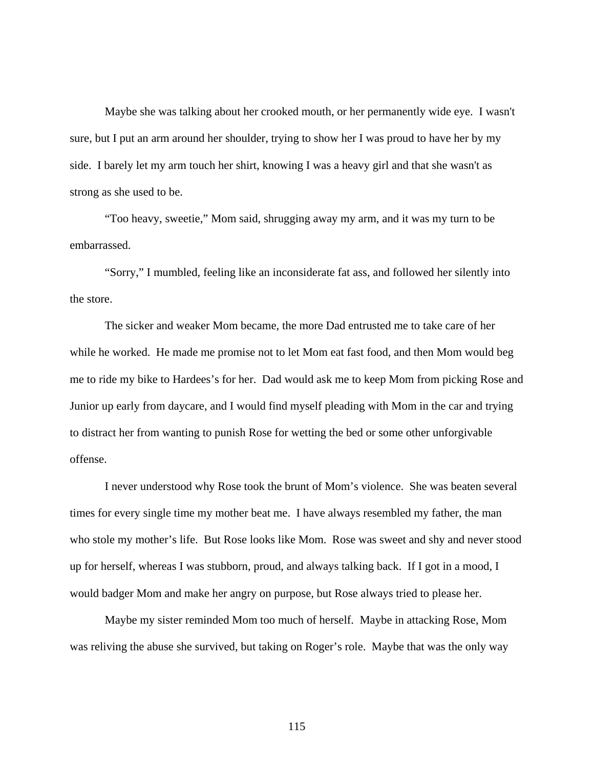Maybe she was talking about her crooked mouth, or her permanently wide eye. I wasn't sure, but I put an arm around her shoulder, trying to show her I was proud to have her by my side. I barely let my arm touch her shirt, knowing I was a heavy girl and that she wasn't as strong as she used to be.

 "Too heavy, sweetie," Mom said, shrugging away my arm, and it was my turn to be embarrassed.

 "Sorry," I mumbled, feeling like an inconsiderate fat ass, and followed her silently into the store.

 The sicker and weaker Mom became, the more Dad entrusted me to take care of her while he worked. He made me promise not to let Mom eat fast food, and then Mom would beg me to ride my bike to Hardees's for her. Dad would ask me to keep Mom from picking Rose and Junior up early from daycare, and I would find myself pleading with Mom in the car and trying to distract her from wanting to punish Rose for wetting the bed or some other unforgivable offense.

 I never understood why Rose took the brunt of Mom's violence. She was beaten several times for every single time my mother beat me. I have always resembled my father, the man who stole my mother's life. But Rose looks like Mom. Rose was sweet and shy and never stood up for herself, whereas I was stubborn, proud, and always talking back. If I got in a mood, I would badger Mom and make her angry on purpose, but Rose always tried to please her.

 Maybe my sister reminded Mom too much of herself. Maybe in attacking Rose, Mom was reliving the abuse she survived, but taking on Roger's role. Maybe that was the only way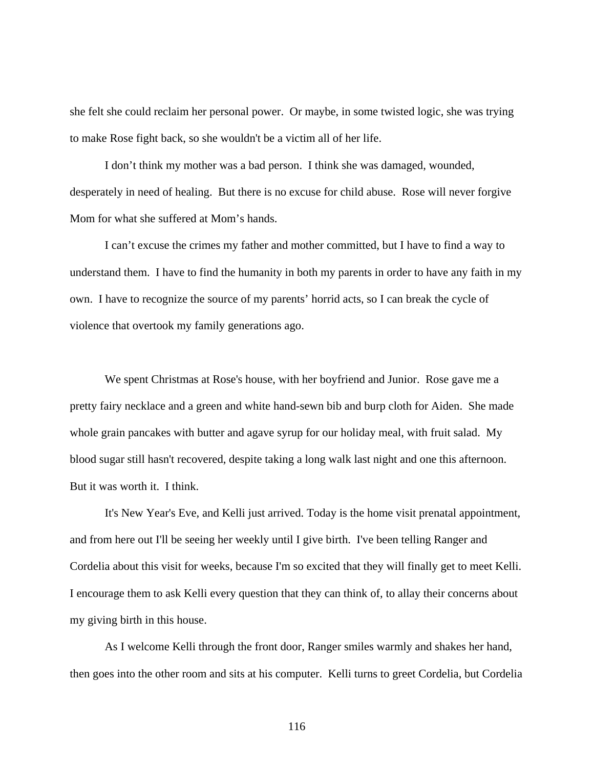she felt she could reclaim her personal power. Or maybe, in some twisted logic, she was trying to make Rose fight back, so she wouldn't be a victim all of her life.

 I don't think my mother was a bad person. I think she was damaged, wounded, desperately in need of healing. But there is no excuse for child abuse. Rose will never forgive Mom for what she suffered at Mom's hands.

I can't excuse the crimes my father and mother committed, but I have to find a way to understand them. I have to find the humanity in both my parents in order to have any faith in my own. I have to recognize the source of my parents' horrid acts, so I can break the cycle of violence that overtook my family generations ago.

We spent Christmas at Rose's house, with her boyfriend and Junior. Rose gave me a pretty fairy necklace and a green and white hand-sewn bib and burp cloth for Aiden. She made whole grain pancakes with butter and agave syrup for our holiday meal, with fruit salad. My blood sugar still hasn't recovered, despite taking a long walk last night and one this afternoon. But it was worth it. I think.

 It's New Year's Eve, and Kelli just arrived. Today is the home visit prenatal appointment, and from here out I'll be seeing her weekly until I give birth. I've been telling Ranger and Cordelia about this visit for weeks, because I'm so excited that they will finally get to meet Kelli. I encourage them to ask Kelli every question that they can think of, to allay their concerns about my giving birth in this house.

 As I welcome Kelli through the front door, Ranger smiles warmly and shakes her hand, then goes into the other room and sits at his computer. Kelli turns to greet Cordelia, but Cordelia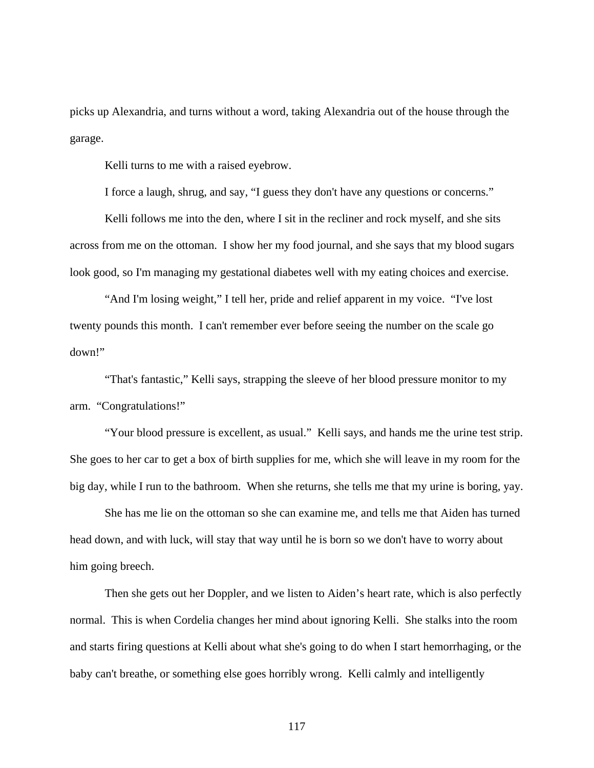picks up Alexandria, and turns without a word, taking Alexandria out of the house through the garage.

Kelli turns to me with a raised eyebrow.

I force a laugh, shrug, and say, "I guess they don't have any questions or concerns."

Kelli follows me into the den, where I sit in the recliner and rock myself, and she sits across from me on the ottoman. I show her my food journal, and she says that my blood sugars look good, so I'm managing my gestational diabetes well with my eating choices and exercise.

 "And I'm losing weight," I tell her, pride and relief apparent in my voice. "I've lost twenty pounds this month. I can't remember ever before seeing the number on the scale go down!"

 "That's fantastic," Kelli says, strapping the sleeve of her blood pressure monitor to my arm. "Congratulations!"

 "Your blood pressure is excellent, as usual." Kelli says, and hands me the urine test strip. She goes to her car to get a box of birth supplies for me, which she will leave in my room for the big day, while I run to the bathroom. When she returns, she tells me that my urine is boring, yay.

 She has me lie on the ottoman so she can examine me, and tells me that Aiden has turned head down, and with luck, will stay that way until he is born so we don't have to worry about him going breech.

 Then she gets out her Doppler, and we listen to Aiden's heart rate, which is also perfectly normal. This is when Cordelia changes her mind about ignoring Kelli. She stalks into the room and starts firing questions at Kelli about what she's going to do when I start hemorrhaging, or the baby can't breathe, or something else goes horribly wrong. Kelli calmly and intelligently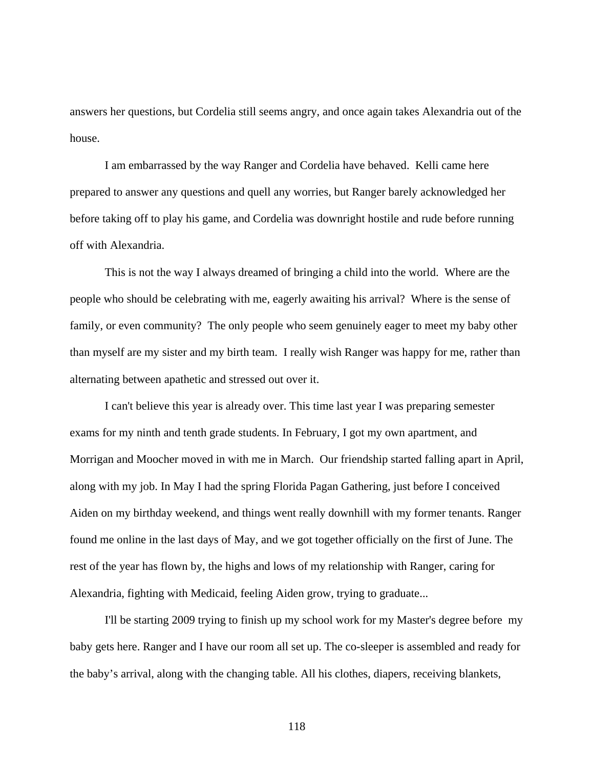answers her questions, but Cordelia still seems angry, and once again takes Alexandria out of the house.

 I am embarrassed by the way Ranger and Cordelia have behaved. Kelli came here prepared to answer any questions and quell any worries, but Ranger barely acknowledged her before taking off to play his game, and Cordelia was downright hostile and rude before running off with Alexandria.

 This is not the way I always dreamed of bringing a child into the world. Where are the people who should be celebrating with me, eagerly awaiting his arrival? Where is the sense of family, or even community? The only people who seem genuinely eager to meet my baby other than myself are my sister and my birth team. I really wish Ranger was happy for me, rather than alternating between apathetic and stressed out over it.

 I can't believe this year is already over. This time last year I was preparing semester exams for my ninth and tenth grade students. In February, I got my own apartment, and Morrigan and Moocher moved in with me in March. Our friendship started falling apart in April, along with my job. In May I had the spring Florida Pagan Gathering, just before I conceived Aiden on my birthday weekend, and things went really downhill with my former tenants. Ranger found me online in the last days of May, and we got together officially on the first of June. The rest of the year has flown by, the highs and lows of my relationship with Ranger, caring for Alexandria, fighting with Medicaid, feeling Aiden grow, trying to graduate...

 I'll be starting 2009 trying to finish up my school work for my Master's degree before my baby gets here. Ranger and I have our room all set up. The co-sleeper is assembled and ready for the baby's arrival, along with the changing table. All his clothes, diapers, receiving blankets,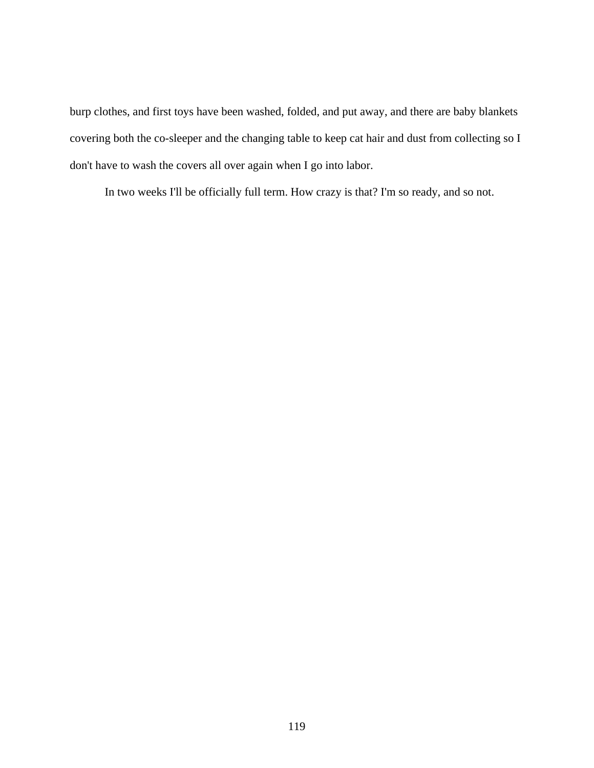burp clothes, and first toys have been washed, folded, and put away, and there are baby blankets covering both the co-sleeper and the changing table to keep cat hair and dust from collecting so I don't have to wash the covers all over again when I go into labor.

In two weeks I'll be officially full term. How crazy is that? I'm so ready, and so not.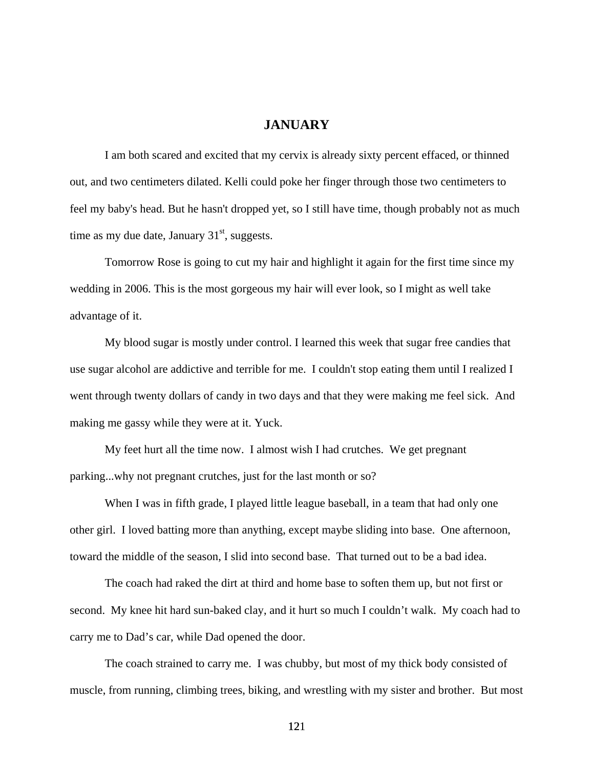## **JANUARY**

 I am both scared and excited that my cervix is already sixty percent effaced, or thinned out, and two centimeters dilated. Kelli could poke her finger through those two centimeters to feel my baby's head. But he hasn't dropped yet, so I still have time, though probably not as much time as my due date, January  $31<sup>st</sup>$ , suggests.

 Tomorrow Rose is going to cut my hair and highlight it again for the first time since my wedding in 2006. This is the most gorgeous my hair will ever look, so I might as well take advantage of it.

 My blood sugar is mostly under control. I learned this week that sugar free candies that use sugar alcohol are addictive and terrible for me. I couldn't stop eating them until I realized I went through twenty dollars of candy in two days and that they were making me feel sick. And making me gassy while they were at it. Yuck.

 My feet hurt all the time now. I almost wish I had crutches. We get pregnant parking...why not pregnant crutches, just for the last month or so?

When I was in fifth grade, I played little league baseball, in a team that had only one other girl. I loved batting more than anything, except maybe sliding into base. One afternoon, toward the middle of the season, I slid into second base. That turned out to be a bad idea.

The coach had raked the dirt at third and home base to soften them up, but not first or second. My knee hit hard sun-baked clay, and it hurt so much I couldn't walk. My coach had to carry me to Dad's car, while Dad opened the door.

The coach strained to carry me. I was chubby, but most of my thick body consisted of muscle, from running, climbing trees, biking, and wrestling with my sister and brother. But most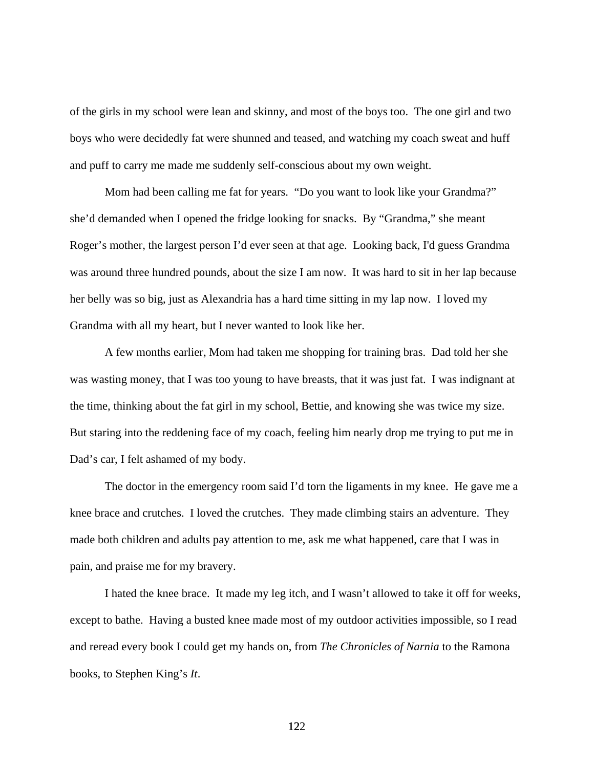of the girls in my school were lean and skinny, and most of the boys too. The one girl and two boys who were decidedly fat were shunned and teased, and watching my coach sweat and huff and puff to carry me made me suddenly self-conscious about my own weight.

Mom had been calling me fat for years. "Do you want to look like your Grandma?" she'd demanded when I opened the fridge looking for snacks. By "Grandma," she meant Roger's mother, the largest person I'd ever seen at that age. Looking back, I'd guess Grandma was around three hundred pounds, about the size I am now. It was hard to sit in her lap because her belly was so big, just as Alexandria has a hard time sitting in my lap now. I loved my Grandma with all my heart, but I never wanted to look like her.

A few months earlier, Mom had taken me shopping for training bras. Dad told her she was wasting money, that I was too young to have breasts, that it was just fat. I was indignant at the time, thinking about the fat girl in my school, Bettie, and knowing she was twice my size. But staring into the reddening face of my coach, feeling him nearly drop me trying to put me in Dad's car, I felt ashamed of my body.

 The doctor in the emergency room said I'd torn the ligaments in my knee. He gave me a knee brace and crutches. I loved the crutches. They made climbing stairs an adventure. They made both children and adults pay attention to me, ask me what happened, care that I was in pain, and praise me for my bravery.

 I hated the knee brace. It made my leg itch, and I wasn't allowed to take it off for weeks, except to bathe. Having a busted knee made most of my outdoor activities impossible, so I read and reread every book I could get my hands on, from *The Chronicles of Narnia* to the Ramona books, to Stephen King's *It*.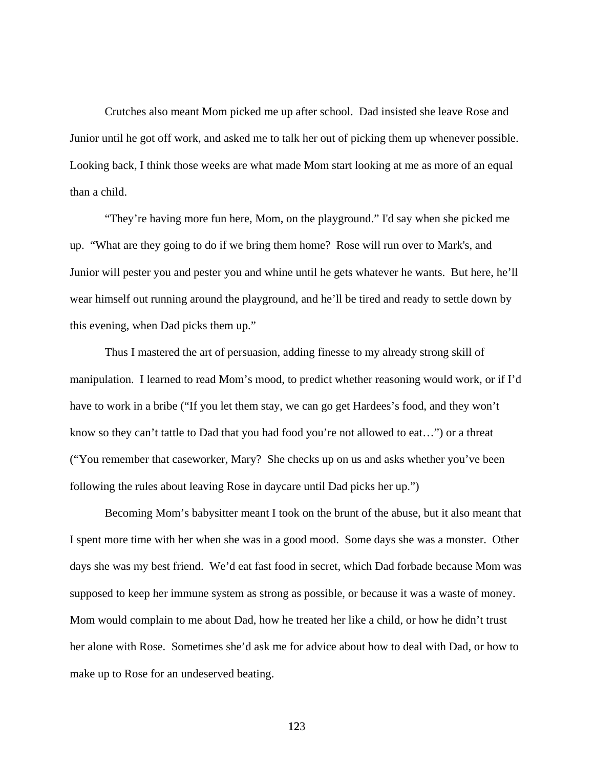Crutches also meant Mom picked me up after school. Dad insisted she leave Rose and Junior until he got off work, and asked me to talk her out of picking them up whenever possible. Looking back, I think those weeks are what made Mom start looking at me as more of an equal than a child.

"They're having more fun here, Mom, on the playground." I'd say when she picked me up. "What are they going to do if we bring them home? Rose will run over to Mark's, and Junior will pester you and pester you and whine until he gets whatever he wants. But here, he'll wear himself out running around the playground, and he'll be tired and ready to settle down by this evening, when Dad picks them up."

 Thus I mastered the art of persuasion, adding finesse to my already strong skill of manipulation. I learned to read Mom's mood, to predict whether reasoning would work, or if I'd have to work in a bribe ("If you let them stay, we can go get Hardees's food, and they won't know so they can't tattle to Dad that you had food you're not allowed to eat…") or a threat ("You remember that caseworker, Mary? She checks up on us and asks whether you've been following the rules about leaving Rose in daycare until Dad picks her up.")

 Becoming Mom's babysitter meant I took on the brunt of the abuse, but it also meant that I spent more time with her when she was in a good mood. Some days she was a monster. Other days she was my best friend. We'd eat fast food in secret, which Dad forbade because Mom was supposed to keep her immune system as strong as possible, or because it was a waste of money. Mom would complain to me about Dad, how he treated her like a child, or how he didn't trust her alone with Rose. Sometimes she'd ask me for advice about how to deal with Dad, or how to make up to Rose for an undeserved beating.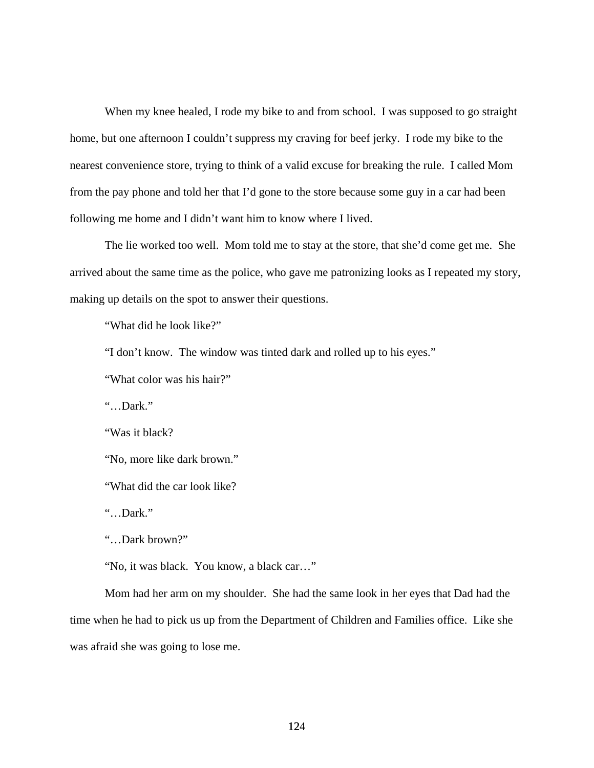When my knee healed, I rode my bike to and from school. I was supposed to go straight home, but one afternoon I couldn't suppress my craving for beef jerky. I rode my bike to the nearest convenience store, trying to think of a valid excuse for breaking the rule. I called Mom from the pay phone and told her that I'd gone to the store because some guy in a car had been following me home and I didn't want him to know where I lived.

The lie worked too well. Mom told me to stay at the store, that she'd come get me. She arrived about the same time as the police, who gave me patronizing looks as I repeated my story, making up details on the spot to answer their questions.

"What did he look like?"

"I don't know. The window was tinted dark and rolled up to his eyes."

"What color was his hair?"

"…Dark."

"Was it black?

"No, more like dark brown."

"What did the car look like?

"…Dark."

"…Dark brown?"

"No, it was black. You know, a black car…"

Mom had her arm on my shoulder. She had the same look in her eyes that Dad had the time when he had to pick us up from the Department of Children and Families office. Like she was afraid she was going to lose me.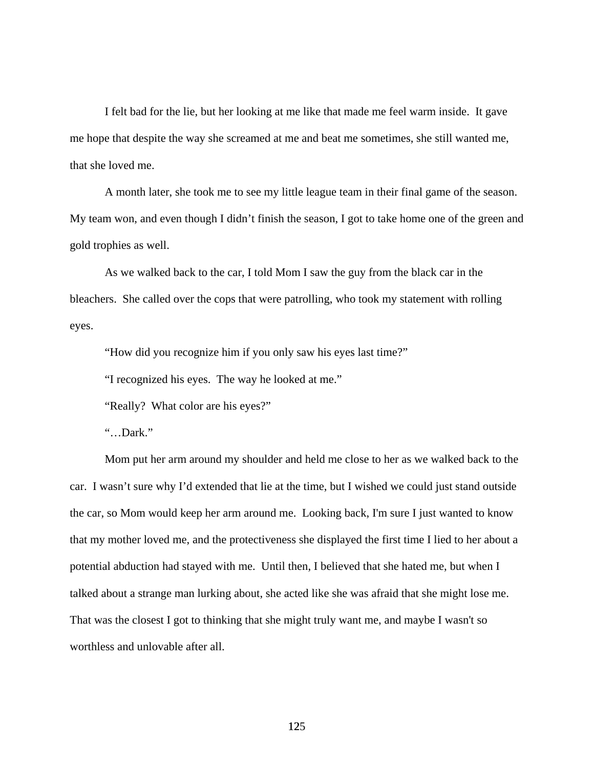I felt bad for the lie, but her looking at me like that made me feel warm inside. It gave me hope that despite the way she screamed at me and beat me sometimes, she still wanted me, that she loved me.

A month later, she took me to see my little league team in their final game of the season. My team won, and even though I didn't finish the season, I got to take home one of the green and gold trophies as well.

As we walked back to the car, I told Mom I saw the guy from the black car in the bleachers. She called over the cops that were patrolling, who took my statement with rolling eyes.

"How did you recognize him if you only saw his eyes last time?"

"I recognized his eyes. The way he looked at me."

"Really? What color are his eyes?"

"…Dark."

Mom put her arm around my shoulder and held me close to her as we walked back to the car. I wasn't sure why I'd extended that lie at the time, but I wished we could just stand outside the car, so Mom would keep her arm around me. Looking back, I'm sure I just wanted to know that my mother loved me, and the protectiveness she displayed the first time I lied to her about a potential abduction had stayed with me. Until then, I believed that she hated me, but when I talked about a strange man lurking about, she acted like she was afraid that she might lose me. That was the closest I got to thinking that she might truly want me, and maybe I wasn't so worthless and unlovable after all.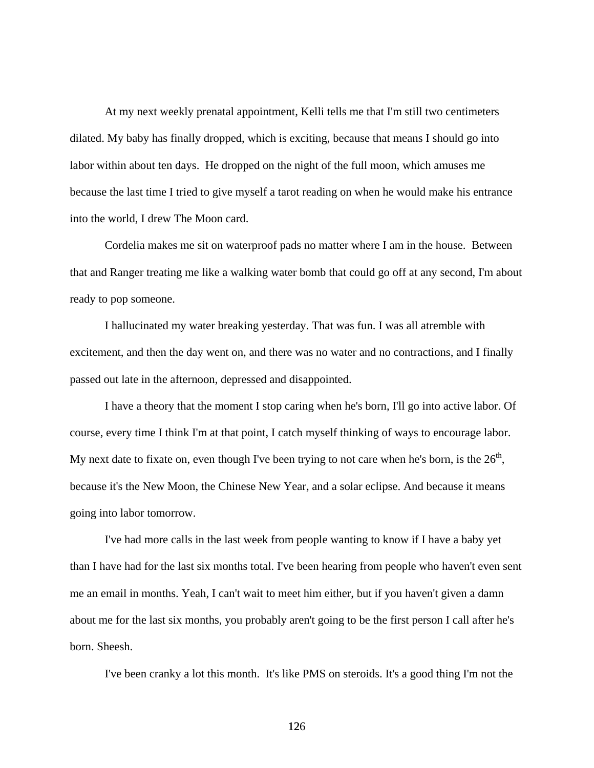At my next weekly prenatal appointment, Kelli tells me that I'm still two centimeters dilated. My baby has finally dropped, which is exciting, because that means I should go into labor within about ten days. He dropped on the night of the full moon, which amuses me because the last time I tried to give myself a tarot reading on when he would make his entrance into the world, I drew The Moon card.

 Cordelia makes me sit on waterproof pads no matter where I am in the house. Between that and Ranger treating me like a walking water bomb that could go off at any second, I'm about ready to pop someone.

 I hallucinated my water breaking yesterday. That was fun. I was all atremble with excitement, and then the day went on, and there was no water and no contractions, and I finally passed out late in the afternoon, depressed and disappointed.

 I have a theory that the moment I stop caring when he's born, I'll go into active labor. Of course, every time I think I'm at that point, I catch myself thinking of ways to encourage labor. My next date to fixate on, even though I've been trying to not care when he's born, is the  $26<sup>th</sup>$ , because it's the New Moon, the Chinese New Year, and a solar eclipse. And because it means going into labor tomorrow.

 I've had more calls in the last week from people wanting to know if I have a baby yet than I have had for the last six months total. I've been hearing from people who haven't even sent me an email in months. Yeah, I can't wait to meet him either, but if you haven't given a damn about me for the last six months, you probably aren't going to be the first person I call after he's born. Sheesh.

I've been cranky a lot this month. It's like PMS on steroids. It's a good thing I'm not the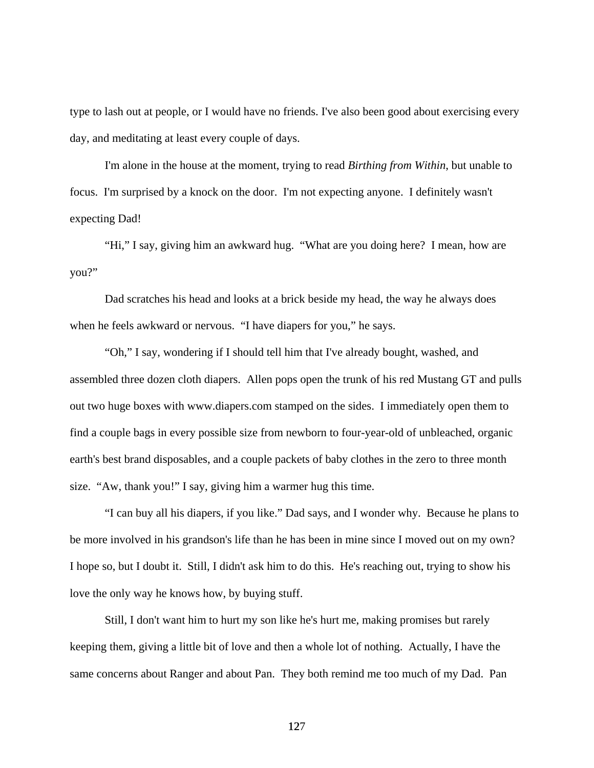type to lash out at people, or I would have no friends. I've also been good about exercising every day, and meditating at least every couple of days.

 I'm alone in the house at the moment, trying to read *Birthing from Within*, but unable to focus. I'm surprised by a knock on the door. I'm not expecting anyone. I definitely wasn't expecting Dad!

 "Hi," I say, giving him an awkward hug. "What are you doing here? I mean, how are you?"

 Dad scratches his head and looks at a brick beside my head, the way he always does when he feels awkward or nervous. "I have diapers for you," he says.

 "Oh," I say, wondering if I should tell him that I've already bought, washed, and assembled three dozen cloth diapers. Allen pops open the trunk of his red Mustang GT and pulls out two huge boxes with www.diapers.com stamped on the sides. I immediately open them to find a couple bags in every possible size from newborn to four-year-old of unbleached, organic earth's best brand disposables, and a couple packets of baby clothes in the zero to three month size. "Aw, thank you!" I say, giving him a warmer hug this time.

 "I can buy all his diapers, if you like." Dad says, and I wonder why. Because he plans to be more involved in his grandson's life than he has been in mine since I moved out on my own? I hope so, but I doubt it. Still, I didn't ask him to do this. He's reaching out, trying to show his love the only way he knows how, by buying stuff.

 Still, I don't want him to hurt my son like he's hurt me, making promises but rarely keeping them, giving a little bit of love and then a whole lot of nothing. Actually, I have the same concerns about Ranger and about Pan. They both remind me too much of my Dad. Pan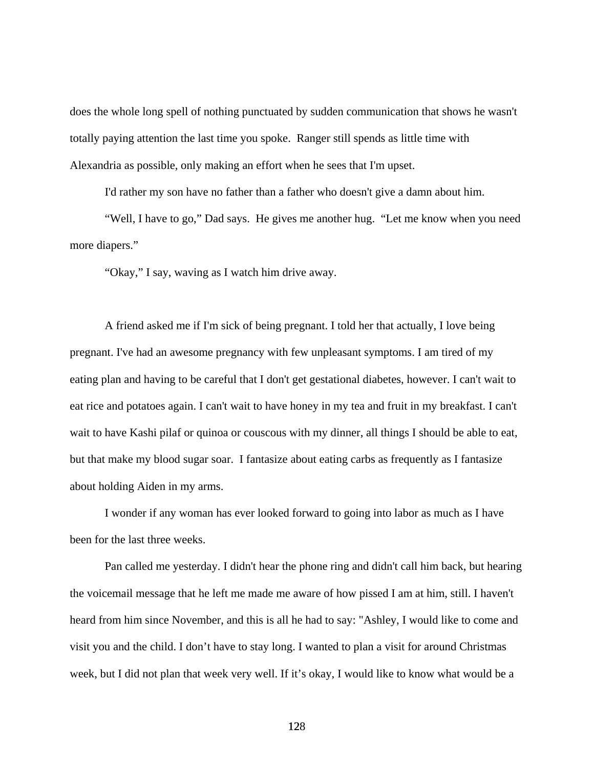does the whole long spell of nothing punctuated by sudden communication that shows he wasn't totally paying attention the last time you spoke. Ranger still spends as little time with Alexandria as possible, only making an effort when he sees that I'm upset.

I'd rather my son have no father than a father who doesn't give a damn about him.

 "Well, I have to go," Dad says. He gives me another hug. "Let me know when you need more diapers."

"Okay," I say, waving as I watch him drive away.

 A friend asked me if I'm sick of being pregnant. I told her that actually, I love being pregnant. I've had an awesome pregnancy with few unpleasant symptoms. I am tired of my eating plan and having to be careful that I don't get gestational diabetes, however. I can't wait to eat rice and potatoes again. I can't wait to have honey in my tea and fruit in my breakfast. I can't wait to have Kashi pilaf or quinoa or couscous with my dinner, all things I should be able to eat, but that make my blood sugar soar. I fantasize about eating carbs as frequently as I fantasize about holding Aiden in my arms.

 I wonder if any woman has ever looked forward to going into labor as much as I have been for the last three weeks.

 Pan called me yesterday. I didn't hear the phone ring and didn't call him back, but hearing the voicemail message that he left me made me aware of how pissed I am at him, still. I haven't heard from him since November, and this is all he had to say: "Ashley, I would like to come and visit you and the child. I don't have to stay long. I wanted to plan a visit for around Christmas week, but I did not plan that week very well. If it's okay, I would like to know what would be a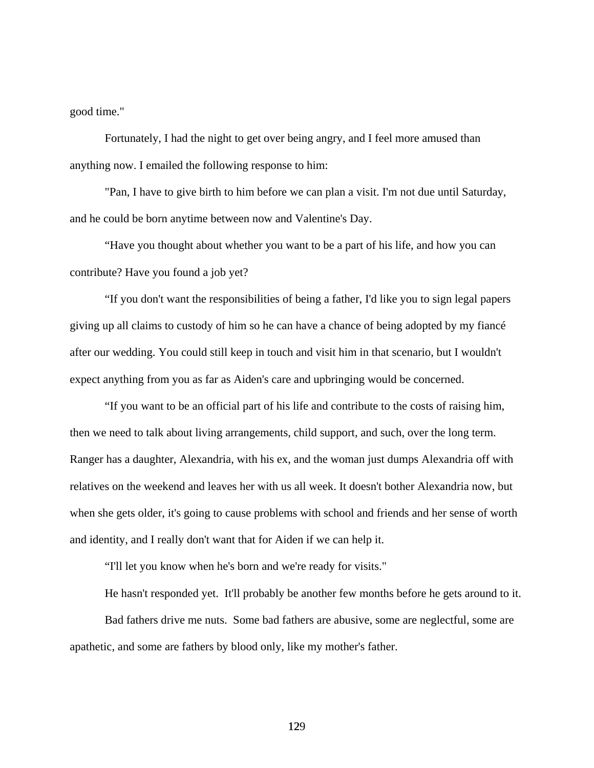good time."

 Fortunately, I had the night to get over being angry, and I feel more amused than anything now. I emailed the following response to him:

 "Pan, I have to give birth to him before we can plan a visit. I'm not due until Saturday, and he could be born anytime between now and Valentine's Day.

 "Have you thought about whether you want to be a part of his life, and how you can contribute? Have you found a job yet?

 "If you don't want the responsibilities of being a father, I'd like you to sign legal papers giving up all claims to custody of him so he can have a chance of being adopted by my fiancé after our wedding. You could still keep in touch and visit him in that scenario, but I wouldn't expect anything from you as far as Aiden's care and upbringing would be concerned.

 "If you want to be an official part of his life and contribute to the costs of raising him, then we need to talk about living arrangements, child support, and such, over the long term. Ranger has a daughter, Alexandria, with his ex, and the woman just dumps Alexandria off with relatives on the weekend and leaves her with us all week. It doesn't bother Alexandria now, but when she gets older, it's going to cause problems with school and friends and her sense of worth and identity, and I really don't want that for Aiden if we can help it.

"I'll let you know when he's born and we're ready for visits."

 He hasn't responded yet. It'll probably be another few months before he gets around to it. Bad fathers drive me nuts. Some bad fathers are abusive, some are neglectful, some are apathetic, and some are fathers by blood only, like my mother's father.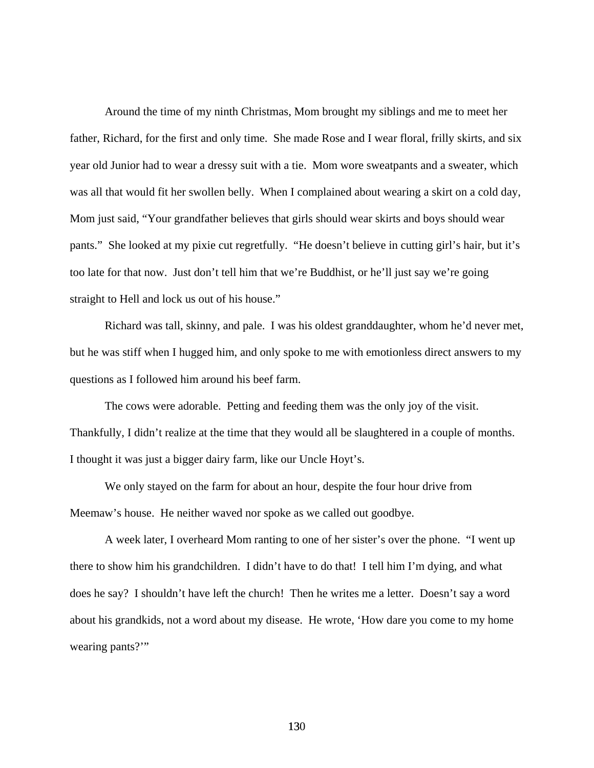Around the time of my ninth Christmas, Mom brought my siblings and me to meet her father, Richard, for the first and only time. She made Rose and I wear floral, frilly skirts, and six year old Junior had to wear a dressy suit with a tie. Mom wore sweatpants and a sweater, which was all that would fit her swollen belly. When I complained about wearing a skirt on a cold day, Mom just said, "Your grandfather believes that girls should wear skirts and boys should wear pants." She looked at my pixie cut regretfully. "He doesn't believe in cutting girl's hair, but it's too late for that now. Just don't tell him that we're Buddhist, or he'll just say we're going straight to Hell and lock us out of his house."

 Richard was tall, skinny, and pale. I was his oldest granddaughter, whom he'd never met, but he was stiff when I hugged him, and only spoke to me with emotionless direct answers to my questions as I followed him around his beef farm.

 The cows were adorable. Petting and feeding them was the only joy of the visit. Thankfully, I didn't realize at the time that they would all be slaughtered in a couple of months. I thought it was just a bigger dairy farm, like our Uncle Hoyt's.

 We only stayed on the farm for about an hour, despite the four hour drive from Meemaw's house. He neither waved nor spoke as we called out goodbye.

 A week later, I overheard Mom ranting to one of her sister's over the phone. "I went up there to show him his grandchildren. I didn't have to do that! I tell him I'm dying, and what does he say? I shouldn't have left the church! Then he writes me a letter. Doesn't say a word about his grandkids, not a word about my disease. He wrote, 'How dare you come to my home wearing pants?"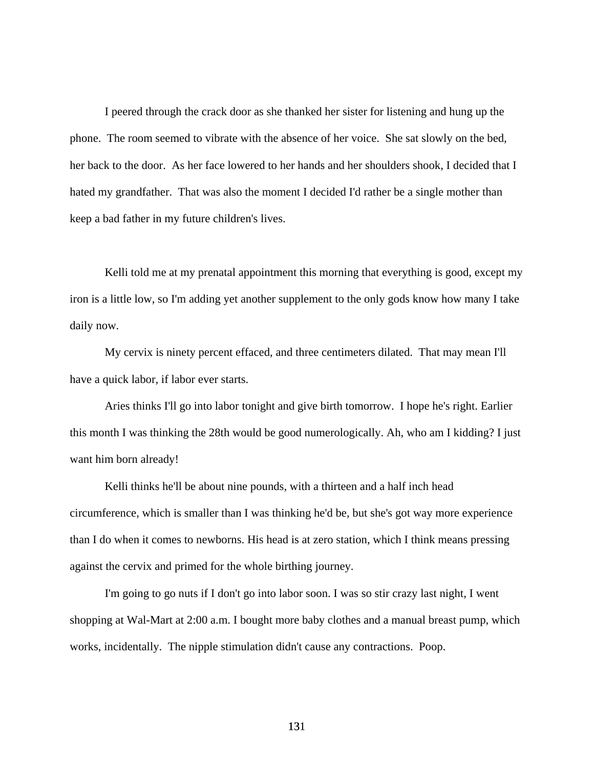I peered through the crack door as she thanked her sister for listening and hung up the phone. The room seemed to vibrate with the absence of her voice. She sat slowly on the bed, her back to the door. As her face lowered to her hands and her shoulders shook, I decided that I hated my grandfather. That was also the moment I decided I'd rather be a single mother than keep a bad father in my future children's lives.

Kelli told me at my prenatal appointment this morning that everything is good, except my iron is a little low, so I'm adding yet another supplement to the only gods know how many I take daily now.

 My cervix is ninety percent effaced, and three centimeters dilated. That may mean I'll have a quick labor, if labor ever starts.

 Aries thinks I'll go into labor tonight and give birth tomorrow. I hope he's right. Earlier this month I was thinking the 28th would be good numerologically. Ah, who am I kidding? I just want him born already!

 Kelli thinks he'll be about nine pounds, with a thirteen and a half inch head circumference, which is smaller than I was thinking he'd be, but she's got way more experience than I do when it comes to newborns. His head is at zero station, which I think means pressing against the cervix and primed for the whole birthing journey.

 I'm going to go nuts if I don't go into labor soon. I was so stir crazy last night, I went shopping at Wal-Mart at 2:00 a.m. I bought more baby clothes and a manual breast pump, which works, incidentally. The nipple stimulation didn't cause any contractions. Poop.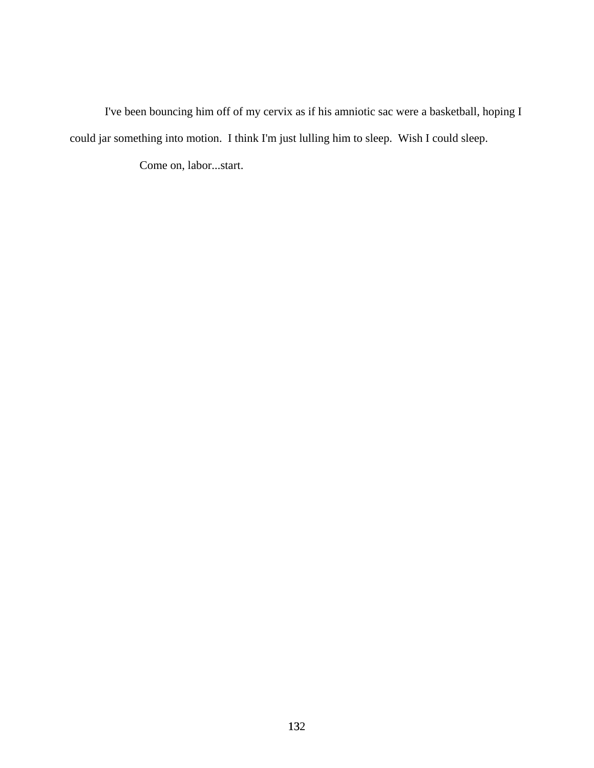I've been bouncing him off of my cervix as if his amniotic sac were a basketball, hoping I could jar something into motion. I think I'm just lulling him to sleep. Wish I could sleep.

Come on, labor...start.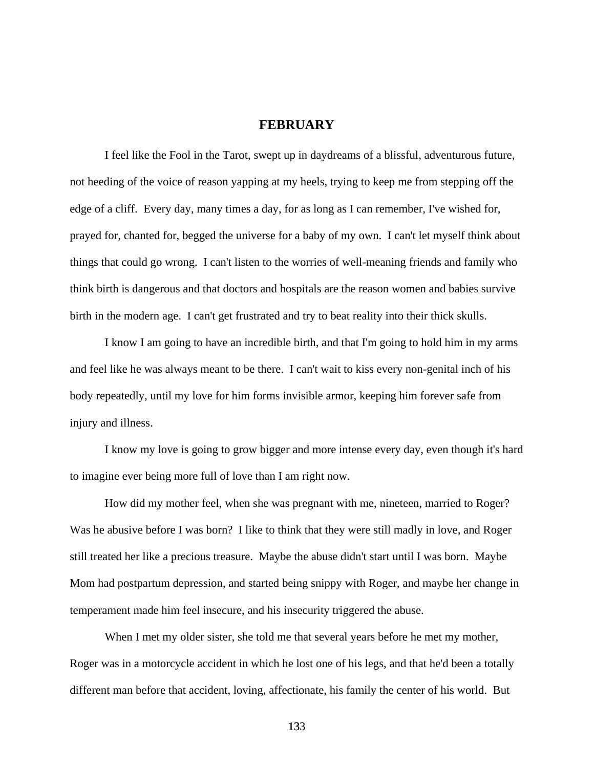## **FEBRUARY**

 I feel like the Fool in the Tarot, swept up in daydreams of a blissful, adventurous future, not heeding of the voice of reason yapping at my heels, trying to keep me from stepping off the edge of a cliff. Every day, many times a day, for as long as I can remember, I've wished for, prayed for, chanted for, begged the universe for a baby of my own. I can't let myself think about things that could go wrong. I can't listen to the worries of well-meaning friends and family who think birth is dangerous and that doctors and hospitals are the reason women and babies survive birth in the modern age. I can't get frustrated and try to beat reality into their thick skulls.

 I know I am going to have an incredible birth, and that I'm going to hold him in my arms and feel like he was always meant to be there. I can't wait to kiss every non-genital inch of his body repeatedly, until my love for him forms invisible armor, keeping him forever safe from injury and illness.

 I know my love is going to grow bigger and more intense every day, even though it's hard to imagine ever being more full of love than I am right now.

 How did my mother feel, when she was pregnant with me, nineteen, married to Roger? Was he abusive before I was born? I like to think that they were still madly in love, and Roger still treated her like a precious treasure. Maybe the abuse didn't start until I was born. Maybe Mom had postpartum depression, and started being snippy with Roger, and maybe her change in temperament made him feel insecure, and his insecurity triggered the abuse.

When I met my older sister, she told me that several years before he met my mother, Roger was in a motorcycle accident in which he lost one of his legs, and that he'd been a totally different man before that accident, loving, affectionate, his family the center of his world. But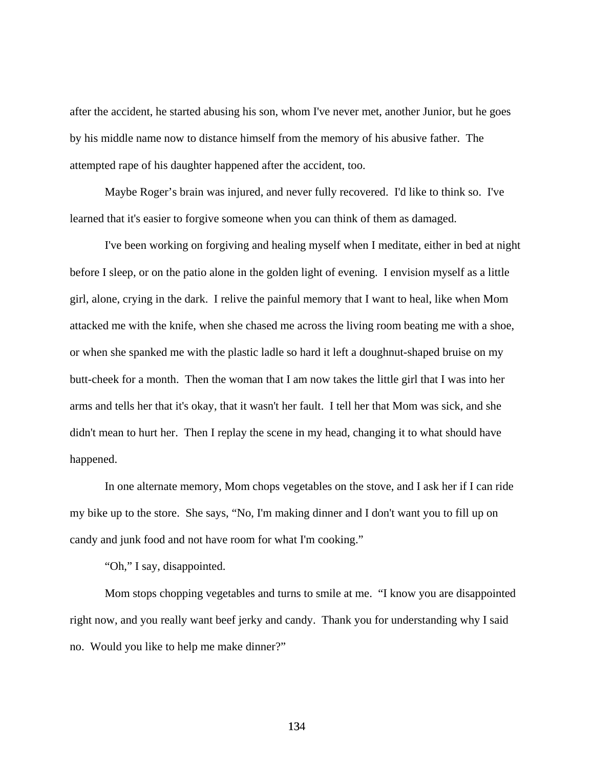after the accident, he started abusing his son, whom I've never met, another Junior, but he goes by his middle name now to distance himself from the memory of his abusive father. The attempted rape of his daughter happened after the accident, too.

 Maybe Roger's brain was injured, and never fully recovered. I'd like to think so. I've learned that it's easier to forgive someone when you can think of them as damaged.

 I've been working on forgiving and healing myself when I meditate, either in bed at night before I sleep, or on the patio alone in the golden light of evening. I envision myself as a little girl, alone, crying in the dark. I relive the painful memory that I want to heal, like when Mom attacked me with the knife, when she chased me across the living room beating me with a shoe, or when she spanked me with the plastic ladle so hard it left a doughnut-shaped bruise on my butt-cheek for a month. Then the woman that I am now takes the little girl that I was into her arms and tells her that it's okay, that it wasn't her fault. I tell her that Mom was sick, and she didn't mean to hurt her. Then I replay the scene in my head, changing it to what should have happened.

 In one alternate memory, Mom chops vegetables on the stove, and I ask her if I can ride my bike up to the store. She says, "No, I'm making dinner and I don't want you to fill up on candy and junk food and not have room for what I'm cooking."

"Oh," I say, disappointed.

 Mom stops chopping vegetables and turns to smile at me. "I know you are disappointed right now, and you really want beef jerky and candy. Thank you for understanding why I said no. Would you like to help me make dinner?"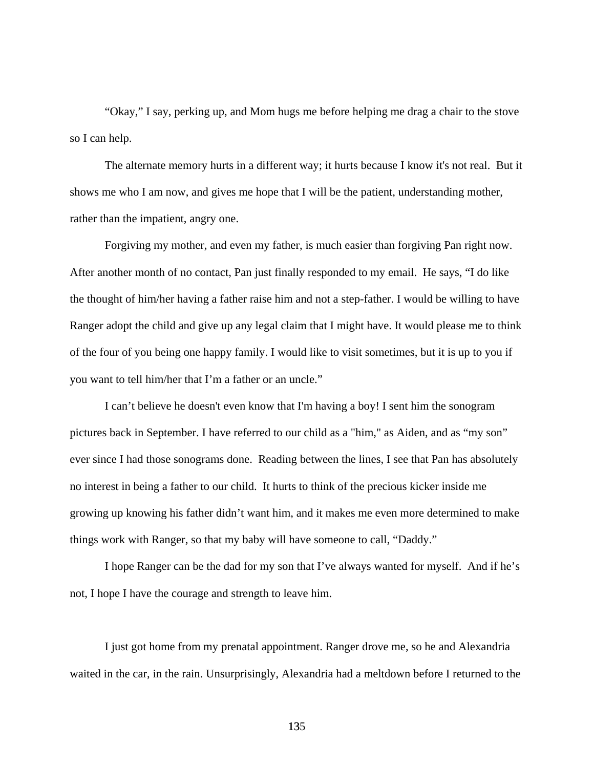"Okay," I say, perking up, and Mom hugs me before helping me drag a chair to the stove so I can help.

 The alternate memory hurts in a different way; it hurts because I know it's not real. But it shows me who I am now, and gives me hope that I will be the patient, understanding mother, rather than the impatient, angry one.

 Forgiving my mother, and even my father, is much easier than forgiving Pan right now. After another month of no contact, Pan just finally responded to my email. He says, "I do like the thought of him/her having a father raise him and not a step-father. I would be willing to have Ranger adopt the child and give up any legal claim that I might have. It would please me to think of the four of you being one happy family. I would like to visit sometimes, but it is up to you if you want to tell him/her that I'm a father or an uncle."

 I can't believe he doesn't even know that I'm having a boy! I sent him the sonogram pictures back in September. I have referred to our child as a "him," as Aiden, and as "my son" ever since I had those sonograms done. Reading between the lines, I see that Pan has absolutely no interest in being a father to our child. It hurts to think of the precious kicker inside me growing up knowing his father didn't want him, and it makes me even more determined to make things work with Ranger, so that my baby will have someone to call, "Daddy."

 I hope Ranger can be the dad for my son that I've always wanted for myself. And if he's not, I hope I have the courage and strength to leave him.

 I just got home from my prenatal appointment. Ranger drove me, so he and Alexandria waited in the car, in the rain. Unsurprisingly, Alexandria had a meltdown before I returned to the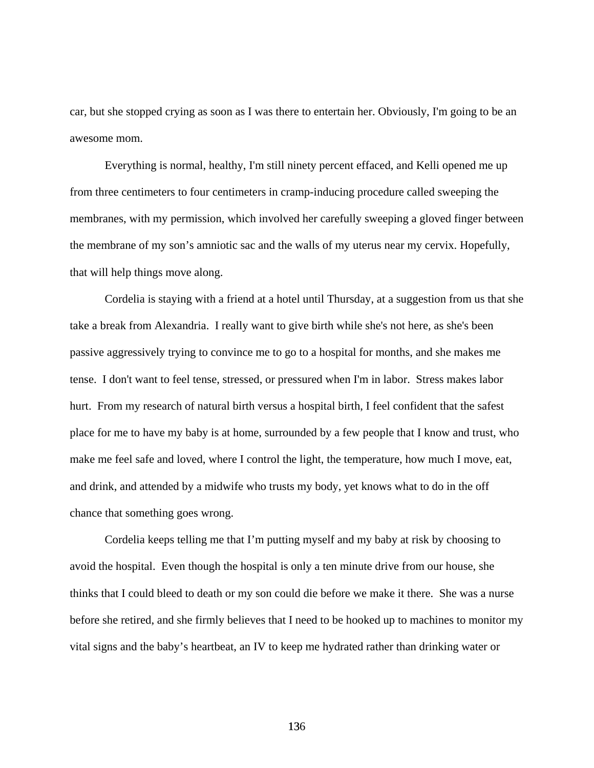car, but she stopped crying as soon as I was there to entertain her. Obviously, I'm going to be an awesome mom.

 Everything is normal, healthy, I'm still ninety percent effaced, and Kelli opened me up from three centimeters to four centimeters in cramp-inducing procedure called sweeping the membranes, with my permission, which involved her carefully sweeping a gloved finger between the membrane of my son's amniotic sac and the walls of my uterus near my cervix. Hopefully, that will help things move along.

 Cordelia is staying with a friend at a hotel until Thursday, at a suggestion from us that she take a break from Alexandria. I really want to give birth while she's not here, as she's been passive aggressively trying to convince me to go to a hospital for months, and she makes me tense. I don't want to feel tense, stressed, or pressured when I'm in labor. Stress makes labor hurt. From my research of natural birth versus a hospital birth, I feel confident that the safest place for me to have my baby is at home, surrounded by a few people that I know and trust, who make me feel safe and loved, where I control the light, the temperature, how much I move, eat, and drink, and attended by a midwife who trusts my body, yet knows what to do in the off chance that something goes wrong.

 Cordelia keeps telling me that I'm putting myself and my baby at risk by choosing to avoid the hospital. Even though the hospital is only a ten minute drive from our house, she thinks that I could bleed to death or my son could die before we make it there. She was a nurse before she retired, and she firmly believes that I need to be hooked up to machines to monitor my vital signs and the baby's heartbeat, an IV to keep me hydrated rather than drinking water or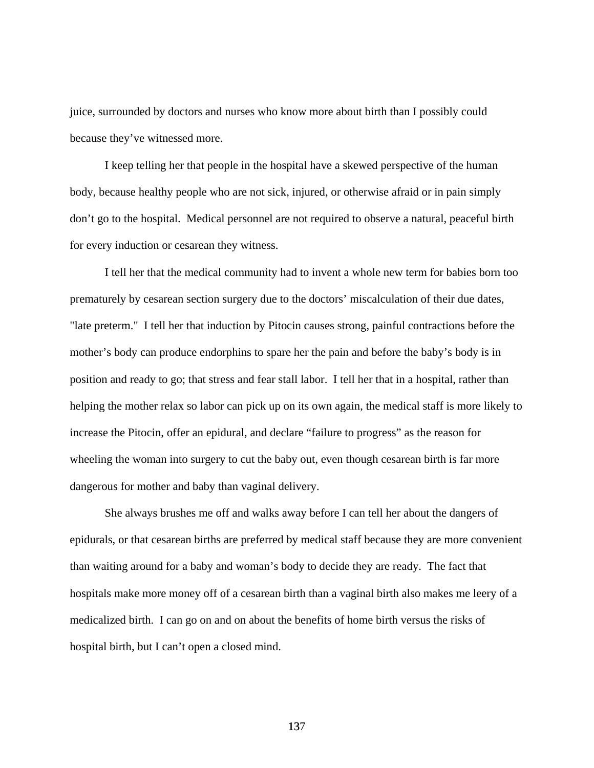juice, surrounded by doctors and nurses who know more about birth than I possibly could because they've witnessed more.

 I keep telling her that people in the hospital have a skewed perspective of the human body, because healthy people who are not sick, injured, or otherwise afraid or in pain simply don't go to the hospital. Medical personnel are not required to observe a natural, peaceful birth for every induction or cesarean they witness.

I tell her that the medical community had to invent a whole new term for babies born too prematurely by cesarean section surgery due to the doctors' miscalculation of their due dates, "late preterm." I tell her that induction by Pitocin causes strong, painful contractions before the mother's body can produce endorphins to spare her the pain and before the baby's body is in position and ready to go; that stress and fear stall labor. I tell her that in a hospital, rather than helping the mother relax so labor can pick up on its own again, the medical staff is more likely to increase the Pitocin, offer an epidural, and declare "failure to progress" as the reason for wheeling the woman into surgery to cut the baby out, even though cesarean birth is far more dangerous for mother and baby than vaginal delivery.

She always brushes me off and walks away before I can tell her about the dangers of epidurals, or that cesarean births are preferred by medical staff because they are more convenient than waiting around for a baby and woman's body to decide they are ready. The fact that hospitals make more money off of a cesarean birth than a vaginal birth also makes me leery of a medicalized birth. I can go on and on about the benefits of home birth versus the risks of hospital birth, but I can't open a closed mind.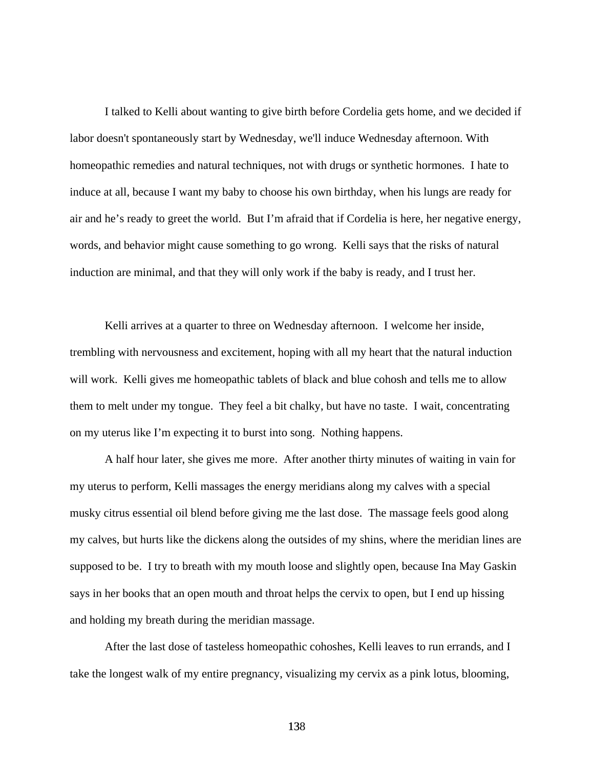I talked to Kelli about wanting to give birth before Cordelia gets home, and we decided if labor doesn't spontaneously start by Wednesday, we'll induce Wednesday afternoon. With homeopathic remedies and natural techniques, not with drugs or synthetic hormones. I hate to induce at all, because I want my baby to choose his own birthday, when his lungs are ready for air and he's ready to greet the world. But I'm afraid that if Cordelia is here, her negative energy, words, and behavior might cause something to go wrong. Kelli says that the risks of natural induction are minimal, and that they will only work if the baby is ready, and I trust her.

 Kelli arrives at a quarter to three on Wednesday afternoon. I welcome her inside, trembling with nervousness and excitement, hoping with all my heart that the natural induction will work. Kelli gives me homeopathic tablets of black and blue cohosh and tells me to allow them to melt under my tongue. They feel a bit chalky, but have no taste. I wait, concentrating on my uterus like I'm expecting it to burst into song. Nothing happens.

A half hour later, she gives me more. After another thirty minutes of waiting in vain for my uterus to perform, Kelli massages the energy meridians along my calves with a special musky citrus essential oil blend before giving me the last dose. The massage feels good along my calves, but hurts like the dickens along the outsides of my shins, where the meridian lines are supposed to be. I try to breath with my mouth loose and slightly open, because Ina May Gaskin says in her books that an open mouth and throat helps the cervix to open, but I end up hissing and holding my breath during the meridian massage.

After the last dose of tasteless homeopathic cohoshes, Kelli leaves to run errands, and I take the longest walk of my entire pregnancy, visualizing my cervix as a pink lotus, blooming,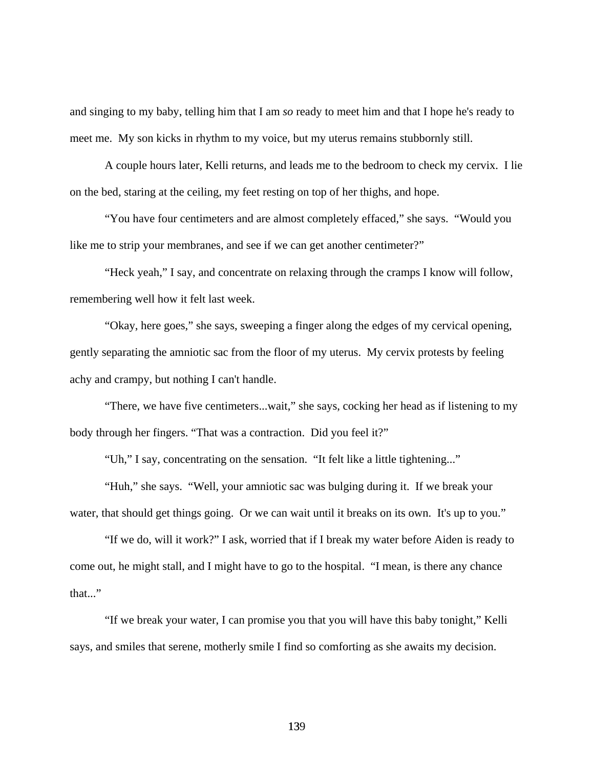and singing to my baby, telling him that I am *so* ready to meet him and that I hope he's ready to meet me. My son kicks in rhythm to my voice, but my uterus remains stubbornly still.

 A couple hours later, Kelli returns, and leads me to the bedroom to check my cervix. I lie on the bed, staring at the ceiling, my feet resting on top of her thighs, and hope.

 "You have four centimeters and are almost completely effaced," she says. "Would you like me to strip your membranes, and see if we can get another centimeter?"

 "Heck yeah," I say, and concentrate on relaxing through the cramps I know will follow, remembering well how it felt last week.

 "Okay, here goes," she says, sweeping a finger along the edges of my cervical opening, gently separating the amniotic sac from the floor of my uterus. My cervix protests by feeling achy and crampy, but nothing I can't handle.

 "There, we have five centimeters...wait," she says, cocking her head as if listening to my body through her fingers. "That was a contraction. Did you feel it?"

"Uh," I say, concentrating on the sensation. "It felt like a little tightening..."

 "Huh," she says. "Well, your amniotic sac was bulging during it. If we break your water, that should get things going. Or we can wait until it breaks on its own. It's up to you."

 "If we do, will it work?" I ask, worried that if I break my water before Aiden is ready to come out, he might stall, and I might have to go to the hospital. "I mean, is there any chance that..."

 "If we break your water, I can promise you that you will have this baby tonight," Kelli says, and smiles that serene, motherly smile I find so comforting as she awaits my decision.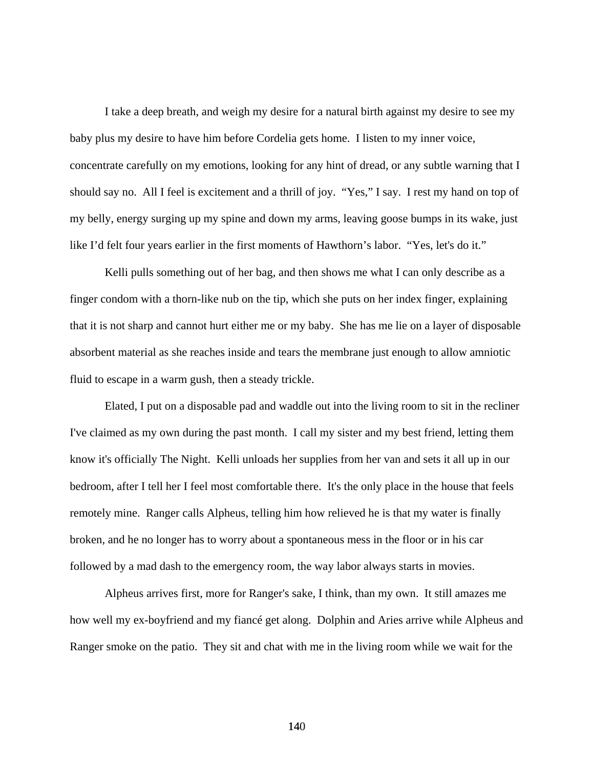I take a deep breath, and weigh my desire for a natural birth against my desire to see my baby plus my desire to have him before Cordelia gets home. I listen to my inner voice, concentrate carefully on my emotions, looking for any hint of dread, or any subtle warning that I should say no. All I feel is excitement and a thrill of joy. "Yes," I say. I rest my hand on top of my belly, energy surging up my spine and down my arms, leaving goose bumps in its wake, just like I'd felt four years earlier in the first moments of Hawthorn's labor. "Yes, let's do it."

 Kelli pulls something out of her bag, and then shows me what I can only describe as a finger condom with a thorn-like nub on the tip, which she puts on her index finger, explaining that it is not sharp and cannot hurt either me or my baby. She has me lie on a layer of disposable absorbent material as she reaches inside and tears the membrane just enough to allow amniotic fluid to escape in a warm gush, then a steady trickle.

 Elated, I put on a disposable pad and waddle out into the living room to sit in the recliner I've claimed as my own during the past month. I call my sister and my best friend, letting them know it's officially The Night. Kelli unloads her supplies from her van and sets it all up in our bedroom, after I tell her I feel most comfortable there. It's the only place in the house that feels remotely mine. Ranger calls Alpheus, telling him how relieved he is that my water is finally broken, and he no longer has to worry about a spontaneous mess in the floor or in his car followed by a mad dash to the emergency room, the way labor always starts in movies.

 Alpheus arrives first, more for Ranger's sake, I think, than my own. It still amazes me how well my ex-boyfriend and my fiancé get along. Dolphin and Aries arrive while Alpheus and Ranger smoke on the patio. They sit and chat with me in the living room while we wait for the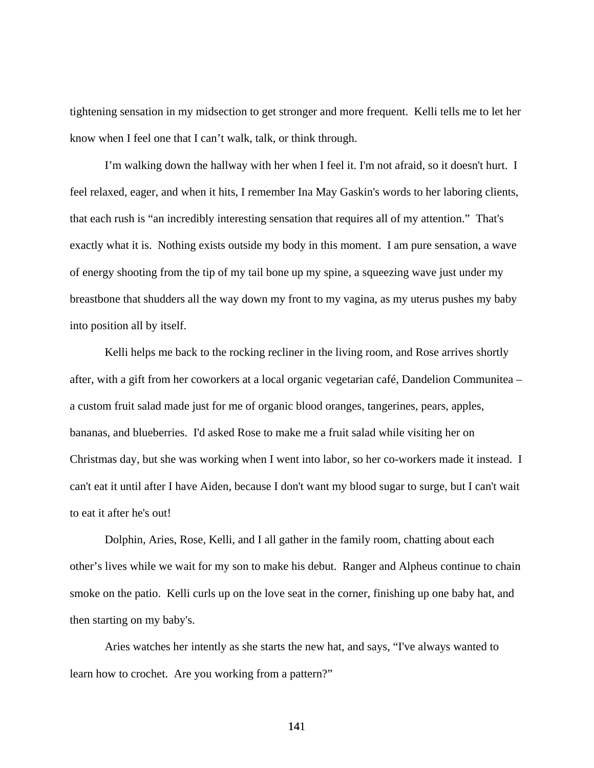tightening sensation in my midsection to get stronger and more frequent. Kelli tells me to let her know when I feel one that I can't walk, talk, or think through.

 I'm walking down the hallway with her when I feel it. I'm not afraid, so it doesn't hurt. I feel relaxed, eager, and when it hits, I remember Ina May Gaskin's words to her laboring clients, that each rush is "an incredibly interesting sensation that requires all of my attention." That's exactly what it is. Nothing exists outside my body in this moment. I am pure sensation, a wave of energy shooting from the tip of my tail bone up my spine, a squeezing wave just under my breastbone that shudders all the way down my front to my vagina, as my uterus pushes my baby into position all by itself.

 Kelli helps me back to the rocking recliner in the living room, and Rose arrives shortly after, with a gift from her coworkers at a local organic vegetarian café, Dandelion Communitea – a custom fruit salad made just for me of organic blood oranges, tangerines, pears, apples, bananas, and blueberries. I'd asked Rose to make me a fruit salad while visiting her on Christmas day, but she was working when I went into labor, so her co-workers made it instead. I can't eat it until after I have Aiden, because I don't want my blood sugar to surge, but I can't wait to eat it after he's out!

 Dolphin, Aries, Rose, Kelli, and I all gather in the family room, chatting about each other's lives while we wait for my son to make his debut. Ranger and Alpheus continue to chain smoke on the patio. Kelli curls up on the love seat in the corner, finishing up one baby hat, and then starting on my baby's.

 Aries watches her intently as she starts the new hat, and says, "I've always wanted to learn how to crochet. Are you working from a pattern?"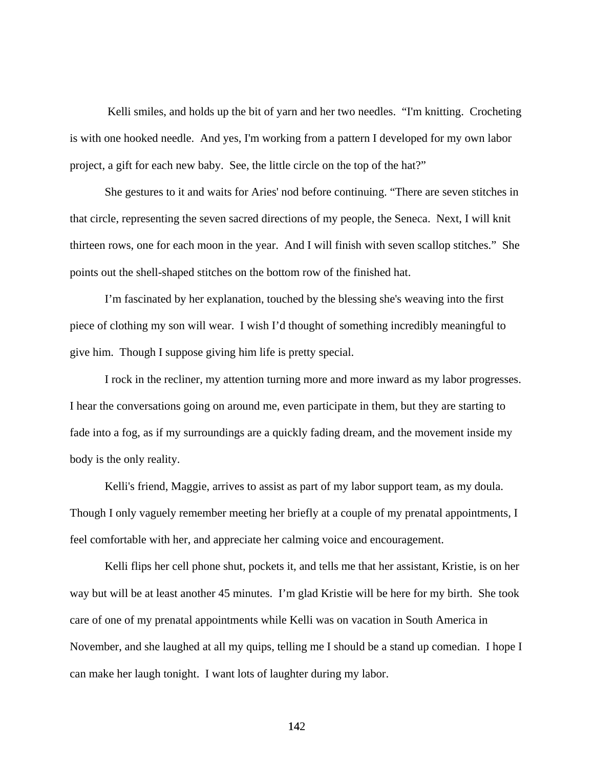Kelli smiles, and holds up the bit of yarn and her two needles. "I'm knitting. Crocheting is with one hooked needle. And yes, I'm working from a pattern I developed for my own labor project, a gift for each new baby. See, the little circle on the top of the hat?"

 She gestures to it and waits for Aries' nod before continuing. "There are seven stitches in that circle, representing the seven sacred directions of my people, the Seneca. Next, I will knit thirteen rows, one for each moon in the year. And I will finish with seven scallop stitches." She points out the shell-shaped stitches on the bottom row of the finished hat.

 I'm fascinated by her explanation, touched by the blessing she's weaving into the first piece of clothing my son will wear. I wish I'd thought of something incredibly meaningful to give him. Though I suppose giving him life is pretty special.

 I rock in the recliner, my attention turning more and more inward as my labor progresses. I hear the conversations going on around me, even participate in them, but they are starting to fade into a fog, as if my surroundings are a quickly fading dream, and the movement inside my body is the only reality.

 Kelli's friend, Maggie, arrives to assist as part of my labor support team, as my doula. Though I only vaguely remember meeting her briefly at a couple of my prenatal appointments, I feel comfortable with her, and appreciate her calming voice and encouragement.

Kelli flips her cell phone shut, pockets it, and tells me that her assistant, Kristie, is on her way but will be at least another 45 minutes. I'm glad Kristie will be here for my birth. She took care of one of my prenatal appointments while Kelli was on vacation in South America in November, and she laughed at all my quips, telling me I should be a stand up comedian. I hope I can make her laugh tonight. I want lots of laughter during my labor.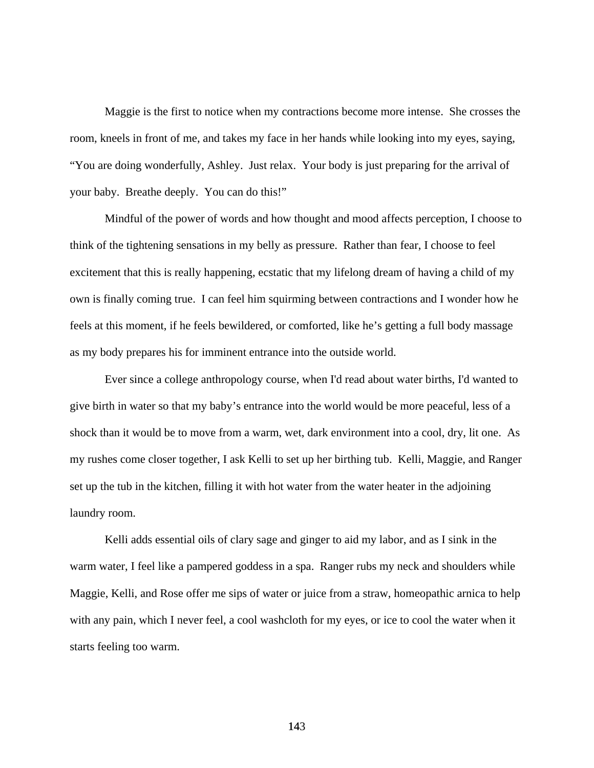Maggie is the first to notice when my contractions become more intense. She crosses the room, kneels in front of me, and takes my face in her hands while looking into my eyes, saying, "You are doing wonderfully, Ashley. Just relax. Your body is just preparing for the arrival of your baby. Breathe deeply. You can do this!"

 Mindful of the power of words and how thought and mood affects perception, I choose to think of the tightening sensations in my belly as pressure. Rather than fear, I choose to feel excitement that this is really happening, ecstatic that my lifelong dream of having a child of my own is finally coming true. I can feel him squirming between contractions and I wonder how he feels at this moment, if he feels bewildered, or comforted, like he's getting a full body massage as my body prepares his for imminent entrance into the outside world.

 Ever since a college anthropology course, when I'd read about water births, I'd wanted to give birth in water so that my baby's entrance into the world would be more peaceful, less of a shock than it would be to move from a warm, wet, dark environment into a cool, dry, lit one. As my rushes come closer together, I ask Kelli to set up her birthing tub. Kelli, Maggie, and Ranger set up the tub in the kitchen, filling it with hot water from the water heater in the adjoining laundry room.

Kelli adds essential oils of clary sage and ginger to aid my labor, and as I sink in the warm water, I feel like a pampered goddess in a spa. Ranger rubs my neck and shoulders while Maggie, Kelli, and Rose offer me sips of water or juice from a straw, homeopathic arnica to help with any pain, which I never feel, a cool washcloth for my eyes, or ice to cool the water when it starts feeling too warm.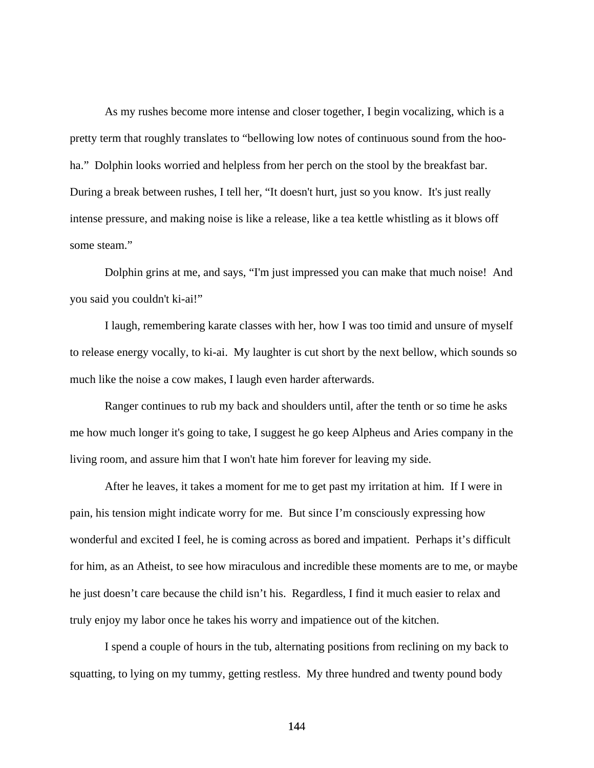As my rushes become more intense and closer together, I begin vocalizing, which is a pretty term that roughly translates to "bellowing low notes of continuous sound from the hooha." Dolphin looks worried and helpless from her perch on the stool by the breakfast bar. During a break between rushes, I tell her, "It doesn't hurt, just so you know. It's just really intense pressure, and making noise is like a release, like a tea kettle whistling as it blows off some steam."

 Dolphin grins at me, and says, "I'm just impressed you can make that much noise! And you said you couldn't ki-ai!"

 I laugh, remembering karate classes with her, how I was too timid and unsure of myself to release energy vocally, to ki-ai. My laughter is cut short by the next bellow, which sounds so much like the noise a cow makes, I laugh even harder afterwards.

 Ranger continues to rub my back and shoulders until, after the tenth or so time he asks me how much longer it's going to take, I suggest he go keep Alpheus and Aries company in the living room, and assure him that I won't hate him forever for leaving my side.

After he leaves, it takes a moment for me to get past my irritation at him. If I were in pain, his tension might indicate worry for me. But since I'm consciously expressing how wonderful and excited I feel, he is coming across as bored and impatient. Perhaps it's difficult for him, as an Atheist, to see how miraculous and incredible these moments are to me, or maybe he just doesn't care because the child isn't his. Regardless, I find it much easier to relax and truly enjoy my labor once he takes his worry and impatience out of the kitchen.

 I spend a couple of hours in the tub, alternating positions from reclining on my back to squatting, to lying on my tummy, getting restless. My three hundred and twenty pound body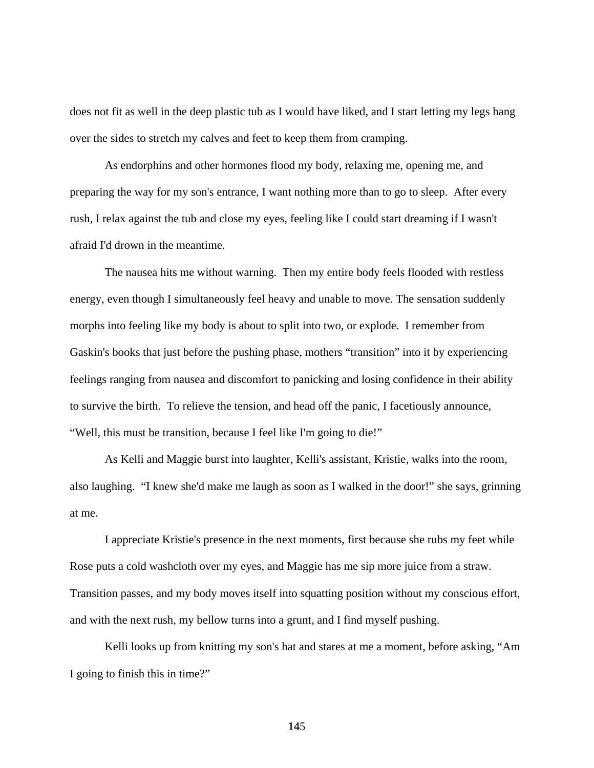does not fit as well in the deep plastic tub as I would have liked, and I start letting my legs hang over the sides to stretch my calves and feet to keep them from cramping.

 As endorphins and other hormones flood my body, relaxing me, opening me, and preparing the way for my son's entrance, I want nothing more than to go to sleep. After every rush, I relax against the tub and close my eyes, feeling like I could start dreaming if I wasn't afraid I'd drown in the meantime.

 The nausea hits me without warning. Then my entire body feels flooded with restless energy, even though I simultaneously feel heavy and unable to move. The sensation suddenly morphs into feeling like my body is about to split into two, or explode. I remember from Gaskin's books that just before the pushing phase, mothers "transition" into it by experiencing feelings ranging from nausea and discomfort to panicking and losing confidence in their ability to survive the birth. To relieve the tension, and head off the panic, I facetiously announce, "Well, this must be transition, because I feel like I'm going to die!"

 As Kelli and Maggie burst into laughter, Kelli's assistant, Kristie, walks into the room, also laughing. "I knew she'd make me laugh as soon as I walked in the door!" she says, grinning at me.

 I appreciate Kristie's presence in the next moments, first because she rubs my feet while Rose puts a cold washcloth over my eyes, and Maggie has me sip more juice from a straw. Transition passes, and my body moves itself into squatting position without my conscious effort, and with the next rush, my bellow turns into a grunt, and I find myself pushing.

Kelli looks up from knitting my son's hat and stares at me a moment, before asking, "Am I going to finish this in time?"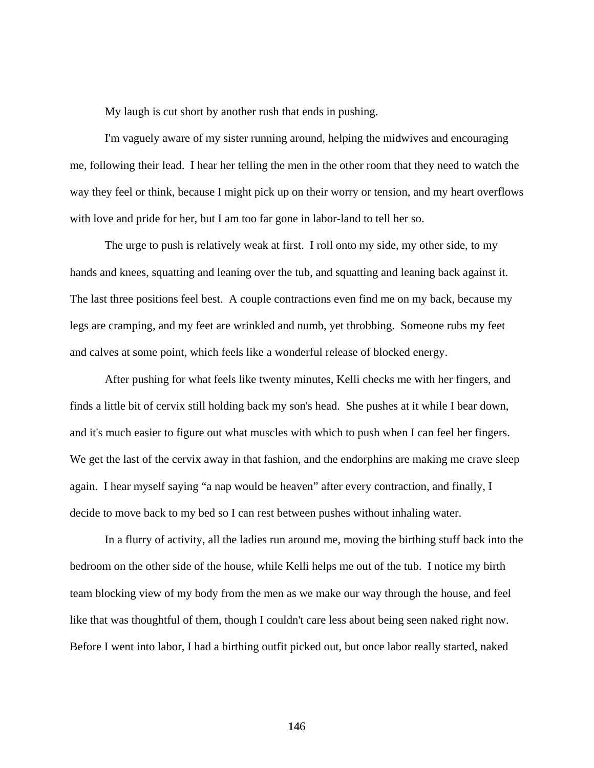My laugh is cut short by another rush that ends in pushing.

 I'm vaguely aware of my sister running around, helping the midwives and encouraging me, following their lead. I hear her telling the men in the other room that they need to watch the way they feel or think, because I might pick up on their worry or tension, and my heart overflows with love and pride for her, but I am too far gone in labor-land to tell her so.

 The urge to push is relatively weak at first. I roll onto my side, my other side, to my hands and knees, squatting and leaning over the tub, and squatting and leaning back against it. The last three positions feel best. A couple contractions even find me on my back, because my legs are cramping, and my feet are wrinkled and numb, yet throbbing. Someone rubs my feet and calves at some point, which feels like a wonderful release of blocked energy.

 After pushing for what feels like twenty minutes, Kelli checks me with her fingers, and finds a little bit of cervix still holding back my son's head. She pushes at it while I bear down, and it's much easier to figure out what muscles with which to push when I can feel her fingers. We get the last of the cervix away in that fashion, and the endorphins are making me crave sleep again. I hear myself saying "a nap would be heaven" after every contraction, and finally, I decide to move back to my bed so I can rest between pushes without inhaling water.

 In a flurry of activity, all the ladies run around me, moving the birthing stuff back into the bedroom on the other side of the house, while Kelli helps me out of the tub. I notice my birth team blocking view of my body from the men as we make our way through the house, and feel like that was thoughtful of them, though I couldn't care less about being seen naked right now. Before I went into labor, I had a birthing outfit picked out, but once labor really started, naked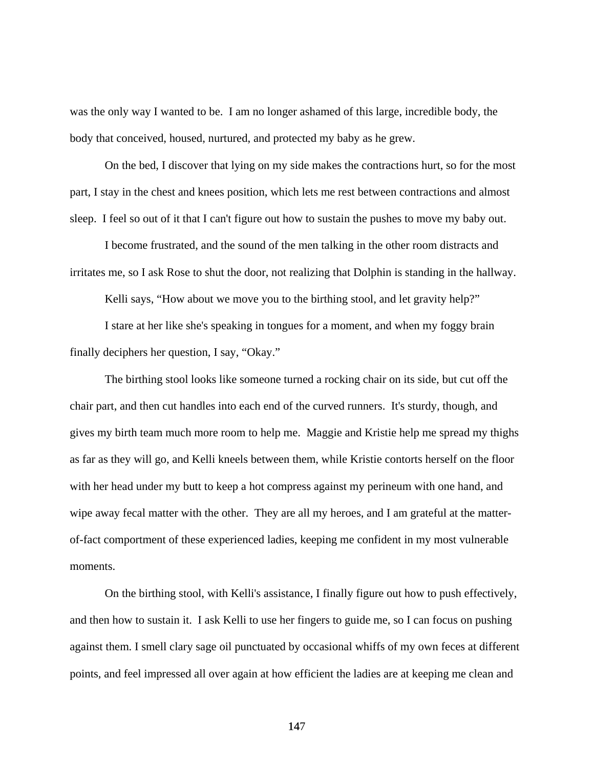was the only way I wanted to be. I am no longer ashamed of this large, incredible body, the body that conceived, housed, nurtured, and protected my baby as he grew.

 On the bed, I discover that lying on my side makes the contractions hurt, so for the most part, I stay in the chest and knees position, which lets me rest between contractions and almost sleep. I feel so out of it that I can't figure out how to sustain the pushes to move my baby out.

 I become frustrated, and the sound of the men talking in the other room distracts and irritates me, so I ask Rose to shut the door, not realizing that Dolphin is standing in the hallway.

Kelli says, "How about we move you to the birthing stool, and let gravity help?"

 I stare at her like she's speaking in tongues for a moment, and when my foggy brain finally deciphers her question, I say, "Okay."

 The birthing stool looks like someone turned a rocking chair on its side, but cut off the chair part, and then cut handles into each end of the curved runners. It's sturdy, though, and gives my birth team much more room to help me. Maggie and Kristie help me spread my thighs as far as they will go, and Kelli kneels between them, while Kristie contorts herself on the floor with her head under my butt to keep a hot compress against my perineum with one hand, and wipe away fecal matter with the other. They are all my heroes, and I am grateful at the matterof-fact comportment of these experienced ladies, keeping me confident in my most vulnerable moments.

 On the birthing stool, with Kelli's assistance, I finally figure out how to push effectively, and then how to sustain it. I ask Kelli to use her fingers to guide me, so I can focus on pushing against them. I smell clary sage oil punctuated by occasional whiffs of my own feces at different points, and feel impressed all over again at how efficient the ladies are at keeping me clean and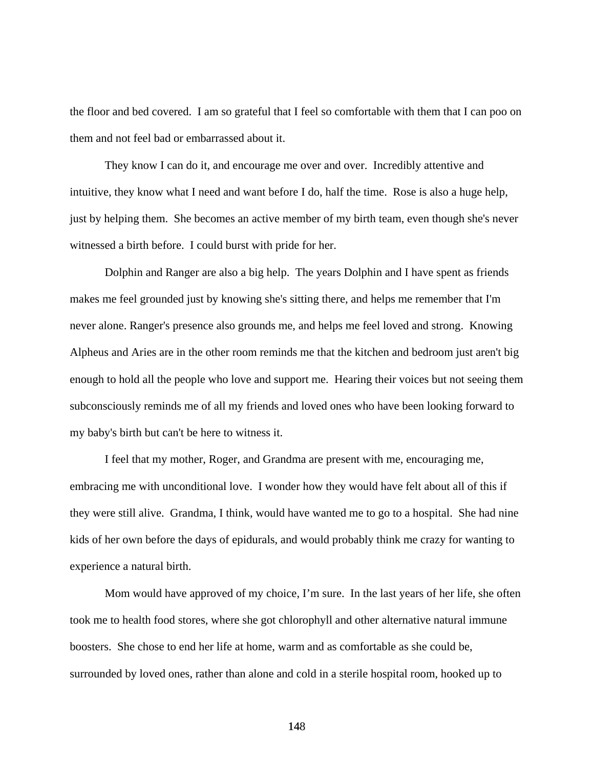the floor and bed covered. I am so grateful that I feel so comfortable with them that I can poo on them and not feel bad or embarrassed about it.

 They know I can do it, and encourage me over and over. Incredibly attentive and intuitive, they know what I need and want before I do, half the time. Rose is also a huge help, just by helping them. She becomes an active member of my birth team, even though she's never witnessed a birth before. I could burst with pride for her.

 Dolphin and Ranger are also a big help. The years Dolphin and I have spent as friends makes me feel grounded just by knowing she's sitting there, and helps me remember that I'm never alone. Ranger's presence also grounds me, and helps me feel loved and strong. Knowing Alpheus and Aries are in the other room reminds me that the kitchen and bedroom just aren't big enough to hold all the people who love and support me. Hearing their voices but not seeing them subconsciously reminds me of all my friends and loved ones who have been looking forward to my baby's birth but can't be here to witness it.

 I feel that my mother, Roger, and Grandma are present with me, encouraging me, embracing me with unconditional love. I wonder how they would have felt about all of this if they were still alive. Grandma, I think, would have wanted me to go to a hospital. She had nine kids of her own before the days of epidurals, and would probably think me crazy for wanting to experience a natural birth.

 Mom would have approved of my choice, I'm sure. In the last years of her life, she often took me to health food stores, where she got chlorophyll and other alternative natural immune boosters. She chose to end her life at home, warm and as comfortable as she could be, surrounded by loved ones, rather than alone and cold in a sterile hospital room, hooked up to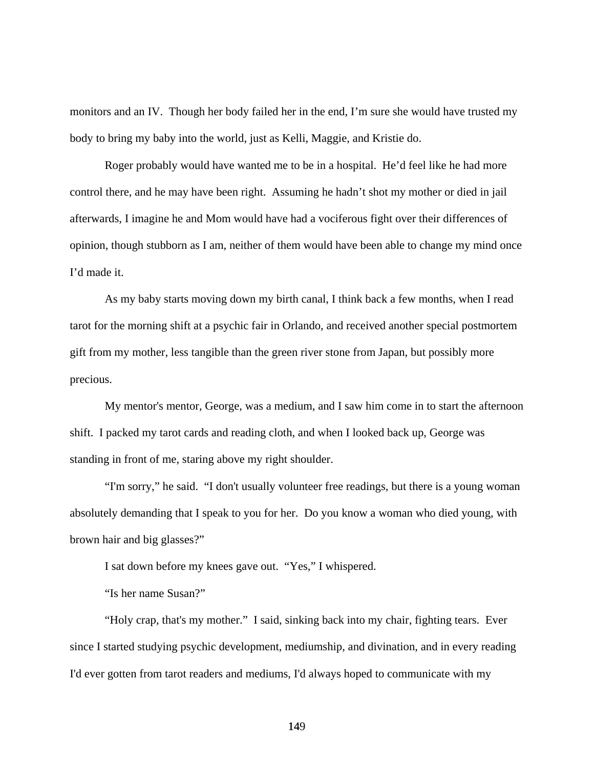monitors and an IV. Though her body failed her in the end, I'm sure she would have trusted my body to bring my baby into the world, just as Kelli, Maggie, and Kristie do.

 Roger probably would have wanted me to be in a hospital. He'd feel like he had more control there, and he may have been right. Assuming he hadn't shot my mother or died in jail afterwards, I imagine he and Mom would have had a vociferous fight over their differences of opinion, though stubborn as I am, neither of them would have been able to change my mind once I'd made it.

As my baby starts moving down my birth canal, I think back a few months, when I read tarot for the morning shift at a psychic fair in Orlando, and received another special postmortem gift from my mother, less tangible than the green river stone from Japan, but possibly more precious.

 My mentor's mentor, George, was a medium, and I saw him come in to start the afternoon shift. I packed my tarot cards and reading cloth, and when I looked back up, George was standing in front of me, staring above my right shoulder.

 "I'm sorry," he said. "I don't usually volunteer free readings, but there is a young woman absolutely demanding that I speak to you for her. Do you know a woman who died young, with brown hair and big glasses?"

I sat down before my knees gave out. "Yes," I whispered.

"Is her name Susan?"

 "Holy crap, that's my mother." I said, sinking back into my chair, fighting tears. Ever since I started studying psychic development, mediumship, and divination, and in every reading I'd ever gotten from tarot readers and mediums, I'd always hoped to communicate with my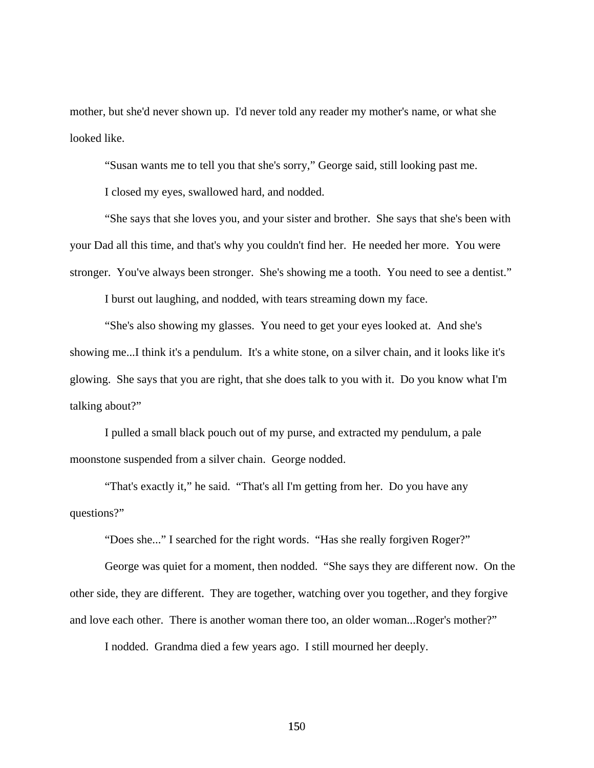mother, but she'd never shown up. I'd never told any reader my mother's name, or what she looked like.

"Susan wants me to tell you that she's sorry," George said, still looking past me.

I closed my eyes, swallowed hard, and nodded.

 "She says that she loves you, and your sister and brother. She says that she's been with your Dad all this time, and that's why you couldn't find her. He needed her more. You were stronger. You've always been stronger. She's showing me a tooth. You need to see a dentist."

I burst out laughing, and nodded, with tears streaming down my face.

 "She's also showing my glasses. You need to get your eyes looked at. And she's showing me...I think it's a pendulum. It's a white stone, on a silver chain, and it looks like it's glowing. She says that you are right, that she does talk to you with it. Do you know what I'm talking about?"

 I pulled a small black pouch out of my purse, and extracted my pendulum, a pale moonstone suspended from a silver chain. George nodded.

 "That's exactly it," he said. "That's all I'm getting from her. Do you have any questions?"

"Does she..." I searched for the right words. "Has she really forgiven Roger?"

 George was quiet for a moment, then nodded. "She says they are different now. On the other side, they are different. They are together, watching over you together, and they forgive and love each other. There is another woman there too, an older woman...Roger's mother?"

I nodded. Grandma died a few years ago. I still mourned her deeply.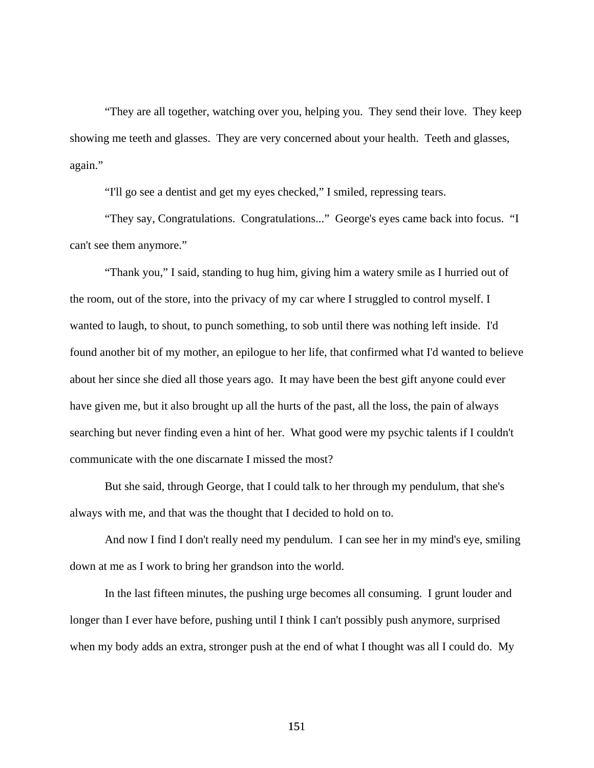"They are all together, watching over you, helping you. They send their love. They keep showing me teeth and glasses. They are very concerned about your health. Teeth and glasses, again."

"I'll go see a dentist and get my eyes checked," I smiled, repressing tears.

 "They say, Congratulations. Congratulations..." George's eyes came back into focus. "I can't see them anymore."

 "Thank you," I said, standing to hug him, giving him a watery smile as I hurried out of the room, out of the store, into the privacy of my car where I struggled to control myself. I wanted to laugh, to shout, to punch something, to sob until there was nothing left inside. I'd found another bit of my mother, an epilogue to her life, that confirmed what I'd wanted to believe about her since she died all those years ago. It may have been the best gift anyone could ever have given me, but it also brought up all the hurts of the past, all the loss, the pain of always searching but never finding even a hint of her. What good were my psychic talents if I couldn't communicate with the one discarnate I missed the most?

 But she said, through George, that I could talk to her through my pendulum, that she's always with me, and that was the thought that I decided to hold on to.

 And now I find I don't really need my pendulum. I can see her in my mind's eye, smiling down at me as I work to bring her grandson into the world.

 In the last fifteen minutes, the pushing urge becomes all consuming. I grunt louder and longer than I ever have before, pushing until I think I can't possibly push anymore, surprised when my body adds an extra, stronger push at the end of what I thought was all I could do. My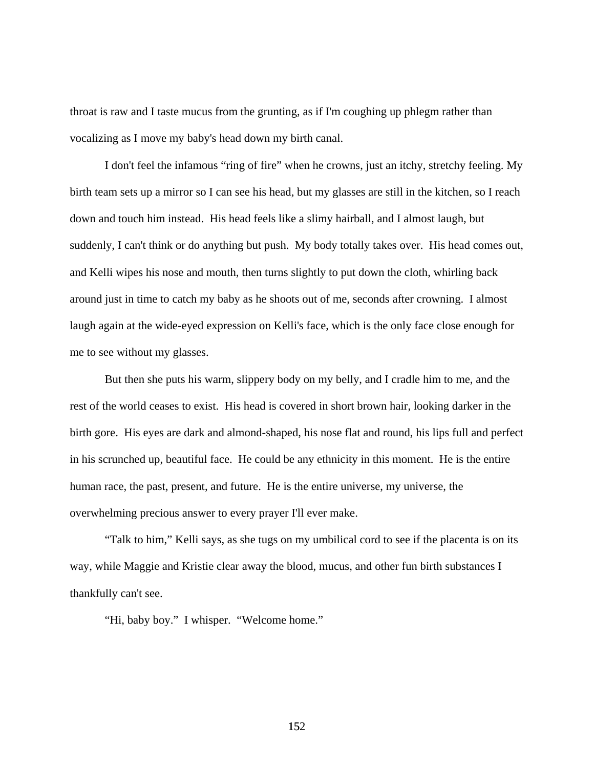throat is raw and I taste mucus from the grunting, as if I'm coughing up phlegm rather than vocalizing as I move my baby's head down my birth canal.

 I don't feel the infamous "ring of fire" when he crowns, just an itchy, stretchy feeling. My birth team sets up a mirror so I can see his head, but my glasses are still in the kitchen, so I reach down and touch him instead. His head feels like a slimy hairball, and I almost laugh, but suddenly, I can't think or do anything but push. My body totally takes over. His head comes out, and Kelli wipes his nose and mouth, then turns slightly to put down the cloth, whirling back around just in time to catch my baby as he shoots out of me, seconds after crowning. I almost laugh again at the wide-eyed expression on Kelli's face, which is the only face close enough for me to see without my glasses.

 But then she puts his warm, slippery body on my belly, and I cradle him to me, and the rest of the world ceases to exist. His head is covered in short brown hair, looking darker in the birth gore. His eyes are dark and almond-shaped, his nose flat and round, his lips full and perfect in his scrunched up, beautiful face. He could be any ethnicity in this moment. He is the entire human race, the past, present, and future. He is the entire universe, my universe, the overwhelming precious answer to every prayer I'll ever make.

 "Talk to him," Kelli says, as she tugs on my umbilical cord to see if the placenta is on its way, while Maggie and Kristie clear away the blood, mucus, and other fun birth substances I thankfully can't see.

"Hi, baby boy." I whisper. "Welcome home."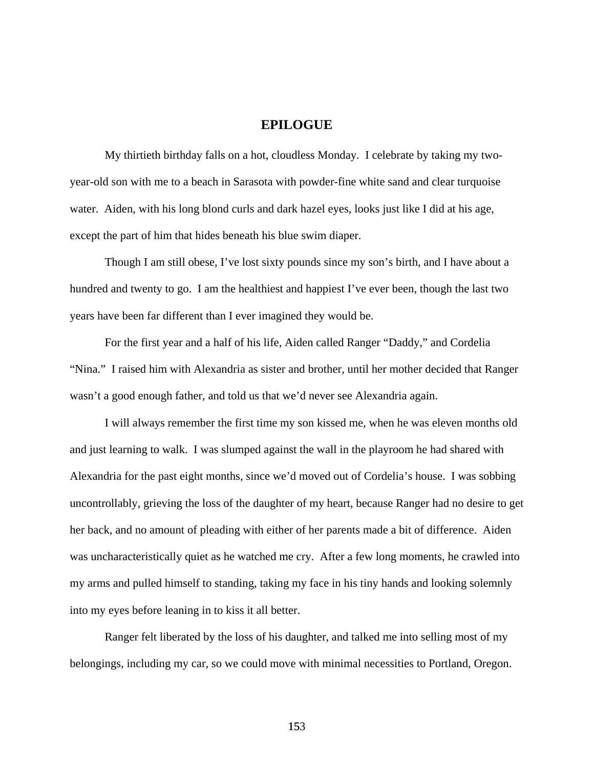## **EPILOGUE**

 My thirtieth birthday falls on a hot, cloudless Monday. I celebrate by taking my twoyear-old son with me to a beach in Sarasota with powder-fine white sand and clear turquoise water. Aiden, with his long blond curls and dark hazel eyes, looks just like I did at his age, except the part of him that hides beneath his blue swim diaper.

Though I am still obese, I've lost sixty pounds since my son's birth, and I have about a hundred and twenty to go. I am the healthiest and happiest I've ever been, though the last two years have been far different than I ever imagined they would be.

 For the first year and a half of his life, Aiden called Ranger "Daddy," and Cordelia "Nina." I raised him with Alexandria as sister and brother, until her mother decided that Ranger wasn't a good enough father, and told us that we'd never see Alexandria again.

I will always remember the first time my son kissed me, when he was eleven months old and just learning to walk. I was slumped against the wall in the playroom he had shared with Alexandria for the past eight months, since we'd moved out of Cordelia's house. I was sobbing uncontrollably, grieving the loss of the daughter of my heart, because Ranger had no desire to get her back, and no amount of pleading with either of her parents made a bit of difference. Aiden was uncharacteristically quiet as he watched me cry. After a few long moments, he crawled into my arms and pulled himself to standing, taking my face in his tiny hands and looking solemnly into my eyes before leaning in to kiss it all better.

Ranger felt liberated by the loss of his daughter, and talked me into selling most of my belongings, including my car, so we could move with minimal necessities to Portland, Oregon.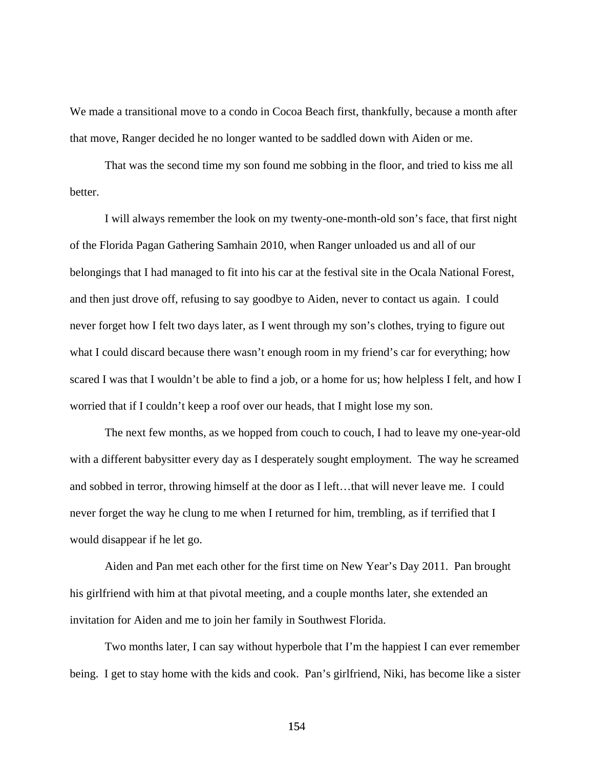We made a transitional move to a condo in Cocoa Beach first, thankfully, because a month after that move, Ranger decided he no longer wanted to be saddled down with Aiden or me.

 That was the second time my son found me sobbing in the floor, and tried to kiss me all better.

 I will always remember the look on my twenty-one-month-old son's face, that first night of the Florida Pagan Gathering Samhain 2010, when Ranger unloaded us and all of our belongings that I had managed to fit into his car at the festival site in the Ocala National Forest, and then just drove off, refusing to say goodbye to Aiden, never to contact us again. I could never forget how I felt two days later, as I went through my son's clothes, trying to figure out what I could discard because there wasn't enough room in my friend's car for everything; how scared I was that I wouldn't be able to find a job, or a home for us; how helpless I felt, and how I worried that if I couldn't keep a roof over our heads, that I might lose my son.

 The next few months, as we hopped from couch to couch, I had to leave my one-year-old with a different babysitter every day as I desperately sought employment. The way he screamed and sobbed in terror, throwing himself at the door as I left...that will never leave me. I could never forget the way he clung to me when I returned for him, trembling, as if terrified that I would disappear if he let go.

 Aiden and Pan met each other for the first time on New Year's Day 2011. Pan brought his girlfriend with him at that pivotal meeting, and a couple months later, she extended an invitation for Aiden and me to join her family in Southwest Florida.

 Two months later, I can say without hyperbole that I'm the happiest I can ever remember being. I get to stay home with the kids and cook. Pan's girlfriend, Niki, has become like a sister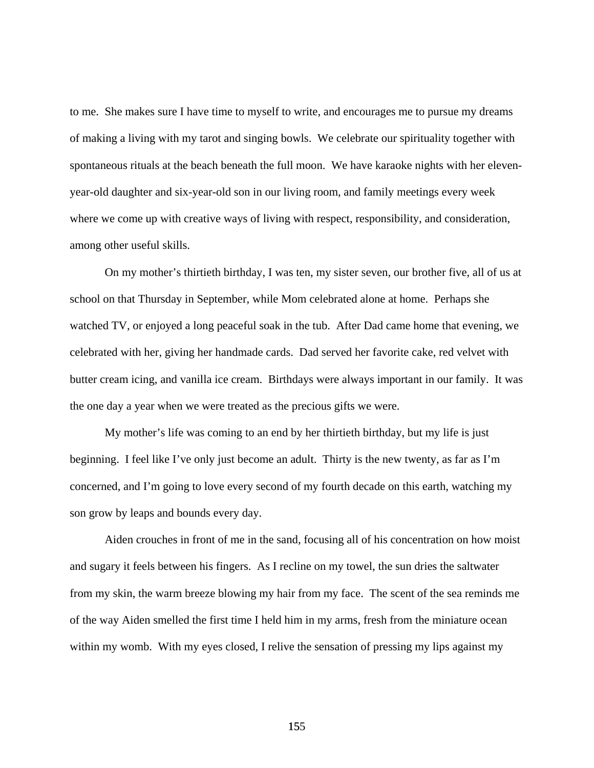to me. She makes sure I have time to myself to write, and encourages me to pursue my dreams of making a living with my tarot and singing bowls. We celebrate our spirituality together with spontaneous rituals at the beach beneath the full moon. We have karaoke nights with her elevenyear-old daughter and six-year-old son in our living room, and family meetings every week where we come up with creative ways of living with respect, responsibility, and consideration, among other useful skills.

 On my mother's thirtieth birthday, I was ten, my sister seven, our brother five, all of us at school on that Thursday in September, while Mom celebrated alone at home. Perhaps she watched TV, or enjoyed a long peaceful soak in the tub. After Dad came home that evening, we celebrated with her, giving her handmade cards. Dad served her favorite cake, red velvet with butter cream icing, and vanilla ice cream. Birthdays were always important in our family. It was the one day a year when we were treated as the precious gifts we were.

 My mother's life was coming to an end by her thirtieth birthday, but my life is just beginning. I feel like I've only just become an adult. Thirty is the new twenty, as far as I'm concerned, and I'm going to love every second of my fourth decade on this earth, watching my son grow by leaps and bounds every day.

 Aiden crouches in front of me in the sand, focusing all of his concentration on how moist and sugary it feels between his fingers. As I recline on my towel, the sun dries the saltwater from my skin, the warm breeze blowing my hair from my face. The scent of the sea reminds me of the way Aiden smelled the first time I held him in my arms, fresh from the miniature ocean within my womb. With my eyes closed, I relive the sensation of pressing my lips against my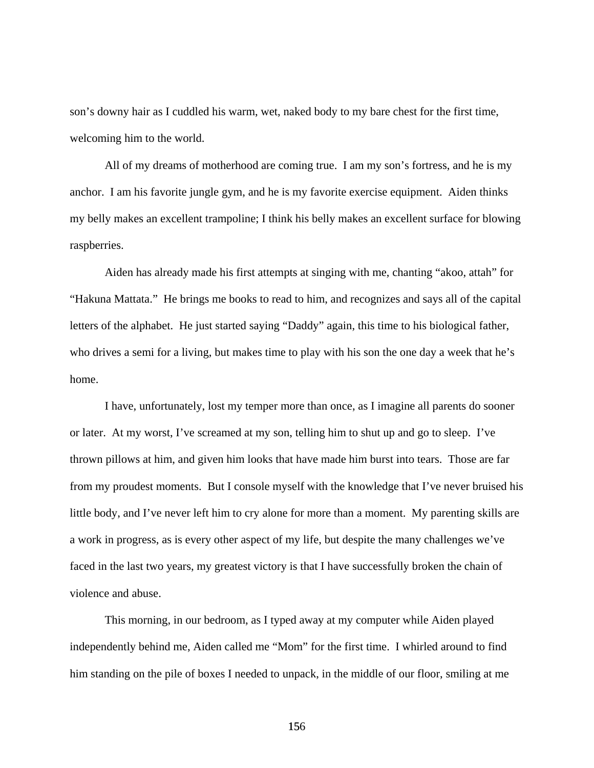son's downy hair as I cuddled his warm, wet, naked body to my bare chest for the first time, welcoming him to the world.

 All of my dreams of motherhood are coming true. I am my son's fortress, and he is my anchor. I am his favorite jungle gym, and he is my favorite exercise equipment. Aiden thinks my belly makes an excellent trampoline; I think his belly makes an excellent surface for blowing raspberries.

Aiden has already made his first attempts at singing with me, chanting "akoo, attah" for "Hakuna Mattata." He brings me books to read to him, and recognizes and says all of the capital letters of the alphabet. He just started saying "Daddy" again, this time to his biological father, who drives a semi for a living, but makes time to play with his son the one day a week that he's home.

 I have, unfortunately, lost my temper more than once, as I imagine all parents do sooner or later. At my worst, I've screamed at my son, telling him to shut up and go to sleep. I've thrown pillows at him, and given him looks that have made him burst into tears. Those are far from my proudest moments. But I console myself with the knowledge that I've never bruised his little body, and I've never left him to cry alone for more than a moment. My parenting skills are a work in progress, as is every other aspect of my life, but despite the many challenges we've faced in the last two years, my greatest victory is that I have successfully broken the chain of violence and abuse.

 This morning, in our bedroom, as I typed away at my computer while Aiden played independently behind me, Aiden called me "Mom" for the first time. I whirled around to find him standing on the pile of boxes I needed to unpack, in the middle of our floor, smiling at me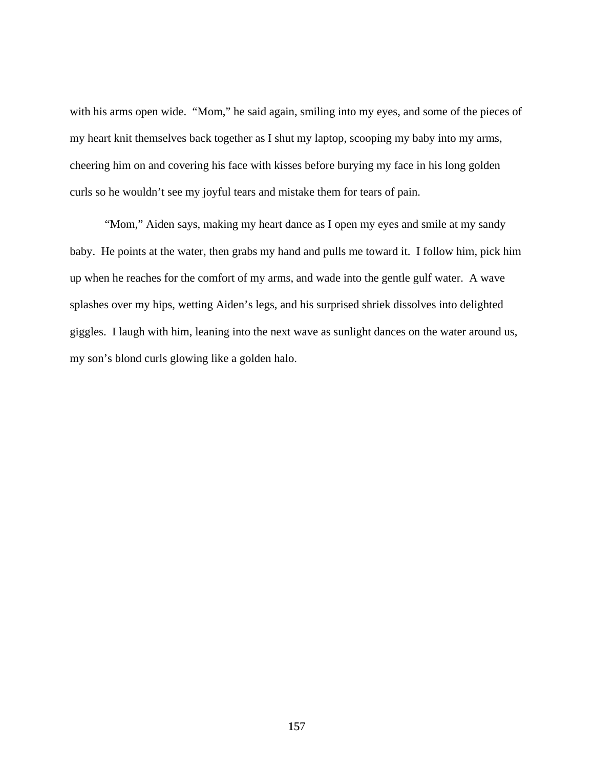with his arms open wide. "Mom," he said again, smiling into my eyes, and some of the pieces of my heart knit themselves back together as I shut my laptop, scooping my baby into my arms, cheering him on and covering his face with kisses before burying my face in his long golden curls so he wouldn't see my joyful tears and mistake them for tears of pain.

 "Mom," Aiden says, making my heart dance as I open my eyes and smile at my sandy baby. He points at the water, then grabs my hand and pulls me toward it. I follow him, pick him up when he reaches for the comfort of my arms, and wade into the gentle gulf water. A wave splashes over my hips, wetting Aiden's legs, and his surprised shriek dissolves into delighted giggles. I laugh with him, leaning into the next wave as sunlight dances on the water around us, my son's blond curls glowing like a golden halo.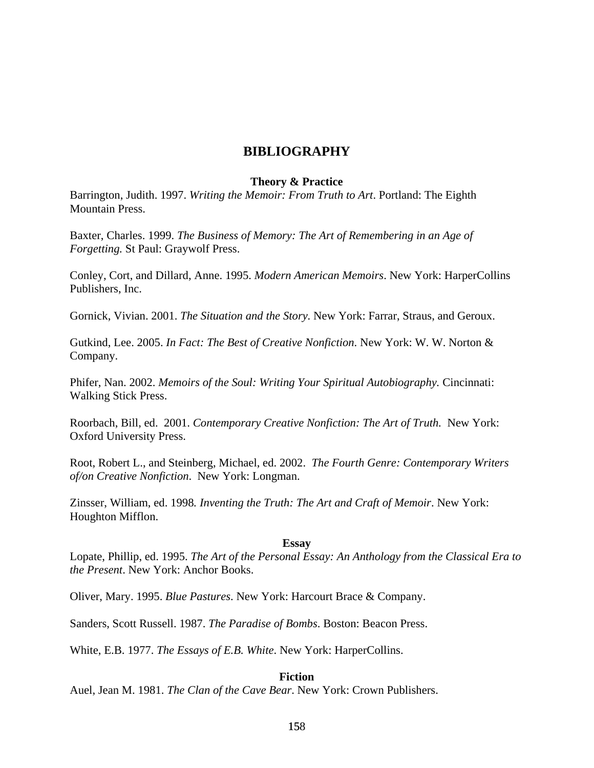# **BIBLIOGRAPHY**

#### **Theory & Practice**

Barrington, Judith. 1997. *Writing the Memoir: From Truth to Art*. Portland: The Eighth Mountain Press.

Baxter, Charles. 1999. *The Business of Memory: The Art of Remembering in an Age of Forgetting.* St Paul: Graywolf Press.

Conley, Cort, and Dillard, Anne. 1995. *Modern American Memoirs*. New York: HarperCollins Publishers, Inc.

Gornick, Vivian. 2001. *The Situation and the Story.* New York: Farrar, Straus, and Geroux.

Gutkind, Lee. 2005. *In Fact: The Best of Creative Nonfiction*. New York: W. W. Norton & Company.

Phifer, Nan. 2002. *Memoirs of the Soul: Writing Your Spiritual Autobiography.* Cincinnati: Walking Stick Press.

Roorbach, Bill, ed. 2001. *Contemporary Creative Nonfiction: The Art of Truth.* New York: Oxford University Press.

Root, Robert L., and Steinberg, Michael, ed. 2002. *The Fourth Genre: Contemporary Writers of/on Creative Nonfiction*. New York: Longman.

Zinsser, William, ed. 1998*. Inventing the Truth: The Art and Craft of Memoir*. New York: Houghton Mifflon.

#### **Essay**

Lopate, Phillip, ed. 1995. *The Art of the Personal Essay: An Anthology from the Classical Era to the Present*. New York: Anchor Books.

Oliver, Mary. 1995. *Blue Pastures*. New York: Harcourt Brace & Company.

Sanders, Scott Russell. 1987. *The Paradise of Bombs*. Boston: Beacon Press.

White, E.B. 1977. *The Essays of E.B. White*. New York: HarperCollins.

### **Fiction**

Auel, Jean M. 1981. *The Clan of the Cave Bear*. New York: Crown Publishers.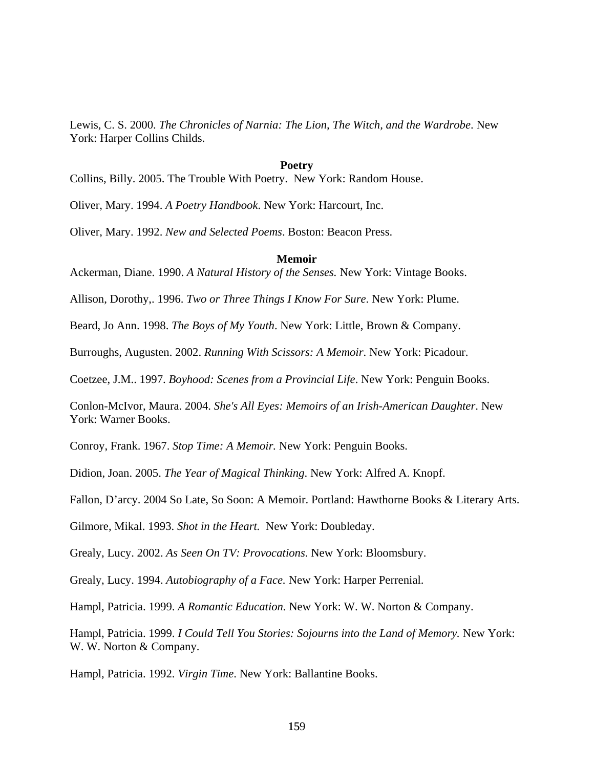Lewis, C. S. 2000. *The Chronicles of Narnia: The Lion, The Witch, and the Wardrobe*. New York: Harper Collins Childs.

#### **Poetry**

Collins, Billy. 2005. The Trouble With Poetry. New York: Random House.

Oliver, Mary. 1994. *A Poetry Handbook*. New York: Harcourt, Inc.

Oliver, Mary. 1992. *New and Selected Poems*. Boston: Beacon Press.

#### **Memoir**

Ackerman, Diane. 1990. *A Natural History of the Senses.* New York: Vintage Books.

Allison, Dorothy,. 1996. *Two or Three Things I Know For Sure*. New York: Plume.

Beard, Jo Ann. 1998. *The Boys of My Youth*. New York: Little, Brown & Company.

Burroughs, Augusten. 2002. *Running With Scissors: A Memoir*. New York: Picadour.

Coetzee, J.M.. 1997. *Boyhood: Scenes from a Provincial Life*. New York: Penguin Books.

Conlon-McIvor, Maura. 2004. *She's All Eyes: Memoirs of an Irish-American Daughter*. New York: Warner Books.

Conroy, Frank. 1967. *Stop Time: A Memoir.* New York: Penguin Books.

Didion, Joan. 2005. *The Year of Magical Thinking*. New York: Alfred A. Knopf.

Fallon, D'arcy. 2004 So Late, So Soon: A Memoir. Portland: Hawthorne Books & Literary Arts.

Gilmore, Mikal. 1993. *Shot in the Heart.* New York: Doubleday.

Grealy, Lucy. 2002. *As Seen On TV: Provocations*. New York: Bloomsbury.

Grealy, Lucy. 1994. *Autobiography of a Face.* New York: Harper Perrenial.

Hampl, Patricia. 1999. *A Romantic Education.* New York: W. W. Norton & Company.

Hampl, Patricia. 1999. *I Could Tell You Stories: Sojourns into the Land of Memory.* New York: W. W. Norton & Company.

Hampl, Patricia. 1992. *Virgin Time*. New York: Ballantine Books.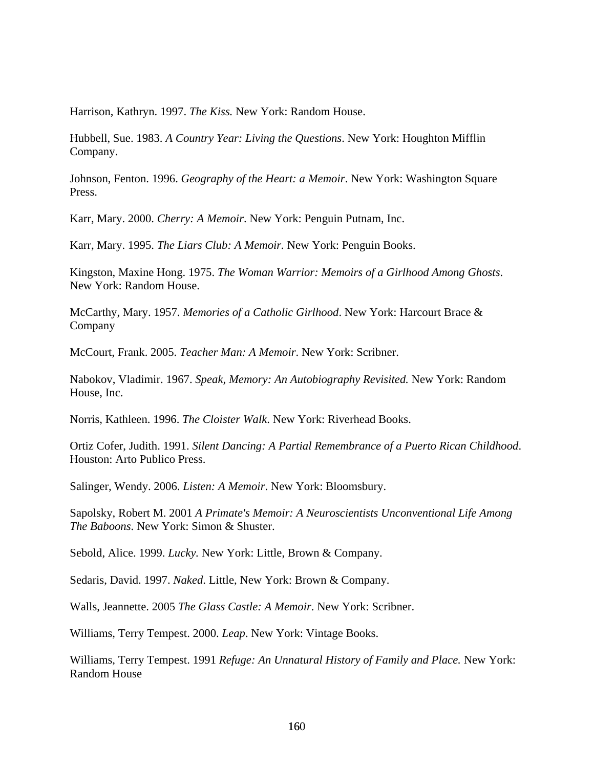Harrison, Kathryn. 1997. *The Kiss.* New York: Random House.

Hubbell, Sue. 1983. *A Country Year: Living the Questions*. New York: Houghton Mifflin Company.

Johnson, Fenton. 1996. *Geography of the Heart: a Memoir*. New York: Washington Square Press.

Karr, Mary. 2000. *Cherry: A Memoir*. New York: Penguin Putnam, Inc.

Karr, Mary. 1995. *The Liars Club: A Memoir.* New York: Penguin Books.

Kingston, Maxine Hong. 1975. *The Woman Warrior: Memoirs of a Girlhood Among Ghosts*. New York: Random House.

McCarthy, Mary. 1957. *Memories of a Catholic Girlhood*. New York: Harcourt Brace & Company

McCourt, Frank. 2005. *Teacher Man: A Memoir*. New York: Scribner.

Nabokov, Vladimir. 1967. *Speak, Memory: An Autobiography Revisited.* New York: Random House, Inc.

Norris, Kathleen. 1996. *The Cloister Walk*. New York: Riverhead Books.

Ortiz Cofer, Judith. 1991. *Silent Dancing: A Partial Remembrance of a Puerto Rican Childhood*. Houston: Arto Publico Press.

Salinger, Wendy. 2006. *Listen: A Memoir*. New York: Bloomsbury.

Sapolsky, Robert M. 2001 *A Primate's Memoir: A Neuroscientists Unconventional Life Among The Baboons*. New York: Simon & Shuster.

Sebold, Alice. 1999. *Lucky.* New York: Little, Brown & Company.

Sedaris, David. 1997. *Naked*. Little, New York: Brown & Company.

Walls, Jeannette. 2005 *The Glass Castle: A Memoir*. New York: Scribner.

Williams, Terry Tempest. 2000. *Leap*. New York: Vintage Books.

Williams, Terry Tempest. 1991 *Refuge: An Unnatural History of Family and Place.* New York: Random House